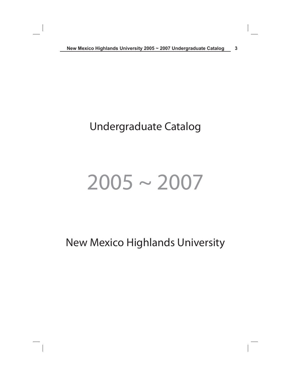# Undergraduate Catalog

# $2005 - 2007$

New Mexico Highlands University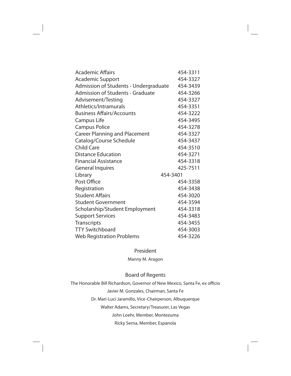| <b>Academic Affairs</b>                 | 454-3311 |
|-----------------------------------------|----------|
| <b>Academic Support</b>                 | 454-3327 |
| Admission of Students - Undergraduate   | 454-3439 |
| <b>Admission of Students - Graduate</b> | 454-3266 |
| Advisement/Testing                      | 454-3327 |
| Athletics/Intramurals                   | 454-3351 |
| <b>Business Affairs/Accounts</b>        | 454-3222 |
| Campus Life                             | 454-3495 |
| <b>Campus Police</b>                    | 454-3278 |
| <b>Career Planning and Placement</b>    | 454-3327 |
| Catalog/Course Schedule                 | 454-3437 |
| <b>Child Care</b>                       | 454-3510 |
| <b>Distance Education</b>               | 454-3271 |
| <b>Financial Assistance</b>             | 454-3318 |
| <b>General Inquires</b>                 | 425-7511 |
| Library                                 | 454-3401 |
| Post Office                             | 454-3358 |
| Registration                            | 454-3438 |
| <b>Student Affairs</b>                  | 454-3020 |
| <b>Student Government</b>               | 454-3594 |
| Scholarship/Student Employment          | 454-3318 |
| <b>Support Services</b>                 | 454-3483 |
| Transcripts                             | 454-3455 |
| <b>TTY Switchboard</b>                  | 454-3003 |
| <b>Web Registration Problems</b>        | 454-3226 |

# President

Manny M. Aragon

# Board of Regents

The Honorable Bill Richardson, Governor of New Mexico, Santa Fe, ex officio Javier M. Gonzales, Chairman, Santa Fe Dr. Mari-Luci Jaramillo, Vice-Chairperson, Albuquerque Walter Adams, Secretary/Treasurer, Las Vegas John Loehr, Member, Montezuma Ricky Serna, Member, Espanola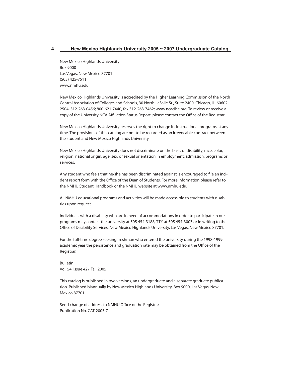New Mexico Highlands University Box 9000 Las Vegas, New Mexico 87701 (505) 425-7511 www.nmhu.edu

New Mexico Highlands University is accredited by the Higher Learning Commission of the North Central Association of Colleges and Schools, 30 North LaSalle St., Suite 2400, Chicago, IL 60602- 2504, 312-263-0456; 800-621-7440, fax 312-263-7462; www.ncacihe.org. To review or receive a copy of the University NCA Affiliation Status Report, please contact the Office of the Registrar.

New Mexico Highlands University reserves the right to change its instructional programs at any time. The provisions of this catalog are not to be regarded as an irrevocable contract between the student and New Mexico Highlands University.

New Mexico Highlands University does not discriminate on the basis of disability, race, color, religion, national origin, age, sex, or sexual orientation in employment, admission, programs or services.

Any student who feels that he/she has been discriminated against is encouraged to file an incident report form with the Office of the Dean of Students. For more information please refer to the NMHU Student Handbook or the NMHU website at www.nmhu.edu.

All NMHU educational programs and activities will be made accessible to students with disabilities upon request.

Individuals with a disability who are in need of accommodations in order to participate in our programs may contact the university at 505 454-3188, TTY at 505 454-3003 or in writing to the Office of Disability Services, New Mexico Highlands University, Las Vegas, New Mexico 87701.

For the full-time degree seeking freshman who entered the university during the 1998-1999 academic year the persistence and graduation rate may be obtained from the Office of the Registrar.

Bulletin Vol. 54, Issue 427 Fall 2005

This catalog is published in two versions, an undergraduate and a separate graduate publication. Published biannually by New Mexico Highlands University, Box 9000, Las Vegas, New Mexico 87701.

Send change of address to NMHU Office of the Registrar Publication No. CAT-2005-7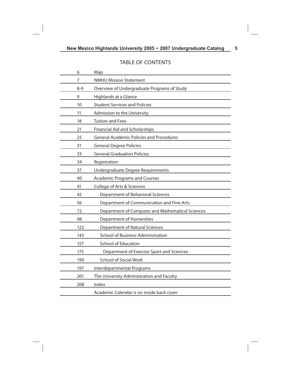# TABLE OF CONTENTS

| 6       | Map                                              |
|---------|--------------------------------------------------|
| 7       | <b>NMHU Mission Statement</b>                    |
| $8 - 9$ | Overview of Undergraduate Programs of Study      |
| 9       | Highlands at a Glance                            |
| 10      | <b>Student Services and Policies</b>             |
| 11      | Admission to the University                      |
| 18      | <b>Tuition and Fees</b>                          |
| 21      | <b>Financial Aid and Scholarships</b>            |
| 25      | <b>General Academic Policies and Procedures</b>  |
| 31      | <b>General Degree Policies</b>                   |
| 33      | <b>General Graduation Policies</b>               |
| 34      | Registration                                     |
| 37      | Undergraduate Degree Requirements                |
| 40      | <b>Academic Programs and Courses</b>             |
| 41      | College of Arts & Sciences                       |
| 42      | Department of Behavioral Sciences                |
| 56      | Department of Communication and Fine Arts        |
| 72      | Department of Computer and Mathematical Sciences |
| 98      | <b>Department of Humanities</b>                  |
| 122     | <b>Department of Natural Sciences</b>            |
| 143     | School of Business Administration                |
| 157     | <b>School of Education</b>                       |
| 175     | Department of Exercise Sport and Sciences        |
| 190     | <b>School of Social Work</b>                     |
| 197     | Interdepartmental Programs                       |
| 201     | The University Administration and Faculty        |
| 208     | Index                                            |
|         | Academic Calendar is on inside back cover        |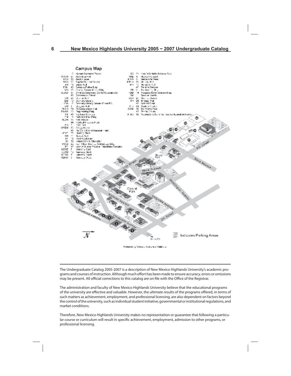Campus Map Alumni Contegial Texas 12 SD.  $-24$ Loral M Shields Science Rico AW 24  $2\pi$  . Architeca in:<br>  $20$  . Arrold I cannot **Business Foll SULL-** $\overline{a}$ Media Arts Fred Media Arts Veset AR I K 47 I Saprict Student Colorer 発送す 32 関東国  $-91$ Moledy Holl Ÿ  $\tilde{15}$ **KH** Suite Hall MH<sub>1</sub> Mediance Hall гõ Campus Police Bidg ë Perdra Stedum 42 Crange Tyrone Music Bidg pp. M.L. 15. - G Purchasing Bisg<br>Podgers Administration Bidg Child Covelagement Confer/Guessius Is<br>Child Covelagement Confer/Guessius Is CJAD  $\ddot{D}$ **PAR** Ň. on Wadds ÄB. Sa e CH. 普罗 Compa Hall 24.25 20 Super County Cumpi Pat<br>Domaly Libary<br>Domaly Libary Scand PotelTS<br>Domas Bat ŭś ũ Shings hall Ě۲ LEG. Ā9 Sekral DaM  $\frac{94}{101}$ Deuglas Hall<br>11 Compulabetor Hall siu Student Conter J. 34 ž» R Swimping Fred<br>Tannis Couris 57% **EKGR** 5.3 Ingirawing Pidg A1 8-EC - 86 - Wateria D Baßer onter, eacher Econolism Center (JR hă<br>Dă  $\overline{41}$ Facilitate Survice "elle Mertinez Didg O. FLDH 36 Field House Football Pressure Highli 44 Φ  $257 - 191$ D.L 03EH 57 Group House Hard of Kittendi Baseball Frekt<br>Health: Plant 4 IEVT. HН  $40000 - 401$ ū hald August un 16 ndusirisi Arx Education<br>Ivan Hilton Seis ibu Technology Bid;<br>John A Wijker, Physical Fiducation C N.<br>Fect 32  $rac{2}{47}$ P **Trianglian Correl** KENE t<br>15 General East KENN<br>KENS Samegy Noll.<br>Samegy South ï **Baca Avenue** KENV/ D Kennedy West Mora Nyknae Park **Dramatic Pennis** Indicates Parking Areas 8- 1-25 Produced by Office or University Relations

The Undergraduate Catalog 2005-2007 is a description of New Mexico Highlands University's academic programs and courses of instruction. Although much effort has been made to ensure accuracy, errors or omissions may be present. All official corrections to this catalog are on file with the Office of the Registrar.

The administration and faculty of New Mexico Highlands University believe that the educational programs of the university are effective and valuable. However, the ultimate results of the programs offered, in terms of such matters as achievement, employment, and professional licensing, are also dependent on factors beyond the control of the university, such as individual student initiative, governmental or institutional regulations, and market conditions.

Therefore, New Mexico Highlands University makes no representation or guarantee that following a particular course or curriculum will result in specific achievement, employment, admission to other programs, or professional licensing.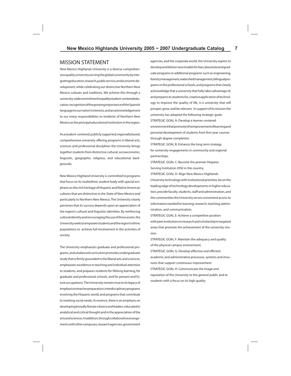#### MISSION STATEMENT

New Mexico Highlands University is a diverse comprehensive quality university serving the global community by integrating education, research, public service, and economic development, while celebrating our distinctive Northern New Mexico cultures and traditions. We achieve this through a university-wide commitment to quality student-centered education, recognition of the growing importance of the Spanish language to our nation's interests, and an acknowledgement to our many responsibilities to residents of Northern New Mexico as the principal educational institution in the region.

As a student-centered, publicly supported, regionally based, comprehensive university offering programs in liberal arts, sciences and professional disciplines the University brings together students from distinctive cultural, socioeconomic, linguistic, geographic, religious, and educational backgrounds.

New Mexico Highland University is committed to programs that focus on its multiethnic student body with special emphasis on the rich heritage of Hispanic and Native American cultures that are distinctive to the State of New Mexico and particularly to Northern New Mexico. The University clearly perceives that its success depends upon an appreciation of the region's cultural and linguistic identities. By reinforcing cultural identity and encouraging the use of these assets, the University seeks to empower students and the region's ethnic populations to achieve full involvement in the activities of society.

The University emphasizes graduate and professional programs, and a balanced curriculum promotes undergraduate study that is firmly grounded in the liberal arts and sciences, emphasizes excellence in teaching and individual attention to students, and prepares students for lifelong learning, for graduate and professional schools, and for present and future occupations. The University remains true to its legacy of emphasis on teacher preparation, interdisciplinary programs involving the Hispanic world, and programs that contribute to meeting social needs. In essence, there is an emphasis on developing broadly literate citizens and leaders, educated in analytical and critical thought and in the appreciation of the arts and sciences. In addition, through collaborative arrangements with other campuses, research agencies, government

agencies, and the corporate world, the University aspires to develop and deliver new models for baccalaureate and graduate programs in additional programs such as engineering, forestry management, watershed management, bilingual programs in the professional schools, and programs that clearly acknowledge that a university that fully takes advantage of, and prepares its students for, creative application of technology to improve the quality of life, is a university that will prosper, grow, and be relevant. In support of its mission the university has adopted the following strategic goals: STRATEGIC GOAL A: Develop a learner-centered environment that promotes the improvement of learning and personal development of students from first-year courses through degree completion.

STRATEGIC GOAL B: Enhance the long term strategy for university engagements in community and regional partnerships.

STRATEGIC GOAL C: Become the premier Hispanic Serving Institution (HSI) in the country.

STRATEGIC GOAL D: Align New Mexico Highlands University technology with institutional priorities, be on the leading edge of technology developments in higher education, provide faculty, students, staff and administration, and the communities the University serves convenient access to information needed for learning, research, teaching, administration, and communication.

STRATEGIC GOAL E: Achieve a competitive position with peer institutions in research and scholarship in targeted areas that promote the achievement of the university mission.

STRATEGIC GOAL F: Maintain the adequacy and quality of the physical campus environment. STRATEGIC GOAL G: Develop effective and efficient academic and administrative processes, systems and structures that support continuous improvement STRATEGIC GOAL H: Communicate the image and reputation of the University to the general public and to students with a focus on its high quality.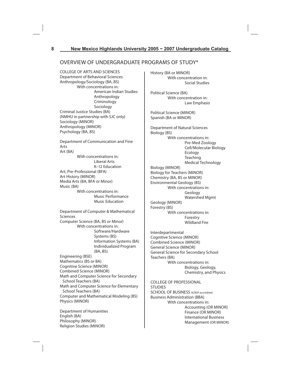# OVERVIEW OF UNDERGRADUATE PROGRAMS OF STUDY\*

COLLEGE OF ARTS AND SCIENCES Department of Behavioral Sciences Anthropology/Sociology (BA, BS) With concentrations in: American Indian Studies Anthropology Criminology Sociology Criminal Justice Studies (BA) (NMHU in partnership with SJC only) Sociology (MINOR) Anthropology (MINOR) Psychology (BA, BS) Department of Communication and Fine Arts Art (BA) With concentrations in: Liberal Arts K–12 Education Art, Pre-Professional (BFA) Art History (MINOR) Media Arts (BA, BFA or Minor)

Music (BA) With concentrations in: Music Performance Music Education

Department of Computer & Mathematical Sciences Computer Science (BA, BS or Minor) With concentrations in: Software/Hardware Systems (BS) Information Systems (BA) Individualized Program (BA, BS) Engineering (BSE) Mathematics (BS or BA) Cognitive Science (MINOR) Combined Science (MINOR) Math and Computer Science for Secondary School Teachers (BA) Math and Computer Science for Elementary School Teachers (BA) Computer and Mathematical Modeling (BS) Physics (MINOR)

Department of Humanities English (BA) Philosophy (MINOR) Religion Studies (MINOR)

History (BA or MINOR) With concentration in: Social Studies

Political Science (BA) With concentration in: Law Emphasis

Political Science (MINOR) Spanish (BA or MINOR)

Department of Natural Sciences Biology (BS) With concentrations in: Pre-Med Zoology Cell/Molecular Biology Ecology Teaching Medical Technology Biology (MINOR) Biology for Teachers (MINOR) Chemistry (BA, BS or MINOR)

Environmental Geology (BS) With concentrations in: Geology Watershed Mgmt Geology (MINOR) Forestry (BS)

 With concentrations in: Forestry Wildland Fire

Interdepartmental Cognitive Science (MINOR) Combined Science (MINOR) General Science (MINOR) General Science for Secondary School Teachers (BA) With concentrations in: Biology, Geology, Chemistry, and Physics

COLLEGE OF PROFESSIONAL **STUDIES** SCHOOL OF BUSINESS ACBSP accredited Business Administration (BBA) With concentrations in: Accounting (OR MINOR) Finance (OR MINOR) International Business Management (OR MINOR)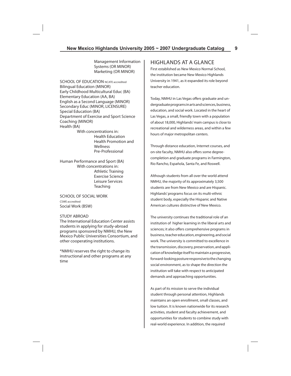Management Information Systems (OR MINOR) Marketing (OR MINOR)

SCHOOL OF EDUCATION NCATE accredited Bilingual Education (MINOR) Early Childhood Multicultural Educ (BA) Elementary Education (AA, BA) English as a Second Language (MINOR) Secondary Educ (MINOR, LICENSURE) Special Education (BA) Department of Exercise and Sport Science Coaching (MINOR) Health (BA)

 With concentrations in: Health Education Health Promotion and **Wellness** Pre-Professional

Human Performance and Sport (BA) With concentrations in: Athletic Training Exercise Science Leisure Services **Teaching** 

SCHOOL OF SOCIAL WORK CSWE accredited Social Work (BSW)

#### STUDY ABROAD

The International Education Center assists students in applying for study-abroad programs sponsored by NMHU, the New Mexico Public Universities Consortium, and other cooperating institutions.

\*NMHU reserves the right to change its instructional and other programs at any time

#### HIGHLANDS AT A GLANCE

First established as New Mexico Normal School, the institution became New Mexico Highlands University in 1941, as it expanded its role beyond teacher education.

Today, NMHU in Las Vegas offers graduate and undergraduate programs in arts and sciences, business, education, and social work. Located in the heart of Las Vegas, a small, friendly town with a population of about 18,000, Highlands' main campus is close to recreational and wilderness areas, and within a few hours of major metropolitan centers.

Through distance education, Internet courses, and on-site faculty, NMHU also offers some degreecompletion and graduate programs in Farmington, Rio Rancho, Española, Santa Fe, and Roswell.

Although students from all over the world attend NMHU, the majority of its approximately 3,500 students are from New Mexico and are Hispanic. Highlands' programs focus on its multi-ethnic student body, especially the Hispanic and Native American cultures distinctive of New Mexico.

The university continues the traditional role of an institution of higher learning in the liberal arts and sciences; it also offers comprehensive programs in business, teacher education, engineering, and social work. The university is committed to excellence in the transmission, discovery, preservation, and application of knowledge itself to maintain a progressive, forward-looking posture responsive to the changing social environment, as to shape the direction the institution will take with respect to anticipated demands and approaching opportunities.

As part of its mission to serve the individual student through personal attention, Highlands maintains an open enrollment, small classes, and low tuition. It is known nationwide for its research activities, student and faculty achievement, and opportunities for students to combine study with real-world experience. In addition, the required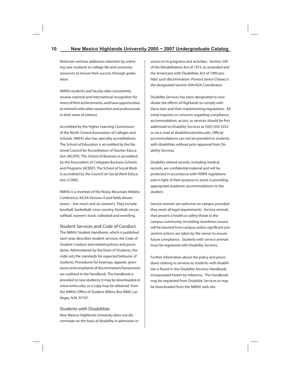freshman seminar addresses retention by orienting new students to college life and university resources to ensure their success through graduation.

NMHU students and faculty alike consistently receive national and international recognition for many of their achievements, and have opportunities to network with other researchers and professionals in their areas of interest.

Accredited by the Higher Learning Commission of the North Central Association of Colleges and Schools. NMHU also has specialty accreditations. The School of Education is accredited by the National Council for Accreditation of Teacher Education (NCATE). The School of Business is accredited by the Association of Collegiate Business Schools and Programs (ACBSP). The School of Social Work is accredited by the Council on Social Work Education (CSWE).

NMHU is a member of the Rocky Mountain Athletic Conference, NCAA Division II and fields eleven teams – five men's and six women's. They include baseball, basketball, cross country, football, soccer, softball, women's track, volleyball and wrestling.

Student Services and Code of Conduct The NMHU Student Handbook, which is published each year, describes student services, the Code of Student Conduct and related policies and procedures. Administered by the Dean of Students, the code sets the standards for expected behavior of students. Procedures for hearings, appeals, grievances and complaints of discrimination/harassment are outlined in the handbook. The handbook is provided to new students; it may be downloaded at www.nmhu.edu; or a copy may be obtained from the NMHU Office of Student Affairs, Box 9000, Las Vegas, N.M. 87701.

#### Students with Disabilities

New Mexico Highlands University does not discriminate on the basis of disability in admission or access to its programs and activities. Section 504 of the Rehabilitation Act of 1973, as amended and the Americans with Disabilities Act of 1990 prohibit such discrimination. Provost Janice Chavez is the designated Section 504/ADA Coordinator.

Disability Services has been designated to coordinate the efforts of Highlands to comply with these laws and their implementing regulations. All initial inquiries or concerns regarding compliance, accommodation, access, or services should be first addressed to Disability Services at (505) 454-3252 or via e-mail at disabilities@nmhu.edu. Official accommodations can not be provided to students with disabilities without prior approval from Disability Services.

Disability related records, including medical records, are confidential material and will be protected in accordance with FERPA regulations and in light of their purpose to assist in providing appropriate academic accommodations to the student.

Service animals are welcome on campus provided they meet all legal requirements. Service animals that present a health or safety threat to the campus community (including cleanliness issues) will be banned from campus unless significant preventive actions are taken by the owner to ensure future compliance. Students with service animals must be registered with Disability Services.

Further information about the policy and procedures relating to services to students with disabilities is found in the Disability Services Handbook, incorporated herein by reference. This handbook may be requested from Disability Services or may be downloaded from the NMHU web site.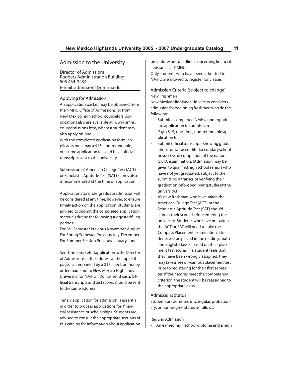# Admission to the University

Director of Admissions Rodgers Administration Building 505 454-3434 E-mail: admissions@nmhu.edu

#### Applying for Admission

An application packet may be obtained from the NMHU Office of Admissions, or from New Mexico high school counselors. Applications also are available at: www.nmhu. edu/admissions.htm, where a student may also apply on-line.

With the completed application form, applicants must pay a \$15, non-refundable, one-time application fee, and have official transcripts sent to the university.

Submission of American College Test (ACT) or Scholastic Aptitude Test (SAT) scores also is recommended at the time of application.

Applications for undergraduate admission will be considered at any time, however, to ensure timely action on the application, students are advised to submit the completed application materials during the following suggested filing periods:

For Fall Semester Previous November-August For Spring Semester Previous July-December For Summer Session Previous January-June

Send the completed application to the Director of Admissions at the address at the top of this page, accompanied by a \$15 check or money order made out to New Mexico Highlands University (or NMHU). Do not send cash. Official transcripts and test scores should be sent to the same address.

Timely application for admission is essential in order to process applications for financial assistance or scholarships. Students are advised to consult the appropriate sections of this catalog for information about application

procedures and deadlines concerning financial assistance at NMHU.

Only students who have been admitted to NMHU are allowed to register for classes.

Admission Criteria (subject to change) New Freshmen

New Mexico Highlands University considers admission for beginning freshmen who do the following:

- Submit a completed NMHU undergraduate application for admission.
- Pay a \$15, one-time, non-refundable application fee.
- Submit official transcripts showing graduation from an accredited secondary school or successful completion of the national G.E.D. examination. (Admission may be given to qualified high school seniors who have not yet graduated, subject to their submitting a transcript verifying their graduation before beginning studies at the university.)
- All new freshman who have taken the American College Test (ACT) or the Scholastic Aptitude Test (SAT) should submit their scores before entering the university. Students who have not taken the ACT or SAT will need to take the Compass Placement examination. Students will be placed in the reading, math and English classes based on their placement test scores. If a student feels that they have been wrongly assigned, they may take a free on-campus placement test prior to registering for their first semester. If their scores meet the competency criterion, the student will be reassigned to the appropriate class.

#### Admissions Status

Students are admitted into regular, probationary, or non-degree status as follows:

#### Regular Admission

• An earned high school diploma and a high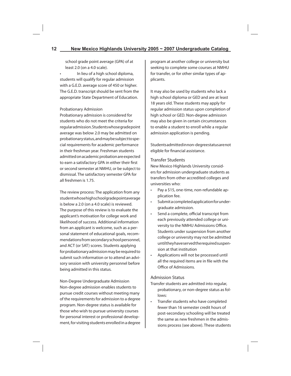school grade point average (GPA) of at least 2.0 (on a 4.0 scale).

• In lieu of a high school diploma, students will qualify for regular admission with a G.E.D. average score of 450 or higher. The G.E.D. transcript should be sent from the appropriate State Department of Education.

#### Probationary Admission

Probationary admission is considered for students who do not meet the criteria for regular admission. Students whose grade point average was below 2.0 may be admitted on probationary status, and may be subject to special requirements for academic performance in their freshman year. Freshman students admitted on academic probation are expected to earn a satisfactory GPA in either their first or second semester at NMHU, or be subject to dismissal. The satisfactory semester GPA for all freshmen is 1.75.

The review process: The application from any student whose high school grade point average is below a 2.0 (on a 4.0 scale) is reviewed. The purpose of this review is to evaluate the applicant's motivation for college work and likelihood of success. Additional information from an applicant is welcome, such as a personal statement of educational goals, recommendations from secondary school personnel, and ACT (or SAT) scores. Students applying for probationary admission may be required to submit such information or to attend an advisory session with university personnel before being admitted in this status.

Non-Degree Undergraduate Admission Non-degree admission enables students to pursue credit courses without meeting many of the requirements for admission to a degree program. Non-degree status is available for those who wish to pursue university courses for personal interest or professional development, for visiting students enrolled in a degree

program at another college or university but seeking to complete some courses at NMHU for transfer, or for other similar types of applicants.

It may also be used by students who lack a high school diploma or GED and are at least 18 years old. These students may apply for regular admission status upon completion of high school or GED. Non-degree admission may also be given in certain circumstances to enable a student to enroll while a regular admission application is pending.

Students admitted in non-degree status are not eligible for financial assistance.

#### Transfer Students

New Mexico Highlands University considers for admission undergraduate students as transfers from other accredited colleges and universities who:

- Pay a \$15, one-time, non-refundable application fee.
- Submit a completed application for undergraduate admission.
- Send a complete, official transcript from each previously attended college or university to the NMHU Admissions Office. Students under suspension from another college or university may not be admitted until they have served the required suspension at that institution
- Applications will not be processed until all the required items are in file with the Office of Admissions.

#### Admission Status

- Transfer students are admitted into regular, probationary, or non-degree status as follows:
- Transfer students who have completed fewer than 16 semester credit hours of post-secondary schooling will be treated the same as new freshmen in the admissions process (see above). These students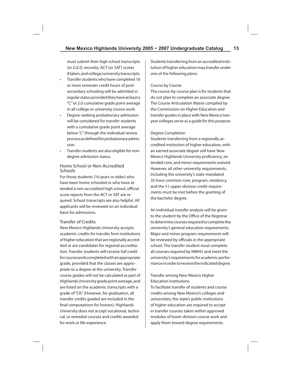must submit their high school transcripts (or G.E.D. records), ACT (or SAT) scores if taken, and college/university transcripts.

- Transfer students who have completed 16 or more semester credit hours of postsecondary schooling will be admitted in regular status provided they have at least a "C" or 2.0 cumulative grade point average in all college or university course work.
- Degree-seeking probationary admission will be considered for transfer students with a cumulative grade point average below "C" through the individual review process as defined for probationary admission.
- Transfer students are also eligible for nondegree admission status.

#### Home School or Non-Accredited Schools

For those students (16 years or older) who have been home schooled or who have attended a non-accredited high school, official score reports from the ACT or SAT are required. School transcripts are also helpful. All applicants will be reviewed on an individual basis for admissions.

#### Transfer of Credits

New Mexico Highlands University accepts academic credits for transfer from institutions of higher education that are regionally accredited or are candidates for regional accreditation. Transfer students will receive full credit for course work completed with an appropriate grade, provided that the classes are appropriate to a degree at the university. Transfer course grades will not be calculated as part of Highlands University grade point average, and are listed on the academic transcripts with a grade of "CR." (However, for graduation, all transfer credits graded are included in the final computations for honors). Highlands University does not accept vocational, technical, or remedial courses and credits awarded for work or life experience.

Students transferring from an accredited institution of higher education may transfer under one of the following plans:

#### Course by Course

The course-by-course plan is for students that do not plan to complete an associate degree. The Course Articulation Matrix compiled by the Commission on Higher Education and transfer guides in place with New Mexico twoyear colleges serve as a guide for this purpose.

#### Degree Completion

Students transferring from a regionally accredited institution of higher education, with an earned associate degree will have New Mexico Highlands University proficiency, extended core, and minor requirements waived. However, all other university requirements, including the university's state mandated 35-hour common core, program, residency, and the 51 upper-division credit requirements must be met before the granting of the bachelor degree.

An individual transfer analysis will be given to the student by the Office of the Registrar to determine courses required to complete the university's general education requirements. Major and minor program requirements will be reviewed by officials in the appropriate school. The transfer student must complete all courses required by NMHU and meet the university's requirements for academic performance in order to receive the indicated degree.

#### Transfer among New Mexico Higher Education Institutions

To facilitate transfer of students and course credits among New Mexico's colleges and universities, the state's public institutions of higher education are required to accept in transfer courses taken within approved modules of lower-division course work and apply them toward degree requirements.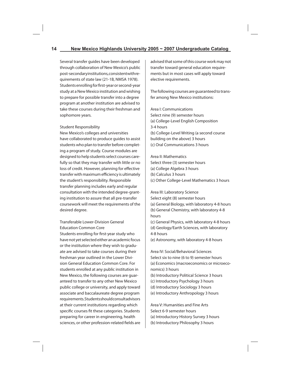Several transfer guides have been developed through collaboration of New Mexico's public post-secondary institutions, consistent with requirements of state law (21-1B, NMSA 1978). Students enrolling for first-year or second-year study at a New Mexico institution and wishing to prepare for possible transfer into a degree program at another institution are advised to take these courses during their freshman and sophomore years.

#### Student Responsibility

New Mexico's colleges and universities have collaborated to produce guides to assist students who plan to transfer before completing a program of study. Course modules are designed to help students select courses carefully so that they may transfer with little or no loss of credit. However, planning for effective transfer with maximum efficiency is ultimately the student's responsibility. Responsible transfer planning includes early and regular consultation with the intended degree-granting institution to assure that all pre-transfer coursework will meet the requirements of the desired degree.

Transferable Lower-Division General Education Common Core

Students enrolling for first-year study who have not yet selected either an academic focus or the institution where they wish to graduate are advised to take courses during their freshman year outlined in the Lower Division General Education Common Core. For students enrolled at any public institution in New Mexico, the following courses are guaranteed to transfer to any other New Mexico public college or university, and apply toward associate and baccalaureate degree program requirements. Students should consult advisors at their current institutions regarding which specific courses fit these categories. Students preparing for career in engineering, health sciences, or other profession-related fields are

advised that some of this course work may not transfer toward general education requirements but in most cases will apply toward elective requirements.

The following courses are guaranteed to transfer among New Mexico institutions:

Area I: Communications Select nine (9) semester hours (a) College-Level English Composition 3-4 hours (b) College-Level Writing (a second course building on the above) 3 hours (c) Oral Communications 3 hours

Area II: Mathematics Select three (3) semester hours (a) College Algebra 3 hours (b) Calculus 3 hours (c) Other College-Level Mathematics 3 hours

Area III: Laboratory Science Select eight (8) semester hours (a) General Biology, with laboratory 4-8 hours (b) General Chemistry, with laboratory 4-8 hours

(c) General Physics, with laboratory 4-8 hours

(d) Geology/Earth Sciences, with laboratory 4-8 hours

(e) Astronomy, with laboratory 4-8 hours

Area IV: Social/Behavioral Sciences Select six to nine (6 to 9) semester hours (a) Economics (macroeconomics or microeconomics) 3 hours

- (b) Introductory Political Science 3 hours
- (c) Introductory Psychology 3 hours
- (d) Introductory Sociology 3 hours
- (e) Introductory Anthropology 3 hours

Area V: Humanities and Fine Arts Select 6-9 semester hours (a) Introductory History Survey 3 hours

(b) Introductory Philosophy 3 hours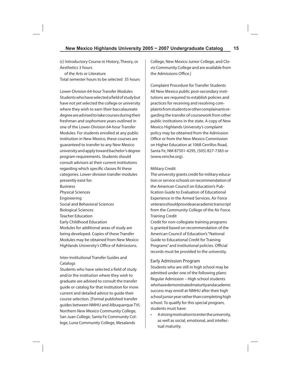(c) Introductory Course in History, Theory, or Aesthetics 3 hours

 of the Arts or Literature Total semester hours to be selected 35 hours

Lower-Division 64-hour Transfer Modules Students who have selected a field of study but have not yet selected the college or university where they wish to earn their baccalaureate degree are advised to take courses during their freshman and sophomore years outlined in one of the Lower-Division 64-hour Transfer Modules. For students enrolled at any public institution in New Mexico, these courses are guaranteed to transfer to any New Mexico university and apply toward bachelor's degree program requirements. Students should consult advisors at their current institutions regarding which specific classes fit these categories. Lower-division transfer modules presently exist for: Business Physical Sciences

Engineering Social and Behavioral Sciences Biological Sciences Teacher Education Early Childhood Education Modules for additional areas of study are being developed. Copies of these Transfer Modules may be obtained from New Mexico Highlands University's Office of Admissions.

Inter-Institutional Transfer Guides and Catalogs

Students who have selected a field of study and/or the institution where they wish to graduate are advised to consult the transfer guide or catalog for that institution for more current and detailed advice to guide their course selection. [Formal published transfer guides between NMHU and Albuquerque TVI, Northern New Mexico Community College, San Juan College, Santa Fe Community College, Luna Community College, Mesalands

College, New Mexico Junior College, and Clovis Community College and are available from the Admissions Office.]

Complaint Procedure for Transfer Students All New Mexico public post-secondary institutions are required to establish policies and practices for receiving and resolving complaints from students or other complainants regarding the transfer of coursework from other public institutions in the state. A copy of New Mexico Highlands University's complaint policy may be obtained from the Admission Office or from the New Mexico Commission on Higher Education at 1068 Cerrillos Road, Santa Fe, NM 87501-4295, (505) 827-7383 or (www.nmche.org).

#### Military Credit

The university grants credit for military education or service schools on recommendation of the American Council on Education's Publication Guide to Evaluation of Educational Experience in the Armed Services. Air Force veterans should provide an academic transcript from the Community College of the Air Force. Training Credit

Credit for non-collegiate training programs is granted based on recommendation of the American Council of Education's "National Guide to Educational Credit for Training Programs" and institutional policies. Official records must be provided to the university.

#### Early Admission Program

Students who are still in high school may be admitted under one of the following plans: Regular Admission – High school students who have demonstrated maturity and academic success may enroll at NMHU after their high school junior year rather than completing high school. To qualify for this special program, students must have:

• A strong motivation to enter the university, as well as social, emotional, and intellectual maturity.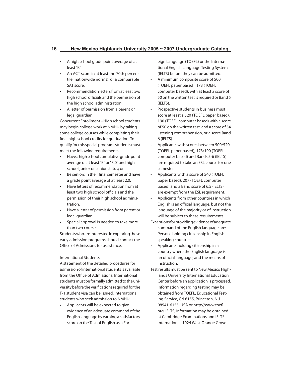- A high school grade point average of at least "B".
- An ACT score in at least the 70th percentile (nationwide norms), or a comparable SAT score.
- Recommendation letters from at least two high school officials and the permission of the high school administration.
- A letter of permission from a parent or legal guardian.

Concurrent Enrollment – High school students may begin college work at NMHU by taking some college courses while completing their final high school credits for graduation. To qualify for this special program, students must meet the following requirements:

- Have a high school cumulative grade point average of at least "B" or "3.0" and high school junior or senior status; or
- Be seniors in their final semester and have a grade point average of at least 2.0.
- Have letters of recommendation from at least two high school officials and the permission of their high school administration.
- Have a letter of permission from parent or legal guardian.
- Special approval is needed to take more than two courses.

Students who are interested in exploring these early admission programs should contact the Office of Admissions for assistance.

#### International Students

A statement of the detailed procedures for admission of international students is available from the Office of Admissions. International students must be formally admitted to the university before the verifications required for the F-1 student visa can be issued. International students who seek admission to NMHU:

• Applicants will be expected to give evidence of an adequate command of the English language by earning a satisfactory score on the Test of English as a Foreign Language (TOEFL) or the International English Language Testing System (IELTS) before they can be admitted.

- A minimum composite score of 500 (TOEFL paper based), 173 (TOEFL computer based), with at least a score of 50 on the written test is required or Band 5 (IELTS).
- Prospective students in business must score at least a 520 (TOEFL paper based), 190 (TOEFL computer based) with a score of 50 on the written test, and a score of 54 listening comprehension, or a score Band 6 (IELTS).
- Applicants with scores between 500/520 (TOEFL paper based), 173/190 (TOEFL computer based) and Bands 5-6 (IELTS) are required to take an ESL course for one semester.
- Applicants with a score of 540 (TOEFL paper based), 207 (TOEFL computer based) and a Band score of 6.5 (IELTS) are exempt from the ESL requirement.
- Applicants from other countries in which English is an official language, but not the language of the majority or of instruction will be subject to these requirements.
- Exceptions for providing evidence of adequate command of the English language are:
- Persons holding citizenship in Englishspeaking countries.
- Applicants holding citizenship in a country where the English language is an official language, and the means of instruction.
- Test results must be sent to New Mexico Highlands University International Education Center before an application is processed. Information regarding testing may be obtained from TOEFL, Educational Testing Service, CN 6155, Princeton, N.J. 08541-6155, USA or http://www.toefl. org. IELTS, information may be obtained at Cambridge Examinations and IELTS International, 1024 West Orange Grove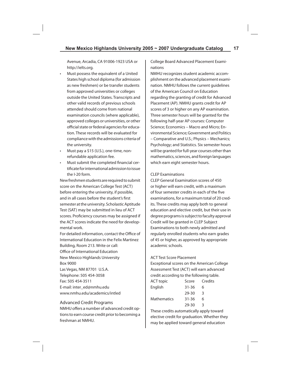Avenue, Arcadia, CA 91006-1923 USA or http://ielts.org.

- Must possess the equivalent of a United States high school diploma (for admission as new freshmen) or be transfer students from approved universities or colleges outside the United States. Transcripts and other valid records of previous schools attended should come from national examination councils (where applicable), approved colleges or universities, or other official state or federal agencies for education. These records will be evaluated for compliance with the admissions criteria of the university.
- Must pay a \$15 (U.S.), one-time, nonrefundable application fee.
- Must submit the completed financial certifi cate for international admission to issue the I-20 form.

New freshmen students are required to submit score on the American College Test (ACT) before entering the university, if possible, and in all cases before the student's first semester at the university. Scholastic Aptitude Test (SAT) may be submitted in lieu of ACT scores. Proficiency courses may be assigned if the ACT scores indicate the need for developmental work.

For detailed information, contact the Office of International Education in the Felix Martinez Building, Room 213. Write or call: Office of International Education New Mexico Highlands University Box 9000 Las Vegas, NM 87701 U.S.A. Telephone: 505 454-3058 Fax: 505 454-3511

E-mail: inter\_ed@nmhu.edu www.nmhu.edu/academics/intled

#### Advanced Credit Programs

NMHU offers a number of advanced credit options to earn course credit prior to becoming a freshman at NMHU.

College Board Advanced Placement Examinations

NMHU recognizes student academic accomplishment on the advanced placement examination. NMHU follows the current guidelines of the American Council on Education regarding the granting of credit for Advanced Placement (AP). NMHU grants credit for AP scores of 3 or higher on any AP examination. Three semester hours will be granted for the following half-year AP courses: Computer Science; Economics – Macro and Micro; Environmental Science; Government and Politics – Comparative and U.S.; Physics – Mechanics; Psychology; and Statistics. Six semester hours will be granted for full-year courses other than mathematics, sciences, and foreign languages which earn eight semester hours.

#### CLEP Examinations

CLEP General Examination scores of 450 or higher will earn credit, with a maximum of four semester credits in each of the five examinations, for a maximum total of 20 credits. These credits may apply both to general education and elective credit, but their use in degree programs is subject to faculty approval Credit will be granted in CLEP Subject Examinations to both newly admitted and regularly enrolled students who earn grades of 45 or higher, as approved by appropriate academic schools.

#### ACT Test Score Placement

Exceptional scores on the American College Assessment Test (ACT) will earn advanced credit according to the following table.

| <b>ACT</b> topic | Score     | Credits |
|------------------|-----------|---------|
| English          | $31 - 36$ | 6       |
|                  | 29-30     | 3       |
| Mathematics      | $31 - 36$ | 6       |
|                  | 29-30     | 3       |
|                  |           |         |

These credits automatically apply toward elective credit for graduation. Whether they may be applied toward general education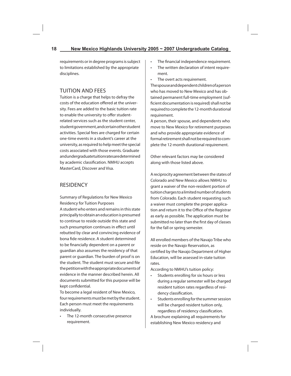requirements or in degree programs is subject to limitations established by the appropriate disciplines.

# TUITION AND FEES

Tuition is a charge that helps to defray the costs of the education offered at the university. Fees are added to the basic tuition rate to enable the university to offer studentrelated services such as the student center, student government, and certain other student activities. Special fees are charged for certain one-time events in a student's career at the university, as required to help meet the special costs associated with those events. Graduate and undergraduate tuition rates are determined by academic classification. NMHU accepts MasterCard, Discover and Visa.

# **RESIDENCY**

Summary of Regulations for New Mexico Residency for Tuition Purposes A student who enters and remains in this state principally to obtain an education is presumed to continue to reside outside this state and such presumption continues in effect until rebutted by clear and convincing evidence of bona fide residence. A student determined to be financially dependent on a parent or guardian also assumes the residency of that parent or guardian. The burden of proof is on the student. The student must secure and file the petition with the appropriate documents of evidence in the manner described herein. All documents submitted for this purpose will be kept confidential.

To become a legal resident of New Mexico, four requirements must be met by the student. Each person must meet the requirements individually.

The 12-month consecutive presence requirement.

- The financial independence requirement.
- The written declaration of intent requirement.
- The overt acts requirement.

The spouse and dependent children of a person who has moved to New Mexico and has obtained permanent full-time employment (sufficient documentation is required) shall not be required to complete the 12-month durational requirement.

A person, their spouse, and dependents who move to New Mexico for retirement purposes and who provide appropriate evidence of formal retirement shall not be required to complete the 12-month durational requirement.

Other relevant factors may be considered along with those listed above.

A reciprocity agreement between the states of Colorado and New Mexico allows NMHU to grant a waiver of the non-resident portion of tuition charges to a limited number of students from Colorado. Each student requesting such a waiver must complete the proper application and return it to the Office of the Registrar as early as possible. The application must be submitted no later than the first day of classes for the fall or spring semester.

All enrolled members of the Navajo Tribe who reside on the Navajo Reservation, as certified by the Navajo Department of Higher Education, will be assessed in-state tuition rates.

According to NMHU's tuition policy:

- Students enrolling for six hours or less during a regular semester will be charged resident tuition rates regardless of residency classification.
- Students enrolling for the summer session will be charged resident tuition only, regardless of residency classification.

A brochure explaining all requirements for establishing New Mexico residency and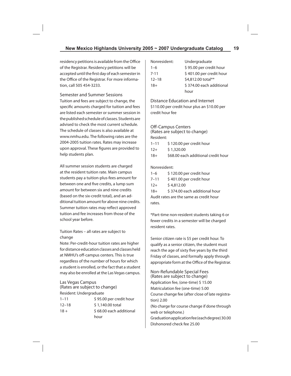residency petitions is available from the Office of the Registrar. Residency petitions will be accepted until the first day of each semester in the Office of the Registrar. For more information, call 505 454-3233.

Semester and Summer Sessions Tuition and fees are subject to change, the specific amounts charged for tuition and fees are listed each semester or summer session in the published schedule of classes. Students are advised to check the most current schedule. The schedule of classes is also available at www.nmhu.edu. The following rates are the 2004-2005 tuition rates. Rates may increase upon approval. These figures are provided to help students plan.

All summer session students are charged at the resident tuition rate. Main campus students pay a tuition-plus-fees amount for between one and five credits, a lump sum amount for between six and nine credits (based on the six-credit total), and an additional tuition amount for above nine credits. Summer tuition rates may reflect approved tuition and fee increases from those of the school year before.

Tuition Rates – all rates are subject to change

Note: Per-credit-hour tuition rates are higher for distance education classes and classes held at NMHU's off-campus centers. This is true regardless of the number of hours for which a student is enrolled, or the fact that a student may also be enrolled at the Las Vegas campus.

#### Las Vegas Campus

(Rates are subject to change) Resident: Undergraduate

| $1 - 11$  | \$95.00 per credit hour |
|-----------|-------------------------|
| $12 - 18$ | \$1,140,00 total        |
| $18 +$    | \$68.00 each additional |
|           | hour                    |

| Nonresident: | Undergraduate            |
|--------------|--------------------------|
| $1 - 6$      | \$95.00 per credit hour  |
| $7 - 11$     | \$401.00 per credit hour |
| $12 - 18$    | \$4,812.00 total**       |
| $18+$        | \$374.00 each additional |
|              | hour                     |

Distance Education and Internet \$110.00 per credit hour plus an \$10.00 per credit hour fee

#### **Off-Campus Centers**

(Rates are subject to change) Resident:

| $1 - 11$ | \$120.00 per credit hour            |
|----------|-------------------------------------|
| $12+$    | \$1,320.00                          |
| $18+$    | \$68.00 each additional credit hour |

#### Nonresident:

| $1 - 6$  | \$120.00 per credit hour |
|----------|--------------------------|
| $7 - 11$ | \$401.00 per credit hour |
| $12+$    | \$4,812.00               |
| $18+$    | \$374.00 each additional |

18+ \$ 374.00 each additional hour Audit rates are the same as credit hour rates.

\*Part-time non-resident students taking 6 or fewer credits in a semester will be charged resident rates.

Senior citizen rate is \$5 per credit hour. To qualify as a senior citizen, the student must reach the age of sixty five years by the third Friday of classes, and formally apply through appropriate form at the Office of the Registrar.

Non-Refundable Special Fees (Rates are subject to change) Application fee, (one-time) \$ 15.00 Matriculation fee (one-time) 5.00 Course change fee (after close of late registration) 2.00 (No charge for course change if done through web or telephone.) Graduation application fee (each degree) 30.00 Dishonored check fee 25.00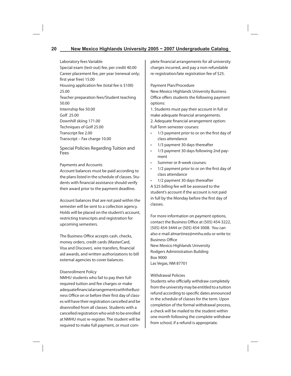Laboratory fees Variable Special exam (test-out) fee, per credit 40.00 Career placement fee, per year (renewal only; first year free) 15.00 Housing application fee (total fee is \$100) 25.00 Teacher preparation fees/Student teaching 50.00 Internship fee 50.00 Golf 25.00 Downhill skiing 171.00 Techniques of Golf 25.00 Transcript fee 2.00 Transcript – Fax charge 10.00

Special Policies Regarding Tuition and Fees

#### Payments and Accounts

Account balances must be paid according to the plans listed in the schedule of classes. Students with financial assistance should verify their award prior to the payment deadline.

Account balances that are not paid within the semester will be sent to a collection agency. Holds will be placed on the student's account, restricting transcripts and registration for upcoming semesters.

The Business Office accepts cash, checks, money orders, credit cards (MasterCard, Visa and Discover), wire transfers, financial aid awards, and written authorizations to bill external agencies to cover balances.

#### Disenrollment Policy

NMHU students who fail to pay their fullrequired tuition and fee charges or make adequate financial arrangements with the Business Office on or before their first day of classes will have their registration cancelled and be disenrolled from all classes. Students with a cancelled registration who wish to be enrolled at NMHU must re-register. The student will be required to make full payment, or must complete financial arrangements for all university charges incurred, and pay a non-refundable re-registration/late registration fee of \$25.

#### Payment Plan/Procedure

New Mexico Highlands University Business Office offers students the following payment options:

1. Students must pay their account in full or make adequate financial arrangements.

2. Adequate financial arrangement option: Full Term semester courses:

- 1/3 payment prior to or on the first day of class attendance
- 1/3 payment 30 days thereafter
- 1/3 payment 30 days following 2nd payment
- Summer or 8-week courses:
- $\cdot$  1/2 payment prior to or on the first day of class attendance
- 1/2 payment 30 days thereafter

A \$25 billing fee will be assessed to the student's account if the account is not paid in full by the Monday before the first day of classes.

For more information on payment options, contact the Business Office at (505) 454-3222, (505) 454-3444 or (505) 454-3008. You can also e-mail almartinez@nmhu.edu or write to: **Business Office** New Mexico Highlands University Rodgers Administration Building Box 9000 Las Vegas, NM 87701

#### Withdrawal Policies

Students who officially withdraw completely from the university may be entitled to a tuition refund according to specific dates announced in the schedule of classes for the term. Upon completion of the formal withdrawal process, a check will be mailed to the student within one month following the complete withdraw from school, if a refund is appropriate.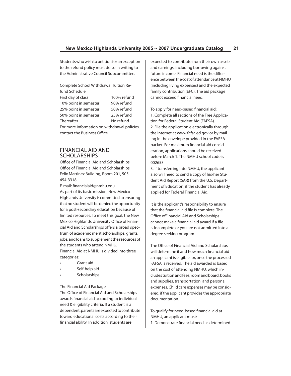Students who wish to petition for an exception to the refund policy must do so in writing to the Administrative Council Subcommittee.

| Complete School Withdrawal Tuition Re-       |             |
|----------------------------------------------|-------------|
| fund Schedule                                |             |
| First day of class                           | 100% refund |
| 10% point in semester                        | 90% refund  |
| 25% point in semester                        | 50% refund  |
| 50% point in semester                        | 25% refund  |
| Thereafter                                   | No refund   |
| For more information on withdrawal policies, |             |
| contact the Business Office.                 |             |

# FINANCIAL AID AND SCHOLARSHIPS

Office of Financial Aid and Scholarships Office of Financial Aid and Scholarships, Felix Martinez Building, Room 201, 505 454-3318

E-mail: financialaid@nmhu.edu As part of its basic mission, New Mexico Highlands University is committed to ensuring that no student will be denied the opportunity for a post-secondary education because of limited resources. To meet this goal, the New Mexico Highlands University Office of Financial Aid and Scholarships offers a broad spectrum of academic merit scholarships, grants, jobs, and loans to supplement the resources of the students who attend NMHU. Financial Aid at NMHU is divided into three

categories:

- Grant aid
- Self-help aid
- Scholarships

#### The Financial Aid Package

The Office of Financial Aid and Scholarships awards financial aid according to individual need & eligibility criteria. If a student is a dependent, parents are expected to contribute toward educational costs according to their financial ability. In addition, students are

expected to contribute from their own assets and earnings, including borrowing against future income. Financial need is the difference between the cost of attendance at NMHU (including living expenses) and the expected family contribution (EFC). The aid package cannot exceed financial need.

To apply for need-based financial aid: 1. Complete all sections of the Free Application for Federal Student Aid (FAFSA). 2. File the application electronically through the Internet at www.fafsa.ed.gov or by mailing in the envelope provided in the FAFSA packet. For maximum financial aid consideration, applications should be received before March 1. The NMHU school code is 002653

3. If transferring into NMHU, the applicant also will need to send a copy of his/her Student Aid Report (SAR) from the U.S. Department of Education, if the student has already applied for Federal Financial Aid.

It is the applicant's responsibility to ensure that the financial aid file is complete. The Office ofFinancial Aid and Scholarships cannot make a financial aid award if a file is incomplete or you are not admitted into a degree seeking program.

The Office of Financial Aid and Scholarships will determine if and how much financial aid an applicant is eligible for, once the processed FAFSA is received. The aid awarded is based on the cost of attending NMHU, which includes tuition and fees, room and board, books and supplies, transportation, and personal expenses. Child care expenses may be considered, if the applicant provides the appropriate documentation.

To qualify for need-based financial aid at NMHU, an applicant must:

1. Demonstrate financial need as determined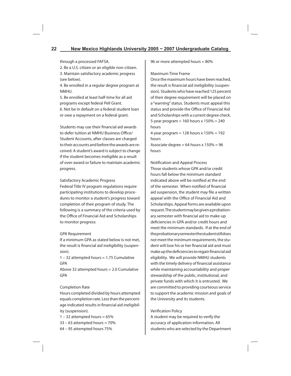through a processed FAFSA.

2. Be a U.S. citizen or an eligible non-citizen.

3. Maintain satisfactory academic progress (see below).

4. Be enrolled in a regular degree program at NMHU.

5. Be enrolled at least half-time for all aid programs except federal Pell Grant. 6. Not be in default on a federal student loan or owe a repayment on a federal grant.

Students may use their financial aid awards to defer tuition at NMHU Business Office/ Student Accounts, after classes are charged to their accounts and before the awards are received. A student's award is subject to change if the student becomes ineligible as a result of over-award or failure to maintain academic progress.

#### Satisfactory Academic Progress

Federal Title IV program regulations require participating institutions to develop procedures to monitor a student's progress toward completion of their program of study. The following is a summary of the criteria used by the Office of Financial Aid and Scholarships to monitor progress:

#### GPA Requirement

If a minimum GPA as stated below is not met, the result is financial aid ineligibility (suspension).

1 – 32 attempted hours = 1.75 Cumulative GPA

Above 32 attempted hours = 2.0 Cumulative GPA

#### Completion Rate

Hours completed divided by hours attempted equals completion rate. Less than the percentage indicated results in financial aid ineligibility (suspension).

 $1 - 32$  attempted hours = 65%  $33 - 63$  attempted hours =  $70\%$ 64 – 95 attempted hours 75%

96 or more attempted hours = 80%

#### Maximum Time Frame

Once the maximum hours have been reached, the result is financial aid ineligibility (suspension). Students who have reached 125 percent of their degree requirement will be placed on a "warning" status. Students must appeal this status and provide the Office of Financial Aid and Scholarships with a current degree check. 5-year program  $= 160$  hours x  $150% = 240$ hours 4-year program = 128 hours x 150% = 192 hours Associate degree =  $64$  hours x  $150\%$  =  $96$ hours

Notification and Appeal Process Those students whose GPA and/or credit

hours fall below the minimum standard indicated above will be notified at the end of the semester. When notified of financial aid suspension, the student may file a written appeal with the Office of Financial Aid and Scholarships. Appeal forms are available upon request. The student may be given a probationary semester with financial aid to make-up deficiencies in GPA and/or credit hours and meet the minimum standards. If at the end of the probationary semester the student still does not meet the minimum requirements, the student will lose his or her financial aid and must make up the deficiencies to regain financial aid eligibility. We will provide NMHU students with the timely delivery of financial assistance while maintaining accountability and proper stewardship of the public, institutional, and private funds with which it is entrusted. We are committed to providing courteous service to support the academic mission and goals of the University and its students.

#### **Verification Policy**

A student may be required to verify the accuracy of application information. All students who are selected by the Department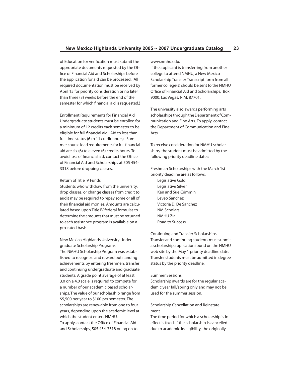of Education for verification must submit the appropriate documents requested by the Office of Financial Aid and Scholarships before the application for aid can be processed. (All required documentation must be received by April 15 for priority consideration or no later than three (3) weeks before the end of the semester for which financial aid is requested.)

Enrollment Requirements for Financial Aid Undergraduate students must be enrolled for a minimum of 12 credits each semester to be eligible for full financial aid. Aid to less than full time status (6 to 11 credir hours). Summer course load requirements for full financial aid are six (6) to eleven (6) credits hours. To avoid loss of financial aid, contact the Office of Financial Aid and Scholarships at 505 454- 3318 before dropping classes.

#### Return of Title IV Funds

Students who withdraw from the university, drop classes, or change classes from credit to audit may be required to repay some or all of their financial aid monies. Amounts are calculated based upon Title IV federal formulas to determine the amounts that must be returned to each assistance program is available on a pro-rated basis.

New Mexico Highlands University Undergraduate Scholarship Programs The NMHU Scholarship Program was established to recognize and reward outstanding achievements by entering freshmen, transfer and continuing undergraduate and graduate students. A grade point average of at least 3.0 on a 4.0 scale is required to compete for a number of our academic based scholarships. The value of our scholarship range from \$5,500 per year to \$100 per semester. The scholarships are renewable from one to four years, depending upon the academic level at which the student enters NMHU.

To apply, contact the Office of Financial Aid and Scholarships, 505 454-3318 or log on to www.nmhu.edu.

If the applicant is transferring from another college to attend NMHU, a New Mexico Scholarship Transfer Transcript form from all former college(s) should be sent to the NMHU Office of Financial Aid and Scholarships, Box 9000, Las Vegas, N.M. 87701.

The university also awards performing arts scholarships through the Department of Communication and Fine Arts. To apply, contact the Department of Communication and Fine Arts.

To receive consideration for NMHU scholarships, the student must be admitted by the following priority deadline dates:

Freshman Scholarships with the March 1st priority deadline are as follows:

Legislative Gold Legislative Silver Ken and Sue Crimmin Leveo Sanchez Victoria D. De Sanchez NM Scholars NMHU Zia Road to Success

Continuing and Transfer Scholarships Transfer and continuing students must submit a scholarship application found on the NMHU web site by the May 1 priority deadline date. Transfer students must be admitted in degree status by the priority deadline.

#### Summer Sessions

Scholarship awards are for the regular academic year fall/spring only and may not be used for the summer session.

Scholarship Cancellation and Reinstatement

The time period for which a scholarship is in effect is fixed. If the scholarship is cancelled due to academic ineligibility, the originally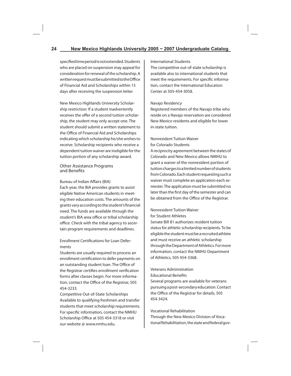specified time period is not extended. Students who are placed on suspension may appeal for consideration for renewal of the scholarship. A written request must be submitted to the Office of Financial Aid and Scholarships within 15 days after receiving the suspension letter.

New Mexico Highlands University Scholarship restriction: If a student inadvertently receives the offer of a second tuition scholarship, the student may only accept one. The student should submit a written statement to the Office of Financial Aid and Scholarships indicating which scholarship he/she wishes to receive. Scholarship recipients who receive a dependent tuition waiver are ineligible for the tuition portion of any scholarship award.

#### Other Assistance Programs and Benefits

#### Bureau of Indian Affairs (BIA)

Each year, the BIA provides grants to assist eligible Native American students in meeting their education costs. The amounts of the grants vary according to the student's financial need. The funds are available through the student's BIA area office or tribal scholarship office. Check with the tribal agency to ascertain program requirements and deadlines.

Enrollment Certifications for Loan Deferments

Students are usually required to process an enrollment certification to defer payments on an outstanding student loan. The Office of the Registrar certifies enrollment verification forms after classes begin. For more information, contact the Office of the Registrar, 505 454-3233.

Competitive Out-of-State Scholarships Available to qualifying freshmen and transfer students that meet scholarship requirements. For specific information, contact the NMHU Scholarship Office at 505 454-3318 or visit our website @ www.nmhu.edu.

#### International Students

The competitive out-of-state scholarship is available also to international students that meet the requirements. For specific information, contact the International Education Center at 505-454-3058.

#### Navajo Residency

Registered members of the Navajo tribe who reside on a Navajo reservation are considered New Mexico residents and eligible for lower in-state tuition.

#### Nonresident Tuition Waiver for Colorado Students

A reciprocity agreement between the states of Colorado and New Mexico allows NMHU to grant a waiver of the nonresident portion of tuition charges to a limited number of students from Colorado. Each student requesting such a waiver must complete an application each semester. The application must be submitted no later than the first day of the semester and can be obtained from the Office of the Registrar.

# Nonresident Tuition Waiver

for Student Athletes

Senate Bill 81 authorizes resident tuition status for athletic scholarship recipients. To be eligible the student must be a recruited athlete and must receive an athletic scholarship through the Department of Athletics. For more information, contact the NMHU Department of Athletics, 505 454-3368.

# Veterans Administration

**Educational Benefits** 

Several programs are available for veterans pursuing a post-secondary education. Contact the Office of the Registrar for details, 505 454-3424.

#### Vocational Rehabilitation

Through the New Mexico Division of Vocational Rehabilitation, the state and federal gov-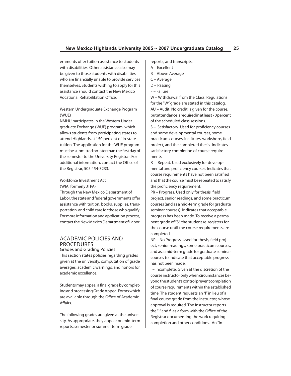ernments offer tuition assistance to students with disabilities. Other assistance also may be given to those students with disabilities who are financially unable to provide services themselves. Students wishing to apply for this assistance should contact the New Mexico Vocational Rehabilitation Office.

#### Western Undergraduate Exchange Program (WUE)

NMHU participates in the Western Undergraduate Exchange (WUE) program, which allows students from participating states to attend Highlands at 150 percent of in-state tuition. The application for the WUE program must be submitted no later than the first day of the semester to the University Registrar. For additional information, contact the Office of the Registrar, 505 454-3233.

#### Workforce Investment Act (WIA, formerly JTPA)

Through the New Mexico Department of Labor, the state and federal governments offer assistance with tuition, books, supplies, transportation, and child care for those who qualify. For more information and application process, contact the New Mexico Department of Labor.

# ACADEMIC POLICIES AND **PROCEDURES**

Grades and Grading Policies This section states policies regarding grades given at the university, computation of grade averages, academic warnings, and honors for academic excellence.

Students may appeal a final grade by completing and processing Grade Appeal Forms which are available through the Office of Academic Affairs

The following grades are given at the university. As appropriate, they appear on mid-term reports, semester or summer term grade

reports, and transcripts.

- A Excellent
- B Above Average
- C Average
- D Passing
- F Failure

W – Withdrawal from the Class. Regulations for the "W" grade are stated in this catalog. AU – Audit. No credit is given for the course, but attendance is required in at least 70 percent of the scheduled class sessions.

S - Satisfactory. Used for proficiency courses and some developmental courses, some practicum courses, institutes, workshops, field project, and the completed thesis. Indicates satisfactory completion of course requirements.

R – Repeat. Used exclusively for developmental and proficiency courses. Indicates that course requirements have not been satisfied and that the course must be repeated to satisfy the proficiency requirement.

PR – Progress. Used only for thesis, field project, senior readings, and some practicum courses (and as a mid-term grade for graduate seminar courses). Indicates that acceptable progress has been made. To receive a permanent grade of "S", the student re-registers for the course until the course requirements are completed.

NP – No Progress. Used for thesis, field project, senior readings, some practicum courses, and as a mid-term grade for graduate seminar courses to indicate that acceptable progress has not been made.

I – Incomplete. Given at the discretion of the course instructor only when circumstances beyond the student's control prevent completion of course requirements within the established time. The student requests an "I" in lieu of a final course grade from the instructor, whose approval is required. The instructor reports the "I" and files a form with the Office of the Registrar documenting the work requiring completion and other conditions. An "In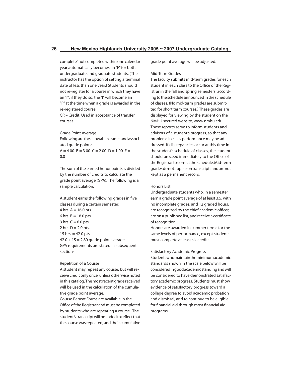complete" not completed within one calendar year automatically becomes an "F" for both undergraduate and graduate students. (The instructor has the option of setting a terminal date of less than one year.) Students should not re-register for a course in which they have an "I"; if they do so, the "I" will become an "F" at the time when a grade is awarded in the re-registered course.

CR – Credit. Used in acceptance of transfer courses.

Grade Point Average

Following are the allowable grades and associated grade points:

 $A = 4.00 B = 3.00 C = 2.00 D = 1.00 F =$ 0.0

The sum of the earned honor points is divided by the number of credits to calculate the grade point average (GPA). The following is a sample calculation:

A student earns the following grades in five classes during a certain semester: 4 hrs.  $A = 16.0$  pts. 6 hrs.  $B = 18.0$  pts. 3 hrs.  $C = 6.0$  pts. 2 hrs.  $D = 2.0$  pts. 15 hrs.  $= 42.0$  pts.  $42.0 \div 15 = 2.80$  grade point average. GPA requirements are stated in subsequent sections.

#### Repetition of a Course

A student may repeat any course, but will receive credit only once, unless otherwise noted in this catalog. The most recent grade received will be used in the calculation of the cumulative grade point average.

Course Repeat Forms are available in the Office of the Registrar and must be completed by students who are repeating a course. The student's transcript will be coded to reflect that the course was repeated, and their cumulative

grade point average will be adjusted.

#### Mid-Term Grades

The faculty submits mid-term grades for each student in each class to the Office of the Registrar in the fall and spring semesters, according to the schedule announced in the schedule of classes. (No mid-term grades are submitted for short term courses.) These grades are displayed for viewing by the student on the NMHU secured website, www.nmhu.edu. These reports serve to inform students and advisors of a student's progress, so that any problems in class performance may be addressed. If discrepancies occur at this time in the student's schedule of classes, the student should proceed immediately to the Office of the Registrar to correct the schedule. Mid-term grades do not appear on transcripts and are not kept as a permanent record.

#### Honors List

Undergraduate students who, in a semester, earn a grade point average of at least 3.5, with no incomplete grades, and 12 graded hours, are recognized by the chief academic officer, are on a published list, and receive a certificate of recognition.

Honors are awarded in summer terms for the same levels of performance, except students must complete at least six credits.

#### Satisfactory Academic Progress

Students who maintain the minimum academic standards shown in the scale below will be considered in good academic standing and will be considered to have demonstrated satisfactory academic progress. Students must show evidence of satisfactory progress toward a college degree to avoid academic probation and dismissal, and to continue to be eligible for financial aid through most financial aid programs.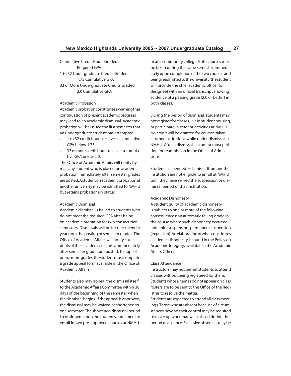Cumulative Credit Hours Graded Required GPA 1 to 32 Undergraduate Credits Graded 1.75 Cumulative GPA 33 or More Undergraduate Credits Graded 2.0 Cumulative GPA

#### Academic Probation

Academic probation constitutes a warning that continuation of present academic progress may lead to an academic dismissal. Academic probation will be issued the first semester that an undergraduate student has attempted:

- 1 to 32 credit hours receives a cumulative GPA below 1.75.
- 33 or more credit hours receives a cumulative GPA below 2.0.

The Office of Academic Affairs will notify by mail any student who is placed on academic probation immediately after semester grades are posted. A student on academic probation at another university may be admitted to NMHU but retains probationary status.

#### Academic Dismissal

Academic dismissal is issued to students who do not meet the required GPA after being on academic probation for two consecutive semesters. Dismissals will be for one calendar year from the posting of semester grades. The Office of Academic Affairs will notify students of their academic dismissal immediately after semester grades are posted. To appeal one or more grades, the student must complete a grade appeal form available in the Office of Academic Affairs.

Students also may appeal the dismissal itself to the Academic Affairs Committee within 30 days of the beginning of the semester when the dismissal begins. If the appeal is approved, the dismissal may be waived or shortened to one semester. The shortened dismissal period is contingent upon the student's agreement to enroll in two pre-approved courses at NMHU

or at a community college. Both courses must be taken during the same semester. Immediately upon completion of the two courses and being readmitted to the university, the student will provide the chief academic officer (or designee) with an official transcript showing evidence of a passing grade (2.0 or better) in both classes.

During the period of dismissal, students may not register for classes, live in student housing, or participate in student activities at NMHU. No credit will be granted for courses taken at other institutions while under dismissal at NMHU. After a dismissal, a student must petition for readmission in the Office of Admissions.

Students suspended or dismissed from another institution are not eligible to enroll at NMHU until they have served the suspension or dismissal period of that institution.

#### Academic Dishonesty

A student guilty of academic dishonesty is subject to one or more of the following consequences: an automatic failing grade in the course where such dishonesty occurred; indefinite suspension; permanent suspension (expulsion). An elaboration of what constitutes academic dishonesty is found in the Policy on Academic Integrity, available in the Academic Affairs Office.

#### Class Attendance

Instructors may not permit students to attend classes without being registered for them. Students whose names do not appear on class rosters are to be sent to the Office of the Registrar to resolve the matter.

Students are expected to attend all class meetings. Those who are absent because of circumstances beyond their control may be required to make up work that was missed during the period of absence. Excessive absences may be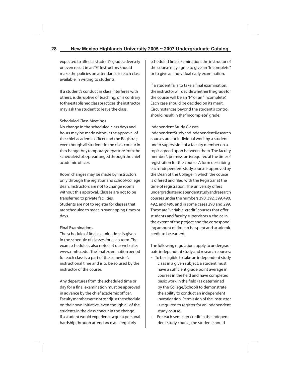expected to affect a student's grade adversely or even result in an "F." Instructors should make the policies on attendance in each class available in writing to students.

If a student's conduct in class interferes with others, is disruptive of teaching, or is contrary to the established class practices, the instructor may ask the student to leave the class.

#### Scheduled Class Meetings

No change in the scheduled class days and hours may be made without the approval of the chief academic officer and the Registrar, even though all students in the class concur in the change. Any temporary departure from the schedule is to be prearranged through the chief academic officer

Room changes may be made by instructors only through the registrar and school/college dean. Instructors are not to change rooms without this approval. Classes are not to be transferred to private facilities.

Students are not to register for classes that are scheduled to meet in overlapping times or days.

#### Final Examinations

The schedule of final examinations is given in the schedule of classes for each term. The exam schedule is also noted at our web site: www.nmhu.edu. The final examination period for each class is a part of the semester's instructional time and is to be so used by the instructor of the course.

Any departures from the scheduled time or day for a final examination must be approved in advance by the chief academic officer. Faculty members are not to adjust the schedule on their own initiative, even though all of the students in the class concur in the change. If a student would experience a great personal hardship through attendance at a regularly

scheduled final examination, the instructor of the course may agree to give an "Incomplete" or to give an individual early examination.

If a student fails to take a final examination, the instructor will decide whether the grade for the course will be an "F" or an "Incomplete." Each case should be decided on its merit. Circumstances beyond the student's control should result in the "Incomplete" grade.

#### Independent Study Classes

Independent Study and Independent Research courses are for individual work by a student under supervision of a faculty member on a topic agreed upon between them. The faculty member's permission is required at the time of registration for the course. A form describing each independent study course is approved by the Dean of the College in which the course is offered and filed with the Registrar at the time of registration. The university offers undergraduate independent study and research courses under the numbers 390, 392, 399, 490, 492, and 499, and in some cases 290 and 299. These are "variable-credit" courses that offer students and faculty supervisors a choice in the extent of the project and the corresponding amount of time to be spent and academic credit to be earned.

The following regulations apply to undergraduate independent study and research courses:

- To be eligible to take an independent study class in a given subject, a student must have a sufficient grade point average in courses in the field and have completed basic work in the field (as determined by the College/School) to demonstrate the ability to conduct an independent investigation. Permission of the instructor is required to register for an independent study course.
- For each semester credit in the independent study course, the student should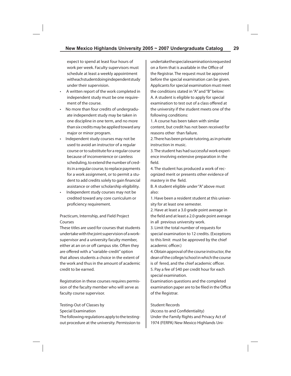expect to spend at least four hours of work per week. Faculty supervisors must schedule at least a weekly appointment with each student doing independent study under their supervision.

- A written report of the work completed in independent study must be one requirement of the course.
- No more than four credits of undergraduate independent study may be taken in one discipline in one term, and no more than six credits may be applied toward any major or minor program.
- Independent study courses may not be used to avoid an instructor of a regular course or to substitute for a regular course because of inconvenience or careless scheduling, to extend the number of credits in a regular course, to replace payments for a work assignment, or to permit a student to add credits solely to gain financial assistance or other scholarship eligibility.
- Independent study courses may not be credited toward any core curriculum or proficiency requirement.

Practicum, Internship, and Field Project Courses

These titles are used for courses that students undertake with the joint supervision of a worksupervisor and a university faculty member, either at an on or off campus site. Often they are offered with a "variable-credit" option that allows students a choice in the extent of the work and thus in the amount of academic credit to be earned.

Registration in these courses requires permission of the faculty member who will serve as faculty course supervisor.

Testing-Out of Classes by Special Examination

The following regulations apply to the testingout procedure at the university. Permission to undertake the special examination is requested on a form that is available in the Office of the Registrar. The request must be approved before the special examination can be given. Applicants for special examination must meet the conditions stated in "A" and "B" below: A. A student is eligible to apply for special examination to test out of a class offered at the university if the student meets one of the following conditions:

1. A course has been taken with similar content, but credit has not been received for reasons other than failure.

2. There has been private tutoring, as in private instruction in music.

3. The student has had successful work experience involving extensive preparation in the field.

4. The student has produced a work of recognized merit or presents other evidence of mastery in the field.

B. A student eligible under "A" above must also:

1. Have been a resident student at this university for at least one semester.

2. Have at least a 3.0 grade point average in the field and at least a 2.0 grade point average in all previous university work.

3. Limit the total number of requests for special examination to 12 credits. (Exceptions to this limit must be approved by the chief academic officer.)

4. Obtain approval of the course instructor, the dean of the college/school in which the course is of fered, and the chief academic officer. 5. Pay a fee of \$40 per credit hour for each special examination.

Examination questions and the completed examination paper are to be filed in the Office of the Registrar.

#### Student Records

(Access to and Confidentiality) Under the Family Rights and Privacy Act of 1974 (FERPA) New Mexico Highlands Uni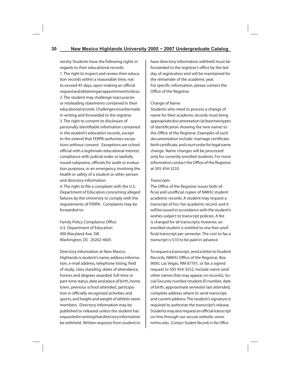versity Students have the following rights in regards to their educational records: 1. The right to inspect and review their education records within a reasonable time, not to exceed 45 days, upon making an official request and obtaining an appointment to do so. 2. The student may challenge inaccuracies or misleading statements contained in their educational records. Challenges must be made in writing and forwarded to the registrar. 3. The right to consent to disclosure of personally identifiable information contained in the student's education records, except to the extend that FERPA authorizes exceptions without consent. Exceptions are school official with a legitimate educational interest, compliance with judicial order or lawfully issued subpoena, officials for audit or evaluation purposes, in an emergency involving the health or safety of a student or other person and directory information.

4. The right to file a compliant with the U.S. Department of Education concerning alleged failures by the University to comply with the requirements of FERPA. Complaints may be forwarded to:

Family Policy Compliance Office U.S. Department of Education 400 Maryland Ave, SW Washington, DC 20202-4605

Directory information at New Mexico Highlands is student's name, address information, e-mail address, telephone listing, field of study, class standing, dates of attendance, honors and degrees awarded, full-time or part-time status, date and place of birth, home town, previous school attended, participation in officially recognized activities and sports, and height and weight of athletic team members. Directory information may be published or released unless the student has requested in writing that directory information be withheld. Written requests from student to

have directory information withheld must be forwarded to the registrar's office by the last day of registration and will be maintained for the remainder of the academic year. For specific information, please contact the Office of the Registrar.

#### Change of Name

Students who need to process a change of name for their academic records must bring appropriate documentation (at least two types of identification showing the new name) to the Office of the Registrar. Examples of such documentation include: marriage certificate, birth certificate, and court order for legal name change. Name changes will be processed only for currently enrolled students. For more information contact the Office of the Registrar at 505 454-3233.

#### **Transcripts**

The Office of the Registrar issues both official and unofficial copies of NMHU student academic records. A student may request a transcript of his/ her academic record, and it will be issued in accordance with the student's wishes subject to transcript policies. A fee is charged for all transcripts; however, an enrolled student is entitled to one free unofficial transcript per semester. The cost to fax a transcript is \$10 to be paid in advance.

To request a transcript, send a letter to Student Records, NMHU Office of the Registrar, Box 9000, Las Vegas, NM 87701, or fax a signed request to 505 454-3552. Include name (and other names that may appear on records), Social Security number/student ID number, date of birth, approximate semester last attended, complete address where to send transcript, and current address. The student's signature is required to authorize the transcript's release. Students may also request an official transcript on-line through our secure website, www. nmhu.edu. (Contact Student Records in the Office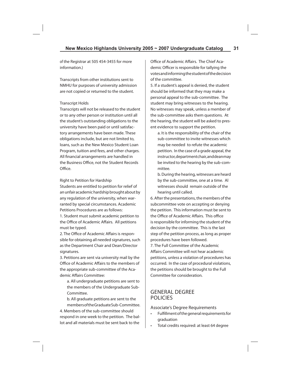of the Registrar at 505 454-3455 for more information.)

Transcripts from other institutions sent to NMHU for purposes of university admission are not copied or returned to the student.

#### Transcript Holds

Transcripts will not be released to the student or to any other person or institution until all the student's outstanding obligations to the university have been paid or until satisfactory arrangements have been made. These obligations include, but are not limited to, loans, such as the New Mexico Student Loan Program, tuition and fees, and other charges. All financial arrangements are handled in the Business Office, not the Student Records Office.

Right to Petition for Hardship

Students are entitled to petition for relief of an unfair academic hardship brought about by any regulation of the university, when warranted by special circumstances. Academic Petitions Procedures are as follows:

1. Student must submit academic petition to the Office of Academic Affairs. All petitions must be typed.

2. The Office of Academic Affairs is responsible for obtaining all needed signatures, such as the Department Chair and Dean/Director signatures.

3. Petitions are sent via university mail by the Office of Academic Affairs to the members of the appropriate sub-committee of the Academic Affairs Committee:

 a. All undergraduate petitions are sent to the members of the Undergraduate Sub-Committee.

 b. All graduate petitions are sent to the members of the Graduate Sub-Committee. 4. Members of the sub-committee should respond in one week to the petition. The ballot and all materials must be sent back to the

Office of Academic Affairs. The Chief Academic Officer is responsible for tallying the votes and informing the student of the decision of the committee.

5. If a student's appeal is denied, the student should be informed that they may make a personal appeal to the sub-committee. The student may bring witnesses to the hearing. No witnesses may speak, unless a member of the sub-committee asks them questions. At the hearing, the student will be asked to present evidence to support the petition.

 a. It is the responsibility of the chair of the sub-committee to invite witnesses which may be needed to refute the academic petition. In the case of a grade appeal, the instructor, department chair, and dean may be invited to the hearing by the sub-committee.

 b. During the hearing, witnesses are heard by the sub-committee, one at a time. Al witnesses should remain outside of the hearing until called.

6. After the presentations, the members of the subcommittee vote on accepting or denying the petition. This information must be sent to the Office of Academic Affairs. This office is responsible for informing the student of the decision by the committee. This is the last step of the petition process, as long as proper procedures have been followed.

7. The Full Committee of the Academic Affairs Committee will not hear academic petitions, unless a violation of procedures has occurred. In the case of procedural violations, the petitions should be brought to the Full Committee for consideration.

# GENERAL DEGREE POLICIES

#### Associate's Degree Requirements

- Fulfillment of the general requirements for graduation
- Total credits required: at least 64 degree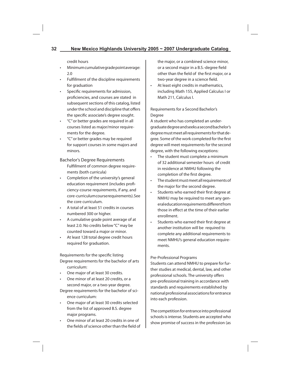credit hours

- Minimum cumulative grade point average: 2.0
- Fulfillment of the discipline requirements for graduation
- Specific requirements for admission, proficiencies, and courses are stated in subsequent sections of this catalog, listed under the school and discipline that offers the specific associate's degree sought.
- "C" or better grades are required in all courses listed as major/minor requirements for the degree.
- "C" or better grades may be required for support courses in some majors and minors.

Bachelor's Degree Requirements Fulfillment of common degree requirements (both curricula)

- Completion of the university's general education requirement (includes proficiency-course requirements, if any, and core-curriculum course requirements). See the core curriculum.
- A total of at least 51 credits in courses numbered 300 or higher.
- A cumulative grade point average of at least 2.0. No credits below "C" may be counted toward a major or minor.
- At least 128 total degree credit hours required for graduation.

Requirements for the specific listing Degree requirements for the bachelor of arts curriculum:

- One major of at least 30 credits.
- One minor of at least 20 credits, or a second major, or a two-year degree.

Degree requirements for the bachelor of science curriculum:

- One major of at least 30 credits selected from the list of approved B.S. degree major programs.
- One minor of at least 20 credits in one of the fields of science other than the field of

the major, or a combined science minor, or a second major in a B.S.-degree field other than the field of the first major, or a two-year degree in a science field.

• At least eight credits in mathematics, including Math 155, Applied Calculus I or Math 211, Calculus I.

#### Requirements for a Second Bachelor's Degree

A student who has completed an undergraduate degree and seeks a second bachelor's degree must meet all requirements for that degree. Some of the work completed for the first degree will meet requirements for the second degree, with the following exceptions:

- The student must complete a minimum of 32 additional semester hours of credit in residence at NMHU following the completion of the first degree.
- The student must meet all requirements of the major for the second degree.
- Students who earned their first degree at NMHU may be required to meet any general education requirements different from those in effect at the time of their earlier enrollment.
- Students who earned their first degree at another institution will be required to complete any additional requirements to meet NMHU's general education requirements.

Pre-Professional Programs

Students can attend NMHU to prepare for further studies at medical, dental, law, and other professional schools. The university offers pre-professional training in accordance with standards and requirements established by national professional associations for entrance into each profession.

The competition for entrance into professional schools is intense. Students are accepted who show promise of success in the profession (as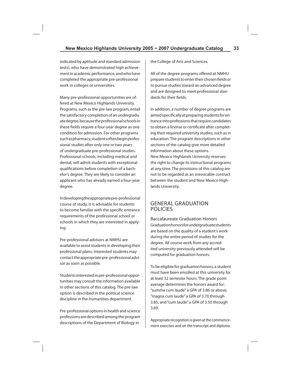indicated by aptitude and standard admission tests), who have demonstrated high achievement in academic performance, and who have completed the appropriate pre-professional work in colleges or universities.

Many pre-professional opportunities are offered at New Mexico Highlands University. Programs, such as the pre-law program, entail the satisfactory completion of an undergraduate degree, because the professional schools in these fields require a four-year degree as one condition for admission. For other programs such as pharmacy, students often begin professional studies after only one or two years of undergraduate pre-professional studies. Professional schools, including medical and dental, will admit students with exceptional qualifications before completion of a bachelor's degree. They are likely to consider an applicant who has already earned a four-year degree.

In developing the appropriate pre-professional course of study, it is advisable for students to become familiar with the specific entrance requirements of the professional school or schools in which they are interested in applying.

Pre-professional advisors at NMHU are available to assist students in developing their professional plans. Interested students may contact the appropriate pre-professional advisor as soon as possible.

Students interested in pre-professional opportunities may consult the information available in other sections of this catalog. The pre-law option is described in the political science discipline in the humanities department.

Pre-professional options in health and science professions are described among the program descriptions of the Department of Biology in

the College of Arts and Sciences.

All of the degree programs offered at NMHU prepare students to enter their chosen fields or to pursue studies toward an advanced degree and are designed to meet professional standards for their fields.

In addition, a number of degree programs are aimed specifically at preparing students for entrance into professions that require candidates to obtain a license or certificate after completing their required university studies, such as in education. The program descriptions in other sections of the catalog give more detailed information about these options. New Mexico Highlands University reserves the right to change its instructional programs at any time. The provisions of this catalog are not to be regarded as an irrevocable contract between the student and New Mexico Highlands University.

### GENERAL GRADUATION POLICIES

Baccalaureate Graduation Honors Graduation honors for undergraduate students are based on the quality of a student's work during the entire period of studies for the degree. All course work from any accredited university previously attended will be computed for graduation honors.

To be eligible for graduation honors, a student must have been enrolled at this university for at least 32 semester hours. The grade point average determines the honors award for: "summa cum laude" a GPA of 3.86 or above, "magna cum laude" a GPA of 3.70 through 3.85, and "cum laude" a GPA of 3.50 through 3.69.

Appropriate recognition is given at the commencement exercises and on the transcript and diploma.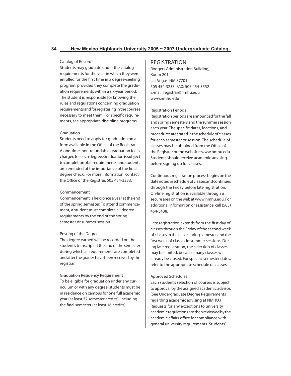#### Catalog of Record

Students may graduate under the catalog requirements for the year in which they were enrolled for the first time in a degree-seeking program, provided they complete the graduation requirements within a six-year period. The student is responsible for knowing the rules and regulations concerning graduation requirements and for registering in the courses necessary to meet them. For specific requirements, see appropriate discipline programs.

#### Graduation

Students need to apply for graduation on a form available in the Office of the Registrar. A one-time, non-refundable graduation fee is charged for each degree. Graduation is subject to completion of all requirements, and students are reminded of the importance of the final degree check. For more information, contact the Office of the Registrar, 505 454-3233.

#### Commencement

Commencement is held once a year at the end of the spring semester. To attend commencement, a student must complete all degree requirements by the end of the spring semester or summer session.

#### Posting of the Degree

The degree earned will be recorded on the student's transcript at the end of the semester during which all requirements are completed and after the grades have been received by the registrar.

Graduation Residency Requirement To be eligible for graduation under any curriculum or with any degree, students must be in residence on campus for one full academic year (at least 32 semester credits), including the final semester (at least 16 credits).

## REGISTRATION

Rodgers Administration Building, Room 201 Las Vegas, NM 87701 505 454-3233 FAX: 505 454-3552 E-mail: registrar@nmhu.edu www.nmhu.edu

#### Registration Periods

Registration periods are announced for the fall and spring semesters and the summer session each year. The specific dates, locations, and procedures are stated in the schedule of classes for each semester or session. The schedule of classes may be obtained from the Office of the Registrar or the web site: www.nmhu.edu. Students should receive academic advising before signing up for classes.

Continuous registration process begins on the date noted in schedule of classes and continues through the Friday before late registration. On-line registration is available through a secure area on the web at www.nmhu.edu. For additional information or assistance, call (505) 454-3438.

Late registration extends from the first day of classes through the Friday of the second week of classes in the fall or spring semester and the first week of classes in summer sessions. During late registration, the selection of classes may be limited, because many classes will already be closed. For specific semester dates, refer to the appropriate schedule of classes.

#### Approved Schedules

Each student's selection of courses is subject to approval by the assigned academic advisor. (See Undergraduate Degree Requirements regarding academic advising at NMHU.) Requests for any exceptions to university academic regulations are then reviewed by the academic affairs office for compliance with general university requirements. Students'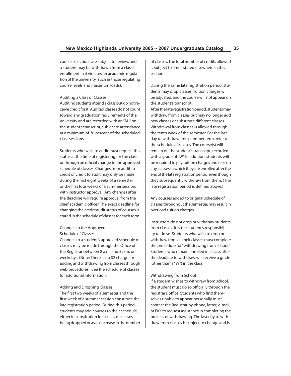course selections are subject to review, and a student may be withdrawn from a class if enrollment in it violates an academic regulation of the university (such as those regulating course levels and maximum loads).

#### Auditing a Class or Classes

Auditing students attend a class but do not receive credit for it. Audited classes do not count toward any graduation requirements of the university and are recorded with an "AU" on the student's transcript, subject to attendance at a minimum of 70 percent of the scheduled class sessions.

Students who wish to audit must request this status at the time of registering for the class or through an official change to the approved schedule of classes. Changes from audit to credit or credit to audit may only be made during the first eight weeks of a semester or the first four weeks of a summer session, with instructor approval. Any changes after the deadline will require approval from the chief academic officer. The exact deadline for changing the credit/audit status of courses is stated in the schedule of classes for each term.

#### Changes to the Approved Schedule of Classes

Changes to a student's approved schedule of classes may be made through the Office of the Registrar between 8 a.m. and 5 p.m. on weekdays. (Note: There is no \$2 charge for adding and withdrawing from classes through web procedures.) See the schedule of classes for additional information.

#### Adding and Dropping Classes

The first two weeks of a semester and the first week of a summer session constitute the late registration period. During this period, students may add courses to their schedule, either in substitution for a class or classes being dropped or as an increase in the number of classes. The total number of credits allowed is subject to limits stated elsewhere in this section.

During the same late registration period, students may drop classes. Tuition charges will be adjusted, and the course will not appear on the student's transcript. After the late registration period, students may withdraw from classes but may no longer add new classes or substitute different classes. Withdrawal from classes is allowed through the tenth week of the semester. For the last day to withdraw from summer term, refer to the schedule of classes. The course(s) will remain on the student's transcript, recorded with a grade of "W." In addition, students will be required to pay tuition charges and fees on any classes in which they are enrolled after the end of the late registration period, even though they subsequently withdraw from them. (The late registration period is defined above.)

Any courses added to original schedule of classes throughout the semester, may result in overload tuition charges.

Instructors do not drop or withdraw students from classes. It is the student's responsibility to do so. Students who wish to drop or withdraw from all their classes must complete the procedure for "withdrawing from school." Students who remain enrolled in a class after the deadline to withdraw will receive a grade (other than a "W") in the class.

#### Withdrawing from School

If a student wishes to withdraw from school, the student must do so officially through the registrar's office. Students who find themselves unable to appear personally must contact the Registrar by phone, letter, e-mail, or FAX to request assistance in completing the process of withdrawing. The last day to withdraw from classes is subject to change and is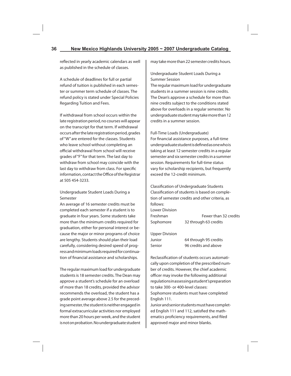reflected in yearly academic calendars as well as published in the schedule of classes.

A schedule of deadlines for full or partial refund of tuition is published in each semester or summer term schedule of classes. The refund policy is stated under Special Policies Regarding Tuition and Fees.

If withdrawal from school occurs within the late registration period, no courses will appear on the transcript for that term. If withdrawal occurs after the late registration period, grades of "W" are entered for the classes. Students who leave school without completing an official withdrawal from school will receive grades of "F" for that term. The last day to withdraw from school may coincide with the last day to withdraw from class. For specific information, contact the Office of the Registrar at 505 454-3233.

Undergraduate Student Loads During a Semester

An average of 16 semester credits must be completed each semester if a student is to graduate in four years. Some students take more than the minimum credits required for graduation, either for personal interest or because the major or minor programs of choice are lengthy. Students should plan their load carefully, considering desired speed of progress and minimum loads required for continuation of financial assistance and scholarships.

The regular maximum load for undergraduate students is 18 semester credits. The Dean may approve a student's schedule for an overload of more than 18 credits, provided the advisor recommends the overload, the student has a grade point average above 2.5 for the preceding semester, the student is neither engaged in formal extracurricular activities nor employed more than 20 hours per week, and the student is not on probation. No undergraduate student

may take more than 22 semester credits hours.

#### Undergraduate Student Loads During a Summer Session

The regular maximum load for undergraduate students in a summer session is nine credits. The Dean's approve a schedule for more than nine credits subject to the conditions stated above for overloads in a regular semester. No undergraduate student may take more than 12 credits in a summer session.

Full-Time Loads (Undergraduate)

For financial assistance purposes, a full-time undergraduate student is defined as one who is taking at least 12 semester credits in a regular semester and six semester credits in a summer session. Requirements for full-time status vary for scholarship recipients, but frequently exceed the 12-credit minimum.

Classification of Undergraduate Students Classification of students is based on completion of semester credits and other criteria, as follows:

| Lower Division |                       |
|----------------|-----------------------|
| Freshman       | Fewer than 32 credits |
| Sophomore      | 32 through 63 credits |

| Upper Division |                       |
|----------------|-----------------------|
| Junior         | 64 through 95 credits |
| Senior         | 96 credits and above  |

Reclassification of students occurs automatically upon completion of the prescribed number of credits. However, the chief academic officer may invoke the following additional regulations in assessing a student's preparation to take 300- or 400-level classes: Sophomore students must have completed English 111.

Junior and senior students must have completed English 111 and 112, satisfied the mathematics proficiency requirements, and filed approved major and minor blanks.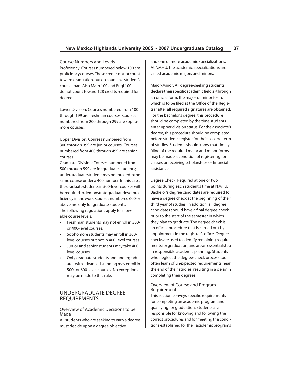#### Course Numbers and Levels

Proficiency: Courses numbered below 100 are proficiency courses. These credits do not count toward graduation, but do count in a student's course load. Also Math 100 and Engl 100 do not count toward 128 credits required for degree.

Lower Division: Courses numbered from 100 through 199 are freshman courses. Courses numbered from 200 through 299 are sophomore courses.

Upper Division: Courses numbered from 300 through 399 are junior courses. Courses numbered from 400 through 499 are senior courses.

Graduate Division: Courses numbered from 500 through 599 are for graduate students; undergraduate students may be enrolled in the same course under a 400 number. In this case, the graduate students in 500-level courses will be required to demonstrate graduate level proficiency in the work. Courses numbered 600 or above are only for graduate students.

The following regulations apply to allowable course levels:

- Freshman students may not enroll in 300 or 400-level courses.
- Sophomore students may enroll in 300 level courses but not in 400-level courses.
- Junior and senior students may take 400 level courses.
- Only graduate students and undergraduates with advanced standing may enroll in 500- or 600-level courses. No exceptions may be made to this rule.

# UNDERGRADUATE DEGREE REQUIREMENTS

Overview of Academic Decisions to be Made

All students who are seeking to earn a degree must decide upon a degree objective

and one or more academic specializations. At NMHU, the academic specializations are called academic majors and minors.

Major/Minor: All degree-seeking students declare their specific academic field(s) through an official form, the major or minor form, which is to be filed at the Office of the Registrar after all required signatures are obtained. For the bachelor's degree, this procedure should be completed by the time students enter upper division status. For the associate's degree, this procedure should be completed before students register for their second term of studies. Students should know that timely filing of the required major and minor forms may be made a condition of registering for classes or receiving scholarships or financial assistance.

Degree Check: Required at one or two points during each student's time at NMHU. Bachelor's degree candidates are required to have a degree check at the beginning of their third year of studies. In addition, all degree candidates should have a final degree check prior to the start of the semester in which they plan to graduate. The degree check is an official procedure that is carried out by appointment in the registrar's office. Degree checks are used to identify remaining requirements for graduation, and are an essential step in responsible academic planning. Students who neglect the degree-check process too often learn of unexpected requirements near the end of their studies, resulting in a delay in completing their degrees.

#### Overview of Course and Program Requirements

This section conveys specific requirements for completing an academic program and qualifying for graduation. Students are responsible for knowing and following the correct procedures and for meeting the conditions established for their academic programs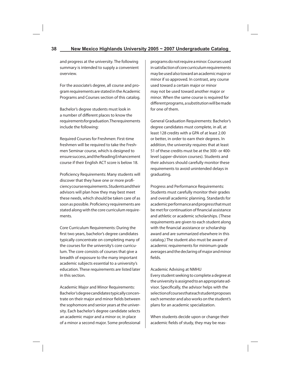and progress at the university. The following summary is intended to supply a convenient overview.

For the associate's degree, all course and program requirements are stated in the Academic Programs and Courses section of this catalog.

Bachelor's degree students must look in a number of different places to know the requirements for graduation. The requirements include the following:

Required Courses for Freshmen: First-time freshmen will be required to take the Freshmen Seminar course, which is designed to ensure success, and the Reading Enhancement course if their English ACT score is below 18.

Proficiency Requirements: Many students will discover that they have one or more proficiency course requirements. Students and their advisors will plan how they may best meet these needs, which should be taken care of as soon as possible. Proficiency requirements are stated along with the core curriculum requirements.

Core Curriculum Requirements: During the first two years, bachelor's degree candidates typically concentrate on completing many of the courses for the university's core curriculum. The core consists of courses that give a breadth of exposure to the many important academic subjects essential to a university's education. These requirements are listed later in this section.

Academic Major and Minor Requirements: Bachelor's degree candidates typically concentrate on their major and minor fields between the sophomore and senior years at the university. Each bachelor's degree candidate selects an academic major and a minor or, in place of a minor a second major. Some professional programs do not require a minor. Courses used in satisfaction of core curriculum requirements may be used also toward an academic major or minor if so approved. In contrast, any course used toward a certain major or minor may not be used toward another major or minor. When the same course is required for different programs, a substitution will be made for one of them.

General Graduation Requirements: Bachelor's degree candidates must complete, in all, at least 128 credits with a GPA of at least 2.00 or better, in order to earn their degrees. In addition, the university requires that at least 51 of these credits must be at the 300- or 400 level (upper-division courses). Students and their advisors should carefully monitor these requirements to avoid unintended delays in graduating.

Progress and Performance Requirements: Students must carefully monitor their grades and overall academic planning. Standards for academic performance and progress that must be met for continuation of financial assistance and athletic or academic scholarships. (These requirements are given to each student along with the financial assistance or scholarship award and are summarized elsewhere in this catalog.) The student also must be aware of academic requirements for minimum grade averages and the declaring of major and minor fields.

Academic Advising at NMHU

Every student seeking to complete a degree at the university is assigned to an appropriate advisor. Specifically, the advisor helps with the selection of courses that each student proposes each semester and also works on the student's plans for an academic specialization.

When students decide upon or change their academic fields of study, they may be reas-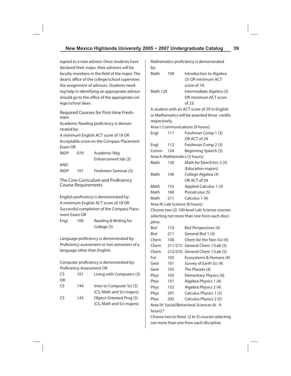signed to a new advisor. Once students have declared their major, their advisors will be faculty members in the field of the major. The dean's office of the college/school supervises the assignment of advisors. Students needing help in identifying an appropriate advisor should go to the office of the appropriate college/school dean.

Required Courses for First-time Freshmen

Academic Reading proficiency is demonstrated by:

A minimum English ACT score of 18 OR Acceptable score on the Compass Placement Exam OR

| <b>INDP</b> | 070 | Academic Rdg         |
|-------------|-----|----------------------|
|             |     | Enhancement lab (3)  |
| AND         |     |                      |
| <b>INDP</b> | 101 | Freshmen Seminar (3) |

The Core Curriculum and Proficiency Course Requirements

English proficiency is demonstrated by: A minimum English ACT score of 18 OR Successful completion of the Compass Placement Exam OR

Engl 100 Reading & Writing for College (3)

Language proficiency is demonstrated by: Proficiency assessment or two semesters of a language other than English.

Computer proficiency is demonstrated by: Proficiency Assessment OR

| 101 | Living with Computers (3) |
|-----|---------------------------|
|     |                           |
| 144 | Intro to Computer Sci (3) |
|     | (CS, Math and Sci majors) |
| 145 | Object-Oriented Prog (3)  |
|     | (CS, Math and Sci majors) |
|     |                           |

Mathematics proficiency is demonstrated  $h\nu$ :

| Dy.             |     |                          |
|-----------------|-----|--------------------------|
| Math            | 100 | Introduction to Algebra  |
|                 |     | (3) OR minimum ACT       |
|                 |     | score of 18.             |
| <b>Math 120</b> |     | Intermediate Algebra (3) |
|                 |     | OR minimum ACT score     |
|                 |     | of 23.                   |

A student with an ACT score of 29 in English or Mathematics will be awarded three credits respectively. Area I: Communications (9 hours):

| Engl     | 111     | Freshman Comp 1 (3)                            |
|----------|---------|------------------------------------------------|
|          |         | OR ACT of 29                                   |
| Engl     | 112     | Freshman Comp 2 (3)                            |
| Comm     | 124     | Beginning Speech (3)                           |
|          |         | Area II: Mathematics (3 hours):                |
| Math     | 130     | Math for ElemTchrs 2 (3)                       |
|          |         | (Education majors)                             |
| Math     | 140     | College Algebra (3)                            |
|          |         | OR ACT of 29                                   |
| Math     | 155     | Applied Calculus 1 (3)                         |
| Math     | 160     | Precalculus (5)                                |
| Math     | 211     | Calculus 1 (4)                                 |
|          |         | Area III: Lab Science (8 hours):               |
|          |         | Choose two (2) 100-level Lab Science courses   |
|          |         | selecting not more than one from each disci-   |
| pline.   |         |                                                |
| Biol     | 110     | <b>Biol Perspectives (4)</b>                   |
| Biol     | 211     | General Biol 1 (4)                             |
| Chem     | 100     | Chem for the Non-Sci (4)                       |
| Chem     | 211/215 | General Chem 1/Lab (5)                         |
| Chem     | 212/216 | General Chem 1/Lab (5)                         |
| For      | 105     | Ecosystems & Humans (4)                        |
| Geol     | 101     | Survey of Earth Sci (4)                        |
| Geol     | 105     | The Planets (4)                                |
| Phys     | 105     | Elementary Physics (4)                         |
| Phys     | 151     | Algebra Physics 1 (4)                          |
| Phys     | 152     | Algebra Physics 2 (4)                          |
| Phys     | 291     | Calculus Physics 1 (5)                         |
| Phys     | 292     | Calculus Physics 2 (5)                         |
|          |         | Area IV: Social/Behavioral Sciences (6 - 9     |
| hours):* |         |                                                |
|          |         | Choose two to three (2 to 3) courses selecting |

Choose two to three (2 to 3) courses selecting not more than one from each discipline.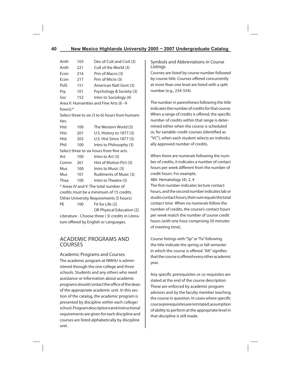| Anth     | 103 | Dev of Cult and Civil (3)                        |
|----------|-----|--------------------------------------------------|
| Anth     | 221 | Cult of the World (3)                            |
| Econ     | 216 | Prin of Macro (3)                                |
| Econ     | 217 | Prin of Micro (3)                                |
| PolS     | 151 | American Natl Govt (3)                           |
| Psy      | 101 | Psychology & Society (3)                         |
| Soc      | 152 | Intro to Sociology (4)                           |
|          |     | Area V: Humanities and Fine Arts (6 -9           |
| hours):* |     |                                                  |
|          |     | Select three to six (3 to 6) hours from humani-  |
| ties.    |     |                                                  |
| Hist     | 100 | The Western World (3)                            |
| Hist     | 201 | U.S. History to 1877 (3)                         |
| Hist     | 202 | U.S. Hist Since 1877 (3)                         |
| Phil     | 100 | Intro to Philosophy (3)                          |
|          |     | Select three to six hours from fine arts.        |
| Art      | 100 | Intro to Art (3)                                 |
| Comm     | 261 | Hist of Motion Pict (3)                          |
| Mus      | 100 | Intro to Music (3)                               |
| Mus      | 101 | Rudiments of Music (3)                           |
| Thea     | 100 | Intro to Theatre (3)                             |
|          |     | * Areas IV and V: The total number of            |
|          |     | credits must be a minimum of 15 credits.         |
|          |     | Other University Requirements (5 hours):         |
| PE       | 100 | Fit for Life (2)                                 |
|          |     | OR Physical Education (2)                        |
|          |     | Literature - Choose three (3) credits in Litera- |
|          |     | ture offered by English or Languages.            |

## ACADEMIC PROGRAMS AND COURSES

Academic Programs and Courses The academic program at NMHU is administered through the one college and three schools. Students and any others who need assistance or information about academic programs should contact the office of the dean of the appropriate academic unit. In this section of the catalog, the academic program is presented by discipline within each college/ school. Program descriptions and instructional requirements are given for each discipline and courses are listed alphabetically by discipline unit.

## Symbols and Abbreviations in Course Listings

Courses are listed by course number followed by course title. Courses offered concurrently at more than one level are listed with a split number (e.g., 234-334).

The number in parentheses following the title indicates the number of credits for that course. When a range of credits is offered, the specific number of credits within that range is determined either when the course is scheduled or, for variable-credit courses (identified as "VC"), when each student selects an individually approved number of credits.

When there are numerals following the number of credits, it indicates a number of contact hours per week different from the number of credit hours. For example, 484. Hematology (4); 2, 4 The first number indicates lecture contact

hours, and the second number indicates lab or studio contact hours; their sum equals the total contact time When no numerals follow the number of credits, the course's contact hours per week match the number of course credit hours (with one hour comprising 50 minutes of meeting time).

Course listings with "Sp" or "Fa" following the title indicate the spring or fall semester in which the course is offered. "Alt" signifies that the course is offered every other academic year.

Any specific prerequisites or co-requisites are stated at the end of the course description. These are enforced by academic program advisors and by the faculty member teaching the course in question. In cases where specific course prerequisites are not stated, assumption of ability to perform at the appropriate level in that discipline is still made.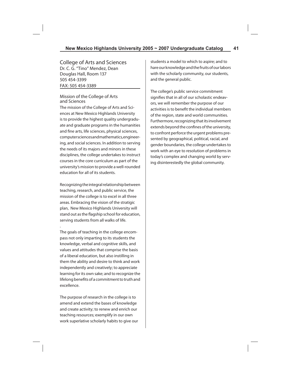College of Arts and Sciences Dr. C. G. "Tino" Mendez, Dean Douglas Hall, Room 137 505 454-3399 FAX: 505 454-3389

## Mission of the College of Arts and Sciences

The mission of the College of Arts and Sciences at New Mexico Highlands University is to provide the highest quality undergraduate and graduate programs in the humanities and fine arts, life sciences, physical sciences, computer sciences and mathematics, engineering, and social sciences. In addition to serving the needs of its majors and minors in these disciplines, the college undertakes to instruct courses in the core curriculum as part of the university's mission to provide a well-rounded education for all of its students.

Recognizing the integral relationship between teaching, research, and public service, the mission of the college is to excel in all three areas. Embracing the vision of the stratigic plan, New Mexico Highlands University will stand out as the flagship school for education, serving students from all walks of life.

.

The goals of teaching in the college encompass not only imparting to its students the knowledge, verbal and cognitive skills, and values and attitudes that comprise the basis of a liberal education, but also instilling in them the ability and desire to think and work independently and creatively; to appreciate learning for its own sake; and to recognize the lifelong benefits of a commitment to truth and excellence.

The purpose of research in the college is to amend and extend the bases of knowledge and create activity; to renew and enrich our teaching resources; exemplify in our own work superlative scholarly habits to give our students a model to which to aspire; and to hare our knowledge and the fruits of our labors with the scholarly community, our students, and the general public.

The college's public service commitment signifies that in all of our scholastic endeavors, we will remember the purpose of our activities is to benefit the individual members of the region, state and world communities. Furthermore, recognizing that its involvement extends beyond the confines of the university, to confront perforce the urgent problems presented by geographical, political, racial, and gender boundaries, the college undertakes to work with an eye to resolution of problems in today's complex and changing world by serving disinterestedly the global community.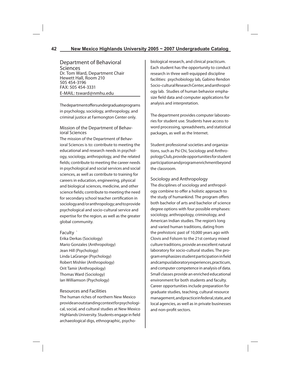Department of Behavioral Sciences Dr. Tom Ward, Department Chair Hewett Hall, Room 210 505 454-3196 FAX: 505 454-3331 E-MAIL: tsward@nmhu.edu

The department offers under graduate programs in psychology, sociology, anthropology, and criminal justice at Farmongton Center only.

## Mission of the Department of Behavioral Sciences

The mission of the Department of Behavioral Sciences is to: contribute to meeting the educational and research needs in psychology, sociology, anthropology, and the related fields; contribute to meeting the career needs in psychological and social services and social sciences, as well as contribute to training for careers in education, engineering, physical and biological sciences, medicine, and other science fields; contribute to meeting the need for secondary school teacher certification in sociology and/or anthropology; and to provide psychological and socio-cultural service and expertise for the region, as well as the greater global community.

## Faculty `

Erika Derkas (Sociology) Mario Gonzales (Anthropology) Jean Hill (Psychology) Linda LaGrange (Psychology) Robert Mishler (Anthropology) Orit Tamir (Anthropology) Thomas Ward (Sociology) Ian Williamson (Psychology)

## Resources and Facilities

The human riches of northern New Mexico provide an outstanding context for psychological, social, and cultural studies at New Mexico Highlands University. Students engage in field archaeological digs, ethnographic, psychobiological research, and clinical practicum. Each student has the opportunity to conduct research in three well-equipped discipline facilities: psychobiology lab, Gabino Rendon Socio-cultural Research Center, and anthropology lab. Studies of human behavior emphasize field data and computer applications for analysis and interpretation.

The department provides computer laboratories for student use. Students have access to word processing, spreadsheets, and statistical packages, as well as the Internet.

Student professional societies and organizations, such as Psi Chi, Sociology and Anthropology Club, provide opportunities for student participation and program enrichment beyond the classroom.

## Sociology and Anthropology

The disciplines of sociology and anthropology combine to offer a holistic approach to the study of humankind. The program offers both bachelor of arts and bachelor of science degree options with four possible emphases: sociology, anthropology, criminology, and American Indian studies. The region's long and varied human traditions, dating from the prehistoric past of 10,000 years ago with Clovis and Folsom to the 21st century mixed culture traditions, provide an excellent natural laboratory for socio-cultural studies. The program emphasizes student participation in field and campus laboratory experiences, practicum, and computer competence in analysis of data. Small classes provide an enriched educational environment for both students and faculty. Career opportunities include preparation for graduate studies, teaching, cultural resource management, and practice in federal, state, and local agencies, as well as in private businesses and non-profit sectors.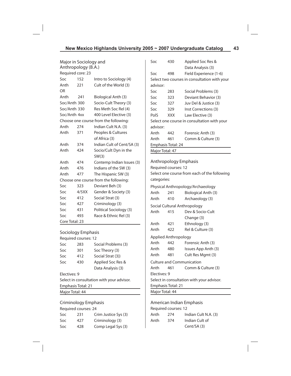| Major in Sociology and |                    |                                       | Soc         | 430                  | Applied Soc Res &                            |
|------------------------|--------------------|---------------------------------------|-------------|----------------------|----------------------------------------------|
| Anthropology (B.A.)    |                    |                                       |             |                      | Data Analysis (3)                            |
|                        | Required core: 23  |                                       | Soc         | 498                  | Field Experience (1-6)                       |
| Soc                    | 152                | Intro to Sociology (4)                |             |                      | Select two courses in consultation with your |
| Anth                   | 221                | Cult of the World (3)                 | advisor:    |                      |                                              |
| <b>OR</b>              |                    |                                       | Soc         | 283                  | Social Problems (3)                          |
| Anth                   | 241                | Biological Anth (3)                   | Soc         | 323                  | Deviant Behavior (3)                         |
| Soc/Anth 300           |                    | Socio-Cult Theory (3)                 | Soc         | 327                  | Juv Del & Justice (3)                        |
| Soc/Anth 330           |                    | Res Meth Soc Rel (4)                  | Soc         | 329                  | Inst Corrections (3)                         |
| Soc/Anth 4xx           |                    | 400 Level Elective (3)                | PolS        | <b>XXX</b>           | Law Elective (3)                             |
|                        |                    | Choose one course from the following: |             |                      | Select one course in consultation with your  |
| Anth                   | 274                | Indian Cult N.A. (3)                  | advisor:    |                      |                                              |
| Anth                   | 371                | Peoples & Cultures                    | Anth        | 442                  | Forensic Anth (3)                            |
|                        |                    | of Africa (3)                         | Anth        | 461                  | Comm & Culture (3)                           |
| Anth                   | 374                | Indian Cult of Cent/SA (3)            |             | Emphasis Total: 24   |                                              |
| Anth                   | 424                | Socio/Cult Dyn in the                 |             | Major Total: 47      |                                              |
|                        |                    | SW(3)                                 |             |                      |                                              |
| Anth                   | 474                | Contemp Indian Issues (3)             |             |                      | Anthropology Emphasis                        |
| Anth                   | 476                | Indians of the SW (3)                 |             | Required courses: 12 |                                              |
| Anth                   | 477                | The Hispanic SW (3)                   |             |                      | Select one course from each of the following |
|                        |                    | Choose one course from the following: | categories: |                      |                                              |
| Soc                    | 323                | Deviant Beh (3)                       |             |                      | Physical Anthropology/Archaeology            |
| Soc                    | 4/5XX              | Gender & Society (3)                  | Anth        | 241                  | Biological Anth (3)                          |
| Soc                    | 412                | Social Strat (3)                      | Anth        | 410                  | Archaeology (3)                              |
| Soc                    | 427                | Criminology (3)                       |             |                      | Social Cultural Anthropology                 |
| Soc                    | 431                | Political Sociology (3)               | Anth        | 415                  | Dev & Socio-Cult                             |
| Soc                    | 493                | Race & Ethnic Rel (3)                 |             |                      | Change (3)                                   |
| Core Total: 23         |                    |                                       | Anth        | 421                  | Ethnology (3)                                |
|                        |                    |                                       | Anth        | 422                  | Rel & Culture (3)                            |
|                        | Sociology Emphasis |                                       |             |                      |                                              |

|              | Required courses: 12 |                                           |
|--------------|----------------------|-------------------------------------------|
| Soc          | 283                  | Social Problems (3)                       |
| Soc          | 301                  | Soc Theory (3)                            |
| Soc          | 412                  | Social Strat (3))                         |
| Soc          | 430                  | Applied Soc Res &                         |
|              |                      | Data Analysis (3)                         |
| Electives: 9 |                      |                                           |
|              |                      | Select in consultation with your advisor. |

Emphasis Total: 21

Major Total: 44

Criminology Emphasis Required courses: 24

|      | Required Courses: 24 |                      |
|------|----------------------|----------------------|
| Soc. | 231                  | Crim Justice Sys (3) |
| Soc. | 427                  | Criminology (3)      |
| Soc. | 428                  | Comp Legal Sys (3)   |

Applied Anthropology Anth 442 Forensic Anth (3) Anth 480 Issues App Anth (3) Anth 481 Cult Res Mgmt (3) Culture and Communication Anth 461 Comm & Culture (3) Electives: 9 Select in consultation with your advisor. Emphasis Total: 21 Major Total: 44

American Indian Emphasis Required courses: 12

| Anth | 274 | Indian Cult N.A. (3) |
|------|-----|----------------------|
| Anth | 374 | Indian Cult of       |
|      |     | Cent/SA (3)          |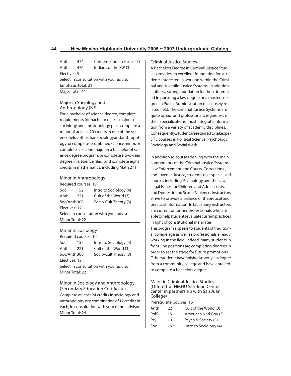| 474                                       | Contemp Indian Issues (3) |  |  |  |
|-------------------------------------------|---------------------------|--|--|--|
| 476                                       | Indians of the SW (3)     |  |  |  |
| Electives: 9                              |                           |  |  |  |
| Select in consultation with your advisor. |                           |  |  |  |
| Emphasis Total: 21                        |                           |  |  |  |
| Major Total: 44                           |                           |  |  |  |
|                                           |                           |  |  |  |

## Major in Sociology and Anthropology (B.S.)

For a bachelor of science degree, complete requirements for bachelor of arts major in sociology and anthropology plus: complete a minor of at least 20 credits in one of the science fields other than sociology and anthropology, or complete a combined science minor, or complete a second major in a bachelor of science degree program, or complete a two-year degree in a science filed; and complete eight credits in mathematics, including Math 211.

## Minor in Anthropology

|                                           | Required courses: 10 |                        |  |
|-------------------------------------------|----------------------|------------------------|--|
| Soc                                       | 152                  | Intro to Sociology (4) |  |
| Anth                                      | 221                  | Cult of the World (3)  |  |
| Socio-Cult Theory (3)<br>Soc/Anth 300     |                      |                        |  |
| Electives: 12                             |                      |                        |  |
| Select in consultation with your advisor. |                      |                        |  |
| Minor Total: 22                           |                      |                        |  |

## Minor in Sociology

| Required courses: 10                      |     |                        |  |
|-------------------------------------------|-----|------------------------|--|
| Soc                                       | 152 | Intro to Sociology (4) |  |
| Anth                                      | 221 | Cult of the World (3)  |  |
| Socio-Cult Theory (3)<br>Soc/Anth 300     |     |                        |  |
| Electives: 12                             |     |                        |  |
| Select in consultation with your advisor. |     |                        |  |
| Minor Total: 22                           |     |                        |  |

Minor in Sociology and Anthropology (Secondary Education Certificate) Complete at least 24 credits in sociology and anthropology or a combination of 12 credits in each, in consultation with your minor advisor. Minor Total: 24

## Criminal Justice Studies

A Bachelors Degree in Criminal Justice Studies provides an excellent foundation for students interested in working within the Criminal and Juvenile Justice Systems. In addition, it offers a strong foundation for those interested in pursuing a law degree or a masters degree in Public Administration or a closely related field. The Criminal Justice Systems are quite broad, and professionals, regardless of their specializations, must integrate information from a variety of academic disciplines. Consequently, student are required to take specific courses in Political Science, Psychology, Sociology and Social Work.

In addition to courses dealing with the main components of the Criminal Justice System: Law Enforcement, the Courts, Corrections , and Juvenile Justice, students take specialized courses including Psychology and the Law, Legal Issues for Children and Adolescents, and Domestic and Sexual Violence. Instructors strive to provide a balance of theoretical and practical information. In fact, many instructors are current or former professionals who are able to help students evaluate current practices in light of constitutional mandates.

This program appeals to students of traditional college age as well as professionals already working in the field. Indeed, many students in front-line positions are completing degrees in order to set the stage for future promotions. Other students have finished a two-year degree from a community college and have enrolled to complete a bachelors degree.

Major in Criminal Justice Studies (Offered at NMHU San Juan Center center in partnership with San Juan College)

Prerequisite Courses: 16

| Anth        | 221 | Cult of the World (3)  |
|-------------|-----|------------------------|
| <b>PolS</b> | 151 | American Natl Gov (3)  |
| Psy         | 101 | Psych & Society (3)    |
| Soc         | 152 | Intro to Sociology (4) |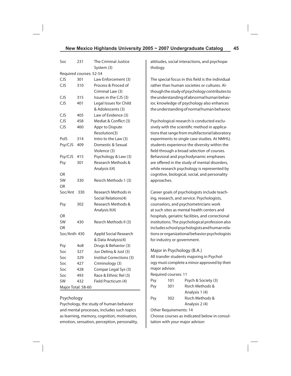| Soc                     | 231              | The Criminal Justice<br>System (3) |  |  |
|-------------------------|------------------|------------------------------------|--|--|
| Required courses: 52-54 |                  |                                    |  |  |
| <b>CJS</b>              | 301              | Law Enforcement (3)                |  |  |
| <b>CJS</b>              | 310              | Process & Proced of                |  |  |
|                         |                  | Criminal Law (3)                   |  |  |
| <b>CJS</b>              | 315              | Issues in the CJS (3)              |  |  |
| <b>CJS</b>              | 401              | Legal Issues for Child             |  |  |
|                         |                  | & Adolescents (3)                  |  |  |
| <b>CJS</b>              | 405              | Law of Evidence (3)                |  |  |
| CJS                     | 458              | Mediat & Conflict (3)              |  |  |
| CJS                     | 460              | Appr to Dispute                    |  |  |
|                         |                  | Resolution(3)                      |  |  |
| PolS                    | 314              | Intro to the Law (3)               |  |  |
| Psy/CJS                 | 409              | Domestic & Sexual                  |  |  |
|                         |                  | Violence (3)                       |  |  |
| Psy/CJS                 | 415              | Psychology & Law (3)               |  |  |
| Psy                     | 301              | Research Methods &                 |  |  |
|                         |                  | Analysis I(4)                      |  |  |
| OR                      |                  |                                    |  |  |
| <b>SW</b>               | 330              | Resrch Methods 1 (3)               |  |  |
| OR                      |                  |                                    |  |  |
| Soc/Ant                 | 330              | Research Methods in                |  |  |
|                         |                  | Social Relations(4)                |  |  |
| Psy                     | 302              | Research Methods &                 |  |  |
|                         |                  | Analysis II(4)                     |  |  |
| OR                      |                  |                                    |  |  |
| <b>SW</b>               | 430              | Resrch Methods II (3)              |  |  |
| OR                      |                  |                                    |  |  |
| Soc/Anth 430            |                  | <b>Appld Social Research</b>       |  |  |
|                         |                  | & Data Analysis(4)                 |  |  |
| Psy                     | 4 <sub>0</sub> 8 | Drugs & Behavior (3)               |  |  |
| Soc                     | 327              | Juv Deling & Just (3)              |  |  |
| Soc                     | 329              | Institut Corrections (3)           |  |  |
| Soc                     | 427              | Criminology (3)                    |  |  |
| Soc                     | 428              | Compar Legal Sys (3)               |  |  |
| Soc                     | 493              | Race & Ethnic Rel (3)              |  |  |
| <b>SW</b>               | 432              | Field Practicum (4)                |  |  |
| Major Total: 58-60      |                  |                                    |  |  |

## Psychology

Psychology, the study of human behavior and mental processes, includes such topics as learning, memory, cognition, motivation, emotion, sensation, perception, personality, attitudes, social interactions, and psychopathology.

The special focus in this field is the individual rather than human societies or cultures. Although the study of psychology contributes to the understanding of abnormal human behavior, knowledge of psychology also enhances the understanding of normal human behavior.

Psychological research is conducted exclusively with the scientific method in applications that range from multifactorial laboratory experiments to single case studies. At NMHU, students experience the diversity within the field through a broad selection of courses. Behavioral and psychodynamic emphases are offered in the study of mental disorders, while research psychology is represented by cognitive, biological, social, and personality approaches.

Career goals of psychologists include teaching, research, and service. Psychologists, counselors, and psychometricians work at such sites as mental health centers and hospitals, geriatric facilities, and correctional institutions. The psychological profession also includes school psychologists and human relations or organizational behavior psychologists for industry or government.

## Major in Psychology (B.A.)

All transfer students majoring in Psychology must complete a minor approved by their major advisor.

Required courses: 11

| Psy | 101 | Psych & Society (3) |
|-----|-----|---------------------|
| Psy | 301 | Rsrch Methods &     |
|     |     | Analysis 1 (4)      |
| Psy | 302 | Rsrch Methods &     |
|     |     | Analysis 2 (4)      |

Other Requirements: 14

Choose courses as indicated below in consultation with your major advisor: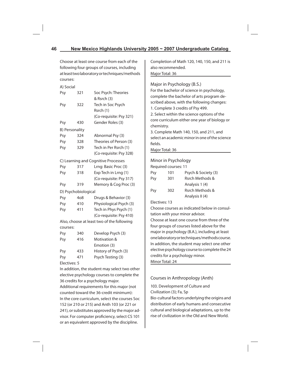Choose at least one course from each of the following four groups of courses, including at least two laboratory or techniques/methods courses:

| A) Social      |                     |                                            |  |
|----------------|---------------------|--------------------------------------------|--|
| Psy            | 321                 | Soc Psych: Theories                        |  |
|                |                     | & Rsrch (3)                                |  |
| Psy            | 322                 | Tech in Soc Psych                          |  |
|                |                     | Rsrch (1)                                  |  |
|                |                     | (Co-requisite: Psy 321)                    |  |
| Psy            | 430                 | Gender Roles (3)                           |  |
| B) Personality |                     |                                            |  |
| Psy            | 324                 | Abnormal Psy (3)                           |  |
| Psy            | 328                 | Theories of Person (3)                     |  |
| Psy            | 329                 | Tech in Per Rsrch (1)                      |  |
|                |                     | (Co-requisite: Psy 328)                    |  |
|                |                     | C) Learning and Cognitive Processes        |  |
| Psy            | 317                 | Lrng: Basic Proc (3)                       |  |
| Psy            | 318                 | Exp Tech in Lrng (1)                       |  |
|                |                     | (Co-requisite: Psy 317)                    |  |
| Psy            | 319                 | Memory & Cog Proc (3)                      |  |
|                | D) Psychobiological |                                            |  |
| Psy            | 408                 | Drugs & Behavior (3)                       |  |
| Psy            | 410                 | Physiological Psych (3)                    |  |
| Psy            | 411                 | Tech in Phys Psych (1)                     |  |
|                |                     | (Co-requisite: Psy 410)                    |  |
|                |                     | Also, choose at least two of the following |  |
| courses:       |                     |                                            |  |
| Psy            | 340                 | Develop Psych (3)                          |  |
| Psy            | 416                 | Motivation &                               |  |
|                |                     | Emotion (3)                                |  |
| Psy            | 433                 | History of Psych (3)                       |  |
| Psy            | 471                 | Psych Testing (3)                          |  |
|                |                     |                                            |  |

Electives: 5

In addition, the student may select two other elective psychology courses to complete the 36 credits for a psychology major.

Additional requirements for this major (not counted toward the 36-credit minimum): In the core curriculum, select the courses Soc 152 (or 210 or 215) and Anth 103 (or 221 or 241), or substitutes approved by the major advisor. For computer proficiency, select CS 101 or an equivalent approved by the discipline.

Completion of Math 120, 140, 150, and 211 is also recommended. Major Total: 36

# Major in Psychology (B.S.) For the bachelor of science in psychology, complete the bachelor of arts program described above, with the following changes: 1. Complete 3 credits of Psy 499. 2. Select within the science options of the core curriculum either one year of biology or chemistry. 3. Complete Math 140, 150, and 211, and select an academic minor in one of the science fields. Major Total: 36 Minor in Psychology Required courses: 11 Psy 101 Psych & Society (3) Psy 301 Rsrch Methods & Analysis 1 (4) Psy 302 Rsrch Methods & Analysis II (4) Electives: 13

Choose courses as indicated below in consultation with your minor advisor.

Choose at least one course from three of the four groups of courses listed above for the major in psychology (B.A.), including at least one laboratory or techniques/methods course. In addition, the student may select one other elective psychology course to complete the 24 credits for a psychology minor. Minor Total: 24

## Courses in Anthropology (Anth)

103. Development of Culture and Civilization (3); Fa, Sp Bio-cultural factors underlying the origins and distribution of early humans and consecutive cultural and biological adaptations, up to the rise of civilization in the Old and New World.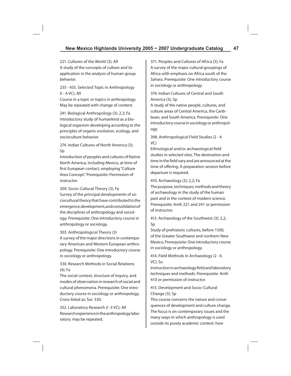221. Cultures of the World (3); All A study of the concepts of culture and its application in the analysis of human group behavior.

235 - 435. Selected Topic in Anthropology (I - 4 VC); All

Course in a topic or topics in anthropology. May be repeated with change of content.

241. Biological Anthropology (3); 2,2; Fa Introductory study of humankind as a biological organism developing according to the principles of organic evolution, ecology, and socioculture behavior.

274. Indian Cultures of North America (3); Sp

Introduction of peoples and cultures of Native North America, including Mexico, at time of first European contact, employing "Culture Area Concept." Prerequisite: Permission of instructor.

300. Socio-Cultural Theory (3); Fa Survey of the principal developments of sociocultural theory that have contributed to the emergence, development, and consolidation of the disciplines of anthropology and sociology. Prerequisite: One introductory course in anthropology or sociology.

303. Anthropological Theory (3)

A survey of the major directions in contemporary American and Western European anthropology. Prerequisite: One introductory course in sociology or anthropology.

330. Research Methods in Social Relations (4); Fa

The social context, structure of inquiry, and modes of observation in research of social and cultural phenomena. Prerequisite: One introductory course in sociology or anthropology. Cross-listed as: Soc 330.

352. Laboratory Research (I -3 VC); All Research experience in the anthropology laboratory. may be repeated.

371. Peoples and Cultures of Africa (3); Fa A survey of the major cultural groupings of Africa with emphasis on Africa south of the Sahara. Prerequisite: One introductory course in sociology or anthropology.

374. Indian Cultures of Central and South America (3); Sp

A study of the native people, cultures, and culture areas of Central America, the Caribbean, and South America. Prerequisite: One introductory course in sociology or anthropology.

398. Anthropological Field Studies (2 - 4 VC)

Ethnological and/or archaeological field studies in selected sites. The destination and time in the field vary and are announced at the time of offering. A preparation session before departure is required.

410. Archaeology (3); 2,2; Fa

The purpose, techniques, methods and theory of archaeology in the study of the human past and in the context of modern science. Prerequisite: Anth 221 and 241 or permission of instructor.

413. Archaeology of the Southwest (3); 2,2; Sp

Study of prehistoric cultures, before 1500, of the Greater Southwest and northern New Mexico. Prerequisite: One introductory course in sociology or anthropology.

414. Field Methods In Archaeology (2 - 6 VC); Su

Instruction in archaeology field and laboratory techniques and methods. Prerequisite: Anth 410 or permission of instructor.

415. Development and Socio-Cultural Change (3); Sp

This course concerns the nature and consequences of development and culture change. The focus is on contemporary issues and the many ways in which anthropology is used outside its purely academic context: how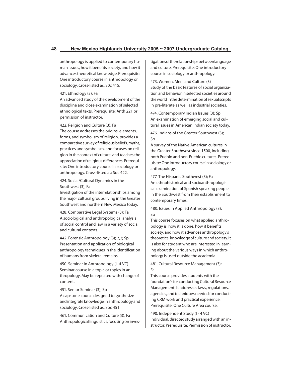anthropology is applied to contemporary human issues, how it benefits society, and how it advances theoretical knowledge. Prerequisite: One introductory course in anthropology or sociology. Cross-listed as: S0c 415.

## 421. Ethnology (3); Fa

An advanced study of the development of the discipline and close examination of selected ethnological texts. Prerequisite: Anth 221 or permission of instructor.

422. Religion and Culture (3); Fa

The course addresses the origins, elements, forms, and symbolism of religion, provides a comparative survey of religious beliefs, myths, practices and symbolism, and focuses on religion in the context of culture, and teaches the appreciation of religious differences. Prerequisite: One introductory course in sociology or anthropology. Cross-listed as: Soc 422.

424. Social/Cultural Dynamics in the Southwest (3); Fa

Investigation of the interrelationships among the major cultural groups living in the Greater Southwest and northern New Mexico today.

428. Comparative Legal Systems (3); Fa A sociological and anthropological analysis of social control and law in a variety of social and cultural contexts.

442. Forensic Anthropology (3); 2,2; Sp Presentation and application of biological anthropology techniques in the identification of humans from skeletal remains.

450. Seminar in Anthropology (I -4 VC) Seminar course in a topic or topics in anthropology. May be repeated with change of content.

451. Senior Seminar (3); Sp A capstone course designed to synthesize and integrate knowledge in anthropology and sociology. Cross-listed as: Soc 451.

461. Communication and Culture (3); Fa Anthropological linguistics, focusing on investigations of the relationships between language and culture. Prerequisite: One introductory course in sociology or anthropology.

473. Women, Men, and Culture (3) Study of the basic features of social organization and behavior in selected societies around the world in the determination of sexual scripts in pre-literate as well as industrial societies.

474. Contemporary Indian Issues (3); Sp An examination of emerging social and cultural issues in American Indian society today.

476. Indians of the Greater Southwest (3); Sp

A survey of the Native American cultures in the Greater Southwest since 1500, including both Pueblo and non-Pueblo cultures. Prerequisite: One introductory course in sociology or anthropology.

477. The Hispanic Southwest (3); Fa An ethnohistorical and socioanthropological examination of Spanish speaking people in the Southwest from their establishment to contemporary times.

480. Issues in Applied Anthropology (3); Sp

This course focuses on what applied anthropology is, how it is done, how it benefits society, and how it advances anthropology's theoretical knowledge of culture and society. It is also for student who are interested in learning about the various ways in which anthropology is used outside the academia.

481. Cultural Resource Management (3); Fa

This course provides students with the foundation's for conducting Cultural Resource Management. It addresses laws, regulations, agencies, and techniques needed for conducting CRM work and practical experience. Prerequisite: One Culture Area course.

490. Independent Study (I - 4 VC) Individual, directed study arranged with an instructor. Prerequisite: Permission of instructor.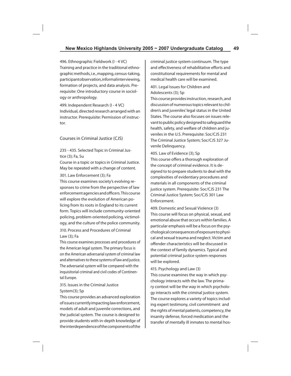496. Ethnographic Fieldwork (I - 4 VC) Training and practice in the traditional ethnographic methods, i.e., mapping, census-taking, participant observation, informal interviewing, formation of projects, and data analysis. Prerequisite: One introductory course in sociology or anthropology.

499. Independent Research (I - 4 VC) Individual, directed research arranged with an instructor. Prerequisite: Permission of instructor.

## Courses in Criminal Justice (CJS)

235 - 435. Selected Topic in Criminal Justice (3); Fa, Su

Course in a topic or topics in Criminal Justice. May be repeated with a change of content.

#### 301. Law Enforcement (3); Fa

This course examines society's evolving responses to crime from the perspective of law enforcement agencies and officers. This course will explore the evolution of American policing from its roots in England to its current form. Topics will include community-oriented policing, problem-oriented policing, victimology, and the culture of the police community.

## 310. Process and Procedures of Criminal Law (3); Fa

This course examines processes and procedures of the American legal system. The primary focus is on the American adversarial system of criminal law and alternatives to these systems of law and justice. The adversarial system will be compared with the inquisitorial criminal and civil codes of Continental Europe.

## 315. Issues in the Criminal Justice System(3); Sp

This course provides an advanced exploration of issues currently impacting law enforcement, models of adult and juvenile corrections, and the judicial system. The course is designed to provide students with in-depth knowledge of the interdependence of the components of the

criminal justice system continuum. The type and effectiveness of rehabilitative efforts and constitutional requirements for mental and medical health care will be examined.

## 401. Legal Issues for Children and Adolescents (3); Sp

This course provides instruction, research, and discussion of numerous topics relevant to children's and juveniles' legal status in the United States. The course also focuses on issues relevant to public policy designed to safeguard the health, safety, and welfare of children and juveniles in the U.S. Prerequisite: Soc/CJS 231 The Criminal Justice System; Soc/CJS 327 Juvenile Delinquency.

405. Law of Evidence (3); Sp This course offers a thorough exploration of the concept of criminal evidence. It is designed to to prepare students to deal with the complexities of evidentiary procedures and materials in all components of the criminal justice system. Prerequisite: Soc/CJS 231 The Criminal Justice System; Soc/CJS 301 Law Enforcement.

409. Domestic and Sexual Violence (3) This course will focus on physical, sexual, and emotional abuse that occurs within families. A particular emphasis will be a focus on the psychological consequences of exposure to physical and sexual trauma and neglect. Victim and offender characteristics will be discussed in the context of family dynamics. Typical and potential criminal justice system responses will be explored.

#### 415. Psychology and Law (3)

This course examines the way in which psychology interacts with the law. The primary context will be the way in which psychology interacts with the criminal justice system. The course explores a variety of topics including expert testimony, civil commitment and the rights of mental patients, competency, the insanity defense, forced medication and the transfer of mentally ill inmates to mental hos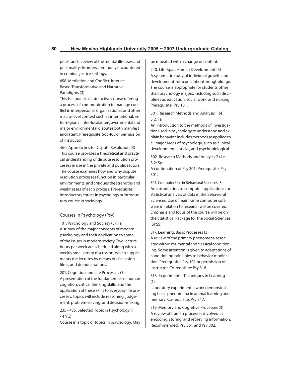pitals, and a review of the mental illnesses and personality disorders commonly encountered in criminal justice settings.

458. Mediation and Conflict: Interest Based Transformative and Narrative Paradigms (3)

This is a practical, interactive course offering a process of communication to manage conflict in interpersonal, organizational, and other macro-level context such as international, inter-regional, inter-local, intergovernmental and major environmental disputes both manifest and latent. Prerequisite: Soc 460 or permission of instructor.

460. Approaches to Dispute Resolution (3) This course provides a theoretical and practical understanding of dispute resolution processes in use in the private and public sectors. The course examines how and why dispute resolution processes function in particular environments, and critiques the strengths and weaknesses of each process. Prerequisite: Introductory course in psychology or introductory course in sociology.

## Courses in Psychology (Psy)

101. Psychology and Society (3); Fa A survey of the major concepts of modern psychology and their application to some of the issues in modern society. Two lecture hours per week are scheduled along with a weekly small group discussion, which supplements the lectures by means of discussion, films, and demonstrations.

201. Cognition and Life Processes (3) A presentation of the fundamentals of human cognition, critical thinking skills, and the application of these skills to everyday life processes. Topics will include reasoning, judgement, problem-solving, and decision-making.

235 - 435. Selected Topic in Psychology (1  $-4$  VC)

Course in a topic or topics in psychology. May

be repeated with a change of content.

240. Life-Span Human Development (3) A systematic study of individual growth and development from conception through old age. The course is appropriate for students other than psychology majors, including such disciplines as education, social work, and nursing. Prerequisite: Psy 101.

301. Research Methods and Analysis 1 (4); 3,2; Fa

An introduction to the methods of investigation used in psychology to understand and explain behavior. Includes methods as applied to all major areas of psychology, such as clinical, developmental, social, and psychobiological.

302. Research Methods and Analysis 2 (4); 3,2; Sp

A continuation of Psy 301. Prerequisite: Psy 301.

303. Computer Use in Behavioral Sciences (3) An introduction to computer applications for statistical analysis of data in the Behavioral Sciences. Use of mainframe computer software in relation to research will be covered. Emphasis and focus of the course will be on the Statistical Package for the Social Sciences (SPSS).

317. Learning: Basic Processes (3)

A review of the primary phenomena associated with instrumental and classical conditioning. Some attention is given to adaptations of conditioning principles to behavior modification. Prerequisite: Psy 101 or permission of instructor. Co-requisite: Psy 318.

318. Experimental Techniques in Learning (1)

Laboratory experimental work demonstrating basic phenomena in animal learning and memory. Co-requisite: Psy 317.

319. Memory and Cognitive Processes (3) A review of human processes involved in encoding, storing, and retrieving information. Recommended: Psy 3o1 and Psy 302.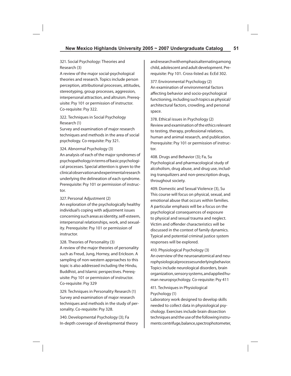## 321. Social Psychology: Theories and Research (3)

A review of the major social-psychological theories and research. Topics include person perception, attributional processes, attitudes, stereotyping, group processes, aggression, interpersonal attraction, and altruism. Prerequisite: Psy 101 or permission of instructor. Co-requisite: Psy 322.

## 322. Techniques in Social Psychology Research (1)

Survey and examination of major research techniques and methods in the area of social psychology. Co-requisite: Psy 321.

## 324. Abnormal Psychology (3)

An analysis of each of the major syndromes of psychopathology in terms of basic psychological processes. Special attention is given to the clinical observation and experimental research underlying the delineation of each syndrome. Prerequisite: Psy 101 or permission of instructor.

## 327. Personal Adjustment (2)

An exploration of the psychologically healthy individual's coping with adjustment issues concerning such areas as identity, self-esteem, interpersonal relationships, work, and sexuality. Prerequisite: Psy 101 or permission of instructor.

## 328. Theories of Personality (3)

A review of the major theories of personality such as Freud, Jung, Horney, and Erickson. A sampling of non-western approaches to this topic is also addressed including the Hindu, Buddhist, and Islamic perspectives. Prerequisite: Psy 101 or permission of instructor. Co-requisite: Psy 329

329. Techniques in Personality Research (1) Survey and examination of major research techniques and methods in the study of personality. Co-requisite: Psy 328.

340. Developmental Psychology (3); Fa In-depth coverage of developmental theory and research with emphasis alternating among child, adolescent and adult development. Prerequisite: Psy 101. Cross-listed as: EcEd 302.

377. Environmental Psychology (2) An examination of environmental factors affecting behavior and socio-psychological functioning, including such topics as physical/ architectural factors, crowding, and personal space.

378. Ethical issues in Psychology (2) Review and examination of the ethics relevant to testing, therapy, professional relations, human and animal research, and publication. Prerequisite: Psy 101 or permission of instructor.

408. Drugs and Behavior (3); Fa, Su Psychological and pharmacological study of alcoholism, drug abuse, and drug use, including tranquilizers and non-prescription drugs, throughout society.

409. Domestic and Sexual Violence (3), Su This course will focus on physical, sexual, and emotional abuse that occurs within families. A particular emphasis will be a focus on the psychological consequences of exposure to physical and sexual trauma and neglect. Victim and offender characteristics will be discussed in the context of family dynamics. Typical and potential criminal justice system responses will be explored.

410. Physiological Psychology (3) An overview of the neuroanatomical and neurophysiological processes underlying behavior. Topics include neurological disorders, brain organization, sensory systems, and applied human neuropsychology. Co-requisite: Psy 411

## 411. Techniques in Physiological Psychology (1)

Laboratory work designed to develop skills needed to collect data in physiological psychology. Exercises include brain dissection techniques and the use of the following instruments: centrifuge, balance, spectrophotometer,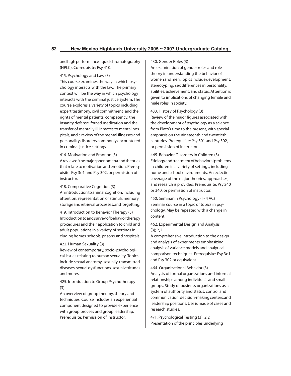and high performance liquid chromatography (HPLC). Co-requisite: Psy 410.

## 415. Psychology and Law (3)

This course examines the way in which psychology interacts with the law. The primary context will be the way in which psychology interacts with the criminal justice system. The course explores a variety of topics including expert testimony, civil commitment and the rights of mental patients, competency, the insanity defense, forced medication and the transfer of mentally ill inmates to mental hospitals, and a review of the mental illnesses and personality disorders commonly encountered in criminal justice settings.

416. Motivation and Emotion (3)

A review of the major phenomena and theories that relate to motivation and emotion. Prerequisite: Psy 3o1 and Psy 302, or permission of instructor.

## 418. Comparative Cognition (3)

An introduction to animal cognition, including attention, representation of stimuli, memory storage and retrieval processes, and forgetting.

419. Introduction to Behavior Therapy (3) Introduction to and survey of behavior therapy procedures and their application to child and adult populations in a variety of settings including homes, schools, prisons, and hospitals.

## 422. Human Sexuality (3)

Review of contemporary, socio-psychological issues relating to human sexuality. Topics include sexual anatomy, sexually-transmitted diseases, sexual dysfunctions, sexual attitudes and mores.

## 425. Introduction to Group Psychotherapy (3)

An overview of group therapy, theory and techniques. Course includes an experiential component designed to provide experience with group process and group leadership. Prerequisite: Permission of instructor.

## 430. Gender Roles (3)

An examination of gender roles and role theory in understanding the behavior of women and men. Topics include development, stereotyping, sex differences in personality, abilities, achievement, and status. Attention is given to implications of changing female and male roles in society.

433. History of Psychology (3) Review of the major figures associated with the development of psychology as a science from Plato's time to the present, with special emphasis on the nineteenth and twentieth centuries. Prerequisite: Psy 301 and Psy 302, or permission of instructor.

445. Behavior Disorders in Children (3) Etiology and treatment of behavioral problems in children in a variety of settings, including home and school environments. An eclectic coverage of the major theories, approaches, and research is provided. Prerequisite: Psy 240 or 340, or permission of instructor.

450. Seminar in Psychology (I - 4 VC) Seminar course in a topic or topics in psychology. May be repeated with a change in content.

## 462. Experimental Design and Analysis  $(3): 2.2$

A comprehensive introduction to the design and analysis of experiments emphasizing analysis of variance models and analytical comparison techniques. Prerequisite: Psy 3o1 and Psy 302 or equivalent.

464. Organizational Behavior (3) Analysis of formal organizations and informal relationships among individuals and small groups. Study of business organizations as a system of authority and status, control and communication, decision-making centers, and leadership positions. Use is made of cases and research studies.

471. Psychological Testing (3); 2,2 Presentation of the principles underlying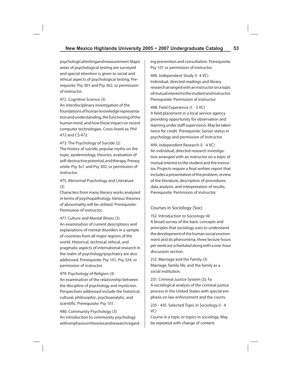psychological testing and measurement. Major areas of psychological testing are surveyed and special attention is given to social and ethical aspects of psychological testing. Prerequisite: Psy 301 and Psy 302, or permission of instructor.

## 472. Cognitive Science (3)

An interdisciplinary investigation of the foundations of human knowledge representation and understanding, the functioning of the human mind, and how these impact on recent computer technologies. Cross-listed as: Phil 472 and CS 472.

473. The Psychology of Suicide (2) The history of suicide, popular myths on the topic, epidemiology, theories, evaluation of self-destructive potential, and therapy. Prerequisite: Psy 3o1 and Psy 302, or permission of instructor.

475. Abnormal Psychology and Literature (3)

Characters from many literary works analyzed in terms of psychopathology. Various theories of abnormality will be utilized. Prerequisite: Permission of instructor.

## 477. Culture and Mental Illness (3)

An examination of current descriptions and explanations of mental disorders in a sample of countries from all major regions of the world. Historical, technical, ethical, and pragmatic aspects of international research in the realm of psychology/psychiatry are also addressed. Prerequisite: Psy 101, Psy 324, or permission of instructor.

479. Psychology of Religion (3) An examination of the relationship between the discipline of psychology and mysticism. Perspectives addressed include the historical,

cultural, philosophic, psychoanalytic, and scientific. Prerequisite: Psy 101. 480. Community Psychology (3)

An introduction to community psychology with emphasis on theories and research regarding prevention and consultation. Prerequisite: Psy 101 or permission of instructor.

490. Independent Study (I -4 VC) Individual, directed readings and library research arranged with an instructor on a topic of mutual interest to the student and instructor. Prerequisite: Permission of instructor.

498. Field Experience (1 - 3 VC) A field placement in a local service agency providing opportunity for observation and learning under staff supervision. May be taken twice for credit. Prerequisite: Senior status in psychology and permission of instructor.

499. Independent Research (I - 4 VC) An individual, directed research investigation arranged with an instructor on a topic of mutual interest to the student and the instructor. Projects require a final written report that includes a presentation of the problem, review of the literature, description of procedures, data analysis, and interpretation of results. Prerequisite: Permission of instructor.

## Courses in Sociology (Soc)

152. Introduction to Sociology (4) A broad survey of the basic concepts and principles that sociology uses to understand the development of the human social environment and its phenomena; three lecture hours per week are scheduled along with a one-hour discussion section.

212. Marriage and the Family (3) Marriage, family life, and the family as a social institution.

231. Criminal Justice System (3); Fa A sociological analysis of the criminal justice process in the United States with special emphasis on law enforcement and the courts.

235 - 435. Selected Topic in Sociology (I - 4 VC)

Course in a topic or topics in sociology. May be repeated with change of content.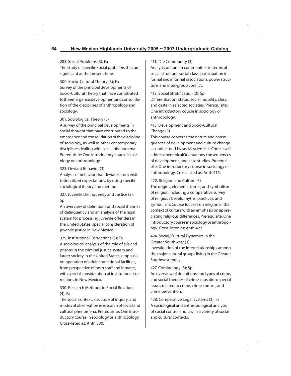## 283. Social Problems (3); Fa

The study of specific social problems that are significant at the present time.

300. Socio-Cultural Theory (3); Fa Survey of the principal developments of Socio-Cultural Theory that have contributed to the emergence, development and consolidation of the disciplines of anthropology and sociology.

## 301. Sociological Theory (3)

A survey of the principal developments in social thought that have contributed to the emergence and consolidation of the discipline of sociology, as well as other contemporary disciplines dealing with social phenomena. Prerequisite: One introductory course in sociology or anthropology.

## 323. Deviant Behavior (3)

Analysis of behavior that deviates from institutionalized expectations, by using specific sociological theory and method.

327. Juvenile Delinquency and Justice (3); Sp

An overview of definitions and social theories of delinquency and an analysis of the legal system for processing juvenile offenders in the United States; special consideration of juvenile justice in New Mexico.

329. Institutional Corrections (3); Fa A sociological analysis of the role of ails and prisons in the criminal justice system and larger society in the United States; emphasis on operation of adult correctional facilities, from perspective of both staff and inmates, with special consideration of institutional corrections in New Mexico.

## 330. Research Methods in Social Relations (4); Fa

The social context, structure of inquiry, and modes of observation in research of social and cultural phenomena. Prerequisite: One introductory course in sociology or anthropology. Cross-listed as: Anth 330.

## 411. The Community (3)

Analysis of human communities in terms of social structure, social class, participation in formal and informal associations, power structure, and inter-group conflict.

412. Social Stratification (3); Sp Differentiation, status, social mobility, class, and caste in selected societies. Prerequisite: One introductory course in sociology or anthropology.

## 415. Development and Socio-Cultural Change (3)

This course concerns the nature and consequences of development and culture change as understood by social scientists. Course will address theoretical Orientations, consequences of development, and case studies. Prerequisite: One introductory course in sociology or anthropology. Cross-listed as: Anth 415.

422. Religion and Culture (3)

The origins, elements, forms, and symbolism of religion including a comparative survey of religious beliefs, myths, practices, and symbolism. Course focuses on religion in the context of culture with an emphasis on appreciating religious differences. Prerequisite: One introductory course in sociology or anthropology. Cross-listed as: Anth 422

## 424. Social/Cultural Dynamics in the Greater Southwest (3)

Investigation of the interrelationships among the major cultural groups living in the Greater Southwest today.

## 427. Criminology (3); Sp

An overview of definitions and types of crime. and social theories of crime causation; special issues related to crime, crime control, and crime prevention.

428. Comparative Legal Systems (3); Fa A sociological and anthropological analysis of social control and law in a variety of social and cultural contexts.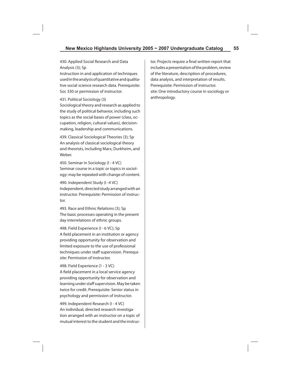430. Applied Social Research and Data Analysis (3); Sp

Instruction in and application of techniques used in the analysis of quantitative and qualitative social science research data. Prerequisite: Soc 330 or permission of instructor.

#### 431. Political Sociology (3)

Sociological theory and research as applied to the study of political behavior, including such topics as the social bases of power (class, occupation, religion, cultural values), decisionmaking, leadership and communications.

439. Classical Sociological Theories (3); Sp An analysis of classical sociological theory and theorists, including Marx, Durkheim, and Weber.

450. Seminar in Sociology (I - 4 VC) Seminar course in a topic or topics in sociology: may be repeated with change of content.

490. Independent Study (I -4 VC) Independent, directed study arranged with an instructor. Prerequisite: Permission of instructor.

493. Race and Ethnic Relations (3); Sp The basic processes operating in the present day interrelations of ethnic groups.

498. Field Experience (I - 6 VC); Sp A field placement in an institution or agency providing opportunity for observation and limited exposure to the use of professional techniques under staff supervision. Prerequisite: Permission of instructor.

498. Field Experience (1 - 3 VC)

A field placement in a local service agency providing opportunity for observation and learning under staff supervision. May be taken twice for credit. Prerequisite: Senior status in psychology and permission of instructor.

499. Independent Research (I - 4 VC) An individual, directed research investigation arranged with an instructor on a topic of mutual interest to the student and the instructor. Projects require a final written report that includes a presentation of the problem, review of the literature, description of procedures, data analysis, and interpretation of results. Prerequisite: Permission of instructor. site: One introductory course in sociology or anthropology.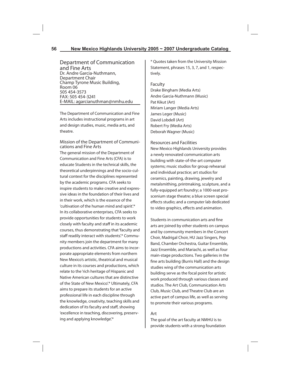Department of Communication and Fine Arts Dr. Andre Garcia-Nuthmann, Department Chair Champ Tyrone Music Building, Room 06 505 454-3573 FAX: 505 454-3241 E-MAIL: agarcianuthman@nmhu.edu

The Department of Communication and Fine Arts includes instructional programs in art and design studies, music, media arts, and theatre.

## Mission of the Department of Communications and Fine Arts

The general mission of the Department of Communication and Fine Arts (CFA) is to educate Students in the technical skills, the theoretical underpinnings and the socio-cultural context for the disciplines represented by the academic programs. CFA seeks to inspire students to make creative and expressive ideas in the foundation of their lives and in their work, which is the essence of the 'cultivation of the human mind and spirit'.\* In its collaborative enterprises, CFA seeks to provide opportunities for students to work closely with faculty and staff in its academic courses, thus demonstrating that 'faculty and staff readily interact with students'.\* Community members join the department for many productions and activities. CFA aims to incorporate appropriate elements from northern New Mexico's artistic, theatrical and musical culture in its courses and productions, which relate to the 'rich heritage of Hispanic and Native American cultures that are distinctive of the State of New Mexico'.\* Ultimately, CFA aims to prepare its students for an active professional life in each discipline through the knowledge, creativity, teaching skills and dedication of its faculty and staff, showing 'excellence in teaching, discovering, preserving and applying knowledge'.\*

\* Quotes taken from the University Mission Statement, phrases 15, 3, 7, and 1, respectively.

## Faculty

Drake Bingham (Media Arts) Andre Garcia-Nuthmann (Music) Pat Kikut (Art) Miriam Langer (Media Arts) James Leger (Music) David Lobdell (Art) Robert Fry (Media Arts) Deborah Wagner (Music)

Resources and Facilities New Mexico Highlands University provides a newly renovated communication arts building with state-of-the-art computer systems; music studios for group rehearsal and individual practice; art studios for ceramics, painting, drawing, jewelry and metalsmithing, printmaking, sculpture, and a fully-equipped art foundry; a 1000-seat proscenium stage theatre; a blue screen special effects studio; and a computer lab dedicated to video graphics, effects and animation.

Students in communication arts and fine arts are joined by other students on campus and by community members in the Concert Choir, Madrigal Choir, HU Jazz Singers, Pep Band, Chamber Orchestra, Guitar Ensemble, Jazz Ensemble, and Mariachi, as well as four main-stage productions. Two galleries in the fine arts building (Burris Hall) and the design studies wing of the communication arts building serve as the focal point for artistic work produced through various classes and studios. The Art Club, Communication Arts Club, Music Club, and Theatre Club are an active part of campus life, as well as serving to promote their various programs.

## Art

The goal of the art faculty at NMHU is to provide students with a strong foundation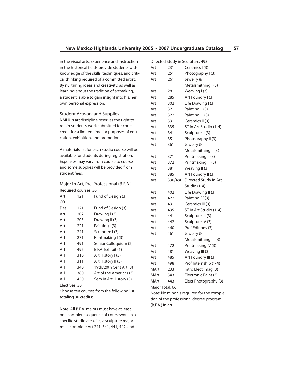in the visual arts. Experience and instruction in the historical fields provide students with knowledge of the skills, techniques, and critical thinking required of a committed artist. By nurturing ideas and creativity, as well as learning about the tradition of artmaking, a student is able to gain insight into his/her own personal expression.

Student Artwork and Supplies NMHU's art discipline reserves the right to retain students' work submitted for course credit for a limited time for purposes of education, exhibition, and promotion.

A materials list for each studio course will be available for students during registration. Expenses may vary from course to course and some supplies will be provided from student fees.

Major in Art, Pre-Professional (B.F.A.) Required courses: 36

| Art | 121 | Fund of Design (3)      |
|-----|-----|-------------------------|
| OR  |     |                         |
| Des | 121 | Fund of Design (3)      |
| Art | 202 | Drawing I (3)           |
| Art | 203 | Drawing II (3)          |
| Art | 221 | Painting I (3)          |
| Art | 241 | Sculpture I (3)         |
| Art | 271 | Printmaking I (3)       |
| Art | 491 | Senior Colloquium (2)   |
| Art | 495 | B.F.A. Exhibit (1)      |
| AΗ  | 310 | Art History I (3)       |
| AΗ  | 311 | Art History II (3)      |
| AΗ  | 340 | 19th/20th Cent Art (3)  |
| AΗ  | 380 | Art of the Americas (3) |
| AΗ  | 450 | Sem in Art History (3)  |
|     |     |                         |

Electives: 30

Choose ten courses from the following list totaling 30 credits:

Note: All B.F.A. majors must have at least one complete sequence of coursework in a specific studio area, i.e., a sculpture major must complete Art 241, 341, 441, 442, and

|                 |         | Directed Study in Sculpture, 493. |
|-----------------|---------|-----------------------------------|
| Art             | 231     | Ceramics I (3)                    |
| Art             | 251     | Photography I (3)                 |
| Art             | 261     | Jewelry &                         |
|                 |         | Metalsmithing I (3)               |
| Art             | 281     | Weaving I (3)                     |
| Art             | 285     | Art Foundry I (3)                 |
| Art             | 302     | Life Drawing I (3)                |
| Art             | 321     | Painting II (3)                   |
| Art             | 322     | Painting III (3)                  |
| Art             | 331     | Ceramics II (3)                   |
| Art             | 335     | ST in Art Studio (1-4)            |
| Art             | 341     | Sculpture II (3)                  |
| Art             | 351     | Photography II (3)                |
| Art             | 361     | Jewelry &                         |
|                 |         | Metalsmithing II (3)              |
| Art             | 371     | Printmaking II (3)                |
| Art             | 372     | Printmaking III (3)               |
| Art             | 381     | Weaving II (3)                    |
| Art             | 385     | Art Foundry II (3)                |
| Art             | 390/490 | Directed Study in Art             |
|                 |         | Studio (1-4)                      |
| Art             | 402     | Life Drawing II (3)               |
| Art             | 422     | Painting IV (3)                   |
| Art             | 431     | Ceramics III (3)                  |
| Art             | 435     | ST in Art Studio (1-4)            |
| Art             | 441     | Sculpture III (3)                 |
| Art             | 442     | Sculpture IV (3)                  |
| Art             | 460     | Prof Editions (3)                 |
| Art             | 461     | Jewelry &                         |
|                 |         | Metalsmithing III (3)             |
| Art             | 472     | Printmaking IV (3)                |
| Art             | 481     | Weaving III (3)                   |
| Art             | 485     | Art Foundry III (3)               |
| Art             | 498     | Prof Internship (1-4)             |
| MArt            | 233     | Intro Elect Imag (3)              |
| MArt            | 343     | Electronic Paint (3)              |
| MArt            | 443     | Elect Photography (3)             |
| Major Total: 66 |         |                                   |

Note: No minor is required for the completion of the professional degree program (B.F.A.) in art.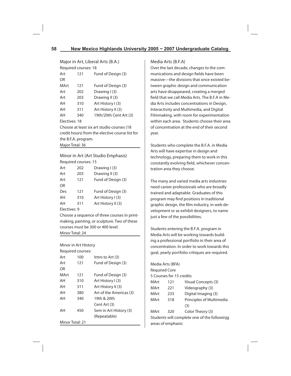Major in Art, Liberal Arts (B.A.) Required courses: 18

| Art             | 121                 | Fund of Design (3)                              |  |
|-----------------|---------------------|-------------------------------------------------|--|
| OR              |                     |                                                 |  |
| MArt            | 121                 | Fund of Design (3)                              |  |
| Art             | 202                 | Drawing I (3)                                   |  |
| Art             | 203                 | Drawing II (3)                                  |  |
| AΗ              | 310                 | Art History I (3)                               |  |
| AΗ              | 311                 | Art History II (3)                              |  |
| AΗ              | 340                 | 19th/20th Cent Art (3)                          |  |
| Electives: 18   |                     |                                                 |  |
|                 |                     | Choose at least six art studio courses (18)     |  |
|                 |                     | credit hours) from the elective course list for |  |
|                 | the B.F.A. program. |                                                 |  |
| Major Total: 36 |                     |                                                 |  |

Minor in Art (Art Studio Emphasis) Required courses: 15

| Art          | 202 | Drawing I(3)       |
|--------------|-----|--------------------|
| Art          | 203 | Drawing II (3)     |
| Art          | 121 | Fund of Design (3) |
| <b>OR</b>    |     |                    |
| Des          | 121 | Fund of Design (3) |
| AΗ           | 310 | Art History I (3)  |
| AH           | 311 | Art History II (3) |
| Electives: 9 |     |                    |

Choose a sequence of three courses in printmaking, painting, or sculpture. Two of these courses must be 300 or 400 level. Minor Total: 24

Minor in Art History

| Required courses: |  |
|-------------------|--|
|-------------------|--|

| Art  | 100             | Intro to Art (3)        |
|------|-----------------|-------------------------|
| Art  | 121             | Fund of Design (3)      |
| OR   |                 |                         |
| MArt | 121             | Fund of Design (3)      |
| AΗ   | 310             | Art History I (3)       |
| AΗ   | 311             | Art History II (3)      |
| AH   | 380             | Art of the Americas (3) |
| AΗ   | 340             | 19th & 20th             |
|      |                 | Cent Art (3)            |
| AH   | 450             | Sem in Art History (3)  |
|      |                 | (Repeatable)            |
|      | Minor Total: 21 |                         |

## Media Arts (B.F.A)

Over the last decade, changes to the communications and design fields have been massive—the divisions that once existed between graphic design and communication arts have disappeared, creating a merged field that we call Media Arts. The B.F.A in Media Arts includes concentrations in Design, Interactivity and Multimedia, and Digital Filmmaking, with room for experimentation within each area. Students choose their area of concentration at the end of their second year.

Students who complete the B.F.A. in Media Arts will have expertise in design and technology, preparing them to work in this constantly evolving field, whichever concentration area they choose.

The many and varied media arts industries need career professionals who are broadly trained and adaptable. Graduates of this program may find positions in traditional graphic design, the film industry, in web development or as exhibit designers, to name just a few of the possibilities.

Students entering the B.F.A. program in Media Arts will be working towards building a professional portfolio in their area of concentration. In order to work towards this goal, yearly portfolio critiques are required.

|                      | Media Arts (BFA)         |                                              |
|----------------------|--------------------------|----------------------------------------------|
| <b>Required Core</b> |                          |                                              |
|                      | 5 Courses for 15 credits |                                              |
| MArt                 | 121                      | Visual Concepts (3)                          |
| MArt                 | 221                      | Videography (3)                              |
| MArt                 | 233                      | Digital Imaging (3)                          |
| MArt                 | 318                      | Principles of Multimedia                     |
|                      |                          | (3)                                          |
| MArt                 | 320                      | Color Theory (3)                             |
|                      |                          | Students will complete one of the followinjg |
|                      | areas of emphasis:       |                                              |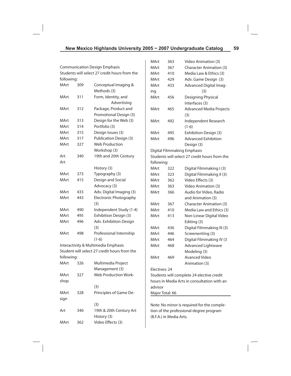|                                               |     |                                              | MArt                                        | 363                     | Video Animation (3)                           |
|-----------------------------------------------|-----|----------------------------------------------|---------------------------------------------|-------------------------|-----------------------------------------------|
| <b>Communication Design Emphasis</b>          |     |                                              | MArt                                        | 367                     | <b>Character Animation (3)</b>                |
| Students will select 27 credit hours from the |     |                                              | MArt                                        | 410                     | Media Law & Ethics (3)                        |
| following:                                    |     |                                              | MArt                                        | 429                     | Adv. Game Design (3)                          |
| MArt                                          | 309 | Conceptual Imaging &                         | MArt                                        | 433                     | Advanced Digital Imag-                        |
|                                               |     | Methods (3)                                  | ing                                         |                         | (3)                                           |
| MArt                                          | 311 | Form, Identity, and                          | MArt                                        | 456                     | Designing Physical                            |
|                                               |     | Advertising                                  |                                             |                         | Interfaces (3)                                |
| MArt                                          | 312 | Package, Product and                         | MArt                                        | 465                     | <b>Advanced Media Projects</b>                |
|                                               |     | Promotional Design (3)                       |                                             |                         | (3)                                           |
| MArt                                          | 313 | Design for the Web (3)                       | MArt                                        | 492                     | Independent Research                          |
| MArt                                          | 314 | Portfolio (3)                                |                                             |                         | $(1-6)$                                       |
| MArt                                          | 315 | Design Issues (3)                            | MArt                                        | 495                     | Exhibition Design (3)                         |
| MArt                                          | 317 | <b>Publication Design (3)</b>                | MArt                                        | 496                     | <b>Advanced Exhibition</b>                    |
| MArt                                          | 327 | <b>Web Production</b>                        |                                             |                         | Design (3)                                    |
|                                               |     | Workshop (3)                                 |                                             |                         | Digital Filmmaking Emphasis                   |
| Art                                           | 340 | 19th and 20th Century                        |                                             |                         | Students will select 27 credit hours from the |
| Art                                           |     |                                              | following:                                  |                         |                                               |
|                                               |     | History (3)                                  | MArt                                        | 322                     | Digital Filmmaking I (3)                      |
| MArt                                          | 373 | Typography (3)                               | MArt                                        | 323                     | Digital Filmmaking II (3)                     |
| MArt                                          | 415 | Design and Social                            | MArt                                        | 362                     | Video Effects (3)                             |
|                                               |     | Advocacy (3)                                 | MArt                                        | 363                     | Video Animation (3)                           |
| MArt                                          | 433 | Adv. Digital Imaging (3)                     | MArt                                        | 366                     | Audio for Video, Radio                        |
| MArt                                          | 443 | <b>Electronic Photography</b>                |                                             |                         | and Animation (3)                             |
|                                               |     | (3)                                          | MArt                                        | 367                     | <b>Character Animation (3)</b>                |
| MArt                                          | 490 | Independent Study (1-4)                      | MArt                                        | 410                     | Media Law and Ethics (3)                      |
| MArt                                          | 495 | Exhibition Design (3)                        | MArt                                        | 413                     | Non-Linear Digital Video                      |
| MArt                                          | 496 | Adv. Exhibition Design                       |                                             |                         | Editing (3)                                   |
|                                               |     | (3)                                          | MArt                                        | 436                     | Digital Filmmaking III (3)                    |
| MArt                                          | 498 | Professional Internship                      | MArt                                        | 446                     | Screenwriting (3)                             |
|                                               |     | $(1-6)$                                      | MArt                                        | 464                     | Digital Filmmaking IV (3                      |
|                                               |     | Interactivity & Multimedia Emphasis          | MArt                                        | 468                     | <b>Advanced Lightwave</b>                     |
|                                               |     | Student will select 27 credit hours from the |                                             |                         | Modeling (3)                                  |
| following:                                    |     |                                              | MArt                                        | 469                     | Avanced Video                                 |
| MArt                                          | 326 | Multimedia Project                           |                                             |                         | Animation (3)                                 |
|                                               |     | Management (3)                               | Electives: 24                               |                         |                                               |
| MArt                                          | 327 | Web Production Work-                         | Students will complete 24 elective credit   |                         |                                               |
| shop                                          |     |                                              | hours in Media Arts in consultation with an |                         |                                               |
|                                               |     | (3)                                          | advisor                                     |                         |                                               |
| MArt                                          | 328 | Principles of Game De-                       |                                             | Major Total: 66         |                                               |
| sign                                          |     |                                              |                                             |                         |                                               |
|                                               |     | (3)                                          |                                             |                         | Note: No minor is required for the comple-    |
| Art                                           | 340 | 19th & 20th Century Art                      |                                             |                         | tion of the professional degree program       |
|                                               |     | History (3)                                  |                                             | (B.F.A.) in Media Arts. |                                               |
| MArt                                          | 362 | Video Effects (3)                            |                                             |                         |                                               |
|                                               |     |                                              |                                             |                         |                                               |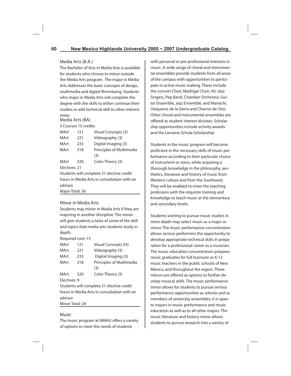## Media Arts (B.A.)

The Bachelor of Arts in Media Arts is available for students who choose to minor outside the Media Arts program. The major in Media Arts Addresses the basic concepts of design, multimedia and digital flimmkaing. Students who major in Media Arts will complete the degree with the skills to either continue their studies or add technical skill to other interest areas.

## Media Arts (BA)

## 5 Courses 15 credits

| MArt                                      | 121 | Visual Concepts (3)      |  |
|-------------------------------------------|-----|--------------------------|--|
| MArt                                      | 221 | Videography (3)          |  |
| MArt                                      | 233 | Digital Imaging (3)      |  |
| MArt                                      | 318 | Principles of Multimedia |  |
|                                           |     | (3)                      |  |
| MArt                                      | 320 | Color Theory (3)         |  |
| Electives: 21                             |     |                          |  |
| Students will complete 21 elective credit |     |                          |  |
|                                           |     |                          |  |

hours in Media Arts in consultation with an advisor.

Major Total: 36

## Minor in Media Arts

Students may minor in Media Arts if they are majoring in another discipline. The minor will give students a taste of some of the skill and topics that media arts students study in depth.

Required core: 15

| MArt         | 121 | <b>Visual Concepts 93)</b> |
|--------------|-----|----------------------------|
| MArt         | 221 | Videography (3)            |
| MArt         | 233 | Digital Imaging (3)        |
| MArt         | 318 | Principles of Multimedia   |
|              |     | (3)                        |
| MArt         | 320 | Color Theory (3)           |
| Electives: 9 |     |                            |

Students will complete 21 elective credit hours in Media Arts in consultation with an advisor.

Minor Total: 24

## Music

The music program at NMHU offers a variety of options to meet the needs of students

with personal or pre-professional interests in music. A wide range of choral and instrumental ensembles provide students from all areas of the campus with opportunities to participate in active music making. These include the concert Choir, Madrigal Choir, HU Jazz Singers, Pep Band, Chamber Orchestra, Guitar Ensemble, Jazz Ensemble, and Mariachi, (Vaqueros de la Sierra and Charros de Oro). Other choral and instrumental ensembles are offered as student interest dictates. Scholarship opportunities include activity awards and the Lorraine Schula Scholarship.

Students in the music program will become proficient in the necessary skills of music performance according to their particular choice of instrument or voice, while acquiring a thorough knowledge in the philosophy, aesthetics, literature and history of music from Western culture and from the Southwest. They will be enabled to enter the teaching profession with the requisite training and knowledge to teach music at the elementary and secondary levels.

Students wishing to pursue music studies in more depth may select music as a major or minor. The music performance concentration allows serious performers the opportunity to develop appropriate technical skills in preparation for a professional career as a musician. The music education concentration prepares music graduates for full licensure as K-12 music teachers in the public schools of New Mexico, and throughout the region. Three minors are offered as options to further develop musical skills. The music performance minor allows for students to pursue serious performance opportunities as soloists and as members of university ensembles; it is open to majors in music performance and music education as well as to all other majors. The music literature and history minor allows students to pursue research into a variety of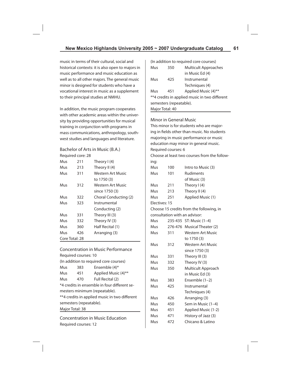music in terms of their cultural, social and historical contexts: it is also open to majors in music performance and music education as well as to all other majors. The general music minor is designed for students who have a vocational interest in music as a supplement to their principal studies at NMHU.

In addition, the music program cooperates with other academic areas within the university by providing opportunities for musical training in conjunction with programs in mass communications, anthropology, southwest studies and languages and literature.

Bachelor of Arts in Music (B.A.) Required core: 28

| Mus | 211            | Theory $I(4)$            |  |
|-----|----------------|--------------------------|--|
| Mus | 213            | Theory II (4)            |  |
| Mus | 311            | Western Art Music        |  |
|     |                | to 1750 (3)              |  |
| Mus | 312            | <b>Western Art Music</b> |  |
|     |                | since 1750 (3)           |  |
| Mus | 322            | Choral Conducting (2)    |  |
| Mus | 323            | Instrumental             |  |
|     |                | Conducting (2)           |  |
| Mus | 331            | Theory III (3)           |  |
| Mus | 332            | Theory IV (3)            |  |
| Mus | 360            | Half Recital (1)         |  |
| Mus | 426            | Arranging (3)            |  |
|     | Core Total: 28 |                          |  |

# Concentration in Music Performance Required courses: 10 (In addition to required core courses) Mus 383 Ensemble (4)\* Mus 451 Applied Music (4)\*\* Mus 470 Full Recital (2) \*4 credits in ensemble in four different semesters minimum (repeatable). \*\*4 credits in applied music in two different semesters (repeatable). Major Total: 38

Concentration in Music Education Required courses: 12

|                 |                               | (In addition to required core courses)        |
|-----------------|-------------------------------|-----------------------------------------------|
| Mus             | 350                           | <b>Multicult Approaches</b>                   |
|                 |                               | in Music Ed (4)                               |
| Mus             | 425                           | Instrumental                                  |
|                 |                               | Techniques (4)                                |
| Mus             | 451                           | Applied Music (4)**                           |
|                 |                               | **4 credits in applied music in two different |
|                 | semesters (repeatable).       |                                               |
| Major Total: 40 |                               |                                               |
|                 | Minor in General Music        |                                               |
|                 |                               | This minor is for students who are major-     |
|                 |                               | ing in fields other than music. No students   |
|                 |                               | majoring in music performance or music        |
|                 |                               | education may minor in general music.         |
|                 | Required courses: 6           |                                               |
|                 |                               | Choose at least two courses from the follow-  |
| ing:            |                               |                                               |
| Mus             | 100                           | Intro to Music (3)                            |
| Mus             | 101                           | <b>Rudiments</b>                              |
|                 |                               | of Music (3)                                  |
| Mus             | 211                           | Theory I (4)                                  |
| Mus             | 213                           | Theory II (4)                                 |
| Mus             | 251                           | Applied Music (1)                             |
| Electives: 15   |                               |                                               |
|                 |                               | Choose 15 credits from the following, in      |
|                 | consultation with an advisor: |                                               |
| Mus             |                               | 235-435 ST: Music (1-4)                       |
| Mus             |                               | 276-476 Musical Theater (2)                   |
| Mus             | 311                           | <b>Western Art Music</b>                      |
|                 |                               | to 1750 (3)                                   |
| Mus             | 312                           | <b>Western Art Music</b>                      |
|                 |                               | since 1750 (3)                                |
| Mus             | 331                           | Theory III (3)                                |
| Mus             | 332                           | Theory IV (3)                                 |
| Mus             | 350                           | Multicult Approach                            |
|                 |                               | in Music Ed (3)                               |
| Mus             | 383                           | Ensemble $(1-2)$                              |
| Mus             | 425                           | Instrumental                                  |
|                 |                               | Techniques (4)                                |
| Mus             | 426                           | Arranging (3)                                 |
| Mus             | 450                           | Sem in Music (1-4)                            |
| Mus             | 451                           | Applied Music (1-2)                           |
| Mus             | 471                           | History of Jazz (3)                           |

Mus 472 Chicano & Latino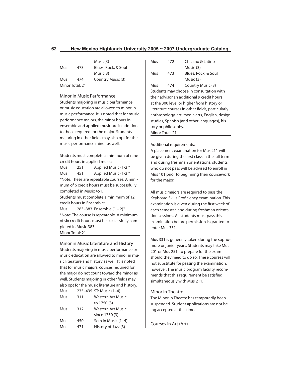|     |                 | Music(3)            |
|-----|-----------------|---------------------|
| Mus | 473             | Blues, Rock, & Soul |
|     |                 | Music(3)            |
| Mus | 474             | Country Music (3)   |
|     | Minor Total: 21 |                     |

## Minor in Music Performance

Students majoring in music performance or music education are allowed to minor in music performance. It is noted that for music performance majors, the minor hours in ensemble and applied music are in addition to those required for the major. Students majoring in other fields may also opt for the music performance minor as well.

Students must complete a minimum of nine credit hours in applied music:

Mus 251 Applied Music (1-2)\* Mus 451 Applied Music (1-2)\* \*Note: These are repeatable courses. A minimum of 6 credit hours must be successfully completed in Music 451.

Students must complete a minimum of 12 credit hours in Ensemble:

Mus 283–383 Ensemble (1 – 2)\* \*Note: The course is repeatable. A minimum of six credit hours must be successfully completed in Music 383. Minor Total: 21

Minor in Music Literature and History Students majoring in music performance or music education are allowed to minor in music literature and history as well. It is noted that for music majors, courses required for the major do not count toward the minor as well. Students majoring in other fields may also opt for the music literature and history.  $M_{\text{max}}$  235–435  $CT: M_{\text{max}}$  (1–4)

| ivius |     | Z33–433 31. MUSIC (1–4) |
|-------|-----|-------------------------|
| Mus   | 311 | Western Art Music       |
|       |     | to 1750 (3)             |
| Mus   | 312 | Western Art Music       |
|       |     | since 1750 (3)          |
| Mus   | 450 | Sem in Music (1-4)      |
| Mus   | 471 | History of Jazz (3)     |
|       |     |                         |

| Mus                                              | 472 | Chicano & Latino                         |  |
|--------------------------------------------------|-----|------------------------------------------|--|
|                                                  |     | Music (3)                                |  |
| Mus                                              | 473 | Blues, Rock, & Soul                      |  |
|                                                  |     | Music (3)                                |  |
| Mus                                              | 474 | Country Music (3)                        |  |
|                                                  |     | Students may choose in consultation with |  |
| their advisor an additional 9 credit hours       |     |                                          |  |
| at the 300 level or higher from history or       |     |                                          |  |
| literature courses in other fields, particularly |     |                                          |  |
| anthropology, art, media arts, English, design   |     |                                          |  |
| studies, Spanish (and other languages), his-     |     |                                          |  |
| tory or philosophy.                              |     |                                          |  |
| Minor Total: 21                                  |     |                                          |  |

Additional requirements:

A placement examination for Mus 211 will be given during the first class in the fall term and during freshman orientations; students who do not pass will be advised to enroll in Mus 101 prior to beginning their coursework for the major.

All music majors are required to pass the Keyboard Skills Proficiency examination. This examination is given during the first week of each semester, and during freshman orientation sessions. All students must pass this examination before permission is granted to enter Mus 331.

Mus 331 is generally taken during the sophomore or junior years. Students may take Mus 201 or Mus 251, to prepare for the exam should they need to do so. These courses will not substitute for passing the examination, however. The music program faculty recommends that this requirement be satisfied simultaneously with Mus 211.

## Minor in Theatre

The Minor in Theatre has temporarily been suspended. Student applications are not being accepted at this time.

Courses in Art (Art)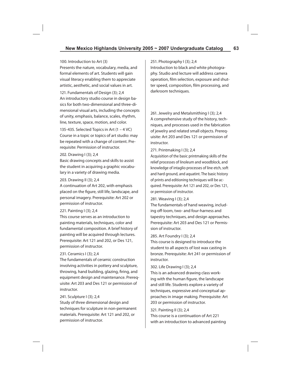#### 100. Introduction to Art (3)

Presents the nature, vocabulary, media, and formal elements of art. Students will gain visual literacy enabling them to appreciate artistic, aesthetic, and social values in art.

121. Fundamentals of Design (3); 2,4 An introductory studio course in design basics for both two-dimensional and three-dimensional visual arts, including the concepts of unity, emphasis, balance, scales, rhythm, line, texture, space, motion, and color.

135-435. Selected Topics in Art  $(1 - 4 \text{ VC})$ Course in a topic or topics of art studio: may be repeated with a change of content. Prerequisite: Permission of instructor.

#### 202. Drawing I (3); 2,4

Basic drawing concepts and skills to assist the student in acquiring a graphic vocabulary in a variety of drawing media.

#### 203. Drawing II (3); 2,4

A continuation of Art 202, with emphasis placed on the figure, still life, landscape, and personal imagery. Prerequisite: Art 202 or permission of instructor.

## 221. Painting I (3); 2,4

This course serves as an introduction to painting materials, techniques, color and fundamental composition. A brief history of painting will be acquired through lectures. Prerequisite: Art 121 and 202, or Des 121, permission of instructor.

## 231. Ceramics I (3); 2,4

The fundamentals of ceramic construction involving activities in pottery and sculpture, throwing, hand building, glazing, firing, and equipment design and maintenance. Prerequisite: Art 203 and Des 121 or permission of instructor.

## 241. Sculpture I (3); 2,4

Study of three dimensional design and techniques for sculpture in non-permanent materials. Prerequisite: Art 121 and 202, or permission of instructor.

#### 251. Photography I (3); 2,4

Introduction to black and white photography. Studio and lecture will address camera operation, film selection, exposure and shutter speed, composition, film processing, and darkroom techniques.

261. Jewelry and Metalsmithing I (3); 2,4 A comprehensive study of the history, techniques, and processes used in the fabrication of jewelry and related small objects. Prerequisite: Art 203 and Des 121 or permission of instructor.

#### 271. Printmaking I (3); 2,4

Acquisition of the basic printmaking skills of the relief processes of linoleum and woodblock, and knowledge of intaglio processes of line etch, soft and hard ground, and aquatint. The basic history of prints and editioning techniques will be acquired. Prerequisite: Art 121 and 202, or Des 121, or permission of instructor.

## 281. Weaving I (3); 2,4

The fundamentals of hand weaving, including off-loom, two- and four-harness and tapestry techniques, and design approaches. Prerequisite: Art 203 and Des 121 or Permission of instructor.

#### 285. Art Foundry I (3); 2,4

This course is designed to introduce the student to all aspects of lost wax casting in bronze. Prerequisite: Art 241 or permission of instructor.

#### 302. Life Drawing I (3); 2,4

This is an advanced drawing class working with the human figure, the landscape and still life. Students explore a variety of techniques, expressive and conceptual approaches in image making. Prerequisite: Art 203 or permission of instructor.

#### 321. Painting II (3); 2,4

This course is a continuation of Art 221 with an introduction to advanced painting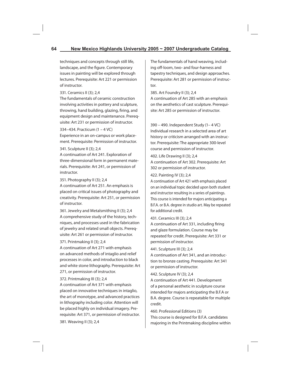techniques and concepts through still life, landscape, and the figure. Contemporary issues in painting will be explored through lectures. Prerequisite: Art 221 or permission of instructor.

## 331. Ceramics II (3); 2,4

The fundamentals of ceramic construction involving activities in pottery and sculpture, throwing, hand building, glazing, firing, and equipment design and maintenance. Prerequisite: Art 231 or permission of instructor.

334–434. Practicum (1 – 4 VC)

Experience in an on-campus or work placement. Prerequisite: Permission of instructor.

## 341. Sculpture II (3); 2,4

A continuation of Art 241. Exploration of three-dimensional form in permanent materials. Prerequisite: Art 241, or permission of instructor.

## 351. Photography II (3); 2,4

A continuation of Art 251. An emphasis is placed on critical issues of photography and creativity. Prerequisite: Art 251, or permission of instructor.

361. Jewelry and Metalsmithing II (3); 2,4 A comprehensive study of the history, techniques, and processes used in the fabrication of jewelry and related small objects. Prerequisite: Art 261 or permission of instructor.

## 371. Printmaking II (3); 2,4

A continuation of Art 271 with emphasis on advanced methods of intaglio and relief processes in color, and introduction to black and white stone lithography. Prerequisite: Art 271, or permission of instructor.

## 372. Printmaking III (3); 2,4

A continuation of Art 371 with emphasis placed on innovative techniques in intaglio, the art of monotype, and advanced practices in lithography including color. Attention will be placed highly on individual imagery. Prerequisite: Art 371, or permission of instructor. 381. Weaving II (3); 2,4

The fundamentals of hand weaving, including off-loom, two- and four-harness and tapestry techniques, and design approaches. Prerequisite: Art 281 or permission of instructor.

385. Art Foundry II (3); 2,4

A continuation of Art 285 with an emphasis on the aesthetics of cast sculpture. Prerequisite: Art 285 or permission of instructor.

390 – 490. Independent Study (1– 4 VC) Individual research in a selected area of art history or criticism arranged with an instructor. Prerequisite: The appropriate 300-level course and permission of instructor.

402. Life Drawing II (3); 2,4 A continuation of Art 302. Prerequisite: Art 302 or permission of instructor.

## 422. Painting IV (3); 2,4

A continuation of Art 421 with emphasis placed on an individual topic decided upon both student and instructor resulting in a series of paintings. This course is intended for majors anticipating a B.F.A. or B.A. degree in studio art. May be repeated for additional credit.

## 431. Ceramics III (3); 2,4

A continuation of Art 331, including firing and glaze formulation. Course may be repeated for credit. Prerequisite: Art 331 or permission of instructor.

## 441. Sculpture III (3); 2,4

A continuation of Art 341, and an introduction to bronze casting. Prerequisite: Art 341 or permission of instructor.

## 442. Sculpture IV (3); 2,4

A continuation of Art 441. Development of a personal aesthetic in sculpture course intended for majors anticipating the B.F.A or B.A. degree. Course is repeatable for multiple credit.

460. Professional Editions (3) This course is designed for B.F.A. candidates majoring in the Printmaking discipline within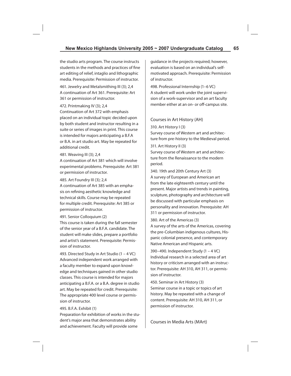the studio arts program. The course instructs students in the methods and practices of fine art editing of relief, intaglio and lithographic media. Prerequisite: Permission of instructor.

461. Jewelry and Metalsmithing III (3); 2,4 A continuation of Art 361. Prerequisite: Art 361 or permission of instructor.

#### 472. Printmaking IV (3); 2,4

Continuation of Art 372 with emphasis placed on an individual topic decided upon by both student and instructor resulting in a suite or series of images in print. This course is intended for majors anticipating a B.F.A or B.A. in art studio art. May be repeated for additional credit.

#### 481. Weaving III (3); 2,4

A continuation of Art 381 which will involve experimental problems. Prerequisite: Art 381 or permission of instructor.

## 485. Art Foundry III (3); 2,4

A continuation of Art 385 with an emphasis on refining aesthetic knowledge and technical skills. Course may be repeated for multiple credit. Prerequisite: Art 385 or permission of instructor.

## 491. Senior Colloquium (2)

This course is taken during the fall semester of the senior year of a B.F.A. candidate. The student will make slides, prepare a portfolio and artist's statement. Prerequisite: Permission of instructor.

493. Directed Study in Art Studio (1 – 4 VC) Advanced independent work arranged with a faculty member to expand upon knowledge and techniques gained in other studio classes. This course is intended for majors anticipating a B.F.A. or a B.A. degree in studio art. May be repeated for credit. Prerequisite: The appropriate 400 level course or permission of instructor.

## 495. B.F.A. Exhibit (1)

Preparation for exhibition of works in the student's major area that demonstrates ability and achievement. Faculty will provide some

guidance in the projects required; however, evaluation is based on an individual's selfmotivated approach. Prerequisite: Permission of instructor.

498. Professional Internship (1–6 VC) A student will work under the joint supervision of a work-supervisor and an art faculty member either at an on- or off-campus site.

## Courses in Art History (AH)

310. Art History I (3)

Survey course of Western art and architecture from pre-history to the Medieval period.

311. Art History II (3)

Survey course of Western art and architecture from the Renaissance to the modern period.

340. 19th and 20th Century Art (3) A survey of European and American art from the late eighteenth century until the present. Major artists and trends in painting, sculpture, photography and architecture will be discussed with particular emphasis on personality and innovation. Prerequisite: AH 311 or permission of instructor.

380. Art of the Americas (3)

A survey of the arts of the Americas, covering the pre-Columbian indigenous cultures, Hispanic colonial presence, and contemporary Native American and Hispanic arts.

390–490. Independent Study (1 – 4 VC) Individual research in a selected area of art history or criticism arranged with an instructor. Prerequisite: AH 310, AH 311, or permission of instructor.

450. Seminar in Art History (3) Seminar course in a topic or topics of art history. May be repeated with a change of content. Prerequisite: AH 310, AH 311, or permission of instructor.

Courses in Media Arts (MArt)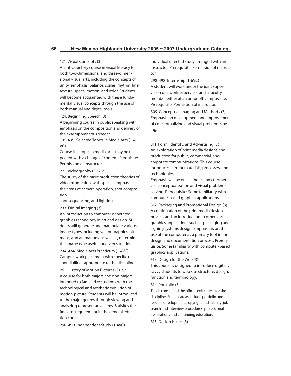## 121. Visual Concepts (3)

An introductory course in visual literacy for both two-dimensional and three-dimensional visual arts, including the concepts of unity, emphasis, balance, scales, rhythm, line texture, space, motion, and color. Students will become acquainted with these fundamental visual concepts through the use of both manual and digital tools.

## 124. Beginning Speech (3)

A beginning course in public speaking with emphasis on the composition and delivery of the extemporaneous speech.

135-435. Selected Topics in Media Arts (1-4 VC)

Course in a topic in media arts: may be repeated with a change of content. Perquisite: Permission of instructor.

#### 221. Videography (3); 2,2

The study of the basic production theories of video production, with special emphasis in the areas of camera operation, shot composition,

shot sequencing, and lighting.

233. Digital Imaging (3)

An introduction to computer generated graphics technology in art and design. Students will generate and manipulate various image types including vector graphics, bitmaps, and animations, as well as, determine the image type useful for given situations.

234-434. Media Arts Practicum (1-4VC) Campus work placement with specific responsibilities appropriate to the discipline.

261. History of Motion Pictures (3) 2,2 A course for both majors and non-majors intended to familiarize students with the technological and aesthetic evolution of motion picture. Students will be introduced to the major genres through viewing and analyzing representative films. Satisfies the fine arts requirement in the general education core.

Individual directed study arranged with an instructor. Prerequisite: Permission of instructor.

298-498. Internship (1-6VC)

A student will work under the joint supervision of a work-supervisor and a faculty member either at an on-or off-campus site. Prerequisite: Permission of instructor.

309. Conceptual Imaging and Methods (3) Emphasis on development and improvement of conceptualizing and visual problem-sloving.

311. Form, Identity, and Advertising (3) An exploration of print media designs and production for public, commercial, and corporate communications. This course introduces current materials, processes, and technologies.

Emphasis will be on aesthetic and commercial conceptualization and visual problemsolving. Prerequisite: Some familiarity with computer-based graphics applications.

312. Packaging and Promotional Design (3) A continuation of the print media design process and an introduction to other surface graphics applications such as packaging and signing systems design. Emphasis is on the use of the computer as a primary tool in the design and documentation process. Prerequisite: Some familiarity with computer-based graphics applications.

**3**13. Design for the Web (3)

This course is designed to introduce digitally savvy students to web site structure, design, function and terminology.

## 314. Portfolio (3)

This is considered the official exit course for the discipline. Subject areas include portfolio and resume development, copyright and liability, job search and interview procedures, professional associations and continuing education.

315. Design Issues (3)

290-490. Independent Study (1-4VC)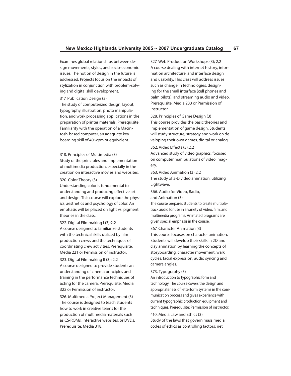Examines global relationships between design movements, styles, and socio-economic issues. The notion of design in the future is addressed. Projects focus on the impacts of stylization in conjunction with problem-solving and digital skill development.

#### 317. Publication Design (3)

The study of computerized design, layout, typography, illustration, photo manipulation, and work processing applications in the preparation of printer materials. Prerequisite: Familiarity with the operation of a Macintosh-based computer, an adequate keyboarding skill of 40 wpm or equivalent.

#### 318. Principles of Multimedia (3)

Study of the principles and implementation of multimedia production, especially in the creation on interactive movies and websites.

## 320. Color Theory (3)

Understanding color is fundamental to understanding and producing effective art and design. This course will explore the physics, aesthetics and psychology of color. An emphasis will be placed on light vs. pigment theories in the class.

322. Digital Filmmaking I (3);2,2 A course designed to familiarize students with the technical skills utilized by film production crews and the techniques of coordinating crew activities. Prerequisite: Media 221 or Permission of instructor.

323. Digital Filmmaking II (3); 2,2 A course designed to provide students an understanding of cinema principles and training in the performance techniques of acting for the camera. Prerequisite: Media 322 or Permission of instructor.

326. Multimedia Project Management (3) The course is designed to teach students how to work in creative teams for the production of multimedia materials such as CS-ROMs, interactive websites, or DVDs. Prerequisite: Media 318.

327. Web Production Workshops (3); 2,2 A course dealing with internet history, information architecture, and interface design and usability. This class will address issues such as change in technologies, designing for the small interface (cell phones and palm pilots), and streaming audio and video. Prerequisite: Media 233 or Permission of instructor.

## 328. Principles of Game Design (3) This course provides the basic theories and implementation of game design. Students will study structure, strategy and work on developing their own games, digital or analog.

## 362. Video Effects (3);2,2

Advanced study of video graphics, focused on computer manipulations of video imagery.

363. Video Animation (3);2,2 The study of 3-D video animation, utilizing Lightwave.

366. Audio for Video, Radio, and Animation (3)

The course prepares students to create multipletrack audio for use in a variety of video, film, and multimedia programs. Animated programs are given special emphasis in the course.

#### 367. Character Animation (3)

This course focuses on character animation. Students will develop their skills in 2D and clay animation by learning the concepts of storyboarding, character movement, walk cycles, facial expression, audio syncing and camera angles.

#### 373. Typography (3)

An introduction to typographic form and technology. The course covers the design and appropriateness of letterform systems in the communication process and gives experience with current typographic production equipment and techniques. Prerequisite: Permission of instructor.

410. Media Law and Ethics (3) Study of the laws that govern mass media; codes of ethics as controlling factors; net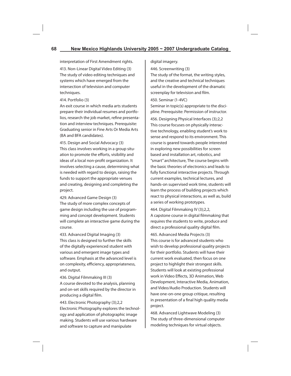interpretation of First Amendment rights.

413. Non-Linear Digital Video Editing (3) The study of video editing techniques and systems which have emerged from the intersection of television and computer techniques.

#### 414. Portfolio (3)

An exit course in which media arts students prepare their individual resumes and portfolios, research the job market, refine presentation and interview techniques. Prerequisite: Graduating senior in Fine Arts Or Media Arts (BA and BFA candidates).

415. Design and Social Advocacy (3) This class involves working in a group situation to promote the efforts, visibility and ideas of a local non-profit organization. It involves selecting a cause, determining what is needed with regard to design, raising the funds to support the appropriate venues and creating, designing and completing the project.

429. Advanced Game Design (3) The study of more complex concepts of game design including the use of programming and concept development. Students will complete an interactive game during the course.

433. Advanced Digital Imaging (3) This class is designed to further the skills of the digitally experienced student with various and emergent image types and software. Emphasis at the advanced level is on complexity, efficiency, appropriateness, and output.

436. Digital Filmmaking III (3)

A course devoted to the analysis, planning and on-set skills required by the director in producing a digital film.

443. Electronic Photography (3);2,2 Electronic Photography explores the technology and application of photographic image making. Students will use various hardware and software to capture and manipulate

digital imagery.

446. Screenwriting (3)

The study of the format, the writing styles, and the creative and technical techniques useful in the development of the dramatic screenplay for television and film.

#### 450. Seminar (1-4VC)

Seminar in topic(s) appropriate to the discipline. Prerequisite: Permission of instructor. 456. Designing Physical Interfaces (3);2,2 This course focuses on physically interactive technology, enabling student's work to sense and respond to its environment. This course is geared towards people interested in exploring new possibilities for screen based and installation art, robotics, and "smart" architecture, The course begins with the basic theories of electronics and leads to fully functional interactive projects. Through current examples, technical lectures, and hands-on supervised work time, students will learn the process of building projects which react to physical interactions, as well as, build a series of working prototypes.

464. Digital Filmmaking IV (3);2,2, A capstone course in digital filmmaking that requires the students to write, produce and direct a professional quality digital film.

465. Advanced Media Projects (3) This course is for advanced students who wish to develop professional quality projects for their portfolio. Students will have their current work evaluated, then focus on one project to highlight their strongest skills. Students will look at existing professional work in Video Effects, 3D Animation, Web Development, Interactive Media, Animation, and Video/Audio Production. Students will have one-on-one group critique, resulting in presentation of a final high quality media project.

468. Advanced Lightwave Modeling (3) The study of three-dimensional computer modeling techniques for virtual objects.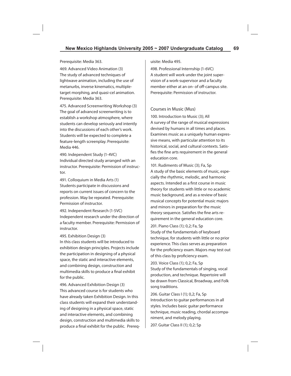#### Prerequisite: Media 363.

469. Advanced Video Animation (3) The study of advanced techniques of lightwave animation, including the use of metanurbs, inverse kinematics, multipletarget morphing, and quasi-cel animation. Prerequisite: Media 363.

475. Advanced Screenwriting Workshop (3) The goal of advanced screenwriting is to establish a workshop atmosphere, where students can develop seriously and intently into the discussions of each other's work. Students will be expected to complete a feature-length screenplay. Prerequisite: Media 446.

490. Independent Study (1-4VC) Individual directed study arranged with an instructor. Prerequisite: Permission of instructor.

491. Colloquium in Media Arts (1) Students participate in discussions and reports on current issues of concern to the profession. May be repeated. Prerequisite: Permission of instructor.

492. Independent Research (1-5VC) Independent research under the direction of a faculty member. Prerequisite: Permission of instructor.

#### 495. Exhibition Design (3)

In this class students will be introduced to exhibition design principles. Projects include the participation in designing of a physical space, the static and interactive elements, and combining design, construction and multimedia skills to produce a final exhibit for the public.

496. Advanced Exhibition Design (3) This advanced course is for students who have already taken Exhibition Design. In this class students will expand their understanding of designing in a physical space, static and interactive elements, and combining design, construction and multimedia skills to produce a final exhibit for the public. Prerequisite: Media 495.

498. Professional Internship (1-6VC) A student will work under the joint supervision of a work-supervisor and a faculty member either at an on- of off-campus site. Prerequisite: Permission of instructor.

## Courses in Music (Mus)

100. Introduction to Music (3); All A survey of the range of musical expressions devised by humans in all times and places. Examines music as a uniquely human expressive means, with particular attention to its historical, social, and cultural contexts. Satisfies the fine arts requirement in the general education core.

101. Rudiments of Music (3); Fa, Sp A study of the basic elements of music, especially the rhythmic, melodic, and harmonic aspects. Intended as a first course in music theory for students with little or no academic music background, and as a review of basic musical concepts for potential music majors and minors in preparation for the music theory sequence. Satisfies the fine arts requirement in the general education core.

201. Piano Class (1); 0,2; Fa, Sp Study of the fundamentals of keyboard technique, for students with little or no prior experience. This class serves as preparation for the proficiency exam. Majors may test out of this class by proficiency exam.

203. Voice Class (1); 0,2; Fa, Sp Study of the fundamentals of singing, vocal production, and technique. Repertoire will be drawn from Classical, Broadway, and Folk song traditions.

206. Guitar Class I (1); 0,2; Fa, Sp Introduction to guitar performances in all styles. Includes basic guitar performance technique, music reading, chordal accompaniment, and melody playing.

207. Guitar Class II (1); 0,2; Sp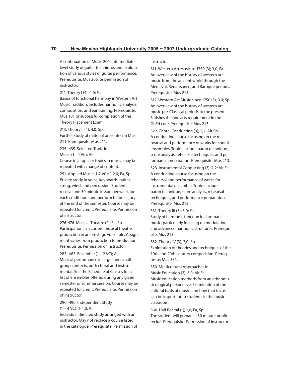A continuation of Music 206. Intermediatelevel study of guitar technique, and exploration of various styles of guitar performance. Prerequisite: Mus 206, or permission of instructor.

211. Theory I (4); 4,0; Fa

Basics of functional harmony in Western Art Music Tradition. Includes harmonic analysis, composition, and ear training. Prerequisite: Mus 101 or successful completion of the Theory Placement Exam.

213. Theory II (4); 4,0; Sp Further study of material presented in Mus 211. Prerequisite: Mus 211.

235–435. Selected Topic in Music (1 –4 VC); All

Course in a topic or topics in music: may be repeated with change of content.

251. Applied Music (1-2 VC); 1-2,0; Fa, Sp Private study in voice, keyboards, guitar, string, wind, and percussion. Students receive one 30 minute lesson per week for each credit hour and perform before a jury at the end of the semester. Course may be repeated for credit. Prerequisite: Permission of instructor.

276-476. Musical Theatre (2); Fa, Sp Participation in a current musical theatre production in an on-stage voice role. Assignment varies from production to production. Prerequisite: Permission of instructor.

283–483. Ensemble (1 – 2 VC); All Musical performance in large- and smallgroup contexts, both choral and instrumental. See the Schedule of Classes for a list of ensembles offered during any given semester or summer session. Course may be repeated for credit. Prerequisite: Permission of instructor.

290–490. Independent Study (1 – 4 VC); 1-4,0; All

Individual directed study arranged with an instructor. May not replace a course listed in the catalogue. Prerequisite: Permission of instructor.

311. Western Art Music to 1750 (3); 3,0; Fa An overview of the history of western art music from the ancient world through the Medieval, Renaissance, and Baroque periods. Prerequisite: Mus 213.

312. Western Art Music since 1750 (3), 3,0; Sp An overview of the history of western art music pre-Classical periods to the present. Satisfies the fine arts requirement in the GnEd core. Prerequisite: Mus 213.

322. Choral Conducting (3); 2,2; Alt Sp A conducting course focusing on the rehearsal and performance of works for choral ensembles. Topics include baton technique, score analysis, rehearsal techniques, and performance preparation. Prerequisite: Mus 213.

323. Instrumental Conducting (3); 2,2; Alt Fa A conducting course focusing on the rehearsal and performance of works for instrumental ensemble. Topics include baton technique, score analysis, rehearsal techniques, and performance preparation. Prerequisite: Mus 213.

331. Theory III (3); 3,0; Fa Study of harmonic function in chromatic music, particularly focusing on modulation and advanced harmonic structures. Prerequisite: Mus 213.

332. Theory IV (3); 3,0; Sp

Exploration of theories and techniques of the 19th and 20th century composition. Prerequisite: Mus 331.

350. Multicultural Approaches in Music Education (3); 3,0; Alt Fa Music education methods from an ethnomusicological perspective. Examination of the cultural basis of music, and how that focus can be important to students in the music classroom.

360. Half Recital (1); 1,0; Fa, Sp The student will prepare a 30 minute public recital. Prerequisite: Permission of instructor.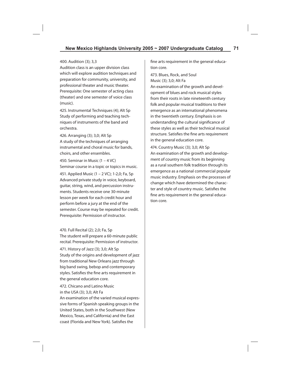#### 400. Audition (3); 3,3

Audition class is an upper division class which will explore audition techniques and preparation for community, university, and professional theater and music theater. Prerequisite: One semester of acting class (theater) and one semester of voice class (music).

425. Instrumental Techniques (4); Alt Sp Study of performing and teaching techniques of instruments of the band and orchestra.

426. Arranging (3); 3,0; Alt Sp A study of the techniques of arranging instrumental and choral music for bands, choirs, and other ensembles.

450. Seminar in Music (1 – 4 VC) Seminar course in a topic or topics in music. 451. Applied Music (1 – 2 VC); 1-2,0; Fa, Sp Advanced private study in voice, keyboard,

guitar, string, wind, and percussion instruments. Students receive one 30-minute lesson per week for each credit hour and perform before a jury at the end of the semester. Course may be repeated for credit. Prerequisite: Permission of instructor.

470. Full Recital (2); 2,0; Fa, Sp

The student will prepare a 60-minute public recital. Prerequisite: Permission of instructor.

471. History of Jazz (3); 3,0; Alt Sp Study of the origins and development of jazz from traditional New Orleans jazz through big band swing, bebop and contemporary styles. Satisfies the fine arts requirement in the general education core.

472. Chicano and Latino Music in the USA (3); 3,0; Alt Fa

An examination of the varied musical expressive forms of Spanish speaking groups in the United States, both in the Southwest (New Mexico, Texas, and California) and the East coast (Florida and New York). Satisfies the

fine arts requirement in the general education core.

473. Blues, Rock, and Soul Music (3); 3,0; Alt Fa

An examination of the growth and development of blues and rock musical styles from their roots in late nineteenth century folk and popular musical traditions to their emergence as an international phenomena in the twentieth century. Emphasis is on understanding the cultural significance of these styles as well as their technical musical structure. Satisfies the fine arts requirement in the general education core.

474. Country Music (3); 3,0; Alt Sp An examination of the growth and development of country music from its beginning as a rural southern folk tradition through its emergence as a national commercial popular music industry. Emphasis on the processes of change which have determined the character and style of country music. Satisfies the fine arts requirement in the general education core.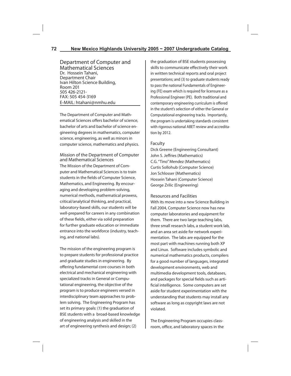Department of Computer and Mathematical Sciences Dr. Hossein Tahani, Department Chair Ivan Hilton Science Building, Room 201 505 426-2121- FAX: 505 454-3169 E-MAIL: htahani@nmhu.edu

The Department of Computer and Mathematical Sciences offers bachelor of science. bachelor of arts and bachelor of science engineering degrees in mathematics, computer science, engineering, as well as minors in computer science, mathematics and physics.

# Mission of the Department of Computer and Mathematical Sciences

The Mission of the Department of Computer and Mathematical Sciences is to train students in the fields of Computer Science, Mathematics, and Engineering. By encouraging and developing problem-solving, numerical methods, mathematical prowess, critical/analytical thinking, and practical, laboratory-based skills, our students will be well-prepared for careers in any combination of these fields, either via solid preparation for further graduate education or immediate entrance into the workforce (industry, teaching, and national labs).

The mission of the engineering program is to prepare students for professional practice and graduate studies in engineering. By offering fundamental core courses in both electrical and mechanical engineering with specialized tracks in General or Computational engineering, the objective of the program is to produce engineers versed in interdisciplinary team approaches to problem solving. The Engineering Program has set its primary goals: (1) the graduation of BSE students with a broad-based knowledge of engineering analysis and skilled in the art of engineering synthesis and design; (2)

the graduation of BSE students possessing skills to communicate effectively their work in written technical reports and oral project presentations; and (3) to graduate students ready to pass the national Fundamentals of Engineering (FE) exam which is required for licensure as a Professional Engineer (PE). Both traditional and contemporary engineering curriculum is offered in the student's selection of either the General or Computational engineering tracks. Importantly, the program is undertaking standards consistent with rigorous national ABET review and accreditation by 2012.

## Faculty

Dick Greene (Engineering Consultant) John S. Jeffries (Mathematics) C.G. "Tino" Mendez (Mathematics) Curtis Sollohub (Computer Science) Jon Schlosser (Mathematics) Hossein Tahani (Computer Science) George Zrilic (Engineering)

Resources and Facilities

With its move into a new Science Building in Fall 2004, Computer Science now has new computer laboratories and equipment for them. There are two large teaching labs, three small research labs, a student work lab, and an area set aside for network experimentation. The labs are equipped for the most part with machines running both XP and Linux. Software includes symbolic and numerical mathematics products, compilers for a good number of languages, integrated development environments, web and multimedia development tools, databases, and packages for special fields such as artificial intelligence. Some computers are set aside for student experimentation with the understanding that students may install any software as long as copyright laws are not violated.

The Engineering Program occupies classroom, office, and laboratory spaces in the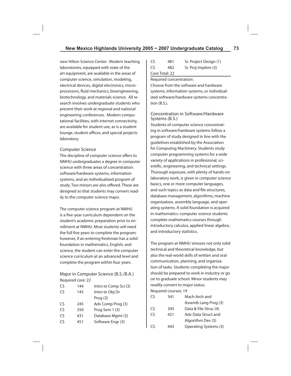new Hilton Science Center. Modern teaching laboratories, equipped with state of the art equipment, are available in the areas of computer science, simulation, modeling, electrical devices, digital electronics, microprocessors, fluid mechanics, bioengineering, biotechnology, and materials science. All research involves undergraduate students who present their work at regional and national engineering conferences. Modern computational facilities, with internet connectivity, are available for student use, as is a student lounge, student offices, and special projects laboratory.

## Computer Science

The discipline of computer science offers to NMHU undergraduates a degree in computer science with three areas of concentration: software/hardware systems, information systems, and an individualized program of study. Two minors are also offered. These are designed so that students may convert readily to the computer science major.

The computer science program at NMHU is a five-year curriculum dependent on the student's academic preparation prior to enrollment at NMHU. Most students will need the full five years to complete the program; however, if an entering freshman has a solid foundation in mathematics, English, and science, the student can enter the computer science curriculum at an advanced level and complete the program within four years.

Major in Computer Science (B.S./B.A.) Required core: 22

| CS | 144 | Intro to Comp Sci (3) |
|----|-----|-----------------------|
| CS | 145 | Intro to Obj Or       |
|    |     | Proof (3)             |
| CS | 245 | Adv Comp Prog (3)     |
| CS | 350 | Prog Sem 1 (3)        |
| CS | 431 | Database Mgmt (3)     |
| C٢ | 451 | Software Engr (3)     |
|    |     |                       |

| CS | 481            | Sr. Project Design (1) |
|----|----------------|------------------------|
| CS | 482            | Sr. Proj Implem (3)    |
|    | Core Total: 22 |                        |

#### Required concentration:

Choose from the software and hardware systems, information systems, or individualized software/hardware systems concentration (B.S.).

## Concentration in Software/Hardware Systems (B.S.)

Students of computer science concentrating in software/hardware systems follow a program of study designed in line with the guidelines established by the Association for Computing Machinery. Students study computer programming systems for a wide variety of applications in professional, scientific, engineering, and technical settings. Thorough exposure, with plenty of hands-on laboratory work, is given in computer science basics, one or more computer languages, and such topics as data and file structures, database management, algorithms, machine organization, assembly language, and operating systems. A solid foundation is acquired in mathematics: computer science students complete mathematics courses through introductory calculus, applied linear algebra, and introductory statistics.

The program at NMHU stresses not only solid technical and theoretical knowledge, but also the real-world skills of written and oral communication, planning, and organization of tasks. Students completing the major should be prepared to work in industry or go on to graduate school. Minor students may readily convert to major status.

Required courses: 19

| CS | 341 | Mach Arch and                |
|----|-----|------------------------------|
|    |     | Assemb Lang Prog (3)         |
| CS | 345 | Data & File Struc (4)        |
| CS | 421 | Adv Data Struct and          |
|    |     | Algorithm Dev (3)            |
| CS | 443 | <b>Operating Systems (3)</b> |
|    |     |                              |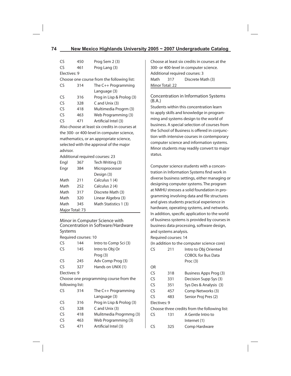| CS            | 450 | Prog Sem 2 (3)                                |
|---------------|-----|-----------------------------------------------|
| $\mathsf{CS}$ | 461 | Prog Lang (3)                                 |
| Electives: 9  |     |                                               |
|               |     | Choose one course from the following list:    |
| CS            | 314 | The $C_{++}$ Programming                      |
|               |     | Language (3)                                  |
| CS            | 316 | Prog in Lisp & Prolog (3)                     |
| $\mathsf{CS}$ | 328 | C and Unix (3)                                |
| CS            | 418 | Multimedia Progrm (3)                         |
| CS            | 463 | Web Programming (3)                           |
| CS            | 471 | Artificial Intel (3)                          |
|               |     | Alco choose at least siveradits in sources at |

Also choose at least six credits in courses at the 300- or 400-level in computer science, mathematics, or an appropriate science, selected with the approval of the major advisor.

Additional required courses: 23

| Engl            | 367 | Tech Writing (3)      |
|-----------------|-----|-----------------------|
| Engr            | 384 | Microprocessor        |
|                 |     | Design (3)            |
| Math            | 211 | Calculus 1 (4)        |
| Math            | 252 | Calculus 2 (4)        |
| Math            | 317 | Discrete Math (3)     |
| Math            | 320 | Linear Algebra (3)    |
| Math            | 345 | Math Statistics 1 (3) |
| Major Total: 73 |     |                       |

Minor in Computer Science with Concentration in Software/Hardware Systems

Required courses: 10

| CS              | 144 | Intro to Comp Sci (3)                  |
|-----------------|-----|----------------------------------------|
| CS              | 145 | Intro to Obj Or                        |
|                 |     | Prog $(3)$                             |
| CS              | 245 | Adv Comp Prog (3)                      |
| CS              | 327 | Hands on UNIX (1)                      |
| Electives: 9    |     |                                        |
|                 |     | Choose one programming course from the |
| following list: |     |                                        |
| CS              | 314 | The C++ Programming                    |
|                 |     | Language (3)                           |
| CS              | 316 | Prog in Lisp & Prolog (3)              |
| CS              | 328 | C and Unix (3)                         |
| CS              | 418 | Mulitmedia Progrmmg (3)                |
| CS              | 463 | Web Programming (3)                    |
| CS              | 471 | Artificial Intel (3)                   |
|                 |     |                                        |

Choose at least six credits in courses at the 300- or 400-level in computer science. Additional required courses: 3 Math 317 Discrete Math (3) Minor Total: 22

Concentration in Information Systems (B.A.)

Students within this concentration learn to apply skills and knowledge in programming and systems design to the world of business. A special selection of courses from the School of Business is offered in conjunction with intensive courses in contemporary computer science and information systems. Minor students may readily convert to major status.

Computer science students with a concentration in Information Systems find work in diverse business settings, either managing or designing computer systems. The program at NMHU stresses a solid foundation in programming involving data and file structures and gives students practical experience in hardware, operating systems, and networks. In addition, specific application to the world of business systems is provided by courses in business data processing, software design, and systems analysis.

Required courses: 14

(In addition to the computer science core)

| ٢٢           | 211 | Intro to Obj Oriented                         |
|--------------|-----|-----------------------------------------------|
|              |     | <b>COBOL for Bus Data</b>                     |
|              |     | Proc $(3)$                                    |
| OR           |     |                                               |
| CS           | 318 | Business Apps Prog (3)                        |
| CS           | 331 | Decision Supp Sys (3)                         |
| CS           | 351 | Sys Des & Analysis (3)                        |
| CS           | 457 | Comp Networks (3)                             |
| CS           | 483 | Senior Proj Pres (2)                          |
| Electives: 9 |     |                                               |
|              |     | Choose three credits from the following list: |
| CS           | 131 | A Gentle Intro to                             |
|              |     | Internet (1)                                  |
| 75           | 325 | Comp Hardware                                 |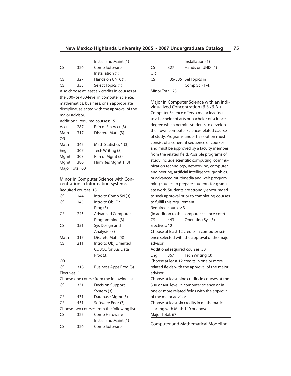|    |     | Install and Maint (1) |
|----|-----|-----------------------|
| CS | 326 | Comp Software         |
|    |     | Installation (1)      |
| CS | 327 | Hands on UNIX (1)     |
| CS | 335 | Select Topics (1)     |

Also choose at least six credits in courses at the 300- or 400-level in computer science, mathematics, business, or an appropriate discipline, selected with the approval of the major advisor.

Additional required courses: 15

| Acct            | 287 | Prin of Fin Acct (3)  |
|-----------------|-----|-----------------------|
| Math            | 317 | Discrete Math (3)     |
| OR              |     |                       |
| Math            | 345 | Math Statistics 1 (3) |
| Engl            | 367 | Tech Writing (3)      |
| Mgmt            | 303 | Prin of Mgmt (3)      |
| Mgmt            | 386 | Hum Res Mgmt 1 (3)    |
| Major Total: 60 |     |                       |

Minor in Computer Science with Concentration in Information Systems Required courses: 18

| CS            | 144 | Intro to Comp Sci (3)                       |
|---------------|-----|---------------------------------------------|
| $\mathsf{CS}$ | 145 | Intro to Obj Or                             |
|               |     | Prog (3)                                    |
| CS            | 245 | <b>Advanced Computer</b>                    |
|               |     | Programming (3)                             |
| CS            | 351 | Sys Design and                              |
|               |     | Analysis (3)                                |
| Math          | 317 | Discrete Math (3)                           |
| CS            | 211 | Intro to Obj Oriented                       |
|               |     | <b>COBOL for Bus Data</b>                   |
|               |     | Proc (3)                                    |
| OR            |     |                                             |
| CS            | 318 | Business Apps Prog (3)                      |
| Electives: 5  |     |                                             |
|               |     | Choose one course from the following list:  |
| CS            | 331 | <b>Decision Support</b>                     |
|               |     | System (3)                                  |
| CS            | 431 | Database Mgmt (3)                           |
| CS            | 451 | Software Engr (3)                           |
|               |     | Choose two courses from the following list: |
| CS            | 325 | Comp Hardware                               |
|               |     | Install and Maint (1)                       |
| CS            | 326 | Comp Software                               |
|               |     |                                             |

|                 |     | Installation (1)      |
|-----------------|-----|-----------------------|
| Cς              | 327 | Hands on UNIX (1)     |
| ΩR              |     |                       |
| C٢              |     | 135-335 Sel Topics in |
|                 |     | Comp Sci (1-4)        |
| Minor Total: 23 |     |                       |

Major in Computer Science with an Individualized Concentration (B.S./B.A.) Computer Science offers a major leading to a bachelor of arts or bachelor of science degree which permits students to develop their own computer science-related course of study. Programs under this option must consist of a coherent sequence of courses and must be approved by a faculty member from the related field. Possible programs of study include scientific computing, communication technology, networking, computer engineering, artificial intelligence, graphics, or advanced multimedia and web programming studies to prepare students for graduate work. Students are strongly encouraged to seek approval prior to completing courses to fulfill this requirement. Required courses: 3 (In addition to the computer science core) CS 443 Operating Sys (3) Electives: 12 Choose at least 12 credits in computer science selected with the approval of the major advisor: Additional required courses: 30 Engl 367 Tech Writing (3) Choose at least 12 credits in one or more related fields with the approval of the major advisor. Choose at least nine credits in courses at the 300 or 400 level in computer science or in one or more related fields with the approval of the major advisor. Choose at least six credits in mathematics starting with Math 140 or above. Major Total: 67

Computer and Mathematical Modeling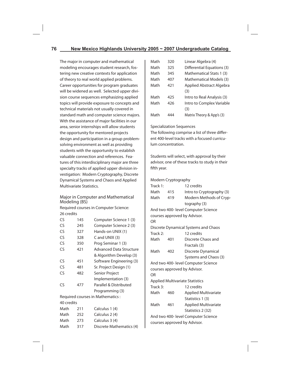The major in computer and mathematical modeling encourages student research, fostering new creative contexts for application of theory to real world applied problems. Career opportunities for program graduates will be widened as well. Selected upper division course sequences emphasizing applied topics will provide exposure to concepts and technical materials not usually covered in standard math and computer science majors. With the assistance of major facilities in our area, senior internships will allow students the opportunity for mentored projects design and participation in a group problemsolving environment as well as providing students with the opportunity to establish valuable connection and references. Features of this interdisciplinary major are three specialty tracks of applied upper division investigation: Modern Cryptography, Discrete Dynamical Systems and Chaos and Applied Multivariate Statistics.

Major in Computer and Mathematical Modeling (BS)

Required courses in Computer Science: 26 credits

| CS         | 145 | Computer Science 1 (3)            |
|------------|-----|-----------------------------------|
| CS         | 245 | Computer Science 2 (3)            |
| CS         | 327 | Hands-on UNIX (1)                 |
| CS         | 328 | $C$ and UNIX $(3)$                |
| CS         | 350 | Prog Seminar 1 (3)                |
| CS         | 421 | <b>Advanced Data Structure</b>    |
|            |     | & Algorithm Develop (3)           |
| CS         | 451 | Software Engineering (3)          |
| CS         | 481 | Sr. Project Design (1)            |
| CS         | 482 | Senior Project                    |
|            |     | Implementation (3)                |
| CS         | 477 | Parallel & Distributed            |
|            |     | Programming (3)                   |
|            |     | Required courses in Mathematics : |
| 40 credits |     |                                   |
| Math       | 211 | Calculus 1 (4)                    |
| Math       | 252 | Calculus 2 (4)                    |
| Math       | 273 | Calculus 3 (4)                    |

| Math | 317 | Discrete Mathematics (4) |
|------|-----|--------------------------|
|      |     |                          |

| Math | 320 | Linear Algebra (4)         |
|------|-----|----------------------------|
| Math | 325 | Differential Equations (3) |
| Math | 345 | Mathematical Stats 1 (3)   |
| Math | 407 | Mathematical Models (3)    |
| Math | 421 | Applied Abstract Algebra   |
|      |     | (3)                        |
| Math | 425 | Intro to Real Analysis (3) |
| Math | 426 | Intro to Complex Variable  |
|      |     | (3)                        |
| Math | 444 | Matrix Theory & App's (3)  |

## Specialization Sequences

The following comprise a list of three different 400-level tracks with a focused curriculum concentration.

Students will select, with approval by their advisor, one of these tracks to study in their fifth year.

# Modern Cryptography

| Track 1: |     | 12 credits                             |
|----------|-----|----------------------------------------|
| Math     | 415 | Intro to Cryptography (3)              |
| Math     | 419 | Modern Methods of Cryp-                |
|          |     | tography (3)                           |
|          |     | And two 400- level Computer Science    |
|          |     | courses approved by Advisor.           |
| OR       |     |                                        |
|          |     | Discrete Dynamical Systems and Chaos   |
| Track 2: |     | 12 credits                             |
| Math     | 401 | Discrete Chaos and                     |
|          |     | Fractals (3)                           |
| Math     | 402 | Discrete Dynamical                     |
|          |     | Systems and Chaos (3)                  |
|          |     | And two 400- level Computer Science    |
|          |     | courses approved by Advisor.           |
| OR       |     |                                        |
|          |     | <b>Applied Multivariate Statistics</b> |
| Track 3: |     | 12 credits                             |
| Math     | 460 | <b>Applied Multivariate</b>            |
|          |     | Statistics 1 (3)                       |
| Math     | 461 | <b>Applied Multivariate</b>            |
|          |     | Statistics 2 (32)                      |
|          |     | And two 400- level Computer Science    |
|          |     | courses approved by Advisor.           |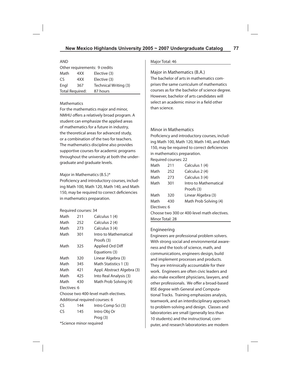#### AND

| Other requirements: 9 credits |     |                       |  |
|-------------------------------|-----|-----------------------|--|
| Math<br>Elective (3)<br>4XX   |     |                       |  |
| CS.                           | 4XX | Elective (3)          |  |
| Engl                          | 367 | Technical Writing (3) |  |
| <b>Total Required:</b>        |     | 87 hours              |  |

## **Mathematics**

For the mathematics major and minor, NMHU offers a relatively broad program. A student can emphasize the applied areas of mathematics for a future in industry, the theoretical areas for advanced study, or a combination of the two for teachers. The mathematics discipline also provides supportive courses for academic programs throughout the university at both the undergraduate and graduate levels.

## Major in Mathematics (B.S.)\*

Proficiency and introductory courses, including Math 100, Math 120, Math 140, and Math 150, may be required to correct deficiencies in mathematics preparation.

### Required courses: 34

| Math                                 | 211 | Calculus 1 (4)             |  |  |
|--------------------------------------|-----|----------------------------|--|--|
| Math                                 | 252 | Calculus 2 (4)             |  |  |
| Math                                 | 273 | Calculus 3 (4)             |  |  |
| Math                                 | 301 | Intro to Mathematical      |  |  |
|                                      |     | Proofs (3)                 |  |  |
| Math                                 | 325 | Applied Ord Diff           |  |  |
|                                      |     | Equations (3)              |  |  |
| Math                                 | 320 | Linear Algebra (3)         |  |  |
| Math                                 | 345 | Math Statistics 1 (3)      |  |  |
| Math                                 | 421 | Appl. Abstract Algebra (3) |  |  |
| Math                                 | 425 | Into Real Analysis (3)     |  |  |
| Math                                 | 430 | Math Prob Solving (4)      |  |  |
| Electives: 6                         |     |                            |  |  |
| Choose two 400-level math electives. |     |                            |  |  |
|                                      |     |                            |  |  |

Additional required courses: 6

| CS. | 144                     | Intro Comp Sci (3) |
|-----|-------------------------|--------------------|
| CS. | 145                     | Intro Obj Or       |
|     |                         | Proof (3)          |
|     | *Science minor required |                    |

## Major Total: 46

Major in Mathematics (B.A.) The bachelor of arts in mathematics comprises the same curriculum of mathematics courses as for the bachelor of science degree. However, bachelor of arts candidates will

select an academic minor in a field other than science.

# Minor in Mathematics

Proficiency and introductory courses, including Math 100, Math 120, Math 140, and Math 150, may be required to correct deficiencies in mathematics preparation.

Required courses: 22

| Math            | 211 | Calculus 1 (4)                              |
|-----------------|-----|---------------------------------------------|
| Math            | 252 | Calculus 2 (4)                              |
| Math            | 273 | Calculus 3 (4)                              |
| Math            | 301 | Intro to Mathematical                       |
|                 |     | Proofs (3)                                  |
| Math            | 320 | Linear Algebra (3)                          |
| Math            | 430 | Math Prob Solving (4)                       |
| Flectives: 6    |     |                                             |
|                 |     | Choose two 300 or 400-level math electives. |
| Minor Total: 28 |     |                                             |

# Engineering

Engineers are professional problem solvers. With strong social and environmental awareness and the tools of science, math, and communications, engineers design, build and implement processes and products. They are intrinsically accountable for their work. Engineers are often civic leaders and also make excellent physicians, lawyers, and other professionals. We offer a broad-based BSE degree with General and Computational Tracks. Training emphasizes analysis, teamwork, and an interdisciplinary approach to problem-solving and design. Classes and laboratories are small (generally less than 10 students) and the instructional, computer, and research laboratories are modern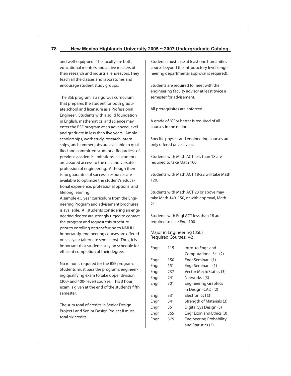and well-equipped. The faculty are both educational mentors and active masters of their research and industrial endeavors. They teach all the classes and laboratories and encourage student study groups.

The BSE program is a rigorous curriculum that prepares the student for both graduate school and licensure as a Professional Engineer. Students with a solid foundation in English, mathematics, and science may enter the BSE program at an advanced level and graduate in less than five years. Ample scholarships, work study, research internships, and summer jobs are available to qualified and committed students. Regardless of previous academic limitations, all students are assured access to the rich and versatile profession of engineering. Although there is no guarantee of success, resources are available to optimize the student's educational experience, professional options, and lifelong learning.

A sample 4.5 year curriculum from the Engineering Program and advisement brochures is available. All students considering an engineering degree are strongly urged to contact the program and request this brochure prior to enrolling or transferring to NMHU. Importantly, engineering courses are offered once a year (alternate semesters). Thus, it is important that students stay on schedule for efficient completion of their degree.

No minor is required for the BSE program. Students must pass the program's engineering qualifying exam to take upper division (300- and 400- level) courses. This 3 hour exam is given at the end of the student's fifth semester.

The sum total of credits in Senior Design Project I and Senior Design Project II must total six credits.

Students must take at least one humanities course beyond the introductory level (engineering departmental approval is required).

Students are required to meet with their engineering faculty advisor at least twice a semester for advisement.

All prerequisites are enforced.

A grade of "C" or better is required of all courses in the major.

Specific physics and engineering courses are only offered once a year.

Students with Math ACT less than 18 are required to take Math 100.

Students with Math ACT 18-22 will take Math 120.

Students with Math ACT 23 or above may take Math 140, 150, or with approval, Math 211.

Students with Engl ACT less than 18 are required to take Engl 100.

Major in Engineering (BSE) Required Courses: 42

| Engr | 115 | Intro. to Engr. and            |
|------|-----|--------------------------------|
|      |     | Computational Sci. (2)         |
| Engr | 150 | Engr Seminar I (1)             |
| Engr | 151 | Engr Seminar II (1)            |
| Engr | 237 | <b>Vector Mech/Statics (3)</b> |
| Engr | 241 | Networks I(3)                  |
| Engr | 301 | <b>Engineering Graphics</b>    |
|      |     | in Design (CAD) (2)            |
| Engr | 331 | Electronics I (3)              |
| Engr | 341 | Strength of Materials (3)      |
| Engr | 351 | Digital Sys Design (3)         |
| Engr | 365 | Engr Econ and Ethics (3)       |
| Engr | 375 | <b>Engineering Probability</b> |
|      |     | and Statistics (3)             |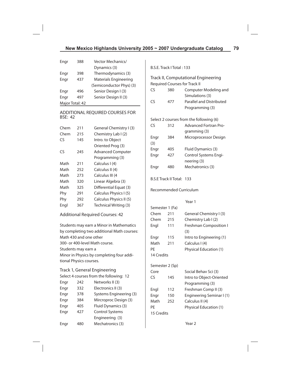| Engr            | 388 | Vector Mechanics/            |  |
|-----------------|-----|------------------------------|--|
|                 |     | Dynamics (3)                 |  |
| Engr            | 398 | Thermodynamics (3)           |  |
| Engr            | 437 | <b>Materials Engineering</b> |  |
|                 |     | (Semiconductor Phys) (3)     |  |
| Engr            | 496 | Senior Design I (3)          |  |
| Engr            | 497 | Senior Design II (3)         |  |
| Major Total: 42 |     |                              |  |

## ADDITIONAL REQUIRED COURSES FOR BSE: 42

| Chem | 211 | General Chemistry I (3)  |
|------|-----|--------------------------|
| Chem | 215 | Chemistry Lab I (2)      |
| CS   | 145 | Intro. to Object         |
|      |     | Oriented Prog (3)        |
| CS   | 245 | <b>Advanced Computer</b> |
|      |     | Programming (3)          |
| Math | 211 | Calculus I (4)           |
| Math | 252 | Calculus II (4)          |
| Math | 273 | Calculus III (4          |
| Math | 320 | Linear Algebra (3)       |
| Math | 325 | Differential Equat (3)   |
| Phy  | 291 | Calculus Physics I (5)   |
| Phy  | 292 | Calculus Physics II (5)  |
| Engl | 367 | Technical Writing (3)    |
|      |     |                          |

Additional Required Courses: 42

Students may earn a Minor in Mathematics by completing two additional Math courses: Math 430 and one other 300- or 400-level Math course. Students may earn a Minor in Physics by completing four additional Physics courses. Track 1, General Engineering Select 4 courses from the following: 12

| Engr | 242 | Networks II (3)         |
|------|-----|-------------------------|
| Engr | 332 | Electronics II (3)      |
| Engr | 378 | Systems Engineering (3) |
| Engr | 384 | Mircroproc Design (3)   |
| Engr | 405 | Fluid Dynamics (3)      |
| Engr | 427 | <b>Control Systems</b>  |
|      |     | Engineering (3)         |
| Engr |     | Mechatronics (3)        |

B.S.E. Track I Total : 133

Track II, Computational Engineering Required Courses for Track II

| CS   | 380 | Computer Modeling and                   |
|------|-----|-----------------------------------------|
|      |     | Simulations (3)                         |
| CS   | 477 | Parallel and Distributed                |
|      |     | Programming (3)                         |
|      |     | Select 2 courses from the following (6) |
| CS   | 312 | <b>Advanced Fortran Pro-</b>            |
|      |     | gramming (3)                            |
| Engr | 384 | Microprocessor Design                   |
| (3)  |     |                                         |
| Engr | 405 | Fluid Dymanics (3)                      |
| Engr | 427 | Control Systems Engi-                   |
|      |     | neering (3)                             |
| Engr | 480 | Mechatronics (3)                        |

B.S.E Track II Total: 133

Recommended Curriculum

| $\sim$ |  |
|--------|--|
|        |  |

|            | Semester 1 (Fa) |                                      |
|------------|-----------------|--------------------------------------|
| Chem       | 211             | General Chemistry I (3)              |
| Chem       | 215             | Chemistry Lab I (2)                  |
| Engl       | 111             | <b>Freshman Composition I</b><br>(3) |
| Engr       | 115             | Intro to Engineering (1)             |
| Math       | 211             | Calculus I (4)                       |
| PE         |                 | Physical Education (1)               |
| 14 Credits |                 |                                      |
|            | Semester 2 (Sp) |                                      |
| Core       |                 | Social Behav Sci (3)                 |
| CS         | 145             | Intro to Object-Oriented             |
|            |                 | Programming (3)                      |
| Engl       | 112             | Freshman Comp II (3)                 |
| Engr       | 150             | Engineering Seminar I (1)            |
| Math       | 252             | Calculus II (4)                      |
| PE         |                 | Physical Education (1)               |
| 15 Credits |                 |                                      |
|            |                 |                                      |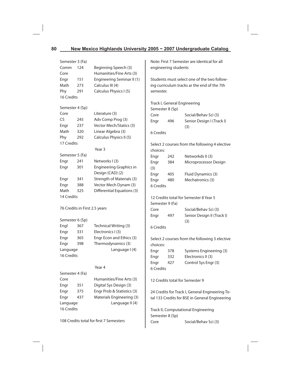| Semester 3 (Fa)   |                               |                                                    |                                                |     | Note: First 7 Semester are identical for all    |
|-------------------|-------------------------------|----------------------------------------------------|------------------------------------------------|-----|-------------------------------------------------|
| Comm              | 124<br>Beginning Speech (3)   |                                                    | engineering students                           |     |                                                 |
| Core              |                               | Humanities/Fine Arts (3)                           |                                                |     |                                                 |
| Engr              | 151                           | Engineering Seminar II (1)                         |                                                |     | Students must select one of the two follow-     |
| Math              | 273                           | Calculus III (4)                                   |                                                |     | ing curriculum tracks ar the end of the 7th     |
| Phy               | 291                           | Calculus Physics I (5)                             | semester.                                      |     |                                                 |
| 16 Credits        |                               |                                                    |                                                |     |                                                 |
| Semester 4 (Sp)   |                               |                                                    |                                                |     | Track I, General Engineering                    |
|                   |                               |                                                    | Semester 8 (Sp)                                |     |                                                 |
| Core<br><b>CS</b> | 245                           | Literature (3)                                     | Core                                           |     | Social/Behav Sci (3)                            |
|                   |                               | Adv Comp Prog (3)<br>Vector Mech/Statics (3)       | Engr                                           | 496 | Senior Design I (Track I)                       |
| Engr              | 237                           |                                                    |                                                |     | (3)                                             |
| Math              | 320                           | Linear Algebra (3)                                 | 6 Credits                                      |     |                                                 |
| Phy<br>17 Credits | 292                           | Calculus Physics II (5)                            |                                                |     |                                                 |
|                   |                               | Year 3                                             |                                                |     | Select 2 courses from the following 4 elective  |
|                   |                               |                                                    | choices:                                       |     |                                                 |
| Semester 5 (Fa)   |                               |                                                    | Engr                                           | 242 | Networkds II (3)                                |
| Engr              | 241                           | Networks I (3)                                     | Engr                                           | 384 | Microprocessor Design                           |
| Engr              | 301                           | Engineering Graphics in                            | (3)                                            |     |                                                 |
|                   |                               | Design (CAD) (2)                                   | Engr                                           | 405 | Fluid Dynamics (3)                              |
| Engr              | 341                           | Strength of Materials (3)                          | Engr                                           | 480 | Mechatronics (3)                                |
| Engr              | 388                           | Vector Mech Dynam (3)                              | 6 Credits                                      |     |                                                 |
| Math              | 325                           | <b>Differential Equations (3)</b>                  |                                                |     |                                                 |
| 14 Credits        |                               |                                                    |                                                |     | 12 Credits total for Semester 8 Year 5          |
|                   |                               |                                                    | Semester 9 (Fa)                                |     |                                                 |
|                   | 76 Credits in First 2.5 years |                                                    | Core                                           |     | Social/Behav Sci (3)                            |
| Semester 6 (Sp)   |                               |                                                    | Engr                                           | 497 | Senior Design II (Track I)                      |
| Engl              | 367                           | Technical Writing (3)                              |                                                |     | (3)                                             |
| Engr              | 331                           | Electronics I (3)                                  | 6 Credits                                      |     |                                                 |
| Engr              | 365                           | Engr Econ and Ethics (3)                           |                                                |     |                                                 |
| Engr              | 398                           | Thermodynamics (3)                                 | Select 2 courses from the following 3 elective |     |                                                 |
| Language          |                               | Language I(4)                                      | choices:                                       |     |                                                 |
| 16 Credits        |                               |                                                    | Engr                                           | 378 | Systems Engineering (3)                         |
|                   |                               |                                                    | Engr                                           | 332 | Electronics II (3)                              |
|                   |                               | Year 4                                             | Engr                                           | 427 | Control Sys Engr (3)                            |
| Semester 4 (Fa)   |                               |                                                    | 6 Credits                                      |     |                                                 |
| Core              |                               |                                                    |                                                |     |                                                 |
|                   |                               | Humanities/Fine Arts (3)<br>Digital Sys Design (3) |                                                |     | 12 Credits total for Semester 9                 |
| Engr              | 351                           |                                                    |                                                |     |                                                 |
| Engr              | 375                           | Engr Prob & Statistics (3)                         |                                                |     | 24 Credits for Track I, General Engineering To- |
| Engr              | 437                           | Materials Engineering (3)                          |                                                |     | tal 133 Credits for BSE in General Engineering  |
| Language          |                               | Language II (4)                                    |                                                |     |                                                 |
| 16 Credits        |                               |                                                    |                                                |     | Track II, Computational Engineering             |
|                   |                               | 108 Credits total for first 7 Semesters            | Semester 8 (Sp)                                |     |                                                 |
|                   |                               |                                                    | Core                                           |     |                                                 |
|                   |                               |                                                    |                                                |     | Social/Behav Sci (3)                            |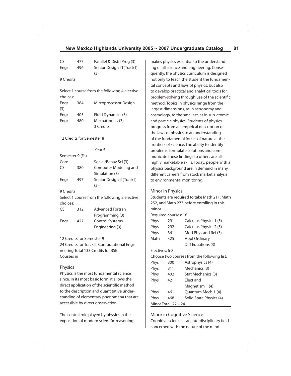| CS                                               | 477                       | Parallel & Distri Prog (3)                    | n              |  |  |
|--------------------------------------------------|---------------------------|-----------------------------------------------|----------------|--|--|
| Engr                                             | 496                       | Senior Design IT(Track I)<br>(3)              | ir             |  |  |
| 9 Credits                                        |                           |                                               | q<br>n         |  |  |
|                                                  |                           |                                               | t              |  |  |
|                                                  |                           | Select 1 course from the following 4 elective | t              |  |  |
| choices:                                         |                           |                                               | р              |  |  |
| Engr<br>(3)                                      | 384                       | Mircoprocessor Design                         | n<br>la        |  |  |
| Engr                                             | 405                       | Fluid Dynamics (3)                            | c              |  |  |
| Engr                                             | 480                       | Mechatronics (3)                              | a              |  |  |
|                                                  |                           | 3 Credits                                     | р              |  |  |
|                                                  |                           |                                               | tl             |  |  |
|                                                  | 12 Credits for Semester 8 |                                               | o              |  |  |
|                                                  |                           |                                               | fı             |  |  |
|                                                  |                           | Year 5                                        | р              |  |  |
| Semester 9 (Fa)                                  |                           |                                               | n              |  |  |
| Core                                             |                           | Social/Behav Sci (3)                          | h              |  |  |
| CS                                               | 380                       | Computer Modeling and                         | р              |  |  |
|                                                  |                           | Simulation (3)                                | d              |  |  |
| Engr                                             | 497                       | Senior Design II (Track I)<br>(3)             | t٥             |  |  |
| 9 Credits                                        |                           |                                               |                |  |  |
|                                                  |                           | Select 1 course from the following 2 elective | S              |  |  |
| choices:                                         |                           |                                               | $\overline{2}$ |  |  |
| CS                                               | 312                       | <b>Advanced Fortran</b>                       | n              |  |  |
|                                                  |                           | Programming (3)                               | R              |  |  |
| Engr                                             | 427                       | <b>Control Systems</b>                        | Ρ              |  |  |
|                                                  |                           | Engineering (3)                               | P              |  |  |
|                                                  |                           |                                               | Ρ              |  |  |
|                                                  | 12 Credits for Semester 9 |                                               | Λ              |  |  |
|                                                  |                           | 24 Credits for Track II, Computational Engi-  |                |  |  |
|                                                  |                           | neering Total 133 Credits for BSE             | E              |  |  |
| Courses in                                       |                           |                                               | C              |  |  |
| Physics                                          |                           |                                               | P<br>Ρ         |  |  |
| Physics is the most fundamental science          |                           |                                               |                |  |  |
| since, in its most basic form, it allows the     |                           |                                               |                |  |  |
| P<br>direct application of the scientific method |                           |                                               |                |  |  |
| to the description and quantitative under-<br>P  |                           |                                               |                |  |  |
| standing of elementary phenomena that are        |                           |                                               |                |  |  |
| accessible by direct observation.                |                           |                                               |                |  |  |
|                                                  |                           |                                               |                |  |  |

The central role played by physics in the exposition of modern scientific reasoning

makes physics essential to the understandng of all science and engineering. Conseuently, the physics curriculum is designed ot only to teach the student the fundamenal concepts and laws of physics, but also o develop practical and analytical tools for roblem-solving through use of the scientific method. Topics in physics range from the largest dimensions, as in astronomy and cosmology, to the smallest, as in sub-atomic and particle physics. Students of physics progress from an empirical description of he laws of physics to an understanding of the fundamental forces of nature at the rontiers of science. The ability to identify problems, formulate solutions and comnunicate these findings to others are all ighly marketable skills. Today, people with a physics background are in demand in many ifferent careers from stock market analysis o environmental monitoring.

Minor in Physics

tudents are required to take Math 211, Math 252, and Math 273 before enrolling in this minor. equired courses: 16

Phys 291 Calculus Physics 1 (5) hys 292 Calculus Physics 2(5) Phys 361 Mod Phys and Rel (3) Math 325 Appl Ordinary Diff Equations (3)

# Electives: 6-8

hoose two courses from the following list:

| Phys                 | 300 | Astrophysics (4)        |  |
|----------------------|-----|-------------------------|--|
| Phys                 | 311 | Mechanics (3)           |  |
| Phys                 | 402 | Stat Mechanics (3)      |  |
| Phys                 | 421 | Flect and               |  |
|                      |     | Magnetism 1 (4)         |  |
| Phys                 | 461 | Quantum Mech 1 (4)      |  |
| Phys                 | 468 | Solid State Physics (4) |  |
| Minor Total: 22 - 24 |     |                         |  |

Minor in Cognitive Science Cognitive science is an interdisciplinary field concerned with the nature of the mind.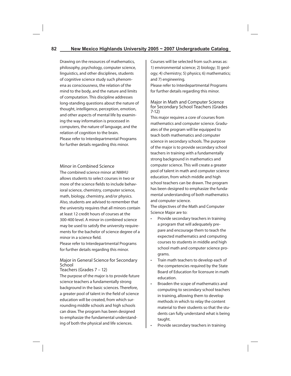Drawing on the resources of mathematics, philosophy, psychology, computer science, linguistics, and other disciplines, students of cognitive science study such phenomena as consciousness, the relation of the mind to the body, and the nature and limits of computation. This discipline addresses long-standing questions about the nature of thought, intelligence, perception, emotion, and other aspects of mental life by examining the way information is processed in computers, the nature of language, and the relation of cognition to the brain. Please refer to Interdepartmental Programs for further details regarding this minor.

# Minor in Combined Science

The combined science minor at NMHU allows students to select courses in two or more of the science fields to include behavioral science, chemistry, computer science, math, biology, chemistry, and/or physics. Also, students are advised to remember that the university requires that all minors contain at least 12 credit hours of courses at the 300-400 level. A minor in combined science may be used to satisfy the university requirements for the bachelor of science degree of a minor in a science field.

Please refer to Interdepartmental Programs for further details regarding this minor.

#### Major in General Science for Secondary School Teachers (Grades 7 – 12)

The purpose of the major is to provide future science teachers a fundamentally strong background in the basic sciences. Therefore, a greater pool of talent in the field of science education will be created, from which surrounding middle schools and high schools can draw. The program has been designed to emphasize the fundamental understanding of both the physical and life sciences.

Courses will be selected from such areas as: 1) environmental science; 2) biology; 3) geology; 4) chemistry; 5) physics; 6) mathematics; and 7) engineering.

Please refer to Interdepartmental Programs for further details regarding this minor.

## Major in Math and Computer Science for Secondary School Teachers (Grades 7-12)

This major requires a core of courses from mathematics and computer science. Graduates of the program will be equipped to teach both mathematics and computer science in secondary schools. The purpose of the major is to provide secondary school teachers in training with a fundamentally strong background in mathematics and computer science. This will create a greater pool of talent in math and computer science education, from which middle and high school teachers can be drawn. The program has been designed to emphasize the fundamental understanding of both mathematics and computer science.

The objectives of the Math and Computer Science Major are to:

- Provide secondary teachers in training a program that will adequately prepare and encourage them to teach the expected mathematics and computing courses to students in middle and high school math and computer science programs.
- Train math teachers to develop each of the competencies required by the State Board of Education for licensure in math education.
- Broaden the scope of mathematics and computing to secondary school teachers in training, allowing them to develop methods in which to relay the content material to their students so that the students can fully understand what is being taught.
- Provide secondary teachers in training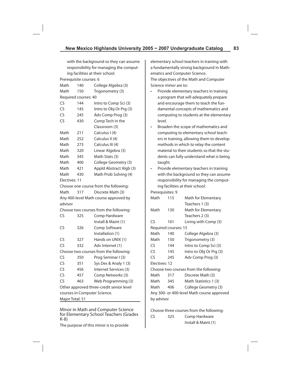elementary school teachers in training with a fundamentally strong background in Math-

Install & Maint (1)

ematics and Computer Science.

with the background so they can assume responsibility for managing the computing facilities at their school.

|                                                | Prerequisite courses: 6            |                                        | The objectives of the Math and Computer |               |                       |                                             |
|------------------------------------------------|------------------------------------|----------------------------------------|-----------------------------------------|---------------|-----------------------|---------------------------------------------|
| Math                                           | 140                                | College Algebra (3)                    |                                         |               | Science minor are to: |                                             |
| Math                                           | 150                                | Trigonometry (3)                       | $\bullet$                               |               |                       | Provide elementary teachers in training     |
|                                                | Required courses: 40               |                                        |                                         |               |                       | a program that will adequately prepare      |
| <b>CS</b>                                      | 144                                | Intro to Comp Sci (3)                  |                                         |               |                       | and encourage them to teach the fun-        |
| <b>CS</b>                                      | 145                                | Intro to Obj Or Prg (3)                |                                         |               |                       | damental concepts of mathematics and        |
| <b>CS</b>                                      | 245                                | Adv Comp Prog (3)                      |                                         |               |                       | computing to students at the elementary     |
| CS                                             | 430                                | Comp Tech in the                       |                                         | level.        |                       |                                             |
|                                                |                                    | Classroom (3)                          | $\bullet$                               |               |                       | Broaden the scope of mathematics and        |
| Math                                           | 211                                | Calculus I (4)                         |                                         |               |                       | computing to elementary school teach-       |
| Math                                           | 252                                | Calculus II (4)                        |                                         |               |                       | ers in training, allowing them to develop   |
| Math                                           | 273                                | Calculus III (4)                       |                                         |               |                       | methods in which to relay the content       |
| Math                                           | 320                                | Linear Algebra (3)                     |                                         |               |                       | material to their students so that the stu- |
| Math                                           | 345                                | Math Stats (3)                         |                                         |               |                       | dents can fully understand what is being    |
| Math                                           | 406                                | College Geometry (3)                   |                                         | taught.       |                       |                                             |
| Math                                           | 421                                | Appld Abstract Algb (3)                |                                         |               |                       | Provide elementary teachers in training     |
| Math                                           | 430                                | Math Prob Solving (4)                  |                                         |               |                       | with the background so they can assume      |
| Electives: 11                                  |                                    |                                        |                                         |               |                       | responsibility for managing the comput-     |
|                                                |                                    | Choose one course from the following:  |                                         |               |                       | ing facilities at their school.             |
| Math                                           | 317                                | Discrete Math (3)                      |                                         |               | Prerequisites: 9      |                                             |
| Any 400-level Math course approved by          |                                    | Math                                   |                                         | 115           | Math for Elementary   |                                             |
| advisor                                        |                                    |                                        |                                         |               |                       | Teachers 1 (3)                              |
| Choose two courses from the following:         |                                    |                                        | Math                                    |               | 130                   | Math for Elementary                         |
| CS                                             | 325                                | Comp Hardware                          |                                         |               |                       | Teachers 2 (3)                              |
|                                                |                                    | Install & Maint (1)                    | <b>CS</b>                               |               | 101                   | Living with Comp (3)                        |
| CS                                             | 326                                | Comp Software                          |                                         |               | Required courses: 15  |                                             |
|                                                |                                    | Installation (1)                       | Math                                    |               | 140                   | College Algebra (3)                         |
| CS                                             | 327                                | Hands on UNIX (1)                      | Math                                    |               | 150                   | Trigonometry (3)                            |
| <b>CS</b>                                      | 332                                | Adv Internet (1)                       | CS                                      |               | 144                   | Intro to Comp Sci (3)                       |
|                                                |                                    | Choose two courses from the following: | CS                                      |               | 145                   | Intro to Obj Or Prg (3)                     |
| CS                                             | 350                                | Prog Seminar I (3)                     | <b>CS</b>                               |               | 245                   | Adv Comp Prog (3)                           |
| CS                                             | 351                                | Sys Des & Analy 1 (3)                  |                                         | Electives: 12 |                       |                                             |
| <b>CS</b>                                      | 456                                | Internet Services (3)                  |                                         |               |                       | Choose two courses from the following:      |
| CS                                             | 457                                | Comp Networks (3)                      | Math                                    |               | 317                   | Discrete Math (3)                           |
| <b>CS</b>                                      | 463                                | Web Programming (3)                    | Math                                    |               | 345                   | Math Statistics 1 (3)                       |
| Other approved three-credit senior level       |                                    |                                        | Math                                    |               | 406                   | College Geometry (3)                        |
| courses in Computer Science.                   |                                    |                                        |                                         |               |                       | Any 300- or 400-level Math course approved  |
| Major Total: 51                                |                                    |                                        | by advisor                              |               |                       |                                             |
|                                                | Minor in Math and Computer Science |                                        |                                         |               |                       | Choose three courses from the following:    |
| for Elementary School Teachers (Grades<br>K-8) |                                    |                                        | CS                                      |               | 325                   | Comp Hardware                               |

The purpose of this minor is to provide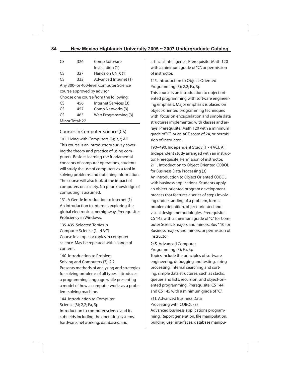# **84 New Mexico Highlands University 2005 ~ 2007 Undergraduate Catalog**

| C٢                                     | 326 | Comp Software                         |  |  |
|----------------------------------------|-----|---------------------------------------|--|--|
|                                        |     | Installation (1)                      |  |  |
| Cς                                     | 327 | Hands on UNIX (1)                     |  |  |
| Cς                                     | 332 | Advanced Internet (1)                 |  |  |
| Any 300- or 400-level Computer Science |     |                                       |  |  |
| course approved by advisor             |     |                                       |  |  |
|                                        |     | Choose one course from the following: |  |  |
| C٢                                     | 456 | Internet Services (3)                 |  |  |
| Cς                                     | 457 | Comp Networks (3)                     |  |  |
| ٢٢                                     | 463 | Web Programming (3)                   |  |  |
| Minor Total: 27                        |     |                                       |  |  |

### Courses in Computer Science (CS)

101. Living with Computers (3); 2,2; All This course is an introductory survey covering the theory and practice of using computers. Besides learning the fundamental concepts of computer operations, students will study the use of computers as a tool in solving problems and obtaining information. The course will also look at the impact of computers on society. No prior knowledge of computing is assumed.

131. A Gentle Introduction to Internet (1) An introduction to Internet, exploring the global electronic superhighway. Prerequisite: Proficiency in Windows.

135-435. Selected Topics in Computer Science (1 - 4 VC) Course in a topic or topics in computer science. May be repeated with change of content.

140. Introduction to Problem Solving and Computers (3); 2,2 Presents methods of analyzing and strategies for solving problems of all types. Introduces a programming language while presenting a model of how a computer works as a problem-solving machine.

144. Introduction to Computer Science (3); 2,2; Fa, Sp Introduction to computer science and its subfields including the operating systems, hardware, networking, databases, and

artificial intelligence. Prerequisite: Math 120 with a minimum grade of "C", or permission of instructor.

145. Introduction to Object-Oriented Programming (3); 2,2; Fa, Sp This course is an introduction to object oriented programming with software engineering emphasis. Major emphasis is placed on object-oriented programming techniques with focus on encapsulation and simple data structures implemented with classes and arrays. Prerequisite: Math 120 with a minimum grade of "C", or an ACT score of 24, or permission of instructor.

190–490. Independent Study (1 - 4 VC); All Independent study arranged with an instructor. Prerequisite: Permission of instructor. 211. Introduction to Object Oriented COBOL for Business Data Processing (3) An introduction to Object Oriented COBOL with business applications. Students apply an object-oriented program development process that features a series of steps involving understanding of a problem, formal problem definition, object-oriented and visual design methodologies. Prerequisite: CS 145 with a minimum grade of "C" for Computer Science majors and minors; Bus 110 for Business majors and minors; or permission of instructor.

245. Advanced Computer Programming (3); Fa, Sp

Topics include the principles of software engineering, debugging and testing, string processing, internal searching and sorting, simple data structures, such as stacks, queues and lists, recursion, and object-oriented programming. Prerequisite: CS 144 and CS 145 with a minimum grade of "C".

311. Advanced Business Data Processing with COBOL (3) Advanced business applications programming. Report generation, file manipulation, building user interfaces, database manipu-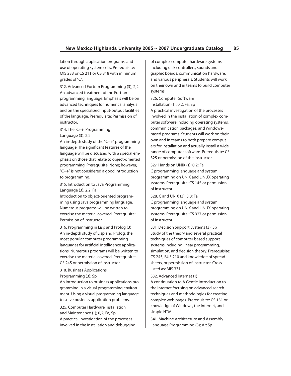lation through application programs, and use of operating system cells. Prerequisite: MIS 233 or CS 211 or CS 318 with minimum grades of "C".

312. Advanced Fortran Programming (3); 2,2 An advanced treatment of the Fortran programming language. Emphasis will be on advanced techniques for numerical analysis and on the specialized input-output facilities of the language. Prerequisite: Permission of instructor.

# 314. The 'C++' Programming Language (3); 2,2

An in-depth study of the "C++" programming language. The significant features of the language will be discussed with a special emphasis on those that relate to object-oriented programming. Prerequisite: None; however, "C++" is not considered a good introduction to programming.

315. Introduction to Java Programming Language (3); 2,2; Fa

Introduction to object-oriented programming using Java programming language. Numerous programs will be written to exercise the material covered. Prerequisite: Permission of instructor.

316. Programming in Lisp and Prolog (3) An in-depth study of Lisp and Prolog, the most popular computer programming languages for artificial intelligence applications. Numerous programs will be written to exercise the material covered. Prerequisite: CS 245 or permission of instructor.

318. Business Applications Programming (3); Sp

An introduction to business applications programming in a visual programming environment. Using a visual programming language to solve business application problems.

325. Computer Hardware Installation and Maintenance (1); 0,2; Fa, Sp A practical investigation of the processes involved in the installation and debugging of complex computer hardware systems including disk controllers, sounds and graphic boards, communication hardware, and various peripherals. Students will work on their own and in teams to build computer systems.

326. Computer Software Installation (1); 0,2; Fa, Sp A practical investigation of the processes involved in the installation of complex computer software including operating systems, communication packages, and Windowsbased programs. Students will work on their own and in teams to both prepare computers for installation and actually install a wide range of computer software. Prerequisite: CS 325 or permission of the instructor.

327. Hands on UNIX (1); 0,2; Fa C programming language and system programming on UNIX and LINUX operating systems. Prerequisite: CS 145 or permission of instructor.

328. C and UNIX (3); 3,0; Fa C programming language and system programming on UNIX and LINUX operating systems. Prerequisite: CS 327 or permission of instructor.

331. Decision Support Systems (3); Sp Study of the theory and several practical techniques of computer based support systems including linear programming, simulation, and decision theory. Prerequisite: CS 245, BUS 210 and knowledge of spreadsheets, or permission of instructor. Crosslisted as: MIS 331.

### 332. Advanced Internet (1)

A continuation to A Gentle Introduction to the Internet focusing on advanced search techniques and methodologies for creating complex web pages. Prerequisite: CS 131 or knowledge of Windows, the internet, and simple HTML.

341. Machine Architecture and Assembly Language Programming (3); Alt Sp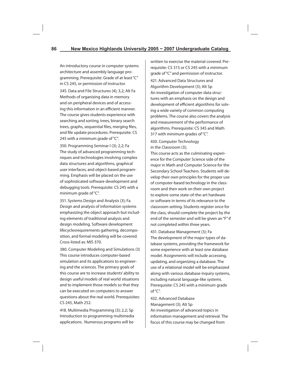An introductory course in computer systems architecture and assembly language programming. Prerequisite: Grade of at least "C" in CS 245, or permission of instructor.

345. Data and File Structures (4); 3,2; Alt Fa Methods of organizing data in memory and on peripheral devices and of accessing this information in an efficient manner. The course gives students experience with searching and sorting, trees, binary search trees, graphs, sequential files, merging files, and file update procedures. Prerequisite: CS 245 with a minimum grade of "C".

350. Programming Seminar I (3); 2,2; Fa The study of advanced programming techniques and technologies involving complex data structures and algorithms, graphical user interfaces, and object-based programming. Emphasis will be placed on the use of sophisticated software development and debugging tools. Prerequisite: CS 245 with a minimum grade of "C".

351. Systems Design and Analysis (3); Fa Design and analysis of information systems emphasizing the object approach but including elements of traditional analysis and design modeling. Software development lifecyclesrequirements gathering, decomposition, and formal modeling will be covered. Cross-listed as: MIS 370.

380. Computer Modeling and Simulations (3) This course introduces computer-based simulation and its applications to engineering and the sciences. The primary goals of this course are to increase students' ability to design useful models of real world situations and to implement those models so that they can be executed on computers to answer questions about the real world. Prerequisites: CS 245, Math 252.

418. Multimedia Programming (3); 2,2; Sp Introduction to programming multimedia applications. Numerous programs will be

written to exercise the material covered. Prerequisite: CS 315 or CS 245 with a minimum grade of "C" and permission of instructor.

421. Advanced Data Structures and Algorithm Development (3); Alt Sp An investigation of computer data structures with an emphasis on the design and development of efficient algorithms for solving a wide variety of common computing problems. The course also covers the analysis and measurement of the performance of algorithms. Prerequisite: CS 345 and Math 317 with minimum grades of "C".

430. Computer Technology in the Classroom (3);

This course acts as the culminating experience for the Computer Science side of the major in Math and Computer Science for the Secondary School Teachers. Students will develop their own principles for the proper use of computer-based technology in the classroom and then work on their own project to explore some state-of-the-art hardware or software in terms of its relevance to the classroom setting. Students register once for the class, should complete the project by the end of the semester and will be given an "F" if not completed within three years.

431. Database Management (3); Fa The development of the major types of database systems, providing the framework for some experience with at least one database model. Assignments will include accessing, updating, and organizing a database. The use of a relational model will be emphasized along with various database inquiry systems, including natural language-like systems. Prerequisite: CS 245 with a minimum grade  $of "C"$ .

432. Advanced Database Management (3); Alt Sp An investigation of advanced topics in information management and retrieval. The focus of this course may be changed from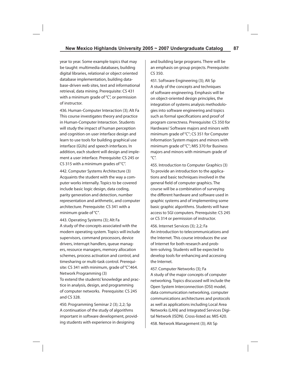year to year. Some example topics that may be taught: multimedia databases, building digital libraries, relational or object oriented database implementation, building database-driven web sites, text and informational retrieval, data mining. Prerequisite: CS 431 with a minimum grade of "C", or permission of instructor.

436. Human-Computer Interaction (3); Alt Fa This course investigates theory and practice in Human-Computer Interaction. Students will study the impact of human perception and cognition on user interface design and learn to use tools for building graphical use interface (GUIs) and speech interfaces. In addition, each student will design and implement a user interface. Prerequisite: CS 245 or CS 315 with a minimum grades of "C".

442. Computer Systems Architecture (3) Acquaints the student with the way a computer works internally. Topics to be covered include basic logic design, data coding, parity generation and detection, number representation and arithmetic, and computer architecture. Prerequisite: CS 341 with a minimum grade of "C".

443. Operating Systems (3); Alt Fa A study of the concepts associated with the modern operating system. Topics will include supervisors, command processors, device drivers, interrupt handlers, queue managers, resource managers, memory allocation schemes, process activation and control, and timesharing or multi-task control. Prerequisite: CS 341 with minimum, grade of "C".464. Network Programming (3)

To extend the students' knowledge and practice in analysis, design, and programming of computer networks. Prerequisite: CS 245 and CS 328.

450. Programming Seminar 2 (3); 2,2; Sp A continuation of the study of algorithms important in software development, providing students with experience in designing

and building large programs. There will be an emphasis on group projects. Prerequisite: CS 350.

451. Software Engineering (3); Alt Sp A study of the concepts and techniques of software engineering. Emphasis will be on object-oriented design principles, the integration of systems analysis methodologies into software engineering and topics such as formal specifications and proof of program correctness. Prerequisite: CS 350 for Hardware/ Software majors and minors with minimum grade of "C"; CS 351 for Computer Information System majors and minors with minimum grade of "C"; MIS 370 for Business majors and minors with minimum grade of "C".

455. Introduction to Computer Graphics (3) To provide an introduction to the applications and basic techniques involved in the general field of computer graphics. The course will be a combination of surveying the different hardware and software used in graphic systems and of implementing some basic graphic algorithms. Students will have access to SGI computers. Prerequisite: CS 245 or CS 314 or permission of instructor.

456. Internet Services (3); 2,2; Fa An introduction to telecommunications and the Internet. This course introduces the use of Internet for both research and problem-solving. Students will be expected to develop tools for enhancing and accessing the Internet.

457. Computer Networks (3); Fa

A study of the major concepts of computer networking. Topics discussed will include the Open System Interconnection (OSI) model, data communication networking, computer communications architectures and protocols as well as applications including Local Area Networks (LAN) and Integrated Services Digital Network (ISDN). Cross-listed as: MIS 420.

458. Network Management (3); Alt Sp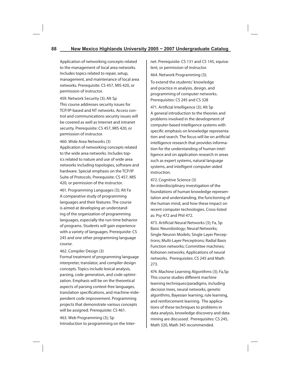Application of networking concepts related to the management of local area networks. Includes topics related to repair, setup, management, and maintenance of local area networks. Prerequisite: CS 457, MIS 420, or permission of instructor.

459. Network Security (3); Alt Sp This course addresses security issues for TCP/IP-based and NT networks. Access control and communications security issues will be covered as well as Internet and intranet security. Prerequisite: CS 457, MIS 420, or permission of instructor.

#### 460. Wide Area Networks (3)

Application of networking concepts related to the wide area networks. Includes topics related to nature and use of wide area networks including topologies, software and hardware. Special emphasis on the TCP/IP Suite of Protocols. Prerequisite: CS 457, MIS 420, or permission of the instructor.

461. Programming Languages (3); Alt Fa A comparative study of programming languages and their features. The course is aimed at developing an understanding of the organization of programming languages, especially the run-time behavior of programs. Students will gain experience with a variety of languages. Prerequisite: CS 245 and one other programming language course.

#### 462. Compiler Design (3)

Formal treatment of programming language interpreter, translator, and compiler design concepts. Topics include lexical analysis, parsing, code generation, and code optimization. Emphasis will be on the theoretical aspects of parsing context-free languages, translation specifications, and machine-independent code improvement. Programming projects that demonstrate various concepts will be assigned. Prerequisite: CS 461. 463. Web Programming (3); Sp

Introduction to programming on the Inter-

net. Prerequisite: CS 131 and CS 145, equivalent, or permission of instructor.

464. Network Programming (3);

To extend the students' knowledge and practice in analysis, design, and programming of computer networks. Prerequisites: CS 245 and CS 328

471. Artificial Intelligence (3); Alt Sp A general introduction to the theories and problems involved in the development of computer-based intelligence systems with specific emphasis on knowledge representation and search. The focus will be on artificial intelligence research that provides information for the understanding of human intelligence and on application research in areas such as expert systems, natural language systems, and intelligent computer-aided instruction.

#### 472. Cognitive Science (3)

An interdisciplinary investigation of the foundations of human knowledge representation and understanding, the functioning of the human mind, and how these impact on recent computer technologies. Cross-listed as: Psy 472 and Phil 472.

473. Artificial Neural Networks (3): Fa, Sp Basic Neurobiology; Neural Networks; Single Neuron Models; Single Layer Perceptrons; Multi-Layer Perceptrons; Radial Basis Function networks; Committee machines; Kohonen networks; Applications of neural networks. Prerequisites: CS 245 and Math 273.

474. Machine Learning Algorithms (3); Fa,Sp This course studies different machine learning techniques/paradigms, including decision trees, neural networks, genetic algorithms, Bayesian learning, rule learning, and reinforcement learning. The applications of these techniques to problems in data analysis, knowledge discovery and data mining are discussed. Prerequisites: CS 245, Math 320, Math 345 recommended.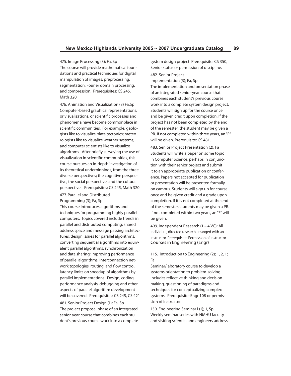475. Image Processing (3); Fa, Sp The course will provide mathematical foundations and practical techniques for digital manipulation of images; preprocessing; segmentation; Fourier domain processing; and compression. Prerequisites: CS 245, Math 320

476. Animation and Visualization (3) Fa,Sp Computer-based graphical representations, or visualizations, or scientific processes and phenomena have become commonplace in scientific communities. For example, geologists like to visualize plate tectonics; meteorologists like to visualize weather systems; and computer scientists like to visualize algorithms. After briefly surveying the use of visualization in scientific communities, this course pursues an in-depth investigation of its theoretical underpinnings, from the three diverse perspectives; the cognitive perspective, the social perspective, and the cultural perspective. Prerequisites: CS 245, Math 320

#### 477. Parallel and Distributed Programming (3); Fa, Sp

This course introduces algorithms and techniques for programming highly parallel computers. Topics covered include trends in parallel and distributed computing; shared address space and message passing architectures; design issues for parallel algorithms; converting sequential algorithms into equivalent parallel algorithms; synchronization and data sharing; improving performance of parallel algorithms; interconnection network topologies, routing, and flow control; latency limits on speedup of algorithms by parallel implementations. Design, coding, performance analysis, debugging and other aspects of parallel algorithm development will be covered. Prerequisites: CS 245, CS 421 481. Senior Project Design (1); Fa, Sp The project proposal phase of an integrated senior-year course that combines each student's previous course work into a complete

system design project. Prerequisite: CS 350, Senior status or permission of discipline.

482. Senior Project Implementation (3); Fa, Sp

The implementation and presentation phase of an integrated senior-year course that combines each student's previous course work into a complete system design project. Students will sign up for the course once and be given credit upon completion. If the project has not been completed by the end of the semester, the student may be given a PR. If not completed within three years, an "F" will be given. Prerequisite: CS 481.

483. Senior Project Presentation (2); Fa Students will write a paper on some topic in Computer Science, perhaps in conjunction with their senior project and submit it to an appropriate publication or conference. Papers not accepted for publication or presentation will be presented formally on campus. Students will sign up for course once and be given credit and a grade upon completion. If it is not completed at the end of the semester, students may be given a PR. If not completed within two years, an "F" will be given.

499. Independent Research (1 – 4 VC); All Individual, directed research arranged with an instructor. Prerequisite: Permission of instructor. Courses in Engineering (Engr)

# 115. Introduction to Engineering (2); 1, 2, 1; Fa

Seminar/laboratory course to develop a systems orientation to problem-solving. Includes reflective thinking and decisionmaking, questioning of paradigms and techniques for conceptualizing complex systems. Prerequisite: Engr 108 or permission of instructor.

150. Engineering Seminar I (1); 1, Sp Weekly seminar series with NMHU faculty and visiting scientist and engineers address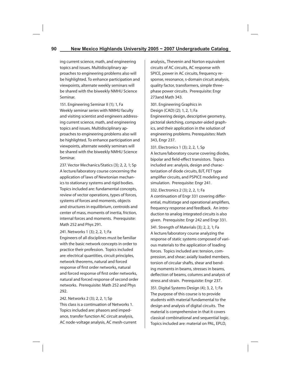ing current science, math, and engineering topics and issues. Multidisciplinary approaches to engineering problems also will be highlighted. To enhance participation and viewpoints, alternate weekly seminars will be shared with the biweekly NMHU Science Seminar.

151. Engineering Seminar II (1); 1, Fa Weekly seminar series with NMHU faculty and visiting scientist and engineers addressing current science, math, and engineering topics and issues. Multidisciplinary approaches to engineering problems also will be highlighted. To enhance participation and viewpoints, alternate weekly seminars will be shared with the biweekly NMHU Science Seminar.

237. Vector Mechanics/Statics (3); 2, 2, 1; Sp A lecture/laboratory course concerning the application of laws of Newtonian mechanics to stationary systems and rigid bodies. Topics included are: fundamental concepts, review of vector operations, types of forces, systems of forces and moments, objects and structures in equilibrium, centroids and center of mass, moments of inertia, friction, internal forces and moments. Prerequisite: Math 252 and Phys 291.

241. Networks 1 (3); 2, 2, 1; Fa

Engineers of all disciplines must be familiar with the basic network concepts in order to practice their profession. Topics included are: electrical quantities, circuit principles, network theorems, natural and forced response of first order networks, natural and forced response of first order networks, natural and forced response of second order networks. Prerequisite: Math 252 and Phys 292.

242. Networks 2 (3); 2, 2, 1; Sp This class is a continuation of Networks 1. Topics included are: phasors and impedance, transfer function AC circuit analysis, AC node-voltage analysis, AC mesh-current analysis,, Thevenin and Norton equivalent circuits of AC circuits, AC response with SPICE, power in AC circuits, frequency response, resonance, s-domain circuit analysis, quality factor, transformers, simple threephase power circuits. Prerequisite: Engr 273and Math 343.

301. Engineering Graphics in Design (CAD) (2); 1, 2, 1; Fa Engineering design, descriptive geometry, pictorial sketching, computer-aided graphics, and their application in the solution of engineering problems. Prerequisites: Math 343, Engr 237.

331. Electronics 1 (3); 2, 2, 1, Sp A lecture/laboratory course covering diodes, bipolar and field-effect transistors. Topics included are: analysis, design and characterization of diode circuits, BJT, FET type amplifier circuits, and PSPICE modeling and simulation. Prerequisite: Engr 241.

332. Electronics 2 (3); 2, 2, 1; Fa

A continuation of Engr 331 covering differential, multistage and operational amplifiers, frequency response and feedback. An introduction to analog integrated circuits is also given. Prerequisite: Engr 242 and Engr 331.

341. Strength of Materials (3); 2, 2, 1; Fa A lecture/laboratory course analyzing the response of static systems composed of various materials to the application of loading forces. Topics included are: tension, compression, and shear; axially loaded members, torsion of circular shafts, shear and bending moments in beams, stresses in beams, deflection of beams, columns and analysis of stress and strain. Prerequisite: Engr 237.

351. Digital Systems Design (4); 3, 2, 1; Fa The purpose of this course is to provide students with material fundamental to the design and analysis of digital circuits. The material is comprehensive in that it covers classical combinational and sequential logic. Topics included are: material on PAL, EPLD,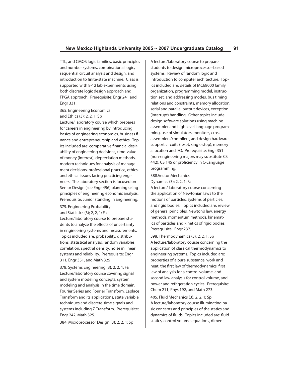TTL, and CMOS logic families, basic principles and number systems, combinational logic, sequential circuit analysis and design, and introduction to finite-state machine. Class is supported with 8-12 lab experiments using both discrete logic design approach and FPGA approach. Prerequisite: Engr 241 and Engr 331.

365. Engineering Economics and Ethics (3); 2, 2, 1; Sp

Lecture/ laboratory course which prepares for careers in engineering by introducing basics of engineering economics, business finance and entrepreneurship and ethics. Topics included are: comparative financial desirability of engineering decisions, time-value of money (interest), depreciation methods, modern techniques for analysis of management decisions, professional practice, ethics, and ethical issues facing practicing engineers. The laboratory section is focused on Senior Design (see Engr 496) planning using principles of engineering economic analysis. Prerequisite: Junior standing in Engineering.

375. Engineering Probability and Statistics (3); 2, 2, 1; Fa Lecture/laboratory course to prepare students to analyze the effects of uncertainty

in engineering systems and measurements. Topics included are: probability, distributions, statistical analysis, random variables, correlation, spectral density, noise in linear systems and reliability. Prerequisite: Engr 311, Engr 351, and Math 325

378. Systems Engineering (3); 2, 2, 1; Fa Lecture/laboratory course covering signal and system modeling concepts, system modeling and analysis in the time domain, Fourier Series and Fourier Transform, Laplace Transform and its applications, state variable techniques and discrete-time signals and systems including Z-Transform. Prerequisite: Engr 242, Math 325.

A lecture/laboratory course to prepare students to design microprocessor-based systems. Review of random logic and introduction to computer architecture. Topics included are: details of MC68000 family organization, programming model, instruction set, and addressing modes, bus timing relations and constraints, memory allocation, serial and parallel output devices, exception (interrupt) handling. Other topics include: design software solutions using machine assembler and high level language programming, use of simulators, monitors, cross assemblers/compliers, and design hardware support circuits (reset, single step), memory allocation and I/O. Prerequisite: Engr 351 (non-engineering majors may substitute CS 442), CS 145 or proficiency in C-Language programming.

388.Vector Mechanics Dynamics (3); 2, 2, 1; Fa

A lecture/ laboratory course concerning the application of Newtonian laws to the motions of particles, systems of particles, and rigid bodies. Topics included are: review of general principles, Newton's law, energy methods, momentum methods, kinematics of particles and kinetics of rigid bodies. Prerequisite: Engr 237.

398. Thermodynamics (3); 2, 2, 1; Sp A lecture/laboratory course concerning the application of classical thermodynamics to engineering systems. Topics included are: properties of a pure substance, work and heat, the first law of thermodynamics, first law of analysis for a control volume, and second law analysis for control volume, and power and refrigeration cycles. Prerequisite: Chem 211, Phys 192, and Math 273.

405. Fluid Mechanics (3); 2, 2, 1; Sp A lecture/laboratory course illuminating basic concepts and principles of the statics and dynamics of fluids. Topics included are: fluid statics, control volume equations, dimen-

384. Microprocessor Design (3); 2, 2, 1; Sp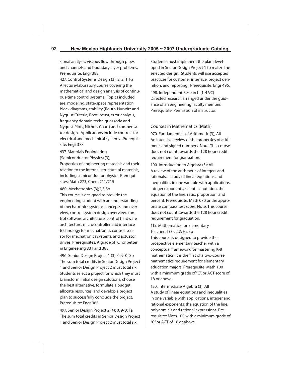sional analysis, viscous flow through pipes and channels and boundary layer problems. Prerequisite: Engr 388.

427. Control Systems Design (3); 2, 2, 1; Fa A lecture/laboratory course covering the mathematical and design analysis of continuous-time control systems. Topics included are: modeling, state-space representation, block diagrams, stability (Routh-Hurwitz and Nyquist Criteria, Root locus), error analysis, frequency domain techniques (ode and Nyquist Plots, Nichols Chart) and compensator design. Applications include controls for electrical and mechanical systems. Prerequisite: Engr 378.

437. Materials Engineering

(Semiconductor Physics) (3);

Properties of engineering materials and their relation to the internal structure of materials, including semiconductor physics. Prerequisites: Math 273, Chem 211/215

480. Mechatronics (3);2,3;Sp

This course is designed to provide the engineering student with an understanding of mechatronics systems concepts and overview, control system design overview, control software architecture, control hardware architecture, microcontroller and interface technology for mechatronics control, sensor for mechatronics systems, and actuator drives. Prerequisites: A grade of "C" or better in Engineering 331 and 388.

496. Senior Design Project 1 (3); 0, 9-0; Sp The sum total credits in Senior Design Project 1 and Senior Design Project 2 must total six. Students select a project for which they must brainstorm initial design solutions, choose the best alternative, formulate a budget, allocate resources, and develop a project plan to successfully conclude the project. Prerequisite: Engr 365.

497. Senior Design Project 2 (4); 0, 9-0; Fa The sum total credits in Senior Design Project 1 and Senior Design Project 2 must total six.

Students must implement the plan developed in Senior Design Project 1 to realize the selected design. Students will use accepted practices for customer interface, project definition, and reporting. Prerequisite: Engr 496.

498. Independent Research (1-4 VC) Directed research arranged under the guidance of an engineering faculty member. Prerequisite: Permission of instructor.

## Courses in Mathematics (Math)

070. Fundamentals of Arithmetic (3); All An intensive review of the properties of arithmetic and signed numbers. Note: This course does not count towards the 128 hour credit requirement for graduation.

100. Introduction to Algebra (3); All A review of the arithmetic of integers and rationals, a study of linear equations and inequalities in one variable with applications, integer exponents, scientific notation, the equation of the line, ratio, proportion, and percent. Prerequisite: Math 070 or the appropriate compass test score. Note: This course does not count towards the 128 hour credit requirement for graduation.

115. Mathematics for Elementary Teachers I (3); 2,2; Fa, Sp This course is designed to provide the prospective elementary teacher with a conceptual framework for mastering K-8 mathematics. It is the first of a two-course mathematics requirement for elementary education majors. Prerequisite: Math 100 with a minimum grade of "C", or ACT score of 18 or above.

120. Intermediate Algebra (3); All A study of linear equations and inequalities in one variable with applications, integer and rational exponents, the equation of the line, polynomials and rational expressions. Prerequisite: Math 100 with a minimum grade of "C" or ACT of 18 or above.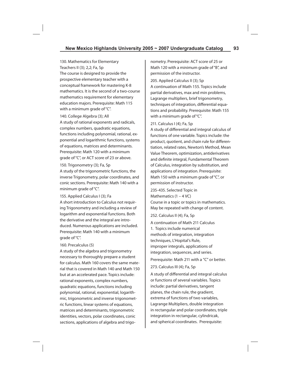130. Mathematics for Elementary Teachers II (3); 2,2; Fa, Sp The course is designed to provide the prospective elementary teacher with a conceptual framework for mastering K-8 mathematics. It is the second of a two-course mathematics requirement for elementary education majors. Prerequisite: Math 115 with a minimum grade of "C".

140. College Algebra (3); All

A study of rational exponents and radicals, complex numbers, quadratic equations, functions including polynomial, rational, exponential and logarithmic functions, systems of equations, matrices and determinants. Prerequisite: Math 120 with a minimum grade of "C", or ACT score of 23 or above.

150. Trigonometry (3); Fa, Sp

A study of the trigonometric functions, the inverse Trigonometry, polar coordinates, and conic sections. Prerequisite: Math 140 with a minimum grade of "C".

155. Applied Calculus I (3); Fa

A short introduction to Calculus not requiring Trigonometry and including a review of logarithm and exponential functions. Both the derivative and the integral are introduced. Numerous applications are included. Prerequisite: Math 140 with a minimum grade of "C".

#### 160. Precalculus (5)

A study of the algebra and trigonometry necessary to thoroughly prepare a student for calculus. Math 160 covers the same material that is covered in Math 140 and Math 150 but at an accelerated pace. Topics include: rational exponents, complex numbers, quadratic equations, functions including polynomial, rational, exponential, logarithmic, trigonometric and inverse trigonometric functions, linear systems of equations, matrices and determinants, trigonometric identities, vectors, polar coordinates, conic sections, applications of algebra and trigonometry. Prerequisite: ACT score of 25 or Math 120 with a minimum grade of "B", and permission of the instructor.

205. Applied Calculus II (3); Sp

A continuation of Math 155. Topics include partial derivatives, max and min problems, Lagrange multipliers, brief trigonometry, techniques of integration, differential equations and probability. Prerequisite: Math 155 with a minimum grade of "C".

#### 211. Calculus I (4); Fa, Sp

A study of differential and integral calculus of functions of one variable. Topics include: the product, quotient, and chain rule for differentiation, related rates, Newton's Method, Mean Value Theorem, optimization, antiderivatives and definite integral, Fundamental Theorem of Calculus, integration by substitution, and applications of integration. Prerequisite: Math 150 with a minimum grade of "C", or permission of instructor.

235-435. Selected Topic in Mathematics (1 – 4 VC) Course in a topic or topics in mathematics. May be repeated with change of content.

252. Calculus II (4); Fa, Sp

A continuation of Math 211 Calculus 1. Topics include numerical methods of integration, integration techniques, L'Hopital's Rule, improper integrals, applications of integration, sequences, and series.

Prerequisite: Math 211 with a "C" or better.

#### 273. Calculus III (4); Fa, Sp

A study of differential and integral calculus or functions of several variables. Topics include: partial derivatives, tangent planes, the chain rule, the gradient, extrema of functions of two variables, Lagrange Multipliers, double integration in rectangular and polar coordinates, triple integration in rectangular, cylindricak, and spherical coordinates. Prerequisite: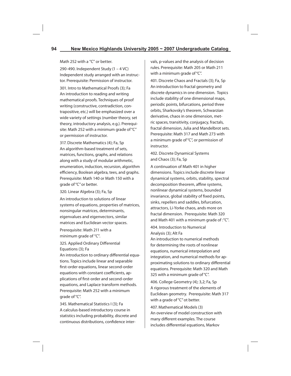Math 252 with a "C" or better.

290-490. Independent Study (1 – 4 VC) Independent study arranged with an instructor. Prerequisite: Permission of instructor.

301. Intro to Mathematical Proofs (3); Fa An introduction to reading and writing mathematical proofs. Techniques of proof writing (constructive, contradiction, contrapositive, etc.) will be emphasized over a wide variety of settings (number theory, set theory, introductory analysis, e.g.). Prerequisite: Math 252 with a minimum grade of "C" or permission of instructor.

317. Discrete Mathematics (4); Fa, Sp An algorithm-based treatment of sets, matrices, functions, graphs, and relations along with a study of modular arithmetic, enumeration, induction, recursion, algorithm efficiency, Boolean algebra, tees, and graphs. Prerequisite: Math 140 or Math 150 with a grade of "C" or better.

320. Linear Algebra (3); Fa, Sp

An introduction to solutions of linear systems of equations, properties of matrices, nonsingular matrices, determinants, eigenvalues and eigenvectors, similar matrices and Euclidean vector spaces.

Prerequisite: Math 211 with a minimum grade of "C".

325. Applied Ordinary Differential Equations (3); Fa

An introduction to ordinary differential equations. Topics include linear and separable first-order equations, linear second-order equations with constant coefficients, applications of first-order and second-order equations, and Laplace transform methods. Prerequisite: Math 252 with a minimum grade of "C".

345. Mathematical Statistics I (3); Fa A calculus-based introductory course in statistics including probability, discrete and continuous distributions, confidence intervals, p-values and the analysis of decision rules. Prerequisite: Math 205 or Math 211 with a minimum grade of "C".

401. Discrete Chaos and Fractals (3); Fa, Sp An introduction to fractal geometry and discrete dynamics in one dimension. Topics include stability of one dimensional maps, periodic points, bifurcations, period three orbits, Sharkovsky's theorem, Schwarzian derivative, chaos in one dimension, metric spaces, transitivity, conjugacy, fractals, fractal dimension, Julia and Mandelbrot sets. Prerequisite: Math 317 and Math 273 with a minimum grade of "C", or permission of instructor.

402. Discrete Dynamical Systems and Chaos (3); Fa, Sp

A continuation of Math 401 in higher dimensions. Topics include discrete linear dynamical systems, orbits, stability, spectral decomposition theorem, affine systems, nonlinear dynamical systems, bounded invariance, global stability of fixed points, sinks, repellers and saddles, bifurcation, attractors, Li-Yorke chaos, ands more on fractal dimension. Prerequisite: Math 320 and Math 401 with a minimum grade of :"C".

404. Introduction to Numerical Analysis (3); Alt Fa

An introduction to numerical methods for determining the roots of nonlinear equations, numerical interpolation and integration, and numerical methods for approximating solutions to ordinary differential equations. Prerequisite: Math 320 and Math 325 with a minimum grade of "C".

406. College Geometry (4); 3,2; Fa, Sp A rigorous treatment of the elements of Euclidean geometry. Prerequisite: Math 317 with a grade of "C" ot better.

407. Mathematical Models (3) An overview of model construction with many different examples. The course includes differential equations, Markov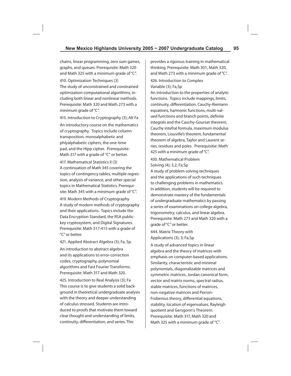chains, linear programming, zero sum games, graphs, and queues. Prerequisite: Math 320 and Math 325 with a minimum grade of "C".

410. Optimization Techniques (3) The study of unconstrained and constrained optimization computational algorithms, including both linear and nonlinear methods. Prerequisite: Math 320 and Math 273 with a minimum grade of "C".

415. Introduction to Cryptography (3); Alt Fa

An introductory course on the mathematics of cryptography. Topics include column transposition, monoalphabetic and phlyalphabetic ciphers, the one-time pad, and the Hipp cipher. Prerequisite: Math 317 with a grade of "C" or better.

417. Mathematical Statistics II (3) A continuation of Math 345 covering the topics of contingency tables, multiple regression, analysis of variance, and other special topics in Mathematical Statistics. Prerequisite: Math 345 with a minimum grade of "C".

419. Modern Methods of Cryptography A study of modern methods of cryptography and their applications. Topics include the Data Encryption Standard, the RSA publickey cryptosystem, and Digital Signatures. Prerequisite: Math 317-415 with a grade of "C" or better.

421. Applied Abstract Algebra (3); Fa, Sp

An introduction to abstract algebra and its applications to error-correction codes, cryptography, polynomial algorithms and Fast Fourier Transforms. Prerequisite: Math 317 and Math 320.

425. Introduction to Real Analysis (3); Fa This course is to give students a solid background in theoretical undergraduate analysis with the theory and deeper understanding of calculus stressed. Students are introduced to proofs that motivate them toward clear thought and understanding of limits, continuity, differentiation, and series. This

provides a rigorous training in mathematical thinking. Prerequisite: Math 301, Math 320, and Math 273 with a minimum grade of "C".

426. Introduction to Complex Variable (3); Fa,Sp

An introduction to the properties of analytic functions. Topics include mappings, limits, continuity, differentiation, Cauchy-Riemann equations, harmonic functions, multi-valued functions and branch points, definite integrals and the Cauchy-Goursat theorem, Cauchy intefral formula, maximum modulus theorem, Liouville's theorem, fundamental theorem of algebra, Taylor and Laurent series, residues and poles. Prerequisitie: Math 425 with a minimum grade of "C".

430. Mathematical Problem Solving (4); 3,2; Fa,Sp

A study of problem solving techniques and the applications of such techniques to challenging problems in mathematics. In addition, students will be required to demonstrate mastery of the fundamentals of undergraduate mathematics by passing a series of examinations on college algebra, trigonometry, calculus, and linear algebra. Prerequisite: Math 273 and Math 320 with a grade of "C" or better.

444. Matrix Theory with Applications (3); 3; Fa,Sp

A study of advanced topics in linear algebra and the theory of matrices with emphasis on computer-based applications. Similarity, characteristic and minimal polynomials, diagonalizable matrices and symmetric matrices, Jordan canonical form, vector and matrix norms, spectral radius, stable matrices, functions of matrices, non-negative matrices and Perron-Frobenius theory, differential equations, stability, location of eigenvalues, Rayleigh quotient and Gersgorin's Theorem. Prerequisite: Math 317, Math 320 and Math 325 with a minimum grade of "C".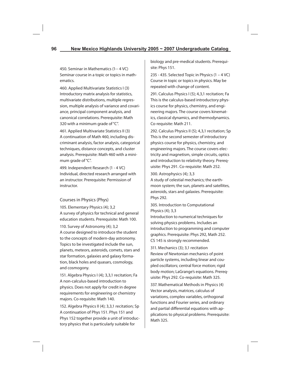450. Seminar in Mathematics (1-- 4 VC) Seminar course in a topic or topics in mathematics.

460. Applied Multivariate Statistics I (3) Introductory matrix analysis for statistics, multivariate distributions, multiple regression, multiple analysis of variance and covariance, principal component analysis, and canonical correlations. Prerequisite: Math 320 with a minimum grade of "C".

461. Applied Multivariate Statistics II (3) A continuation of Math 460, including discriminant analysis, factor analysis, categorical techniques, distance concepts, and cluster analysis. Prerequisite: Math 460 with a minimum grade of "C".

499. Independent Research (1 - 4 VC) Individual, directed research arranged with an instructor. Prerequisite: Permission of instructor.

# Courses in Physics (Phys)

105. Elementary Physics (4); 3,2 A survey of physics for technical and general education students. Prerequisite: Math 100.

110. Survey of Astronomy (4); 3,2 A course designed to introduce the student to the concepts of modern-day astronomy. Topics to be investigated include the sun, planets, meteors, asteroids, comets, stars and star formation, galaxies and galaxy formation, black holes and quasars, cosmology, and cosmogony.

151. Algebra Physics I (4); 3,3,1 recitation; Fa A non-calculus-based introduction to physics. Does not apply for credit in degree requirements for engineering or chemistry majors. Co-requisite: Math 140.

152. Algebra Physics II (4); 3,3,1 recitation; Sp A continuation of Phys 151. Phys 151 and Phys 152 together provide a unit of introductory physics that is particularly suitable for

biology and pre-medical students. Prerequisite: Phys 151.

235 - 435. Selected Topic in Physics (1 – 4 VC) Course in topic or topics in physics. May be repeated with change of content.

291. Calculus Physics I (5); 4,3,1 recitation; Fa This is the calculus-based introductory physics course for physics, chemistry, and engineering majors. The course covers kinematics, classical dynamics, and thermodynamics. Co-requisite: Math 211.

292. Calculus Physics II (5); 4,3,1 recitation; Sp This is the second semester of introductory physics course for physics, chemistry, and engineering majors. The course covers electricity and magnetism, simple circuits, optics and introduction to relativity theory. Prerequisite: Phys 291. Co-requisite: Math 252.

## 300. Astrophysics (4); 3,3

A study of celestial mechanics; the earthmoon system; the sun, planets and satellites, asteroids, stars and galaxies. Prerequisite: Phys 292.

# 305. Introduction to Computational Physics (4); 3,3

Introduction to numerical techniques for solving physics problems. Includes an introduction to programming and computer graphics. Prerequisite: Phys 292, Math 252. CS 145 is strongly recommended.

311. Mechanics (3); 3,1 recitation Review of Newtonian mechanics of point particle systems, including linear and coupled oscillators; central force motion; rigid body motion; LaGrange's equations. Prerequisite: Phys 292. Co-requisite: Math 325.

337. Mathematical Methods in Physics (4) Vector analysis, matrices, calculus of variations, complex variables, orthogonal functions and Fourier series, and ordinary and partial differential equations with applications to physical problems. Prerequisite: Math 325.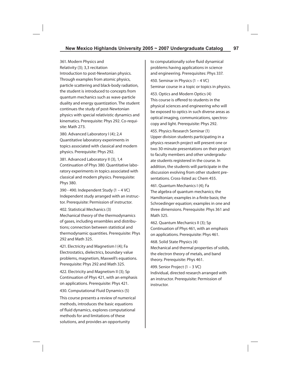361. Modern Physics and Relativity (3); 3,3 recitation Introduction to post-Newtonian physics. Through examples from atomic physics, particle scattering and black-body radiation, the student is introduced to concepts from quantum mechanics such as wave-particle duality and energy quantization. The student continues the study of post-Newtonian physics with special relativistic dynamics and kinematics. Prerequisite: Phys 292. Co-requisite: Math 273.

380. Advanced Laboratory I (4); 2,4 Quantitative laboratory experiments in topics associated with classical and modern physics. Prerequisite: Phys 292.

381. Advanced Laboratory II (3), 1,4 Continuation of Phys 380. Quantitative laboratory experiments in topics associated with classical and modern physics. Prerequisite: Phys 380.

390 - 490. Independent Study (1 – 4 VC) Independent study arranged with an instructor. Prerequisite: Permission of instructor.

402. Statistical Mechanics (3)

Mechanical theory of the thermodynamics of gases, including ensembles and distributions; connection between statistical and thermodynamic quantities. Prerequisite: Phys 292 and Math 325.

421. Electricity and Magnetism I (4); Fa Electrostatics, dielectrics, boundary value problems, magnetism, Maxwell's equations. Prerequisite: Phys 292 and Math 325.

422. Electricity and Magnetism II (3); Sp Continuation of Phys 421, with an emphasis on applications. Prerequisite: Phys 421. 430. Computational Fluid Dynamics (5)

This course presents a review of numerical methods, introduces the basic equations of fluid dynamics, explores computational methods for and limitations of these solutions, and provides an opportunity

to computationally solve fluid dynamical problems having applications in science and engineering. Prerequisites: Phys 337.

450. Seminar in Physics (1 – 4 VC) Seminar course in a topic or topics in physics.

453. Optics and Modern Optics (4) This course is offered to students in the physical sciences and engineering who will be exposed to optics in such diverse areas as optical imaging, communications, spectroscopy and light. Prerequisite: Phys 292.

455. Physics Research Seminar (1) Upper division students participating in a physics research project will present one or two 30-minute presentations on their project to faculty members and other undergraduate students registered in the course. In addition, the students will participate in the discussion evolving from other student presentations. Cross-listed as: Chem 455.

461. Quantum Mechanics I (4); Fa The algebra of quantum mechanics; the Hamiltonian; examples in a finite basis; the Schroedinger equation; examples in one and three dimensions. Prerequisite: Phys 361 and Math 325.

462. Quantum Mechanics II (3); Sp Continuation of Phys 461, with an emphasis on applications. Prerequisite: Phys 461.

468. Solid State Physics (4) Mechanical and thermal properties of solids, the electron theory of metals, and band theory. Prerequisite: Phys 461.

499. Senior Project (1 – 3 VC) Individual, directed research arranged with an instructor. Prerequisite: Permission of instructor.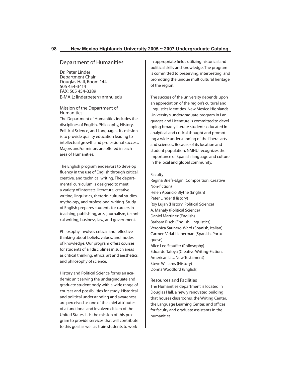# Department of Humanities

Dr. Peter Linder Department Chair Douglas Hall, Room 144 505 454-3414 FAX: 505 454-3389 E-MAIL: linderpeter@nmhu.edu

### Mission of the Department of Humanities

The Department of Humanities includes the disciplines of English, Philosophy, History, Political Science, and Languages. Its mission is to provide quality education leading to intellectual growth and professional success. Majors and/or minors are offered in each area of Humanities.

The English program endeavors to develop fluency in the use of English through critical, creative, and technical writing. The departmental curriculum is designed to meet a variety of interests: literature, creative writing, linguistics, rhetoric, cultural studies, mythology, and professional writing. Study of English prepares students for careers in teaching, publishing, arts, journalism, technical writing, business, law, and government.

Philosophy involves critical and reflective thinking about beliefs, values, and modes of knowledge. Our program offers courses for students of all disciplines in such areas as critical thinking, ethics, art and aesthetics, and philosophy of science.

History and Political Science forms an academic unit serving the undergraduate and graduate student body with a wide range of courses and possibilities for study. Historical and political understanding and awareness are perceived as one of the chief attributes of a functional and involved citizen of the United States. It is the mission of this program to provide services that will contribute to this goal as well as train students to work

in appropriate fields utilizing historical and political skills and knowledge. The program is committed to preserving, interpreting, and promoting the unique multicultural heritage of the region.

The success of the university depends upon an appreciation of the region's cultural and linguistics identities. New Mexico Highlands University's undergraduate program in Languages and Literature is committed to developing broadly literate students educated in analytical and critical thought and promoting a wide understanding of the liberal arts and sciences. Because of its location and student population, NMHU recognizes the importance of Spanish language and culture in the local and global community.

#### Faculty

Regina Briefs-Elgin (Composition, Creative Non-fiction) Helen Aparicio Blythe (English) Peter Linder (History) Roy Lujan (History, Political Science) A. Manafy (Political Science) Daniel Martinez (English) Barbara Risch (English Linguistics) Veronica Saunero-Ward (Spanish, Italian) Carmen Vidal-Lieberman (Spanish, Portuguese) Alice Lee Stauffer (Philosophy) Eduardo Tafoya (Creative Writing-Fiction, American Lit., New Testament) Steve Williams (History) Donna Woodford (English)

## Resources and Facilities

The Humanities department is located in Douglas Hall, a newly renovated building that houses classrooms, the Writing Center, the Language Learning Center, and offices for faculty and graduate assistants in the humanities.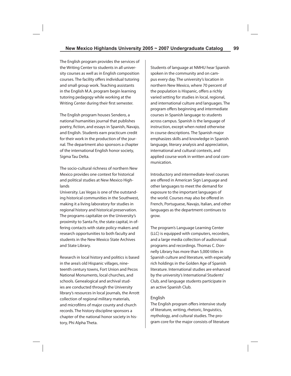The English program provides the services of the Writing Center to students in all university courses as well as in English composition courses. The facility offers individual tutoring and small group work. Teaching assistants in the English M.A. program begin learning tutoring pedagogy while working at the Writing Center during their first semester.

The English program houses Sendero, a national humanities journal that publishes poetry, fiction, and essays in Spanish, Navajo, and English. Students earn practicum credit for their work in the production of the journal. The department also sponsors a chapter of the international English honor society, Sigma Tau Delta.

The socio-cultural richness of northern New Mexico provides one context for historical and political studies at New Mexico Highlands

University. Las Vegas is one of the outstanding historical communities in the Southwest, making it a living laboratory for studies in regional history and historical preservation. The programs capitalize on the University's proximity to Santa Fe, the state capital, in offering contacts with state policy-makers and research opportunities to both faculty and students in the New Mexico State Archives and State Library.

Research in local history and politics is based in the area's old Hispanic villages, nineteenth century towns, Fort Union and Pecos National Monuments, local churches, and schools. Genealogical and archival studies are conducted through the University library's resources in local journals, the Arrott collection of regional military materials, and microfilms of major county and church records. The history discipline sponsors a chapter of the national honor society in history, Phi Alpha Theta.

Students of language at NMHU hear Spanish spoken in the community and on campus every day. The university's location in northern New Mexico, where 70 percent of the population is Hispanic, offers a richly varied setting for studies in local, regional, and international culture and languages. The program offers beginning and intermediate courses in Spanish language to students across campus. Spanish is the language of instruction, except when noted otherwise in course descriptions. The Spanish major emphasizes skills and knowledge in Spanish language, literary analysis and appreciation, international and cultural contexts, and applied course work in written and oral communication.

Introductory and intermediate-level courses are offered in American Sign Language and other languages to meet the demand for exposure to the important languages of the world. Courses may also be offered in French, Portuguese, Navajo, Italian, and other languages as the department continues to grow.

The program's Language Learning Center (LLC) is equipped with computers, recorders, and a large media collection of audiovisual programs and recordings. Thomas C. Donnelly Library has more than 5,000 titles in Spanish culture and literature, with especially rich holdings in the Golden Age of Spanish literature. International studies are enhanced by the university's International Students' Club, and language students participate in an active Spanish Club.

### English

The English program offers intensive study of literature, writing, rhetoric, linguistics, mythology, and cultural studies. The program core for the major consists of literature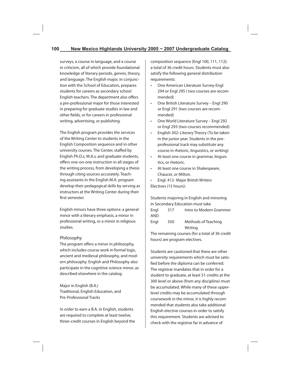surveys, a course in language, and a course in criticism, all of which provide foundational knowledge of literary periods, genres, theory, and language. The English major, in conjunction with the School of Education, prepares students for careers as secondary school English teachers. The department also offers a pre-professional major for those interested in preparing for graduate studies in law and other fields, or for careers in professional writing, advertising, or publishing.

The English program provides the services of the Writing Center to students in the English Composition sequence and in other university courses. The Center, staffed by English Ph.D.s, M.A.s, and graduate students, offers one-on-one instruction in all stages of the writing process, from developing a thesis through citing sources accurately. Teaching assistants in the English M.A. program develop their pedagogical skills by serving as instructors at the Writing Center during their first semester.

English minors have three options: a general minor with a literary emphasis, a minor in professional writing, or a minor in religious studies.

### Philosophy

The program offers a minor in philosophy, which includes course work in formal logic, ancient and medieval philosophy, and modern philosophy. English and Philosophy also participate in the cognitive science minor, as described elsewhere in the catalog.

Major in English (B.A.) Traditional, English Education, and Pre-Professional Tracks

In order to earn a B.A. in English, students are required to complete at least twelve, three-credit courses in English beyond the composition sequence (Engl 100, 111, 112): a total of 36 credit hours. Students must also satisfy the following general distribution requirements:

- One American Literature Survey-Engl 294 or Engl 295 ( two courses are recommended)
- One British Literature Survey Engl 290 or Engl 291 (two courses are recommended)
- One World Literature Survey Engl 292 or Engl 293 (two courses recommended)
- English 302: Literary Theory (To be taken in the junior year. Students in the preprofessional track may substitute any course in rhetoric, linguistics, or writing)
- At least one course in grammar, linguistics, or rhetoric.
- At least one course in Shakespeare, Chaucer, or Milton.
- Engl. 412- Major British Writers Electives (15 hours):

Students majoring in English and minoring in Secondary Education must take Engl 317 Intro to Modern Grammer AND Engl 350 Methods of Teaching Writing

The remaining courses (for a total of 36 credit hours) are program electives.

Students are cautioned that there are other university requirements which must be satisfied before the diploma can be conferred. The registrar mandates that in order for a student to graduate, at least 51 credits at the 300 level or above (from any discipline) must be accumulated. While many of these upperlevel credits may be accumulated through coursework in the minor, it is highly recommended that students also take additional English elective courses in order to satisfy this requirement. Students are advised to check with the registrar far in advance of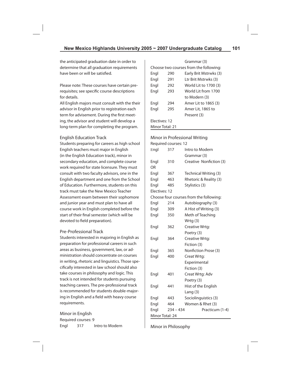the anticipated graduation date in order to determine that all graduation requirements have been or will be satisfied.

Please note: These courses have certain prerequisites; see specific course descriptions for details.

All English majors must consult with the their advisor in English prior to registration each term for advisement. During the first meeting, the advisor and student will develop a long-term plan for completing the program.

## English Education Track

Students preparing for careers as high school English teachers must major in English (in the English Education track), minor in secondary education, and complete course work required for state licensure. They must consult with two faculty advisors, one in the English department and one from the School of Education. Furthermore, students on this track must take the New Mexico Teacher Assessment exam between their sophomore and junior year and must plan to have all course work in English completed before the start of their final semester (which will be devoted to field preparation).

# Pre-Professional Track

Students interested in majoring in English as preparation for professional careers in such areas as business, government, law, or administration should concentrate on courses in writing, rhetoric and linguistics. Those specifi cally interested in law school should also take courses in philosophy and logic. This track is not intended for students pursuing teaching careers. The pre-professional track is recommended for students double-majoring in English and a field with heavy course requirements.

Minor in English Required courses: 9 Engl 317 Intro to Modern

|                 |     | Grammar (3)                            |  |
|-----------------|-----|----------------------------------------|--|
|                 |     | Choose two courses from the following: |  |
| Engl            | 290 | Early Brit Mstrwks (3)                 |  |
| Engl            | 291 | Ltr Brit Mstrwks (3)                   |  |
| Engl            | 292 | World Lit to 1700 (3)                  |  |
| Engl            | 293 | World Lit from 1700                    |  |
|                 |     | to Modern (3)                          |  |
| Engl            | 294 | Amer Lit to 1865 (3)                   |  |
| Engl            | 295 | Amer Lit, 1865 to                      |  |
|                 |     | Present (3)                            |  |
| Flectives: 12   |     |                                        |  |
| Minor Total: 21 |     |                                        |  |

# Minor in Professional Writing

Required courses: 12

| Engl            | 317         | Intro to Modern                         |
|-----------------|-------------|-----------------------------------------|
|                 |             | Grammar (3)                             |
| Engl            | 310         | Creative Nonfiction (3)                 |
| OR              |             |                                         |
| Engl            | 367         | Technical Writing (3)                   |
| Engl            | 463         | Rhetoric & Reality (3)                  |
| Engl            | 485         | Stylistics (3)                          |
| Electives: 12   |             |                                         |
|                 |             | Choose four courses from the following: |
| Engl            | 214         | Autobiography (3)                       |
| Engl            | 309         | A Hist of Writing (3)                   |
| Engl            | 350         | Meth of Teaching                        |
|                 |             | Wrtg (3)                                |
| Engl            | 362         | Creative Wrtg:                          |
|                 |             | Poetry (3)                              |
| Engl            | 364         | Creative Wrtg:                          |
|                 |             | Fiction (3)                             |
| Engl            | 365         | Nonfiction Prose (3)                    |
| Engl            | 400         | Creat Wrtg:                             |
|                 |             | Experimental                            |
|                 |             | Fiction (3)                             |
| Engl            | 401         | Creat Wrtg: Adv                         |
|                 |             | Poetry (3)                              |
| Engl            | 441         | Hist of the English                     |
|                 |             | Lang $(3)$                              |
| Engl            | 443         | Sociolinguistics (3)                    |
| Engl            | 464         | Women & Rhet (3)                        |
| Engl            | $234 - 434$ | Practicum (1-4)                         |
| Minor Total: 24 |             |                                         |

Minor in Philosophy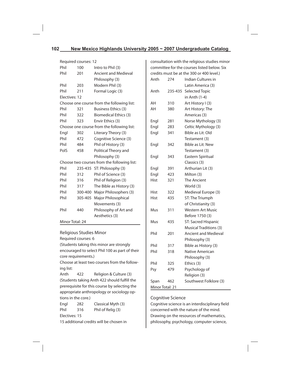| Required courses: 12                        |         |                                            |  |  |
|---------------------------------------------|---------|--------------------------------------------|--|--|
| Phil                                        | 100     | Intro to Phil (3)                          |  |  |
| Phil                                        | 201     | <b>Ancient and Medieval</b>                |  |  |
|                                             |         | Philosophy (3)                             |  |  |
| Phil                                        | 203     | Modern Phil (3)                            |  |  |
| Phil                                        | 211     | Formal Logic (3)                           |  |  |
| Electives: 12                               |         |                                            |  |  |
|                                             |         | Choose one course from the following list: |  |  |
| Phil                                        | 321     | Business Ethics (3)                        |  |  |
| Phil                                        | 322     | <b>Biomedical Ethics (3)</b>               |  |  |
| Phil                                        | 323     | Envir Ethics (3)                           |  |  |
|                                             |         | Choose one course from the following list: |  |  |
| Engl                                        | 302     | Literary Theory (3)                        |  |  |
| Phil                                        | 472     | Cognitive Science (3)                      |  |  |
| Phil                                        | 484     | Phil of History (3)                        |  |  |
| PolS                                        | 458     | Political Theory and                       |  |  |
|                                             |         | Philosophy (3)                             |  |  |
| Choose two courses from the following list: |         |                                            |  |  |
| Phil                                        |         | 235-435 ST: Philosophy (3)                 |  |  |
| Phil                                        | 312     | Phil of Science (3)                        |  |  |
| Phil                                        | 316     | Phil of Religion (3)                       |  |  |
| Phil                                        | 317     | The Bible as History (3)                   |  |  |
| Phil                                        | 300-400 | Major Philosophers (3)                     |  |  |
| Phil                                        | 305-405 | Major Philosophical                        |  |  |
|                                             |         | Movements (3)                              |  |  |
| Phil                                        | 440     | Philosophy of Art and                      |  |  |
|                                             |         | Aesthetics (3)                             |  |  |

### Minor Total: 24

Religious Studies Minor

Required courses: 6

(Students taking this minor are strongly encouraged to select Phil 100 as part of their core requirements.)

Choose at least two courses from the following list:

Anth 422 Religion & Culture (3) (Students taking Anth 422 should fulfill the prerequisite for this course by selecting the appropriate anthropology or sociology options in the core.)

Engl 282 Classical Myth (3) Phil 316 Phil of Relig (3) Electives: 15

15 additional credits will be chosen in

consultation with the religious studies minor committee for the courses listed below. Six credits must be at the 300 or 400 level.)

| Anth            | 274     | <b>Indian Cultures in</b>     |
|-----------------|---------|-------------------------------|
|                 |         | Latin America (3)             |
| Anth            | 235-435 | <b>Selected Topic</b>         |
|                 |         | in Anth (1-4)                 |
| AΗ              | 310     | Art History I (3)             |
| AH              | 380     | Art History: The              |
|                 |         | Americas (3)                  |
| Engl            | 281     | Norse Mythology (3)           |
| Engl            | 283     | Celtic Mythology (3)          |
| Engl            | 341     | Bible as Lit: Old             |
|                 |         | Testament (3)                 |
| Engl            | 342     | Bible as Lit: New             |
|                 |         | Testament (3)                 |
| Engl            | 343     | Eastern Spiritual             |
|                 |         | Classics (3)                  |
| Engl            | 391     | Arthurian Lit (3)             |
| Engl            | 423     | Milton (3)                    |
| Hist            | 321     | The Ancient                   |
|                 |         | World (3)                     |
| Hist            | 322     | Medieval Europe (3)           |
| Hist            | 435     | ST: The Triumph               |
|                 |         | of Christianity (3)           |
| Mus             | 311     | <b>Western Art Music</b>      |
|                 |         | Before 1750 (3)               |
| Mus             | 435     | ST: Sacred Hispanic           |
|                 |         | <b>Musical Traditions (3)</b> |
| Phil            | 201     | <b>Ancient and Medieval</b>   |
|                 |         | Philosophy (3)                |
| Phil            | 317     | Bible as History (3)          |
| Phil            | 318     | Native American               |
|                 |         | Philosophy (3)                |
| Phil            | 325     | Ethics (3)                    |
| Psy             | 479     | Psychology of                 |
|                 |         | Religion (3)                  |
| Span            | 462     | Southwest Folklore (3)        |
| Minor Total: 21 |         |                               |

#### Cognitive Science

Cognitive science is an interdisciplinary field concerned with the nature of the mind. Drawing on the resources of mathematics, philosophy, psychology, computer science,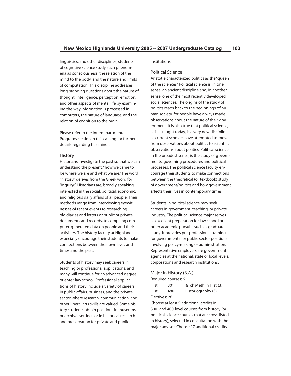linguistics, and other disciplines, students of cognitive science study such phenomena as consciousness, the relation of the mind to the body, and the nature and limits of computation. This discipline addresses long-standing questions about the nature of thought, intelligence, perception, emotion, and other aspects of mental life by examining the way information is processed in computers, the nature of language, and the relation of cognition to the brain.

Please refer to the Interdepartmental Programs section in this catalog for further details regarding this minor.

#### History

Historians investigate the past so that we can understand the present, "how we came to be where we are and what we are." The word "history" derives from the Greek word for "inquiry." Historians are, broadly speaking, interested in the social, political, economic, and religious daily affairs of all people. Their methods range from interviewing eyewitnesses of recent events to researching old diaries and letters or public or private documents and records, to compiling computer-generated data on people and their activities. The history faculty at Highlands especially encourage their students to make connections between their own lives and times and the past.

Students of history may seek careers in teaching or professional applications, and many will continue for an advanced degree or enter law school. Professional applications of history include a variety of careers in public affairs, business, and the private sector where research, communication, and other liberal arts skills are valued. Some history students obtain positions in museums or archival settings or in historical research and preservation for private and public

institutions.

#### Political Science

Aristotle characterized politics as the "queen of the sciences." Political science is, in one sense, an ancient discipline and, in another sense, one of the most recently developed social sciences. The origins of the study of politics reach back to the beginnings of human society, for people have always made observations about the nature of their government. It is also true that political science, as it is taught today, is a very new discipline as current scholars have attempted to move from observations about politics to scientific observations about politics. Political science, in the broadest sense, is the study of governments, governing procedures and political processes. The political science faculty encourage their students to make connections between the theoretical (or textbook) study of government/politics and how government affects their lives in contemporary times.

Students in political science may seek careers in government, teaching, or private industry. The political science major serves as excellent preparation for law school or other academic pursuits such as graduate study. It provides pre-professional training for governmental or public sector positions involving policy-making or administration. Representative employers are government agencies at the national, state or local levels, corporations and research institutions.

## Major in History (B.A.) Required courses: 6

Hist 301 Rsrch Meth in Hist (3) Hist 480 Historiography (3) Electives: 26

Choose at least 9 additional credits in 300- and 400-level courses from history (or political science courses that are cross-listed in history), selected in consultation with the major advisor. Choose 17 additional credits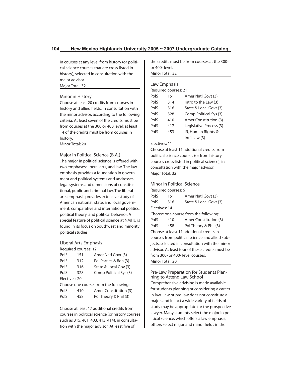in courses at any level from history (or political science courses that are cross-listed in history), selected in consultation with the major advisor.

Major Total: 32

# Minor in History

Choose at least 20 credits from courses in history and allied fields, in consultation with the minor advisor, according to the following criteria: At least seven of the credits must be from courses at the 300 or 400 level; at least 14 of the credits must be from courses in history.

## Minor Total: 20

Major in Political Science (B.A.)

The major in political science is offered with two emphases: liberal arts, and law. The law emphasis provides a foundation in government and political systems and addresses legal systems and dimensions of constitutional, public and criminal law. The liberal arts emphasis provides extensive study of American national, state, and local government, comparative and international politics, political theory, and political behavior. A special feature of political science at NMHU is found in its focus on Southwest and minority political studies.

### Liberal Arts Emphasis

Required courses: 12

| PolS          | 151 | Amer Natl Govt (3)                    |
|---------------|-----|---------------------------------------|
| PolS          | 312 | Pol Parties & Beh (3)                 |
| PolS          | 316 | State & Local Gov (3)                 |
| PolS          | 328 | Comp Political Sys (3)                |
| Electives: 20 |     |                                       |
|               |     | Choose one course from the following: |
| PolS          | 410 | Amer Constitution (3)                 |

PolS 458 Pol Theory & Phil (3)

Choose at least 17 additional credits from courses in political science (or history courses such as 315, 401, 403, 413, 414), in consultation with the major advisor. At least five of

the credits must be from courses at the 300 or 400- level.

Minor Total: 32

# Law Emphasis

| Required courses: 21 |  |
|----------------------|--|
|----------------------|--|

| PolS | 151 | Amer Natl Govt (3)      |
|------|-----|-------------------------|
| PolS | 314 | Intro to the Law (3)    |
| PolS | 316 | State & Local Govt (3)  |
| PolS | 328 | Comp Political Sys (3)  |
| PolS | 410 | Amer Constitution (3)   |
| PolS | 417 | Legislative Process (3) |
| PolS | 453 | IR, Human Rights &      |
|      |     | $Int'll$ Law $(3)$      |

## Electives: 11

Choose at least 11 additional credits from political science courses (or from history courses cross-listed in political science), in consultation with the major advisor. Major Total: 32

### Minor in Political Science

Required courses: 6 PolS 151 Amer Natl Govt (3) PolS 316 State & Local Govt (3) Electives: 14 Choose one course from the following: PolS 410 Amer Constitution (3) PolS 458 Pol Theory & Phil (3) Choose at least 11 additional credits in courses from political science and allied subjects, selected in consultation with the minor advisor. At least four of these credits must be from 300- or 400- level courses.

Minor Total: 20

### Pre-Law Preparation for Students Planning to Attend Law School

Comprehensive advising is made available for students planning or considering a career in law. Law or pre-law does not constitute a major, and in fact a wide variety of fields of study may be appropriate for the prospective lawyer. Many students select the major in political science, which offers a law emphasis; others select major and minor fields in the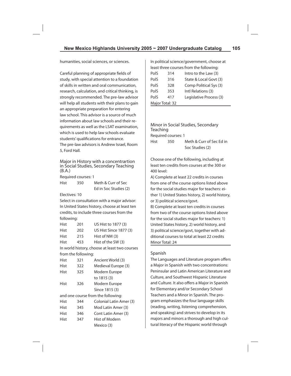humanities, social sciences, or sciences.

Careful planning of appropriate fields of study, with special attention to a foundation of skills in written and oral communication, research, calculation, and critical thinking, is strongly recommended. The pre-law advisor will help all students with their plans to gain an appropriate preparation for entering law school. This advisor is a source of much information about law schools and their requirements as well as the LSAT examination, which is used to help law schools evaluate students' qualifications for entrance. The pre-law advisors is Andrew Israel, Room

5, Ford Hall.

Major in History with a concentrartion in Social Studies, Secondary Teaching (B.A.)

Required courses: 1

Hist 350 Meth & Curr of Sec Ed in Soc Studies (2)

Electives: 10

Select in consultation with a major advisor: In United States history, choose at least ten credits, to include three courses from the following:

| Hist | 201 | US Hist to 1877 (3)    |
|------|-----|------------------------|
| Hist | 202 | US Hist Since 1877 (3) |
| Hist | 215 | Hist of NM (3)         |
| Hist | 453 | Hist of the SW (3)     |

In world history, choose at least two courses from the following:

| Hist                               | 321 | Ancient World (3)       |  |  |
|------------------------------------|-----|-------------------------|--|--|
| Hist                               | 322 | Medieval Europe (3)     |  |  |
| Hist                               | 325 | Modern Europe           |  |  |
|                                    |     |                         |  |  |
|                                    |     | to 1815 (3)             |  |  |
| Hist                               | 326 | Modern Europe           |  |  |
|                                    |     | Since 1815 (3)          |  |  |
| and one course from the following: |     |                         |  |  |
| Hist                               | 344 | Colonial Latin Amer (3) |  |  |
| Hist                               | 345 | Mod Latin Amer (3)      |  |  |
| Hist                               | 346 | Cont Latin Amer (3)     |  |  |
| Hist                               | 347 | Hist of Modern          |  |  |
|                                    |     | Mexico (3)              |  |  |

In political science/government, choose at least three courses from the following:

| PolS            | 314 | Intro to the Law (3)    |  |
|-----------------|-----|-------------------------|--|
| PolS            | 316 | State & Local Govt (3)  |  |
| PolS            | 328 | Comp Political Sys (3)  |  |
| PolS            | 353 | Intl Relations (3)      |  |
| PolS            | 417 | Legislative Process (3) |  |
| Major Total: 32 |     |                         |  |

Minor in Social Studies, Secondary Teaching Required courses: 1 Hist 350 Meth & Curr of Sec Ed in Soc Studies (2)

Choose one of the following, including at least ten credits from courses at the 300 or 400 level:

A) Complete at least 22 credits in courses from one of the course options listed above for the social studies major for teachers: either 1) United States history, 2) world history, or 3) political science/govt.

B) Complete at least ten credits in courses from two of the course options listed above for the social studies major for teachers: 1) United States history, 2) world history, and 3) political science/govt, together with additional courses to total at least 22 credits Minor Total: 24

# Spanish

The Languages and Literature program offers a Major in Spanish with two concentrations: Peninsular and Latin American Literature and Culture, and Southwest Hispanic Literature and Culture. It also offers a Major in Spanish for Elementary and/or Secondary School Teachers and a Minor in Spanish. The program emphasizes the four language skills (reading, writing, listening comprehension, and speaking) and strives to develop in its majors and minors a thorough and high cultural literacy of the Hispanic world through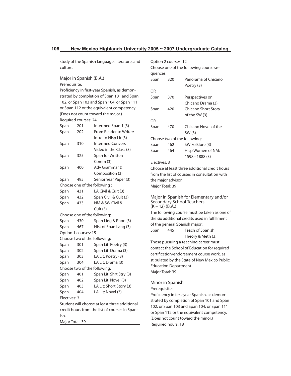study of the Spanish language, literature, and culture.

# Major in Spanish (B.A.)

Prerequisite:

Proficiency in first-year Spanish, as demonstrated by completion of Span 101 and Span 102, or Span 103 and Span 104, or Span 111 or Span 112 or the equivalent competency. (Does not count toward the major.) Required courses: 24

| Span                                          | 201 | Intermed Span 1 (3)          |  |  |
|-----------------------------------------------|-----|------------------------------|--|--|
| Span                                          | 202 | From Reader to Writer:       |  |  |
|                                               |     | Intro to Hisp Lit (3)        |  |  |
| Span                                          | 310 | <b>Intermed Convers</b>      |  |  |
|                                               |     | Video in the Class (3)       |  |  |
| Span                                          | 325 | Span for Written             |  |  |
|                                               |     | Comm (3)                     |  |  |
| Span                                          | 400 | Adv Grammar &                |  |  |
|                                               |     | Composition (3)              |  |  |
| Span                                          | 495 | Senior Year Paper (3)        |  |  |
|                                               |     | Choose one of the following: |  |  |
| Span                                          | 431 | LA Civil & Cult (3)          |  |  |
| Span                                          | 432 | Span Civil & Cult (3)        |  |  |
| Span                                          | 433 | NM & SW Civil &              |  |  |
|                                               |     | Cult (3)                     |  |  |
|                                               |     | Choose one of the following: |  |  |
| Span                                          | 430 | Span Ling & Phon (3)         |  |  |
| Span                                          | 467 | Hist of Span Lang (3)        |  |  |
| Option 1 courses: 15                          |     |                              |  |  |
|                                               |     | Choose two of the following: |  |  |
| Span                                          | 301 | Span Lit: Poetry (3)         |  |  |
| Span                                          | 302 | Span Lit: Drama (3)          |  |  |
| Span                                          | 303 | LA Lit: Poetry (3)           |  |  |
| Span                                          | 304 | LA Lit: Drama (3)            |  |  |
| Choose two of the following:                  |     |                              |  |  |
| Span                                          | 401 | Span Lit: Shrt Stry (3)      |  |  |
| Span                                          | 402 | Span Lit: Novel (3)          |  |  |
| Span                                          | 403 | LA Lit: Short Story (3)      |  |  |
| Span                                          | 404 | LA Lit: Novel (3)            |  |  |
| Electives: 3                                  |     |                              |  |  |
| Student will choose at least three additional |     |                              |  |  |
| cradit hours from the list of courses in Span |     |                              |  |  |

credit hours from the list of courses in Spanish.

Major Total: 39

|                                               | Option 2 courses: 12 |                                        |  |  |
|-----------------------------------------------|----------------------|----------------------------------------|--|--|
|                                               |                      | Choose one of the following course se- |  |  |
| quences:                                      |                      |                                        |  |  |
| Span                                          | 320                  | Panorama of Chicano                    |  |  |
|                                               |                      | Poetry (3)                             |  |  |
| ΩR                                            |                      |                                        |  |  |
| Span                                          | 370                  | Perspectives on                        |  |  |
|                                               |                      | Chicano Drama (3)                      |  |  |
| Span                                          | 420                  | Chicano Short Story                    |  |  |
|                                               |                      | of the SW (3)                          |  |  |
| OR                                            |                      |                                        |  |  |
| Span                                          | 470                  | Chicano Novel of the                   |  |  |
|                                               |                      | SW (3)                                 |  |  |
| Choose two of the following:                  |                      |                                        |  |  |
| Span                                          | 462                  | SW Folklore (3)                        |  |  |
| Span                                          | 464                  | Hisp Women of NM:                      |  |  |
|                                               |                      | 1598 - 1888 (3)                        |  |  |
| Electives: 3                                  |                      |                                        |  |  |
| Choose at least three additional credit hours |                      |                                        |  |  |
| from the list of courses in consultation with |                      |                                        |  |  |
|                                               | the major advisor.   |                                        |  |  |
| Major Total: 39                               |                      |                                        |  |  |
|                                               |                      |                                        |  |  |

Major in Spanish for Elementary and/or Secondary School Teachers  $(K - 12)$   $(B.A.)$ The following course must be taken as one of the six additional credits used in fulfillment of the general Spanish major: Span 445 Teach of Spanish:

Theory & Meth (3)

Those pursuing a teaching career must contact the School of Education for required certification/endorsement course work, as stipulated by the State of New Mexico Public Education Department. Major Total: 39

Minor in Spanish

Prerequisite:

Proficiency in first-year Spanish, as demonstrated by completion of Span 101 and Span 102, or Span 103 and Span 104; or Span 111 or Span 112 or the equivalent competency. (Does not count toward the minor.) Required hours: 18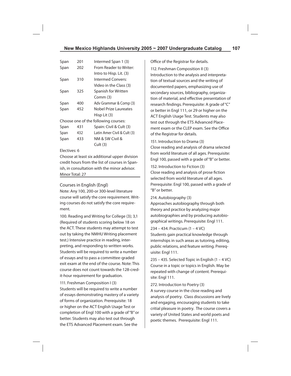| Span                                 | 201 | Intermed Span 1 (3)         |  |  |
|--------------------------------------|-----|-----------------------------|--|--|
| Span                                 | 202 | From Reader to Writer:      |  |  |
|                                      |     | Intro to Hisp. Lit. (3)     |  |  |
| Span                                 | 310 | Intermed Convers:           |  |  |
|                                      |     | Video in the Class (3)      |  |  |
| Span                                 | 325 | Spanish for Written         |  |  |
|                                      |     | Comm (3)                    |  |  |
| Span                                 | 400 | Adv Grammar & Comp (3)      |  |  |
| Span                                 | 452 | Nobel Prize Laureates       |  |  |
|                                      |     | Hisp Lit (3)                |  |  |
| Choose one of the following courses: |     |                             |  |  |
| Span                                 | 431 | Spain: Civil & Cult (3)     |  |  |
| Span                                 | 432 | Latin Amer Civil & Cult (3) |  |  |
| Span                                 | 433 | NM & SW Civil &             |  |  |
|                                      |     | Cult (3)                    |  |  |

#### Electives: 6

Choose at least six additional upper division credit hours from the list of courses in Spanish, in consultation with the minor advisor. Minor Total: 27

# Courses in English (Engl)

Note: Any 100, 200-or 300-level literature course will satisfy the core requirement. Writing courses do not satisfy the core requirement.

100. Reading and Writing for College (3); 3,1 (Required of students scoring below 18 on the ACT. These students may attempt to test out by taking the NMHU Writing placement test.) Intensive practice in reading, interpreting, and responding to written works. Students will be required to write a number of essays and to pass a committee-graded exit exam at the end of the course. Note: This course does not count towards the 128-credit-hour requirement for graduation.

### 111. Freshman Composition I (3)

Students will be required to write a number of essays demonstrating mastery of a variety of forms of organization. Prerequisite: 18 or higher on the ACT English Usage Test or completion of Engl 100 with a grade of "B" or better. Students may also test out through the ETS Advanced Placement exam. See the

Office of the Registrar for details.

112. Freshman Composition II (3) Introduction to the analysis and interpretation of textual sources and the writing of documented papers, emphasizing use of secondary sources, bibliography, organization of material, and effective presentation of research findings. Prerequisite: A grade of "C" or better in Engl 111, or 29 or higher on the ACT English Usage Test. Students may also test out through the ETS Advanced Placement exam or the CLEP exam. See the Office of the Registrar for details.

151. Introduction to Drama (3) Close reading and analysis of drama selected from world literature of all ages. Prerequisite: Engl 100, passed with a grade of "B" or better.

152. Introduction to Fiction (3) Close reading and analysis of prose fiction selected from world literature of all ages. Prerequisite: Engl 100, passed with a grade of "B" or better.

#### 214. Autobiography (3)

Approaches autobiography through both theory and practice by analyzing major autobiographies and by producing autobiographical writings. Prerequisite: Engl 111.

### 234 – 434. Practicum (1 – 4 VC)

Students gain practical knowledge through internships in such areas as tutoring, editing, public relations, and feature writing. Prerequisite: Engl 111.

235 – 435. Selected Topic in English (1 – 4 VC) Course in a topic or topics in English. May be repeated with change of content. Prerequisite: Engl 111.

272. Introduction to Poetry (3)

A survey course in the close reading and analysis of poetry. Class discussions are lively and engaging, encouraging students to take critial pleasure in poetry. The course covers a variety of United States and world poets and poetic themes. Prerequisite: Engl 111.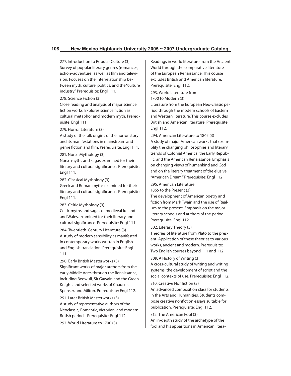# **108 New Mexico Highlands University 2005 ~ 2007 Undergraduate Catalog**

277. Introduction to Popular Culture (3) Survey of popular literary genres (romances, action–adventure) as well as film and television. Focuses on the interrelationship between myth, culture, politics, and the "culture industry." Prerequisite: Engl 111.

#### 278. Science Fiction (3)

Close reading and analysis of major science fiction works. Explores science fiction as cultural metaphor and modern myth. Prerequisite: Engl 111.

#### 279. Horror Literature (3)

A study of the folk origins of the horror story and its manifestations in mainstream and genre fiction and film. Prerequisite: Engl 111.

#### 281. Norse Mythology (3)

Norse myths and sagas examined for their literary and cultural significance. Prerequisite: Engl 111.

282. Classical Mythology (3)

Greek and Roman myths examined for their literary and cultural significance. Prerequisite: Engl 111.

283. Celtic Mythology (3)

Celtic myths and sagas of medieval Ireland and Wales, examined for their literary and cultural significance. Prerequisite: Engl 111.

284. Twentieth-Century Literature (3) A study of modern sensibility as manifested in contemporary works written in English and English translation. Prerequisite: Engl 111.

290. Early British Masterworks (3) Significant works of major authors from the early Middle Ages through the Renaissance, including Beowulf, Sir Gawain and the Green Knight, and selected works of Chaucer, Spenser, and Milton. Prerequisite: Engl 112.

291. Later British Masterworks (3) A study of representative authors of the Neoclassic, Romantic, Victorian, and modern British periods. Prerequisite: Engl 112.

292. World Literature to 1700 (3)

Readings in world literature from the Ancient World through the comparative literature of the European Renaissance. This course excludes British and American literature. Prerequisite: Engl 112.

293. World Literature from 1700 to Modern (3)

Literature from the European Neo-classic period through the modern schools of Eastern and Western literature. This course excludes British and American literature. Prerequisite: Engl 112.

294. American Literature to 1865 (3) A study of major American works that exemplify the changing philosophies and literary trends of Colonial America, the Early Republic, and the American Renaissance. Emphasis on changing views of humankind and God and on the literary treatment of the elusive "American Dream." Prerequisite: Engl 112.

295. American Literature, 1865 to the Present (3)

The development of American poetry and fiction from Mark Twain and the rise of Realism to the present. Emphasis on the major literary schools and authors of the period. Prerequisite: Engl 112.

302. Literary Theory (3)

Theories of literature from Plato to the present. Application of these theories to various works, ancient and modern. Prerequisite: Two English courses beyond 111 and 112.

309. A History of Writing (3)

A cross-cultural study of writing and writing systems; the development of script and the social contexts of use. Prerequisite: Engl 112.

310. Creative Nonfiction (3)

An advanced composition class for students in the Arts and Humanities. Students compose creative nonfiction essays suitable for publication. Prerequisite: Engl 112.

312. The American Fool (3) An in-depth study of the archetype of the fool and his apparitions in American litera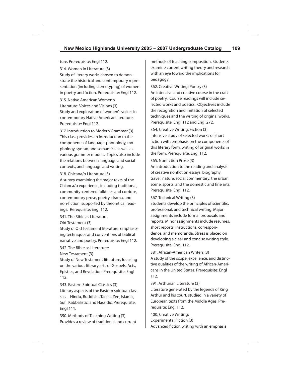ture. Prerequisite: Engl 112. 314. Women in Literature (3) Study of literary works chosen to demonstrate the historical and contemporary representation (including stereotyping) of women in poetry and fiction. Prerequisite: Engl 112.

315. Native American Women's Literature: Voices and Visions (3) Study and exploration of women's voices in contemporary Native American literature. Prerequisite: Engl 112.

317. Introduction to Modern Grammar (3) This class provides an introduction to the components of language-phonology, mophology, syntax, and semantics-as well as various grammer models. Topics also include the relations between language and social contexts, and language and writing.

318. Chicana/o Literature (3)

A survey examining the major texts of the Chianca/o experience, including traditional, community-centered folktales and corridos, contemporary prose, poetry, drama, and non-fiction, supported by theoretical readings. Rerequisite: Engl 112.

341. The Bible as Literature: Old Testament (3)

Study of Old Testament literature, emphasizing techniques and conventions of biblical narrative and poetry. Prerequisite: Engl 112.

342. The Bible as Literature:

New Testament (3)

Study of New Testament literature, focusing on the various literary arts of Gospels, Acts, Epistles, and Revelation. Prerequisite: Engl 112.

343. Eastern Spiritual Classics (3) Literary aspects of the Eastern spiritual classics – Hindu, Buddhist, Taoist, Zen, Islamic, Sufi, Kabbalistic, and Hassidic. Prerequisite: Engl 111.

350. Methods of Teaching Writing (3) Provides a review of traditional and current methods of teaching composition. Students examine current writing theory and research with an eye toward the implications for pedagogy.

362. Creative Writing: Poetry (3) An intensive and creative course in the craft of poetry. Course readings will include selected works and poetics. Objectives include the recognition and imitation of selected techniques and the writing of original works. Prerequisite: Engl 112 and Engl 272.

364. Creative Writing: Fiction (3) Intensive study of selected works of short fiction with emphasis on the components of this literary form; writing of original works in the form. Prerequisite: Engl 112.

## 365. Nonfiction Prose (3)

An introduction to the reading and analysis of creative nonfiction essays: biography, travel, nature, social commentary, the urban scene, sports, and the domestic and fine arts. Prerequisite: Engl 112.

### 367. Technical Writing (3)

Students develop the principles of scientific, professional, and technical writing. Major assignments include formal proposals and reports. Minor assignments include resumes, short reports, instructions, correspondence, and memoranda. Stress is placed on developing a clear and concise writing style. Prerequisite: Engl 112.

381. African-American Writers (3) A study of the scope, excellence, and distinctive qualities of the writing of African-Americans in the United States. Prerequisite: Engl 112.

391. Arthurian Literature (3)

Literature generated by the legends of King Arthur and his court, studied in a variety of European texts from the Middle Ages. Prerequisite: Engl 112.

400. Creative Writing: Experimental Fiction (3) Advanced fiction writing with an emphasis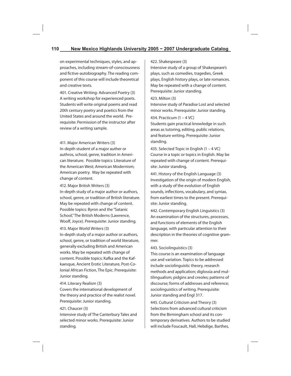on experimental techniques, styles, and approaches, including stream-of-consciousness and fictive-autobiography. The reading component of this course will include theoretical and creative texts.

401. Creative Writing: Advanced Poetry (3) A writing workshop for experienced poets. Students will write original poems and read 20th century poetry and poetics from the United States and around the world. Prerequisite: Permission of the instructor after review of a writing sample.

411. Major American Writers (3) In-depth student of a major auther or authros, school, genre, tradition in American literature. Possible topics: Literature of the American West; American Modernism; American poetry. May be repeated with change of content.

412. Major British Writers (3)

In-depth study of a major author or authors, school, genre, or tradition of British literature. May be repeated with change of content. Possible topics: Byron and the "Satanic School," The British Moderns (Lawrence, Woolf, Joyce). Prerequisite: Junior standing.

#### 413. Major World Writers (3)

In-depth study of a major author or authors, school, genre, or tradition of world literature, generally excluding British and American works. May be repeated with change of content. Possible topics: Kafka and the Kafkaesque, Ancient Erotic Literature, Post-Colonial African Fiction, The Epic. Prerequisite: Junior standing.

## 414. Literary Realism (3)

Covers the international development of the theory and practice of the realist novel. Prerequisite: Junior standing.

#### 421. Chaucer (3)

Intensive study of The Canterbury Tales and selected minor works. Prerequisite: Junior standing.

422. Shakespeare (3)

Intensive study of a group of Shakespeare's plays, such as comedies, tragedies, Greek plays, English history plays, or late romances. May be repeated with a change of content. Prerequisite: Junior standing.

#### 423. Milton (3)

Intensive study of Paradise Lost and selected minor works. Prerequisite: Junior standing.

434. Practicum (1 – 4 VC)

Students gain practical knowledge in such areas as tutoring, editing, public relations, and feature writing. Prerequisite: Junior standing.

435. Selected Topic in English (1 – 4 VC) Course in a topic or topics in English. May be repeated with change of content. Prerequisite: Junior standing.

441. History of the English Language (3) Investigation of the origin of modern English, with a study of the evolution of English sounds, inflections, vocabulary, and syntax, from earliest times to the present. Prerequisite: Junior standing.

442. Contemporary English Linguistics (3) An examination of the structures, processes, and functions of elements of the English language, with particular attention to their description in the theories of cognitive grammer.

## 443. Sociolinguistics (3)

This course is an examination of language use and variation. Topics to be addressed include sociolinguistic theory, research methods and application; diglossia and multilingualism; pidgins and creoles; patterns of discourse; forms of addresses and reference; sociolinguistics of writing. Prerequisite: Junior standing and Engl 317.

445. Cultural Criticism and Theory (3) Selections from advanced cultural criticism from the Birmingham school and its contemporary derivatives. Authors to be studied will include Foucault, Hall, Hebdige, Barthes,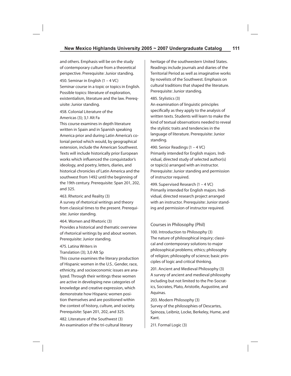and others. Emphasis will be on the study of contemporary culture from a theoretical perspective. Prerequisite: Junior standing.

450. Seminar in English (1 – 4 VC) Seminar course in a topic or topics in English. Possible topics: literature of exploration, existentialism, literature and the law. Prerequisite: Junior standing.

## 458. Colonial Literature of the Americas (3); 3,1 Alt Fa

This course examines in depth literature written in Spain and in Spanish speaking America prior and during Latin America's colonial period which would, by geographical extension, include the American Southwest. Texts will include historically prior European works which influenced the conquistador's ideology, and poetry, letters, diaries, and historical chronicles of Latin America and the southwest from 1492 until the beginning of the 19th century. Prerequisite: Span 201, 202, and 325.

463. Rhetoric and Reality (3)

A survey of rhetorical writings and theory from classical times to the present. Prerequisite: Junior standing.

464. Women and Rhetoric (3) Provides a historical and thematic overview of rhetorical writings by and about women. Prerequisite: Junior standing.

#### 475. Latina Writers in

Translation (3); 3,0 Alt Sp

This course examines the literary production of Hispanic women in the U.S.. Gender, race, ethnicity, and socioeconomic issues are analyzed. Through their writings these women are active in developing new categories of knowledge and creative expression, which demonstrate how Hispanic women position themselves and are positioned within the context of history, culture, and society. Prerequisite: Span 201, 202, and 325.

482. Literature of the Southwest (3) An examination of the tri-cultural literary heritage of the southwestern United States. Readings include journals and diaries of the Territorial Period as well as imaginative works by novelists of the Southwest. Emphasis on cultural traditions that shaped the literature. Prerequisite: Junior standing.

#### 485. Stylistics (3)

An examination of linguistic principles specifically as they apply to the analysis of written texts. Students will learn to make the kind of textual observations needed to reveal the stylistic traits and tendencies in the language of literature. Prerequisite: Junior standing.

490. Senior Readings (1 – 4 VC) Primarily intended for English majors. Individual, directed study of selected author(s) or topic(s) arranged with an instructor. Prerequisite: Junior standing and permission of instructor required.

499. Supervised Research (1 – 4 VC) Primarily intended for English majors. Individual, directed research project arranged with an instructor. Prerequisite: Junior standing and permission of instructor required.

# Courses in Philosophy (Phil)

100. Introduction to Philosophy (3) The nature of philosophical inquiry; classical and contemporary solutions to major philosophical problems; ethics; philosophy of religion; philosophy of science; basic principles of logic and critical thinking.

201. Ancient and Medieval Philosophy (3) A survey of ancient and medieval philosophy including but not limited to the Pre-Socratics, Socrates, Plato, Aristotle, Augustine, and Aquinas.

203. Modern Philosophy (3) Survey of the philosophies of Descartes, Spinoza, Leibniz, Locke, Berkeley, Hume, and Kant.

211. Formal Logic (3)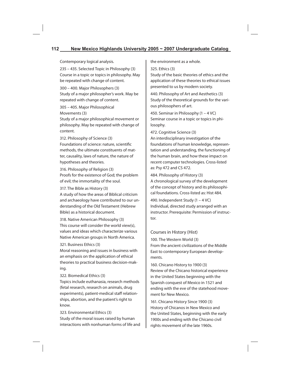# **112 New Mexico Highlands University 2005 ~ 2007 Undergraduate Catalog**

Contemporary logical analysis.

235 – 435. Selected Topic in Philosophy (3) Course in a topic or topics in philosophy. May be repeated with change of content.

300 – 400. Major Philosophers (3) Study of a major philosopher's work. May be repeated with change of content.

305 – 405. Major Philosophical

Movements (3)

Study of a major philosophical movement or philosophy. May be repeated with change of content.

312. Philosophy of Science (3)

Foundations of science: nature, scientific methods, the ultimate constituents of matter, causality, laws of nature, the nature of hypotheses and theories.

316. Philosophy of Religion (3) Proofs for the existence of God; the problem of evil; the immortality of the soul.

317. The Bible as History (3)

A study of how the areas of Biblical criticism and archaeology have contributed to our understanding of the Old Testament (Hebrew Bible) as a historical document.

318. Native American Philosophy (3) This course will consider the world view(s), values and ideas which characterize various Native American groups in North America.

## 321. Business Ethics (3)

Moral reasoning and issues in business with an emphasis on the application of ethical theories to practical business decision-making.

## 322. Biomedical Ethics (3)

Topics include euthanasia, research methods (fetal research, research on animals, drug experiments), patient-medical staff relationships, abortion, and the patient's right to know.

323. Environmental Ethics (3) Study of the moral issues raised by human interactions with nonhuman forms of life and the environment as a whole.

325. Ethics (3)

Study of the basic theories of ethics and the application of these theories to ethical issues presented to us by modern society.

440. Philosophy of Art and Aesthetics (3) Study of the theoretical grounds for the various philosophers of art.

450. Seminar in Philosophy (1 – 4 VC) Seminar course in a topic or topics in philosophy.

472. Cognitive Science (3)

An interdisciplinary investigation of the foundations of human knowledge, representation and understanding, the functioning of the human brain, and how these impact on recent computer technologies. Cross-listed as: Psy 472 and CS 472.

484. Philosophy of History (3) A chronological survey of the development of the concept of history and its philosophical foundations. Cross-listed as: Hist 484.

490. Independent Study (1 – 4 VC) Individual, directed study arranged with an instructor. Prerequisite: Permission of instructor.

# Courses in History (Hist)

100. The Western World (3) From the ancient civilizations of the Middle East to contemporary European developments.

160. Chicano History to 1900 (3) Review of the Chicano historical experience in the United States beginning with the Spanish conquest of Mexico in 1521 and ending with the eve of the statehood movement for New Mexico.

161. Chicano History Since 1900 (3) History of Chicanos in New Mexico and the United States, beginning with the early 1900s and ending with the Chicano civil rights movement of the late 1960s.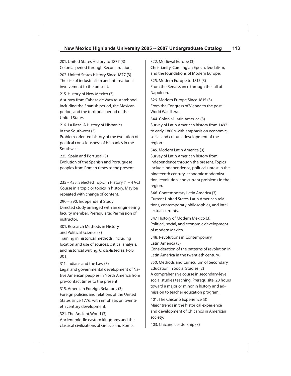201. United States History to 1877 (3) Colonial period through Reconstruction.

202. United States History Since 1877 (3) The rise of industrialism and international involvement to the present.

215. History of New Mexico (3) A survey from Cabeza de Vaca to statehood, including the Spanish period, the Mexican period, and the territorial period of the United States.

216. La Raza: A History of Hispanics in the Southwest (3) Problem-oriented history of the evolution of political consciousness of Hispanics in the Southwest.

225. Spain and Portugal (3) Evolution of the Spanish and Portuguese peoples from Roman times to the present.

235 – 435. Selected Topic in History (1 – 4 VC) Course in a topic or topics in history. May be repeated with change of content.

290 – 390. Independent Study Directed study arranged with an engineering faculty member. Prerequisite: Permission of instructor.

301. Research Methods in History and Political Science (3)

Training in historical methods, including location and use of sources, critical analysis, and historical writing. Cross-listed as: PolS 301.

311. Indians and the Law (3)

Legal and governmental development of Native American peoples in North America from pre-contact times to the present.

315. American Foreign Relations (3) Foreign policies and relations of the United States since 1776, with emphasis on twentieth century development.

321. The Ancient World (3) Ancient middle eastern kingdoms and the classical civilizations of Greece and Rome.

322. Medieval Europe (3) Christianity, Carolingian Epoch, feudalism, and the foundations of Modern Europe.

325. Modern Europe to 1815 (3) From the Renaissance through the fall of Napoleon.

326. Modern Europe Since 1815 (3) From the Congress of Vienna to the post-World War II era.

344. Colonial Latin America (3) Survey of Latin American history from 1492 to early 1800's with emphasis on economic, social and cultural development of the region.

345. Modern Latin America (3) Survey of Latin American history from independence through the present. Topics include independence, political unrest in the nineteenth century, economic modernization, revolution, and current problems in the region.

346. Contemporary Latin America (3) Current United States-Latin American relations, contemporary philosophies, and intellectual currents.

347. History of Modern Mexico (3) Political, social, and economic development of modern Mexico.

348. Revolutions in Contemporary Latin America (3)

Consideration of the patterns of revolution in Latin America in the twentieth century.

350. Methods and Curriculum of Secondary Education in Social Studies (2**)**  A comprehensive course in secondary-level social studies teaching. Prerequisite: 20 hours toward a major or minor in history and admission to teacher education program.

401. The Chicano Experience (3) Major trends in the historical experience and development of Chicanos in American society.

403. Chicano Leadership (3)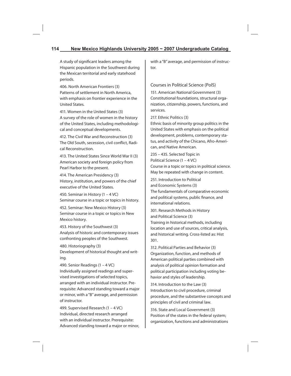# **114 New Mexico Highlands University 2005 ~ 2007 Undergraduate Catalog**

A study of significant leaders among the Hispanic population in the Southwest during the Mexican territorial and early statehood periods.

406. North American Frontiers (3) Patterns of settlement in North America, with emphasis on frontier experience in the United States.

411. Women in the United States (3) A survey of the role of women in the history of the United States, including methodological and conceptual developments.

412. The Civil War and Reconstruction (3) The Old South, secession, civil conflict, Radical Reconstruction.

413. The United States Since World War II (3) American society and foreign policy from Pearl Harbor to the present.

414. The American Presidency (3) History, institution, and powers of the chief executive of the United States.

450. Seminar in History (1 – 4 VC) Seminar course in a topic or topics in history.

452. Seminar: New Mexico History (3) Seminar course in a topic or topics in New Mexico history.

453. History of the Southwest (3) Analysis of historic and contemporary issues confronting peoples of the Southwest.

480. Historiography (3) Development of historical thought and writing.

490. Senior Readings (1 – 4 VC) Individually assigned readings and supervised investigations of selected topics, arranged with an individual instructor. Prerequisite: Advanced standing toward a major or minor, with a "B" average, and permission of instructor.

499. Supervised Research (1 – 4 VC) Individual, directed research arranged with an individual instructor. Prerequisite: Advanced standing toward a major or minor, with a "B" average, and permission of instructor.

Courses in Political Science (PolS)

151. American National Government (3) Constitutional foundations, structural organization, citizenship, powers, functions, and services.

217. Ethnic Politics (3)

Ethnic basis of minority group politics in the United States with emphasis on the political development, problems, contemporary status, and activity of the Chicano, Afro-American, and Native American.

235 – 435. Selected Topic in Political Science (1 – 4 VC) Course in a topic or topics in political science. May be repeated with change in content.

251. Introduction to Political and Economic Systems (3) The fundamentals of comparative economic and political systems, public finance, and international relations.

301. Research Methods in History and Political Science (3) Training in historical methods, including location and use of sources, critical analysis, and historical writing. Cross-listed as: Hist 301.

312. Political Parties and Behavior (3) Organization, function, and methods of American political parties combined with analysis of political opinion formation and political participation including voting behavior and styles of leadership.

314. Introduction to the Law (3) Introduction to civil procedure, criminal procedure, and the substantive concepts and principles of civil and criminal law.

316. State and Local Government (3) Position of the states in the federal system; organization, functions and administrations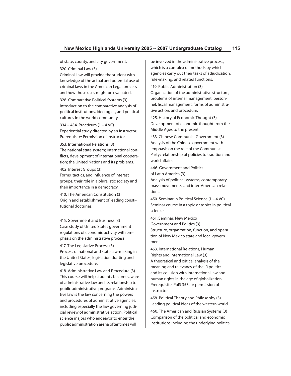of state, county, and city government.

320. Criminal Law (3)

Criminal Law will provide the student with knowledge of the actual and potential use of criminal laws in the American Legal process and how those uses might be evaluated.

328. Comparative Political Systems (3) Introduction to the comparative analysis of political institutions, ideologies, and political cultures in the world community.

334 – 434. Practicum (1 – 4 VC) Experiential study directed by an instructor. Prerequisite: Permission of instructor.

353. International Relations (3)

The national state system; international conflicts, development of international cooperation; the United Nations and its problems.

402. Interest Groups (3)

Forms, tactics, and influence of interest groups; their role in a pluralistic society and their importance in a democracy.

410. The American Constitution (3) Origin and establishment of leading constitutional doctrines.

415. Government and Business (3) Case study of United States government regulations of economic activity with emphasis on the administrative process.

417. The Legislative Process (3) Process of national and state law-making in the United States; legislation drafting and legislative procedure.

418. Administrative Law and Procedure (3) This course will help students become aware of administrative law and its relationship to public administrative programs. Administrative law is the law concerning the powers and procedures of administrative agencies, including especially the law governing judicial review of administrative action. Political science majors who endeavor to enter the public administration arena oftentimes will

be involved in the administrative process, which is a complex of methods by which agencies carry out their tasks of adjudication, rule-making, and related functions.

419. Public Administration (3)

Organization of the administrative structure, problems of internal management, personnel, fiscal management, forms of administrative action, and procedure.

425. History of Economic Thought (3) Development of economic thought from the Middle Ages to the present.

433. Chinese Communist Government (3) Analysis of the Chinese government with emphasis on the role of the Communist Party; relationship of policies to tradition and world affairs.

446. Government and Politics of Latin America (3)

Analysis of political systems, contemporary mass movements, and inter-American relations.

450. Seminar in Political Science (1 – 4 VC) Seminar course in a topic or topics in political science.

451. Seminar: New Mexico Government and Politics (3) Structure, organization, function, and operation of New Mexico state and local government.

453. International Relations, Human Rights and International Law (3) A theoretical and critical analysis of the meaning and relevancy of the IR politics and its collision with international law and human rights in the age of globalization. Prerequisite: PolS 353, or permission of instructor.

458. Political Theory and Philosophy (3) Leading political ideas of the western world.

460. The American and Russian Systems (3) Comparison of the political and economic institutions including the underlying political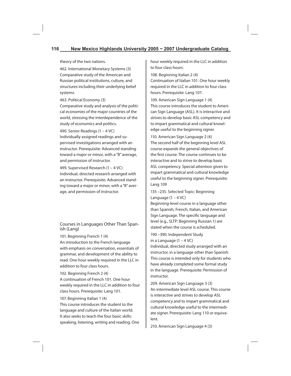theory of the two nations.

462. International Monetary Systems (3) Comparative study of the American and Russian political institutions, culture, and structures including their underlying belief systems.

463. Political Economy (3)

Comparative study and analysis of the political economies of the major countries of the world, stressing the interdependence of the study of economics and politics.

490. Senior Readings (1 – 4 VC) Individually assigned readings and supervised investigations arranged with an instructor. Prerequisite: Advanced standing toward a major or minor, with a "B" average, and permission of instructor.

499. Supervised Research (1 – 4 VC) Individual, directed research arranged with an instructor. Prerequisite: Advanced standing toward a major or minor, with a "B" average, and permission of instructor.

Courses in Languages Other Than Spanish (Lang)

101. Beginning French 1 (4)

An introduction to the French language with emphasis on conversation, essentials of grammar, and development of the ability to read. One hour weekly required in the LLC in addition to four class hours.

102. Beginning French 2 (4)

A continuation of French 101. One hour weekly required in the LLC in addition to four class hours. Prerequisite: Lang 101.

107. Beginning Italian 1 (4)

This course introduces the student to the language and culture of the Italian world. It also seeks to teach the four basic skills: speaking, listening, writing and reading. One hour weekly required in the LLC in addition to four class hours.

108. Beginning Italian 2 (4) Continuation of Italian 101. One hour weekly required in the LLC in addition to four class hours. Prerequisite: Lang 107.

109. American Sign Language 1 (4) This course introduces the student to American Sign Language (ASL). It is interactive and strives to develop basic ASL competency and to impart grammatical and cultural knowledge useful to the beginning signer.

110. American Sign Language 2 (4) The second half of the beginning level ASL course expands the general objectives of the first course. The course continues to be interactive and to strive to develop basic ASL competency. Special attention given to impart grammatical and cultural knowledge useful to the beginning signer. Prerequisite: Lang 109

135 –235. Selected Topic: Beginning Language  $(1 - 4 \text{ VC})$ 

Beginning-level course in a language other than Spanish, French, Italian, and American Sign Language. The specific language and level (e.g., SLTP: Beginning Russian 1) are stated when the course is scheduled.

190 –390. Independent Study in a Language  $(1 - 4$  VC)

Individual, directed study arranged with an instructor, in a language other than Spanish. This course is intended only for students who have already completed some formal study in the language. Prerequisite: Permission of instructor.

209. American Sign Language 3 (3) An intermediate level ASL course. This course is interactive and strives to develop ASL competency and to impart grammatical and cultural knowledge useful to the intermediate signer. Prerequisite: Lang 110 or equivalent.

210. American Sign Language 4 (3)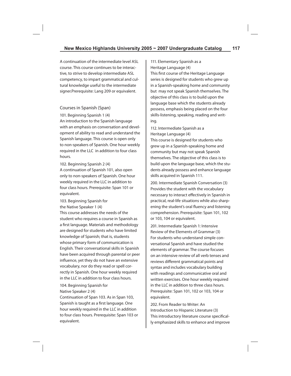A continuation of the intermediate level ASL course. This course continues to be interactive, to strive to develop intermediate ASL competency, to impart grammatical and cultural knowledge useful to the intermediate signer.Prerequisite: Lang 209 or equivalent.

## Courses in Spanish (Span)

101. Beginning Spanish 1 (4)

An introduction to the Spanish language with an emphasis on conversation and development of ability to read and understand the Spanish language. This course is open only to non-speakers of Spanish. One hour weekly required in the LLC in addition to four class hours.

102. Beginning Spanish 2 (4)

A continuation of Spanish 101, also open only to non-speakers of Spanish. One hour weekly required in the LLC in addition to four class hours. Prerequisite: Span 101 or equivalent.

103. Beginning Spanish for the Native Speaker 1 (4)

This course addresses the needs of the student who requires a course in Spanish as a first language. Materials and methodology are designed for students who have limited knowledge of Spanish; that is, students whose primary form of communication is English. Their conversational skills in Spanish have been acquired through parental or peer influence, yet they do not have an extensive vocabulary, nor do they read or spell correctly in Spanish. One hour weekly required in the LLC in addition to four class hours.

## 104. Beginning Spanish for Native Speaker 2 (4)

Continuation of Span 103. As in Span 103, Spanish is taught as a first language. One hour weekly required in the LLC in addition to four class hours. Prerequisite: Span 103 or equivalent.

# 111. Elementary Spanish as a Heritage Language (4)

This first course of the Heritage Language series is designed for students who grew up in a Spanish-speaking home and community but may not speak Spanish themselves. The objective of this class is to build upon the language base which the students already possess, emphasis being placed on the four skills-listening, speaking, reading and writing.

# 112. Intermediate Spanish as a Heritage Language (4)

This course is designed for students who grew up in a Spanish-speaking home and community but may not speak Spanish themselves. The objective of this class is to build upon the language base, which the students already possess and enhance language skills acquired in Spanish 111.

200. Intermediate Spanish Conversation (3) Provides the student with the vocabulary necessary to interact effectively in Spanish in practical, real-life situations while also sharpening the student's oral fluency and listening comprehension. Prerequisite: Span 101, 102 or 103, 104 or equivalent.

201. Intermediate Spanish 1: Intensive Review of the Elements of Grammar (3) For students who understand simple conversational Spanish and have studied the elements of grammar. The course focuses on an intensive review of all verb tenses and reviews different grammatical points and syntax and includes vocabulary building with readings and communicative oral and written exercises. One hour weekly required in the LLC in addition to three class hours. Prerequisite: Span 101, 102 or 103, 104 or equivalent.

202. From Reader to Writer: An Introduction to Hispanic Literature (3) This introductory literature course specifically emphasized skills to enhance and improve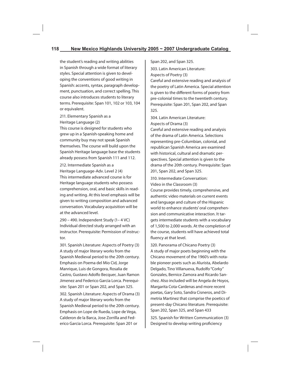the student's reading and writing abilities in Spanish through a wide format of literary styles. Special attention is given to developing the conventions of good writing in Spanish: accents, syntax, paragraph development, punctuation, and correct spelling. This course also introduces students to literary terms. Prerequisite: Span 101, 102 or 103, 104 or equivalent.

## 211. Elementary Spanish as a Heritage Language (2)

This course is designed for students who grew up in a Spanish-speaking home and community buy may not speak Spanish themselves. The course will build upon the Spanish Heritage language base the students already possess from Spanish 111 and 112.

212. Intermediate Spanish as a Heritage Language-Adv. Level 2 (4) This intermediate advanced course is for Heritage language students who possess comprehension, oral, and basic skills in reading and writing. At this level emphasis will be given to writing composition and advanced conversation. Vocabulary acquisition will be at the advanced level.

290 – 490. Independent Study (1– 4 VC) Individual directed study arranged with an instructor. Prerequisite: Permission of instructor.

301. Spanish Literature: Aspects of Poetry (3) A study of major literary works from the Spanish Medieval period to the 20th century. Emphasis on Poema del Mio Cid, Jorge Manrique, Luis de Gongora, Rosalia de Castro, Gustavo Adolfo Becquer, Juan Ramon Jimenez and Federico Garcia Lorca. Prerequisite: Span 201 or Span 202, and Span 325.

302. Spanish Literature: Aspects of Drama (3) A study of major literary works from the Spanish Medieval period to the 20th century. Emphasis on Lope de Rueda, Lope de Vega, Calderon de la Barca, Jose Zorrilla and Federico Garcia Lorca. Prerequisite: Span 201 or

Span 202, and Span 325.

303. Latin American Literature: Aspects of Poetry (3)

Careful and extensive reading and analysis of the poetry of Latin America. Special attention is given to the different forms of poetry from pre-colonial times to the twentieth century. Prerequisite: Span 201, Span 202, and Span 325.

304. Latin American Literature: Aspects of Drama (3)

Careful and extensive reading and analysis of the drama of Latin America. Selections representing pre-Columbian, colonial, and republican Spanish America are examined with historical, cultural and dramatic perspectives. Special attention is given to the drama of the 20th century. Prerequisite: Span 201, Span 202, and Span 325.

310. Intermediate Conversation: Video in the Classroom (3)

Course provides timely, comprehensive, and authentic video materials on current events and language and culture of the Hispanic world to enhance students' oral comprehension and communicative interaction. It targets intermediate students with a vocabulary of 1,500 to 2,000 words. At the completion of the course, students will have achieved total fluency at that level.

320. Panorama of Chicano Poetry (3) A study of major poets beginning with the Chicano movement of the 1960's with notable pioneer poets such as Alurista, Abelardo Delgado, Tino Villanueva, Rudolfo "Corky" Gonzales, Bernice Zamora and Ricardo Sanchez. Also included will be Angela de Hoyos, Margarita Cota-Cardenas and more recent poetas, Gary Soto, Sandra Cisneros, and Dimetria Martinez that comprise the poetics of present-day Chicano literature. Prerequisite: Span 202, Span 325, and Span 433 325. Spanish for Written Communication (3) Designed to develop writing proficiency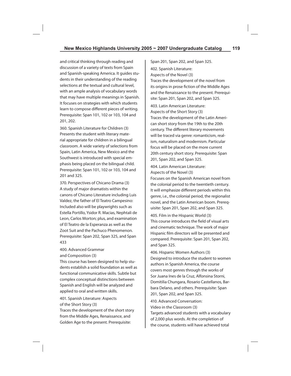and critical thinking through reading and discussion of a variety of texts from Spain and Spanish-speaking America. It guides students in their understanding of the reading selections at the textual and cultural level, with an ample analysis of vocabulary words that may have multiple meanings in Spanish. It focuses on strategies with which students learn to compose different pieces of writing. Prerequisite: Span 101, 102 or 103, 104 and 201, 202.

360. Spanish Literature for Children (3) Presents the student with literary material appropriate for children in a bilingual classroom. A wide variety of selections from Spain, Latin America, New Mexico and the Southwest is introduced with special emphasis being placed on the bilingual child. Prerequisite: Span 101, 102 or 103, 104 and 201 and 325.

370. Perspectives of Chicano Drama (3) A study of major dramatists within the canons of Chicano Literature including Luis Valdez, the father of El Teatro Campesino: Included also will be playwrights such as Estella Portillo, Ysidor R. Macias, Nephtali de Leon, Carlos Morton; plus, and examination of El Teatro de la Esperanza as well as the Zoot Suit and the Pachuco Phenomenon. Prerequisite: Span 202, Span 325, and Span 433

400. Advanced Grammar and Composition (3)

This course has been designed to help students establish a solid foundation as well as functional communicative skills. Subtle but complex conceptual distinctions between Spanish and English will be analyzed and applied to oral and written skills.

401. Spanish Literature: Aspects of the Short Story (3)

Traces the development of the short story from the Middle Ages, Renaissance, and Golden Age to the present. Prerequisite:

Span 201, Span 202, and Span 325. 402. Spanish Literature: Aspects of the Novel (3) Traces the development of the novel from its origins in prose fiction of the Middle Ages and the Renaissance to the present. Prerequisite: Span 201, Span 202, and Span 325. 403. Latin American Literature: Aspects of the Short Story (3) Traces the development of the Latin American short story from the 19th to the 20th century. The different literary movements will be traced via genre: romanticism, realism, naturalism and modernism. Particular focus will be placed on the more current 20th century short story. Prerequisite: Span

404. Latin American Literature: Aspects of the Novel (3)

201, Span 202, and Span 325.

Focuses on the Spanish American novel from the colonial period to the twentieth century. It will emphasize different periods within this genre, i.e., the colonial period, the regionalist novel, and the Latin American boom. Prerequisite: Span 201, Span 202, and Span 325.

405. Film in the Hispanic World (3) This course introduces the field of visual arts and cinematic technique. The work of major Hispanic film directors will be presented and compared. Prerequisite: Span 201, Span 202, and Span 325.

406. Hispanic Women Authors (3) Designed to introduce the student to women authors in Spanish America, the course covers most genres through the works of Sor Juana Ines de la Cruz, Alfonsina Storni, Domitilia Chungara, Rosario Castellanos, Barbara Delano, and others. Prerequisite: Span 201, Span 202, and Span 325.

410. Advanced Conversation: Video in the Classroom (3) Targets advanced students with a vocabulary of 2,000 plus words. At the completion of the course, students will have achieved total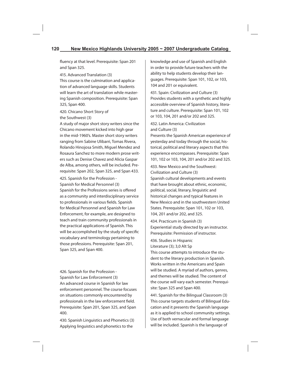fluency at that level. Prerequisite: Span 201 and Span 325.

415. Advanced Translation (3) This course is the culmination and application of advanced language skills. Students will learn the art of translation while mastering Spanish composition. Prerequisite: Span 325, Span 400.

## 420. Chicano Short Story of the Southwest (3)

A study of major short story writers since the Chicano movement kicked into high gear in the mid-1960's. Master short story writers ranging from Sabine Ulibarri, Tomas Rivera, Rolando Hinojosa Smith, Miguel Mendez and Rosaura Sanchez to more modern prose writers such as Denise Chavez and Alicia Gaspar de Alba, among others, will be included. Prerequisite: Span 202, Span 325, and Span 433.

425. Spanish for the Profession - Spanish for Medical Personnel (3) Spanish for the Professions series is offered as a community and interdisciplinary service to professionals in various fields. Spanish for Medical Personnel and Spanish for Law Enforcement, for example, are designed to teach and train community professionals in the practical applications of Spanish. This will be accomplished by the study of specific vocabulary and terminology pertaining to those professions. Prerequisite: Span 201, Span 325, and Span 400.

426. Spanish for the Profession - Spanish for Law Enforcement (3) An advanced course in Spanish for law enforcement personnel. The course focuses on situations commonly encountered by professionals in the law enforcement field. Prerequisite: Span 201, Span 325, and Span 400.

430. Spanish Linguistics and Phonetics (3) Applying linguistics and phonetics to the

knowledge and use of Spanish and English in order to provide future teachers with the ability to help students develop their languages. Prerequisite: Span 101, 102, or 103, 104 and 201 or equivalent.

431. Spain: Civilization and Culture (3) Provides students with a synthetic and highly accessible overview of Spanish history, literature and culture. Prerequisite: Span 101, 102 or 103, 104, 201 and/or 202 and 325.

432. Latin America: Civilization and Culture (3)

Presents the Spanish American experience of yesterday and today through the social, historical, political and literary aspects that this experience encompasses. Prerequisite: Span 101, 102 or 103, 104, 201 and/or 202 and 325.

433. New Mexico and the Southwest: Civilization and Culture (3)

Spanish cultural developments and events that have brought about ethnic, economic, political, social, literary, linguistic and historical changes and typical features in New Mexico and in the southwestern United States. Prerequisite: Span 101, 102 or 103. 104, 201 and/or 202, and 325.

434. Practicum in Spanish (3) Experiential study directed by an instructor. Prerequisite: Permission of instructor.

436. Studies in Hispanic Literature (3); 3,0 Alt Sp

This course attempts to introduce the student to the literary production in Spanish. Works written in the Americans and Spain will be studied. A myriad of authors, genres, and themes will be studied. The content of the course will vary each semester. Prerequisite: Span 325 and Span 400.

441. Spanish for the Bilingual Classroom (3) This course targets students of Bilingual Education and it presents the Spanish language as it is applied to school community settings. Use of both vernacular and formal language will be included. Spanish is the language of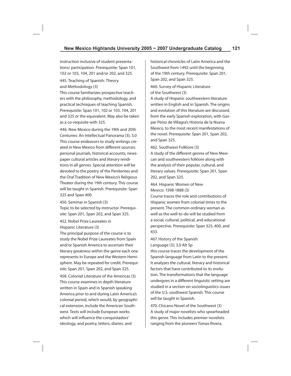instruction inclusive of student presentations/ participation. Prerequisite: Span 101, 102 or 103, 104, 201 and/or 202, and 325.

445. Teaching of Spanish: Theory and Methodology (3)

This course familiarizes prospective teachers with the philosophy, methodology, and practical techniques of teaching Spanish. Prerequisite: Span 101, 102 or 103, 104, 201 and 325 or the equivalent. May also be taken as a co-requisite with 325.

446. New Mexico during the 19th and 20th Centuries: An Intellectual Panorama (3); 3,0 This course endeavors to study writings created in New Mexico from different sources: personal journals, historical accounts, newspaper cultural articles and literary renditions in all genres. Special attention will be devoted to the poetry of the Penitentes and the Oral Tradition of New Mexico's Religious Theater during the 19th century. This course will be taught in Spanish. Prerequisite: Span 325 and Span 400.

450. Seminar in Spanish (3) Topic to be selected by instructor. Prerequisite: Span 201, Span 202, and Span 325.

452. Nobel Prize Laureates in Hispanic Literature (3)

The principal purpose of the course is to study the Nobel Prize Laureates from Spain and/or Spanish America to ascertain their literary greatness within the genre each one represents in Europe and the Western Hemisphere. May be repeated for credit. Prerequisite: Span 201, Span 202, and Span 325.

458. Colonial Literature of the Americas (3) This course examines in depth literature written in Spain and in Spanish speaking America prior to and during Latin America's colonial period, which would, by geographical extension, include the American Southwest. Texts will include European works which will influence the conquistadors' ideology, and poetry, letters, diaries, and

historical chronicles of Latin America and the Southwest from 1492 until the beginning of the 19th century. Prerequisite: Span 201, Span 202, and Span 325.

460. Survey of Hispanic Literature of the Southwest (3)

A study of Hispanic southwestern literature written in English and in Spanish. The origins and evolution of this literature are discussed, from the early Spanish exploration, with Gaspar Perez de Villagra's Historia de la Nueva Mexico, to the most recent manifestations of the novel. Prerequisite: Span 201, Span 202, and Span 325.

462. Southwest Folklore (3)

A study of the different genres of New Mexican and southwestern folklore along with the analysis of their popular, cultural, and literary values. Prerequisite: Span 201, Span 202, and Span 325.

464. Hispanic Women of New Mexico: 1598-1888 (3)

Course traces the role and contributions of Hispanic women from colonial times to the present. The common-ordinary woman as well as the well-to-do will be studied from a social, cultural, political, and educational perspective. Prerequisite: Span 325, 400, and 433.

467. History of the Spanish Language (3); 3,0 Alt Sp

this course traces the development of the Spanish language from Latin to the present. It analyzes the cultural, literary and historical factors that have contributed to its evolution. The transformations that the language undergoes in a different linguistic setting are studied in a section on sociolinguistics issues of the U.S. southwest Spanish. This course will be taught in Spanish.

470. Chicano Novel of the Southwest (3) A study of major novelists who spearheaded this genre. This includes premier novelists ranging from the pioneers Tomas Rivera,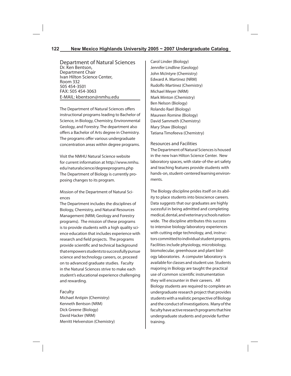Department of Natural Sciences Dr. Ken Bentson, Department Chair Ivan Hilton Science Center, Room 332 505 454-3501 FAX: 505 454-3063 E-MAIL: kbentson@nmhu.edu

The Department of Natural Sciences offers instructional programs leading to Bachelor of Science, in Biology, Chemistry, Environmental Geology, and Forestry. The department also offers a Bachelor of Arts degree in Chemistry. The programs offer various undergraduate concentration areas within degree programs.

Visit the NMHU Natural Science website for current information at http://www.nmhu. edu/naturalscience/degreeprograms.php The Department of Biology is currently proposing changes to its program.

Mission of the Department of Natural Sciences

The Department includes the disciplines of Biology, Chemistry, and Natural Resources Management (NRM; Geology and Forestry programs). The mission of these programs is to provide students with a high quality science education that includes experience with research and field projects. The programs provide scientific and technical background that empowers students to successfully pursue science and technology careers, or, proceed on to advanced graduate studies. Faculty in the Natural Sciences strive to make each student's educational experience challenging and rewarding.

#### Faculty

Michael Antipin (Chemistry) Kenneth Bentson (NRM) Dick Greene (Biology) David Hacker (NRM) Merritt Helvenston (Chemistry) Carol Linder (Biology) Jennifer Lindline (Geology) John McIntyre (Chemistry) Edward A. Martinez (NRM) Rudolfo Martinez (Chemistry) Michael Meyer (NRM) Mark Minton (Chemistry) Ben Nelson (Biology) Rolando Rael (Biology) Maureen Romine (Biology) David Sammeth (Chemistry) Mary Shaw (Biology) Tatiana Timofeeva (Chemistry)

Resources and Facilities

The Department of Natural Sciences is housed in the new Ivan Hilton Science Center. New laboratory spaces, with state-of-the-art safety and teaching features provide students with hands-on, student-centered learning environments.

The Biology discipline prides itself on its ability to place students into bioscience careers. Data suggests that our graduates are highly sucessful in being admitted and completing medical, dental, and veterinary schools nationwide. The discipline attributes this success to intensive biology laboratory experiences with cutting edge technology, and, instructors committed to individual student progress. Facilities include physiology, microbiology, biomolecular, greenhouse and plant biology laboratories. A computer laboratory is available for classes and student use. Students majoring in Biology are taught the practical use of common scientific instrumentation they will encounter in their careers. All Biology students are required to complete an undergraduate research project that provides students with a realistic perspective of Biology and the conduct of investigations. Many of the faculty have active research programs that hire undergraduate students and provide further training.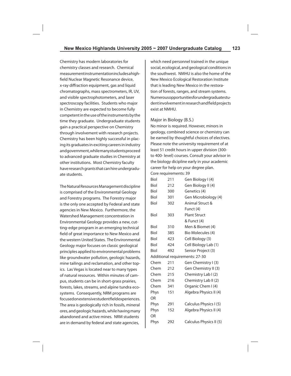Chemistry has modern laboratories for chemistry classes and research. Chemical measurement instrumentation includes a highfield Nuclear Magnetic Resonance device, x-ray diffraction equipment, gas and liquid chromatographs, mass spectrometers, IR, UV, and visible spectrophotometers, and laser spectroscopy facilities. Students who major in Chemistry are expected to become fully competent in the use of the instruments by the time they graduate. Undergraduate students gain a practical perspective on Chemistry through involvement with research projects. Chemistry has been highly successful in placing its graduates in exciting careers in industry and government, while many students proceed to advanced graduate studies in Chemistry at other institutions. Most Chemistry faculty have research grants that can hire undergraduate students.

The Natural Resources Management discipline is comprised of the Environmental Geology and Forestry programs. The Forestry major is the only one accepted by Federal and state agencies in New Mexico. Furthermore, the Watershed Management concentration in Environmental Geology provides a new, cutting-edge program in an emerging technical field of great importance to New Mexico and the western United States. The Environmental Geology major focuses on classic geological principles applied to environmental problems like groundwater pollution, geologic hazards, mine tailings and reclamation, and other topics. Las Vegas is located near to many types of natural resources. Within minutes of campus, students can be in short-grass prairies, forests, lakes, streams, and alpine tundra ecosystems. Consequently, NRM programs are focused on extensive student field experiences. The area is geologically rich in fossils, mineral ores, and geologic hazards, while having many abandoned and active mines. NRM students are in demand by federal and state agencies,

which need personnel trained in the unique social, ecological, and geological conditions in the southwest. NMHU is also the home of the New Mexico Ecological Restoration Institute that is leading New Mexico in the restoration of forests, ranges, and stream systems. Numerous opportunities for undergraduate student involvement in research and field projects exist at NMHU.

#### Major in Biology (B.S.)

No minor is required. However, minors in geology, combined science or chemistry can be earned by thoughtful choices of electives. Please note the university requirement of at least 51 credit hours in upper division (300 to 400- level) courses. Consult your advisor in the biology dicipline early in your academic career for help on your degree plan. Core requirements: 39

| Biol      | 211 | Gen Biology I (4)              |
|-----------|-----|--------------------------------|
| Biol      | 212 | Gen Biology II (4)             |
| Biol      | 300 | Genetics (4)                   |
| Biol      | 301 | Gen Microbiology (4)           |
| Biol      | 302 | Animal Struct &                |
|           |     | Funct (4)                      |
| Biol      | 303 | <b>Plant Struct</b>            |
|           |     | & Funct (4)                    |
| Biol      | 310 | Men & Biomet (4)               |
| Biol      | 385 | Bio Molecules (4)              |
| Biol      | 423 | Cell Biology (3)               |
| Biol      | 424 | Cell Biology Lab (1)           |
| Biol      | 492 | Senior Project (3)             |
|           |     | Additional requirements: 27-30 |
| Chem      | 211 | Gen Chemistry I (3)            |
| Chem      | 212 | Gen Chemistry II (3)           |
| Chem      | 215 | Chemistry Lab I (2)            |
| Chem      | 216 | Chemistry Lab II (2)           |
| Chem      | 341 | Organic Chem I (4)             |
| Phys      | 151 | Algebra Physics II (4)         |
| OR        |     |                                |
| Phys      | 291 | Calculus Physics I (5)         |
| Phys      | 152 | Algebra Physics II (4)         |
| <b>OR</b> |     |                                |
| Phys      | 292 | Calculus Physics II (5)        |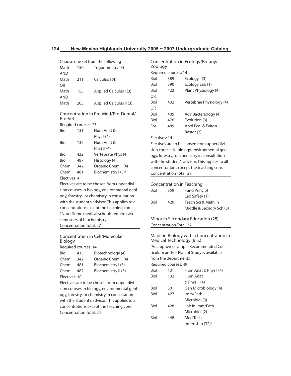| Choose one set from the following                 |                                             |                                                 |  |  |
|---------------------------------------------------|---------------------------------------------|-------------------------------------------------|--|--|
| Math                                              | 150                                         | Trigonometry (3)                                |  |  |
| AND                                               |                                             |                                                 |  |  |
| Math                                              | 211                                         | Calculus I (4)                                  |  |  |
| OR                                                |                                             |                                                 |  |  |
| Math                                              | 155                                         | Applied Calculus I (3)                          |  |  |
| <b>AND</b>                                        |                                             |                                                 |  |  |
| Math                                              | 205                                         | Applied Calculus II (3)                         |  |  |
|                                                   |                                             | Concentration in Pre-Med/Pre-Dental/            |  |  |
| Pre-Vet                                           |                                             |                                                 |  |  |
|                                                   | Required courses: 23                        |                                                 |  |  |
| Biol                                              | 131                                         | Hum Anat &                                      |  |  |
|                                                   |                                             | Phys I (4)                                      |  |  |
| Biol                                              | 132                                         | Hum Anat &                                      |  |  |
|                                                   |                                             | Phys II $(4)$                                   |  |  |
| Biol                                              | 432                                         | Vertebrate Phys (4)                             |  |  |
| Biol                                              | 487                                         | Histology (4)                                   |  |  |
| Chem                                              | 342                                         | Organic Chem II (4)                             |  |  |
| Chem                                              | 481                                         | Biochemistry I (3)*                             |  |  |
| Electives: 4                                      |                                             |                                                 |  |  |
|                                                   | Electives are to be chosen from upper divi- |                                                 |  |  |
| sion courses in biology, environmental geol-      |                                             |                                                 |  |  |
| ogy, forestry, or chemistry in consultation       |                                             |                                                 |  |  |
|                                                   |                                             | with the student's advisor. This applies to all |  |  |
|                                                   |                                             | concentrations except the teaching core.        |  |  |
|                                                   | *Note: Some medical schools require two     |                                                 |  |  |
|                                                   | semesters of biochemistry.                  |                                                 |  |  |
|                                                   | Concentration Total: 27                     |                                                 |  |  |
| <b>Concentration in Cell/Molecular</b><br>Biology |                                             |                                                 |  |  |
|                                                   | Required courses: 14                        |                                                 |  |  |
| Biol                                              | 415                                         | Biotechnology (4)                               |  |  |
| Chem                                              | 342                                         | Organic Chem II (4)                             |  |  |
| Chem                                              | 481                                         | Biochemistry I (3)                              |  |  |
| Chem                                              | 482                                         | Biochemistry II (3)                             |  |  |
| Electives: 10                                     |                                             |                                                 |  |  |
| Electives are to be chosen from upper divi-       |                                             |                                                 |  |  |
| sion courses in biology, environmental geol-      |                                             |                                                 |  |  |
| ogy, forestry, or chemistry in consultation       |                                             |                                                 |  |  |

with the student's advisor. This applies to all concentrations except the teaching core. Concentration Total: 24

Concentration in Ecology/Botany/ Zoology Required courses: 14 Biol 389 Ecology (3) Biol 390 Ecology Lab (1) Biol 422 Plant Physiology (4) OR Biol 432 Vertebrae Physiology (4) OR Biol 405 Adv Bacteriology (4) Biol 476 Evolution (3) For 489 Appl Ecol & Eviron Restor (3)

#### Electives: 14

Electives are to be chosen from upper division courses in biology, environmental geology, forestry, or chemistry in consultation with the student's advisor. This applies to all concentrations except the teaching core. Concentration Total: 28

|      |     | Concentration in Teaching |
|------|-----|---------------------------|
| Biol | 359 | Fund Princ of             |
|      |     | Lab Safety (1)            |
| Biol | 420 | Teach Sci & Math in       |
|      |     | Middle & Secndry Sch (3)  |

Minor in Secondary Education (28) Concentration Total: 32

Major in Biology with a Concentration in Medical Technology (B.S.) (An approved sample Recommended Curriculum and/or Plan of Study is available from the department.) Required courses: 49 Biol 131 Hum Anat & Phys I (4) Biol 132 Hum Anat & Phys II (4) Biol 301 Gen Microbiology (4) Biol 427 Imm/Path Microbiol (3) Biol 428 Lab in Imm/Path Microbiol (2) Biol 448 Med Tech Internship (32)\*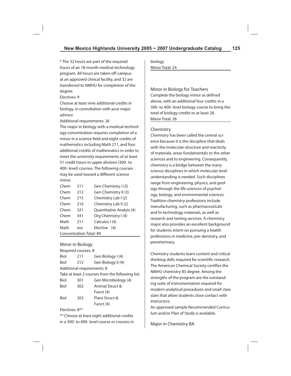\* The 32 hours are part of the required hours of an 18-month medical technology program. All hours are taken off-campus at an approved clinical facility, and 32 are transferred to NMHU for completion of the degree.

Electives: 9

Choose at least nine additional credits in biology, in consultation with your major advisor.

Additional requirements: 26

The major in biology with a medical-technology concentration requires completion of a minor in a science field and eight credits of mathematics including Math 211, and four additional credits of mathematics in order to meet the university requirements of at least 51 credit hours in upper division (300- to 400- level) courses. The following courses may be used toward a different science minor.

| Chem                           | 211        | Gen Chemistry I (3)      |
|--------------------------------|------------|--------------------------|
| Chem                           | 212        | Gen Chemistry II (3)     |
| Chem                           | 215        | Chemistry Lab I (2)      |
| Chem                           | 216        | Chemistry Lab II (2)     |
| Chem                           | 321        | Quantitative Analyis (4) |
| Chem                           | 341        | Org Chemistry I (4)      |
| Math                           | 211        | Calculus I (4)           |
| Math                           | <b>XXX</b> | Elective (4)             |
| <b>Concentration Total: 84</b> |            |                          |

## Minor in Biology

Required courses: 8 Biol 211 Gen Biology I (4) Biol 212 Gen Biology II (4) Additional requirements: 8 Take at least 2 courses from the following list: Biol 301 Gen Microbiology (4) Biol 302 Animal Struct & Funct (4) Biol 303 Plant Struct & Funct (4)

Electives: 8\*\*

\*\* Choose at least eight additional credits in a 300- to 400- level course or courses in biology Minor Total: 24

Minor in Biology for Teachers Complete the biology minor as defined above, with an additional four credits in a 300- to 400- level biology course to bring the total of biology credits to at least 28. Minor Total: 28

#### Chemistry

Chemistry has been called the central science because it is the discipline that deals with the molecular structure and reactivity of materials, areas fundamentals to the other sciences and to engineering. Consequently, chemistry is a bridge between the many science disciplines in which molecular level understanding is needed. Such disciplines range from engineering, physics, and geology through the life sciences of psychology, biology, and environmental sciences. Tradition chemistry professions include manufacturing, such as pharmaceuticals and hi-technology materials, as well as research and testing services. A chemistry major also provides an excellent background for students intent on pursuing a health professions in medicine, pre-dentistry, and preveterinary.

Chemistry students learn content and critical thinking skills required for scientific research. The American Chemical Society certifies the NMHU chemistry BS degree. Among the strengths of the program are the outstanding suite of instrumentation required for modern analytical procedures and small class sizes that allow students close contact with instructors.

An approved sample Recommended Curriculum and/or Plan of Study is available.

Major in Chemistry BA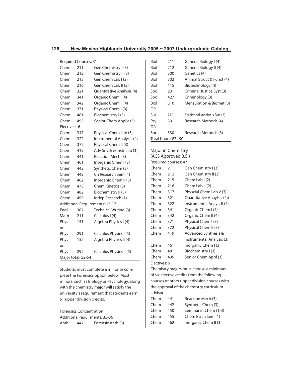|      |     |                                    | Biol                                                          | 211 | G                                                                                      |
|------|-----|------------------------------------|---------------------------------------------------------------|-----|----------------------------------------------------------------------------------------|
| Chem | 211 | Gen Chemistry I (3)                | Biol                                                          | 212 | G                                                                                      |
| Chem | 212 | Gen Chemistry II (3)               | Biol                                                          | 300 | G                                                                                      |
| Chem | 215 | Gen Chem Lab I (2)                 | Biol                                                          | 302 | A                                                                                      |
| Chem | 216 | Gen Chem Lab II (2)                | Biol                                                          | 415 | B                                                                                      |
| Chem | 321 | Quantitative Analysis (4)          | Soc                                                           | 231 | C                                                                                      |
| Chem | 341 | Organic Chem I (4)                 | Soc                                                           | 427 | C                                                                                      |
| Chem | 342 | Organic Chem II (4)                | Biol                                                          | 310 | N                                                                                      |
| Chem | 371 | Physical Chem I (3)                | OR                                                            |     |                                                                                        |
| Chem | 481 | Biochemistry I (3)                 | Bus                                                           | 210 | S                                                                                      |
| Chem | 495 | Senior Chem Applic (3)             | Psy                                                           | 301 | R                                                                                      |
|      |     |                                    | <b>OR</b>                                                     |     |                                                                                        |
| Chem | 317 | Physical Chem Lab (3)              | Soc                                                           | 330 | $\mathsf{R}$                                                                           |
| Chem | 322 | Instrumental Analysis (4)          |                                                               |     |                                                                                        |
| Chem | 372 | Physical Chem II (3)               |                                                               |     |                                                                                        |
| Chem | 419 | Adv Snyth & Instr Lab (3)          |                                                               |     |                                                                                        |
| Chem | 441 | Reaction Mech (3)                  |                                                               |     |                                                                                        |
| Chem | 461 | Inorganic Chem I (3)               |                                                               |     |                                                                                        |
| Chem | 442 | Synthetic Chem (3)                 | Chem                                                          | 211 | G                                                                                      |
| Chem | 442 | Ch Research Sem (1)                | Chem                                                          | 212 | G                                                                                      |
| Chem | 462 | Inorganic Chem II (3)              | Chem                                                          | 215 | C                                                                                      |
| Chem | 473 | Chem Kinetics (3)                  | Chem                                                          | 216 | C                                                                                      |
| Chem | 482 | Biochemistry II (3)                | Chem                                                          | 317 | P                                                                                      |
| Chem | 499 | Indep Research (1)                 | Chem                                                          | 321 | C                                                                                      |
|      |     |                                    | Chem                                                          | 322 | Ir                                                                                     |
| Engl | 367 | Technical Writing (3)              | Chem                                                          | 341 | C                                                                                      |
| Math | 211 | Calculus I (4)                     | Chem                                                          | 342 | C                                                                                      |
| Phys | 151 | Algebra Physics I (4)              | Chem                                                          | 371 | P                                                                                      |
| or   |     |                                    | Chem                                                          | 372 | P                                                                                      |
| Phys | 291 | Calculus Physics I (5)             | Chem                                                          | 419 | A                                                                                      |
| Phys | 152 | Algebra Physics II (4)             |                                                               |     | Ir                                                                                     |
| or   |     |                                    | Chem                                                          | 461 | Ir                                                                                     |
| Phys | 292 | Calculus Physics II (5)            | Chem                                                          | 481 | B                                                                                      |
|      |     |                                    | Chem                                                          | 495 | S                                                                                      |
|      |     | Electives: 6<br>Major total: 52-54 | <b>Required Courses: 31</b><br>Additional Requirements: 15-17 |     | Total hours: 87--90<br>Major in Chemistry<br>(ACS Approved B.S<br>Required courses: 47 |

Students must complete a minor or complete the Forensics option below. Most minors, such as Biology or Psychology, along with the chemistry major will satisfy the university's requirement that students earn 51 upper division credits.

Forensics Concentration Additional requirments: 35-36 Anth 442 Forensic Anth (3)

| Biol                | 211 | General Biology I (4)        |
|---------------------|-----|------------------------------|
| <b>Biol</b>         | 212 | General Biology II (4)       |
| Biol                | 300 | Genetics (4)                 |
| Biol                | 302 | Animal Struct & Funct (4)    |
| Biol                | 415 | Biotechnology (4)            |
| Soc                 | 231 | Criminal Justice Syst (3)    |
| Soc                 | 427 | Criminology (3)              |
| Biol                | 310 | Mensuration & Biomet (3)     |
| OR                  |     |                              |
| Bus                 | 210 | Statistical Analysis Bus (3) |
| Psy                 | 301 | Research Methods (4)         |
| OR                  |     |                              |
| Soc                 | 330 | Research Methods (3)         |
| Total hours: 87--90 |     |                              |

# Major in Chemistry (ACS Approved B.S.) en Chemistry I (3) en Chemistry II (3)  $\text{Lemma 1}$  (2) hem Lab II (2)

| Chem         | 317 | Physcial Chem Lab V (3)         |
|--------------|-----|---------------------------------|
| Chem         | 321 | Quantitative Anaylsis (4))      |
| Chem         | 322 | Instrumental Anayls II (4)      |
| Chem         | 341 | Organic Chem I (4)              |
| Chem         | 342 | Organic Chem II (4)             |
| Chem         | 371 | Physical Chem I (3)             |
| Chem         | 372 | Physical Chem II (3)            |
| Chem         | 419 | <b>Advanced Synthesis &amp;</b> |
|              |     | Instrumental Analysis (3)       |
| Chem         | 461 | Inorganic Chem I (3)            |
| Chem         | 481 | Biochemistry I (3)              |
| Chem         | 495 | Senior Chem Appl (3)            |
| Electives: 6 |     |                                 |

Chemistry majors must choose a minimum of six elective credits from the following courses or other upper division courses with the approval of the chemistry curriculum advisor:

| Chem | 441 | Reaction Mech (3)     |
|------|-----|-----------------------|
| Chem | 442 | Synthetic Chem (3)    |
| Chem | 450 | Seminar in Chem (1-3) |
| Chem | 455 | Chem Rsrch Sem (1)    |
| Chem | 462 | Inorganic Chem II (3) |
|      |     |                       |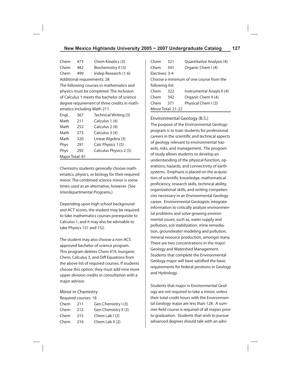Chem 473 Chem Kinetics (3) Chem 482 Biochemistry II (3) Chem 499 Indep Research (1-6) Additional requirements: 28 The following courses in mathematics and physics must be completed. The inclusion of Calculus 1 meets the bachelor of science degree requirement of three credits in mathematics including Math 211.

| Engl.           | 367 | Technical Writing (3)  |
|-----------------|-----|------------------------|
| Math            | 211 | Calculus 1 (4)         |
| Math            | 252 | Calculus 2 (4)         |
| Math            | 273 | Calculus 3 (4)         |
| Math            | 320 | Linear Algebra (3)     |
| Phys            | 291 | Calc Physics 1 (5)     |
| Phys            | 292 | Calculus Physics 2 (5) |
| Major Total: 81 |     |                        |

Chemistry students generally choose mathematics, physics, or biology for their required minor. The combined science minor is sometimes used as an alternative, however. (See Interdepartmental Programs.)

Depending upon high school background and ACT scores, the student may be required to take mathematics courses prerequisite to Calculus 1, and it may also be advisable to take Physics 151 and 152.

The student may also choose a non-ACS approved bachelor of science program. This program deletes Chem 419, Inorganic Chem, Calculus 3, and Diff Equations from the above list of required courses. If students choose this option, they must add nine more upper division credits in consultation with a major advisor.

#### Minor in Chemistry

Required courses: 18

| Chem | 211 | Gen Chemistry I (3)  |
|------|-----|----------------------|
| Chem | 212 | Gen Chemistry II (3) |
| Chem | 215 | Chem Lab $(2)$       |
| Chem | 216 | Chem Lab II $(2)$    |

| Chem            | 321                | Quantitative Analysis (4)               |
|-----------------|--------------------|-----------------------------------------|
| Chem            | 341                | Organic Chem I (4)                      |
| Flectives: 3-4  |                    |                                         |
|                 |                    | Choose a minimum of one course from the |
| following list: |                    |                                         |
| Chem            | 322                | Instrumental Anayls II (4)              |
| Chem            | 342                | Organic Chem II (4)                     |
| Chem            | 371                | Physical Chem I (3)                     |
|                 | Minor Total: 21-22 |                                         |

Environmental Geology (B.S.) The purpose of the Environmental Geologyprogram is to train students for professional careers in the scientific and technical aspects of geology relevant to environmental hazards, risks, and management. The program of study allows students to develop an understanding of the physical function, operations, hazards, and connectivity of earth systems. Emphasis is placed on the acquisition of scientific knowledge, mathematical proficiency, research skills, technical ability, organizational skills, and writing competencies necessary in an Environmental Geology career. Environmental Geologists integrate information to critically analyze environmental problems and solve growing environmental issues; such as, water supply and pollution, soil stabilization, mine remediation, groundwater modeling and pollution, mineral resource production, amongst many. There are two concentrations in the major: Geology and Watershed Management. Students that complete the Environmental Geology major will have satisfied the basic requirements for federal positions in Geology and Hydrology.

Students that major in Environmental Geology are not required to take a minor, unless their total credit hours with the Environmental Geology major are less than 128. A summer field course is required of all majors prior to graduation. Students that wish to pursue advanced degrees should talk with an advi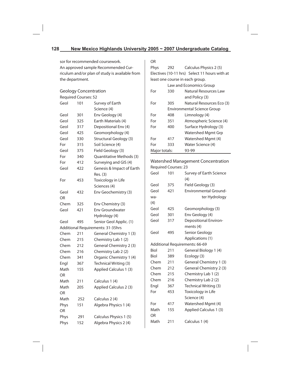sor for recommended coursework. An approved sample Recommended Curriculum and/or plan of study is available from the department.

# Geology Concentration

Required Courses: 52

| Geol | 101 | Survey of Earth                   |
|------|-----|-----------------------------------|
|      |     | Science (4)                       |
| Geol | 301 | Env Geology (4)                   |
| Geol | 325 | Earth Materials (4)               |
| Geol | 317 | Depositional Env (4)              |
| Geol | 425 | Geomorphology (4)                 |
| Geol | 330 | Structural Geology (3)            |
| For  | 315 | Soil Science (4)                  |
| Geol | 375 | Field Geology (3)                 |
| For  | 340 | Quantitative Methods (3)          |
| For  | 412 | Surveying and GIS (4)             |
| Geol | 422 | Genesis & Impact of Earth         |
|      |     | Res. (3)                          |
| For  | 453 | Toxicology in Life                |
|      |     | Sciences (4)                      |
| Geol | 432 | Env Geochemistry (3)              |
| OR   |     |                                   |
| Chem | 325 | Env Chemistry (3)                 |
| Geol | 421 | <b>Env Groundwater</b>            |
|      |     | Hydrology (4)                     |
| Geol | 495 | Senior Geol Applic. (1)           |
|      |     | Additional Requirements: 31-35hrs |
| Chem | 211 | General Chemistry 1 (3)           |
| Chem | 215 | Chemistry Lab 1 (2)               |
| Chem | 212 | General Chemistry 2 (3)           |
| Chem | 216 | Chemistry Lab 2 (2)               |
| Chem | 341 | Organic Chemistry 1 (4)           |
| Engl | 367 | Technical Writing (3)             |
| Math | 155 | Applied Calculus 1 (3)            |
| ΩR   |     |                                   |
| Math | 211 | Calculus 1 (4)                    |
| Math | 205 | Applied Calculus 2 (3)            |
| OR   |     |                                   |
| Math | 252 | Calculus 2 (4)                    |
| Phys | 151 | Algebra Physics 1 (4)             |
| OR   |     |                                   |
| Phys | 291 | Calculus Physics 1 (5)            |
| Phys | 152 | Algebra Physics 2 (4)             |

| OR   |     |                                               |
|------|-----|-----------------------------------------------|
| Phys | 292 | Calculus Physics 2 (5)                        |
|      |     | Electives (10-11 hrs) Select 11 hours with at |
|      |     | least one course in each group.               |
|      |     | Law and Economics Group                       |
| For  | 330 | Natural Resources Law                         |
|      |     | and Policy (3)                                |
| For  | 305 | Natural Resources Eco (3)                     |

|               | <b>Environmental Science Group</b> |                         |  |
|---------------|------------------------------------|-------------------------|--|
| For           | 408                                | Limnology (4)           |  |
| For           | 351                                | Atmospheric Science (4) |  |
| For           | Surface Hydrology (3)<br>400       |                         |  |
|               |                                    | Watershed Mgmt Grp      |  |
| For           | 417                                | Watershed Mgmt (4)      |  |
| For           | 333                                | Water Science (4)       |  |
| Major totals: |                                    | 93-99                   |  |

# Watershed Management Concentration Required Courses: 23

| Geol | 101 | Survey of Earth Science<br>(4) |
|------|-----|--------------------------------|
| Geol | 375 | Field Geology (3)              |
| Geol | 421 | <b>Environmental Ground-</b>   |
| wa-  |     | ter Hydrology                  |
| (4)  |     |                                |
| Geol | 425 | Geomorphology (3)              |
| Geol | 301 | Env Geology (4)                |
| Geol | 317 | <b>Depositional Environ-</b>   |
|      |     | ments (4)                      |
| Geol | 495 | Senior Geology                 |
|      |     | Applications (1)               |
|      |     | Additional Requirements: 66-69 |
| Biol | 211 | General Biology 1 (4)          |
| Biol | 389 | Ecology (3)                    |
| Chem | 211 | General Chemistry 1 (3)        |
| Chem | 212 | General Chemistry 2 (3)        |
| Chem | 215 | Chemistry Lab 1 (2)            |
| Chem | 216 | Chemistry Lab 2 (2)            |
| Engl | 367 | Technical Writing (3)          |
| For  | 453 | Toxicology in Life             |
|      |     | Science (4)                    |
| For  | 417 | Watershed Mgmt (4)             |
| Math | 155 | Applied Calculus 1 (3)         |
| OR   |     |                                |
| Math | 211 | Calculus 1 (4)                 |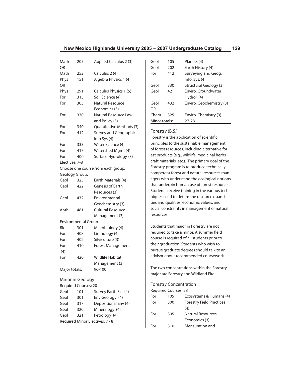| Math           | 205                        | Applied Calculus 2 (3)             |
|----------------|----------------------------|------------------------------------|
| ΩR             |                            |                                    |
| Math           | 252                        | Calculus 2 (4)                     |
| Phys           | 151                        | Algebra Physics 1 (4)              |
| OR             |                            |                                    |
| Phys           | 291                        | Calculus Physics 1 (5)             |
| For            | 315                        | Soil Science (4)                   |
| For            | 305                        | Natural Resource                   |
|                |                            | Economics (3)                      |
| For            | 330                        | Natural Resource Law               |
|                |                            | and Policy (3)                     |
| For            | 340                        | Quantitative Methods (3)           |
| For            | 412                        | Survey and Geographic              |
|                |                            | Info Sys (4)                       |
| For            | 333                        | Water Science (4)                  |
| For            | 417                        | Watershed Mgmt (4)                 |
| For            | 400                        | Surface Hydrology (3)              |
| Electives: 7-8 |                            |                                    |
|                |                            | Choose one course from each group. |
| Geology Group: |                            |                                    |
| Geol           | 325                        | Earth Materials (4)                |
| Geol           | 422                        | Genesis of Earth                   |
|                |                            | Resources (3)                      |
| Geol           | 432                        | Environmental                      |
|                |                            | Geochemistry (3)                   |
| Anth           | 481                        | <b>Cultural Resource</b>           |
|                |                            | Management (3)                     |
|                | <b>Environmental Group</b> |                                    |
| Biol           | 301                        | Microbiology (4)                   |
| For            | 408                        | Limnology (4)                      |
| For            | 402                        | Silviculture (3)                   |
| For            | 410                        | <b>Forest Management</b>           |
| (4)            |                            |                                    |
| For            | 420                        | <b>Wildlife Habitat</b>            |
|                |                            | Management (3)                     |
| Major totals:  |                            | 96-100                             |
|                |                            |                                    |

Minor in Geology Required Courses: 20

Geol 101 Survey Earth Sci (4) Geol 301 Env Geology (4) Geol 317 Depositional Env (4) Geol 320 Mineralogy (4) Geol 321 Petrology (4) Required Minor Electives: 7 - 8

# Geol 105 Planets (4) Geol 202 Earth History (4) For 412 Surveying and Geog. Info. Sys. (4) Geol 330 Structural Geology (3) Geol 421 Enviro. Groundwater Hydrol. (4) Geol 432 Enviro. Geochemistry (3) OR Chem 325 Enviro. Chemistry (3) Minor totals: 27-28

#### Forestry (B.S.)

Forestry is the application of scientific principles to the sustainable management of forest resources, including alternative forest products (e.g., wildlife, medicinal herbs, craft materials, etc.). The primary goal of the Forestry program is to produce technically competent forest and natural resources managers who understand the ecological notions that underpin human use of forest resources. Students receive training in the various techniques used to determine resource quantities and qualities, economic values, and social constraints in management of natural resources.

Students that major in Forestry are not required to take a minor. A summer field course is required of all students prior to their graduation. Students who wish to pursue graduate degrees should talk to an advisor about recommended coursework.

The two concentrations within the Forestry major are Forestry and Wildland Fire.

## Forestry Concentration

|     | FUIRSITY CONCRITE AUON      |                                 |
|-----|-----------------------------|---------------------------------|
|     | <b>Required Courses: 58</b> |                                 |
| For | 105                         | Ecosystems & Humans (4)         |
| For | 300                         | <b>Forestry Field Practices</b> |
|     |                             | (4)                             |
| For | 305                         | Natural Resources               |
|     |                             | Economics (3)                   |
| For | 310                         | Mensuration and                 |
|     |                             |                                 |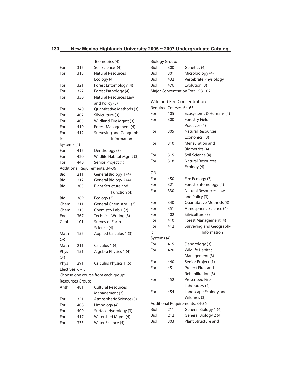|                    |     | Biometrics (4)                     | <b>Biology Group:</b> |                         |                                    |
|--------------------|-----|------------------------------------|-----------------------|-------------------------|------------------------------------|
| For                | 315 | Soil Science (4)                   | Biol                  | 300                     | Genetics (4)                       |
| For                | 318 | <b>Natural Resources</b>           | Biol                  | 301                     | Microbiology (4)                   |
|                    |     | Ecology (4)                        | Biol                  | 432                     | Vertebrate Physiology              |
| For                | 321 | Forest Entomology (4)              | Biol                  | 476                     | Evolution (3)                      |
| For                | 322 | Forest Pathology (4)               |                       |                         | Major Concentration Total: 98-102  |
| For                | 330 | Natural Resources Law              |                       |                         |                                    |
|                    |     | and Policy (3)                     |                       |                         | <b>Wildland Fire Concentration</b> |
| For                | 340 | Quantitative Methods (3)           |                       | Required Courses: 64-65 |                                    |
| For                | 402 | Silviculture (3)                   | For                   | 105                     | Ecosystems & Humans (4)            |
| For                | 405 | Wildland Fire Mgmt (3)             | For                   | 300                     | <b>Forestry Field</b>              |
| For                | 410 | Forest Management (4)              |                       |                         | Practices (4)                      |
| For                | 412 | Surveying and Geograph-            | For                   | 305                     | <b>Natural Resources</b>           |
| ic                 |     | Information                        |                       |                         | Econonics (3)                      |
| Systems (4)        |     |                                    | For                   | 310                     | Mensuration and                    |
| For                | 415 | Dendrology (3)                     |                       |                         | Biometrics (4)                     |
| For                | 420 | Wildlife Habitat Mgmt (3)          | For                   | 315                     | Soil Science (4)                   |
| For                | 440 | Senior Project (1)                 | For                   | 318                     | <b>Natural Resources</b>           |
|                    |     | Additional Requirements: 34-36     |                       |                         | Ecology (4)                        |
| Biol               | 211 | General Biology 1 (4)              | OR                    |                         |                                    |
| Biol               | 212 | General Biology 2 (4)              | For                   | 450                     | Fire Ecology (3)                   |
| Biol               | 303 | Plant Structure and                | For                   | 321                     | Forest Entomology (4)              |
|                    |     | Function (4)                       | For                   | 330                     | Natural Resources Law              |
| Biol               | 389 | Ecology (3)                        |                       |                         | and Policy (3)                     |
| Chem               | 211 | General Chemistry 1 (3)            | For                   | 340                     | Quantitative Methods (3)           |
| Chem               | 215 | Chemistry Lab 1 (2)                | For                   | 351                     | Atmospheric Science (4)            |
| Engl               | 367 | Technical Writing (3)              | For                   | 402                     | Silviculture (3)                   |
| Geol               | 101 | Survey of Earth                    | For                   | 410                     | Forest Management (4)              |
|                    |     | Science (4)                        | For                   | 412                     | Surveying and Geograph-            |
| Math               | 155 | Applied Calculus 1 (3)             | ic                    |                         | Information                        |
| <b>OR</b>          |     |                                    | Systems (4)           |                         |                                    |
| Math               | 211 | Calculus 1 (4)                     | For                   | 415                     | Dendrology (3)                     |
| Phys               | 151 | Algebra Physics 1 (4)              | For                   | 420                     | <b>Wildlife Habitat</b>            |
| <b>OR</b>          |     |                                    |                       |                         | Management (3)                     |
| Phys               | 291 | Calculus Physics 1 (5)             | For                   | 440                     | Senior Project (1)                 |
| Electives: $6 - 8$ |     |                                    | For                   | 451                     | Project Fires and                  |
|                    |     | Choose one course from each group: |                       |                         | Rehabilitation (3)                 |
| Resources Group:   |     |                                    | For                   | 452                     | Prescribed Fire                    |
| Anth               | 481 | <b>Cultural Resources</b>          |                       |                         | Laboratory (4)                     |
|                    |     | Management (3)                     | For                   | 454                     | Landscape Ecology and              |
| For                | 351 | Atmospheric Science (3)            |                       |                         | Wildfires (3)                      |
| For                | 408 | Limnology (4)                      |                       |                         | Additional Requirements: 34-36     |
| For                | 400 | Surface Hydrology (3)              | Biol                  | 211                     | General Biology 1 (4)              |
| For                | 417 | Watershed Mgmt (4)                 | Biol                  | 212                     | General Biology 2 (4)              |
| For                | 333 | Water Science (4)                  | Biol                  | 303                     | Plant Structure and                |
|                    |     |                                    |                       |                         |                                    |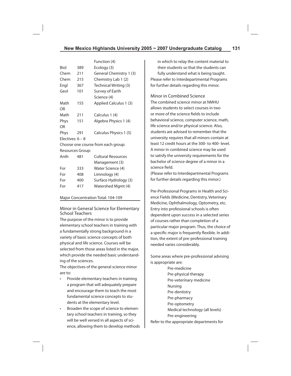|                    |     | Function (4)                       |
|--------------------|-----|------------------------------------|
| Biol               | 389 | Ecology (3)                        |
| Chem               | 211 | General Chemistry 1 (3)            |
| Chem               | 215 | Chemistry Lab 1 (2)                |
| Engl               | 367 | Technical Writing (3)              |
| Geol               | 101 | Survey of Earth                    |
|                    |     | Science (4)                        |
| Math               | 155 | Applied Calculus 1 (3)             |
| OR                 |     |                                    |
| Math               | 211 | Calculus 1 (4)                     |
| Phys               | 151 | Algebra Physics 1 (4)              |
| OR                 |     |                                    |
| Phys               | 291 | Calculus Physics 1 (5)             |
| Electives: $6 - 8$ |     |                                    |
|                    |     | Choose one course from each group: |
| Resources Group:   |     |                                    |
| Anth               | 481 | <b>Cultural Resources</b>          |
|                    |     | Management (3)                     |
| For                | 333 | Water Science (4)                  |
| For                | 408 | Limnology (4)                      |

For 400 Surface Hydrology (3) For 417 Watershed Mgmt (4)

#### Major Concentration Total: 104-109

Minor in General Science for Elementary School Teachers

The purpose of the minor is to provide elementary school teachers in training with a fundamentally strong background in a variety of basic science concepts of both physical and life science. Courses will be selected from those areas listed in the major, which provide the needed basic understanding of the sciences.

The objectives of the general science minor are to:

- Provide elementary teachers in training a program that will adequately prepare and encourage them to teach the most fundamental science concepts to students at the elementary level.
- Broaden the scope of science to elementary school teachers in training, so they will be well versed in all aspects of science, allowing them to develop methods

in which to relay the content material to their students so that the students can fully understand what is being taught. Please refer to Interdepartmental Programs for further details regarding this minor.

Minor in Combined Science

The combined science minor at NMHU allows students to select courses in two or more of the science fields to include behavioral science, computer science, math, life science and/or physical science. Also, students are advised to remember that the university requires that all minors contain at least 12 credit hours at the 300- to 400- level. A minor in combined science may be used to satisfy the university requirements for the bachelor of science degree of a minor in a science field.

(Please refer to Interdepartmental Programs for further details regarding this minor.)

Pre-Professional Programs in Health and Science Fields (Medicine, Dentistry, Veterinary Medicine, Ophthalmology, Optometry, etc. Entry into professional schools is often dependent upon success in a selected series of courses rather than completion of a particular major program. Thus, the choice of a specific major is frequently flexible. In addition, the extent of pre-professional training needed varies considerably.

Some areas where pre-professional advising is appropriate are:

 Pre-medicine Pre-physical therapy Pre-veterinary medicine Nursing Pre-dentistry Pre-pharmacy Pre-optometry Medical technology (all levels) Pre-engineering Refer to the appropriate departments for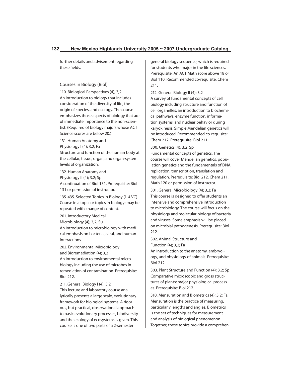further details and advisement regarding these fields

## Courses in Biology (Biol)

110. Biological Perspectives (4); 3,2 An introduction to biology that includes consideration of the diversity of life, the origin of species, and ecology. The course emphasizes those aspects of biology that are of immediate importance to the non-scientist. (Required of biology majors whose ACT Science scores are below 20.)

131. Human Anatomy and

Physiology I (4); 3,2; Fa

Structure and function of the human body at the cellular, tissue, organ, and organ-system levels of organization.

132. Human Anatomy and Physiology II (4); 3,2; Sp A continuation of Biol 131. Prerequisite: Biol 131 or permission of instructor.

135-435. Selected Topics in Biology (1-4 VC) Course in a topic or topics in biology: may be repeated with change of content.

201. Introductory Medical Microbiology (4); 3,2; Su An introduction to microbiology with medical emphasis on bacterial, viral, and human interactions.

202. Environmental Microbiology and Bioremediation (4); 3,2 An introduction to environmental microbiology including the use of microbes in remediation of contamination. Prerequisite: Biol 212.

211. General Biology I (4); 3,2 This lecture and laboratory course analytically presents a large scale, evolutionary framework for biological systems. A rigorous, but practical, observational approach to basic evolutionary processes, biodiversity and the ecology of ecosystems is given. This course is one of two parts of a 2-semester

general biology sequence, which is required for students who major in the life sciences. Prerequisite: An ACT Math score above 18 or Biol 110. Recommended co-requisite: Chem 211.

212. General Biology II (4); 3,2 A survey of fundamental concepts of cell biology including structure and function of cell organelles, an introduction to biochemical pathways, enzyme function, information systems, and nuclear behavior during karyokinesis. Simple Mendelian genetics will be introduced. Recommended co-requisite: Chem 212. Prerequisite: Biol 211.

#### 300. Genetics (4); 3,2; Sp

Fundamental concepts of genetics. The course will cover Mendelian genetics, population genetics and the fundamentals of DNA replication, transcription, translation and regulation. Prerequisite: Biol 212, Chem 211, Math 120 or permission of instructor.

301. General Microbiology (4); 3,2; Fa This course is designed to offer students an intensive and comprehensive introduction to microbiology. The course will focus on the physiology and molecular biology of bacteria and viruses. Some emphasis will be placed on microbial pathogenesis. Prerequisite: Biol 212.

302. Animal Structure and Function (4); 3,2; Fa

An introduction to the anatomy, embryology, and physiology of animals. Prerequisite: Biol 212.

303. Plant Structure and Function (4); 3,2; Sp Comparative microscopic and gross structures of plants; major physiological processes. Prerequisite: Biol 212.

310. Mensuration and Biometrics (4); 3,2; Fa Mensuration is the practice of measuring, particularly lengths and angles. Biometrics is the set of techniques for measurement and analysis of biological phenomenon. Together, these topics provide a comprehen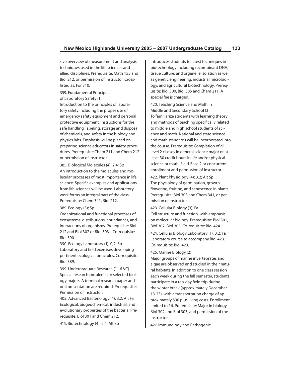sive overview of measurement and analysis techniques used in the life sciences and allied disciplines. Prerequisite: Math 155 and Biol 212, or permission of instructor. Crosslisted as: For 310.

359. Fundamental Principles of Laboratory Safety (1) Introduction to the principles of laboratory safety including the proper use of emergency safety equipment and personal protective equipment, instructions for the safe handling, labeling, storage and disposal of chemicals, and safety in the biology and physics labs. Emphasis will be placed on preparing science educators in safety procedures. Prerequisite: Chem 211 and Chem 212 or permission of instructor.

385. Biological Molecules (4); 2,4; Sp An introduction to the molecules and molecular processes of most importance in life science. Specific examples and applications from life sciences will be used. Laboratory work forms an integral part of the class. Prerequisite: Chem 341, Biol 212.

389. Ecology (3); Sp

Organizational and functional processes of ecosystems: distributions, abundances, and interactions of organisms. Prerequisite: Biol 212 and Biol 302 or Biol 303. Co-requisite: Biol 390.

390. Ecology Laboratory (1); 0,2; Sp Laboratory and field exercises developing pertinent ecological principles. Co-requisite: Biol 389.

399. Undergraduate Research (1 - 6 VC) Special research problems for selected biology majors. A terminal research paper and oral presentation are required. Prerequisite: Permission of instructor.

405. Advanced Bacteriology (4); 3,2; Alt Fa Ecological, biogeochemical, industrial, and evolutionary properties of the bacteria. Prerequisite: Biol 301 and Chem 212.

415. Biotechnology (4); 2,4, Alt Sp

Introduces students to latest techniques in biotechnology including recombinant DNA, tissue culture, and organelle isolation as well as genetic engineering, industrial microbiology, and agricultural biotechnology. Prerequisite: Biol 300, Biol 385 and Chem 211. A special fee is charged.

420. Teaching Science and Math in Middle and Secondary School (3) To familiarize students with learning theory and methods of teaching specifically related to middle and high school students of science and math. National and state science and math standards will be incorporated into the course. Prerequisite: Completion of all level 2 classes in general science major or at least 30 credit hours in life and/or physical science or math, Field-Base 2 or concurrent enrollment and permission of instructor.

422. Plant Physiology (4); 3,2; Alt Sp The physiology of germination, growth, flowering, fruiting, and senescence in plants. Prerequisite: Biol 303 and Chem 341, or permission of instructor.

423. Cellular Biology (3); Fa Cell structure and function, with emphasis on molecular biology. Prerequisite: Biol 301, Biol 302, Biol 303. Co-requisite: Biol 424.

424. Cellular Biology Laboratory (1); 0,2; Fa Laboratory course to accompany Biol 423. Co-requisite: Biol 423.

#### 425. Marine Biology (2)

Major groups of marine invertebrates and algae are observed and studied in their natural habitats. In addition to one class session each week during the fall semester, students participate in a ten-day field trip during the winter break (approximately December 13-23), with a transportation charge of approximately \$90 plus living costs. Enrollment limited to 16. Prerequisite: Major in biology, Biol 302 and Biol 303, and permission of the instructor.

427. Immunology and Pathogenic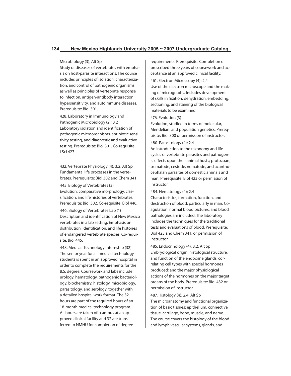#### Microbiology (3); Alt Sp

Study of diseases of vertebrates with emphasis on host-parasite interactions. The course includes principles of isolation, characterization, and control of pathogenic organisms as well as principles of vertebrate response to infection, antigen-antibody interaction, hypersensitivity, and autoimmune diseases. Prerequisite: Biol 301.

428. Laboratory in Immunology and Pathogenic Microbiology (2); 0,2 Laboratory isolation and identification of pathogenic microorganisms, antibiotic sensitivity testing, and diagnostic and evaluative testing. Prerequisite: Biol 301. Co-requisite: LSci 427.

432. Vertebrate Physiology (4); 3,2; Alt Sp Fundamental life processes in the vertebrates. Prerequisite: Biol 302 and Chem 341.

445. Biology of Vertebrates (3) Evolution, comparative morphology, classification, and life histories of vertebrates. Prerequisite: Biol 302. Co-requisite: Biol 446.

446. Biology of Vertebrates Lab (1) Description and identification of New Mexico vertebrates in a lab setting. Emphasis on distribution, identification, and life histories of endangered vertebrate species. Co-requisite: Biol 445.

448. Medical Technology Internship (32) The senior year for all medical technology students is spent in an approved hospital in order to complete the requirements for the B.S. degree. Coursework and labs include urology, hematology, pathogenic bacteriology, biochemistry, histology, microbiology, parasitology, and serology, together with a detailed hospital work format. The 32 hours are part of the required hours of an 18-month medical technology program. All hours are taken off-campus at an approved clinical facility and 32 are transferred to NMHU for completion of degree

requirements. Prerequisite: Completion of prescribed three years of coursework and acceptance at an approved clinical facility.

461. Electron Microscopy (4); 2,4

Use of the electron microscope and the making of micrographs. Includes development of skills in fixation, dehydration, embedding, sectioning, and staining of the biological materials to be examined.

#### 476. Evolution (3)

Evolution, studied in terms of molecular, Mendelian, and population genetics. Prerequisite: Biol 300 or permission of instructor.

#### 480. Parasitology (4); 2,4

An introduction to the taxonomy and life cycles of vertebrate parasites and pathogenic effects upon their animal hosts; protozoan, trematode, cestode, nematode, and acanthocephalan parasites of domestic animals and man. Prerequisite: Biol 423 or permission of instructor.

484. Hematology (4); 2,4

Characteristics, formation, function, and destruction of blood: particularly in man. Coagulation, normal blood pictures, and blood pathologies are included. The laboratory includes the techniques for the traditional tests and evaluations of blood. Prerequisite: Biol 423 and Chem 341, or permission of instructor.

485. Endocrinology (4); 3,2; Alt Sp Embryological origin, histological structure, and function of the endocrine glands, correlating cell types with special hormones produced; and the major physiological actions of the hormones on the major target organs of the body. Prerequisite: Biol 432 or permission of instructor.

#### 487. Histology (4); 2,4; Alt Sp

The microanatomy and functional organization of basic tissues: epithelium, connective tissue, cartilage, bone, muscle, and nerve. The course covers the histology of the blood and lymph vascular systems, glands, and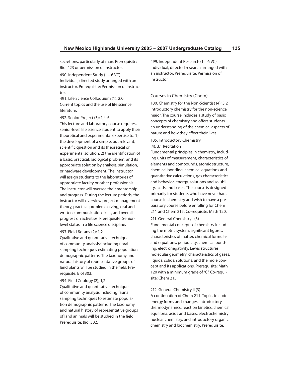secretions, particularly of man. Prerequisite: Biol 423 or permission of instructor.

490. Independent Study (1 – 6 VC) Individual, directed study arranged with an instructor. Prerequisite: Permission of instructor.

491. Life Science Colloquium (1); 2,0 Current topics and the use of life science literature.

492. Senior Project (3); 1,4-6

This lecture and laboratory course requires a senior-level life science student to apply their theoretical and experimental expertise to: 1) the development of a simple, but relevant, scientific question and its theoretical or experimental solution; 2) the identification of a basic, practical, biological problem, and its appropriate solution by analysis, simulation, or hardware development. The instructor will assign students to the laboratories of appropriate faculty or other professionals. The instructor will oversee their mentorship and progress. During the lecture periods, the instructor will overview project management theory, practical problem solving, oral and written communication skills, and overall progress on activities. Prerequisite: Seniorlevel status in a life science discipline.

#### 493. Field Botany (2); 1,2

Qualitative and quantitative techniques of community analysis; including floral sampling techniques estimating population demographic patterns. The taxonomy and natural history of representative groups of land plants will be studied in the field. Prerequisite: Biol 303.

#### 494. Field Zoology (2); 1,2

Qualitative and quantitative techniques of community analysis including faunal sampling techniques to estimate population demographic patterns. The taxonomy and natural history of representative groups of land animals will be studied in the field. Prerequisite: Biol 302.

499. Independent Research (1 – 6 VC) Individual, directed research arranged with an instructor. Prerequisite: Permission of instructor.

#### Courses in Chemistry (Chem)

100. Chemistry for the Non-Scientist (4); 3,2 Introductory chemistry for the non-science major. The course includes a study of basic concepts of chemistry and offers students an understanding of the chemical aspects of nature and how they affect their lives.

#### 105. Introductory Chemistry (4); 3,1 Recitation

Fundamental principles in chemistry, including units of measurement, characteristics of elements and compounds, atomic structure, chemical bonding, chemical equations and quantitative calculations, gas characteristics and behavior, energy, solutions and solubility, acids and bases. The course is designed primarily for students who have never had a course in chemistry and wish to have a preparatory course before enrolling for Chem 211 and Chem 215. Co-requisite: Math 120.

#### 211. General Chemistry I (3)

Fundamental concepts of chemistry including the metric system, significant figures, characteristics of matter, chemical formulas and equations, periodicity, chemical bonding, electronegativity, Lewis structures, molecular geometry, characteristics of gases, liquids, solids, solutions, and the mole concept and its applications. Prerequisite: Math 120 with a minimum grade of "C". Co-requisite: Chem 215.

#### 212. General Chemistry II (3)

A continuation of Chem 211. Topics include energy forms and changes, introductory thermodynamics, reaction kinetics, chemical equilibria, acids and bases, electrochemistry, nuclear chemistry, and introductory organic chemistry and biochemistry. Prerequisite: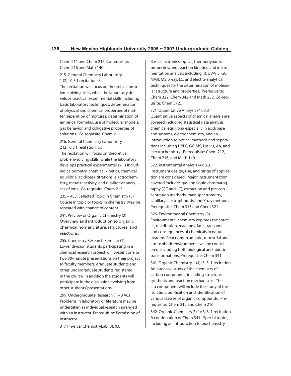Chem 211 and Chem 215. Co-requisite: Chem 216 and Math 140.

215. General Chemistry Laboratory 1 (2); 0,3,1 recitation; Fa The recitation will focus on theoretical problem-solving skills, while the laboratory develops practical experimental skills including basic laboratory techniques, determination of physical and chemical properties of matter, separation of mixtures, determination of empirical formulas, use of molecular models, gas behavior, and colligative properties of solutions. Co-requisite: Chem 211

216. General Chemistry Laboratory 2 (2); 0,3,1 recitation; Sp

The recitation will focus on theoretical problem-solving skills, while the laboratory develops practical experimental skills including calorimetry, chemical kinetics, chemical equilibria, acid/base titrations, electrochemistry, metal reactivity, and qualitative analyses of ions. Co-requisite: Chem 212

235 – 435. Selected Topic in Chemistry (3) Course in topic or topics in chemistry. May be repeated with change of content.

241. Preview of Organic Chemistry (2) Overview and introduction to organic chemical nomenclature, structures, and reactions.

255. Chemistry Research Seminar (1) Lower division students participating in a chemical research project will present one or two 30-minute presentations on their project to faculty members, graduate students and other undergraduate students registered in the course. In addition the students will participate in the discussion evolving from other students' presentations.

299. Undergraduate Research (1 – 3 VC) Problems in laboratory or literature may be undertaken as individual research arranged with an instructor. Prerequisite: Permission of instructor.

Basic electronics, optics, thermodynamic properties, and reaction kinetics, and instrumentation analysis including IR, UV-VIS, GC, NMR, MS, X-ray, LC, and electro-analytical techniques for the determination of molecular structure and properties. Prerequisite: Chem 322, Chem 342 and Math 252. Co-requisite: Chem 372..

321. Quantitative Analysis (4); 3,3 Quantitative aspects of chemical analysis are covered including statistical data analysis, chemical equilibria especially in acid/base and systems, electrochemistry, and an introduction to optical methods and separations including HPLC, GC-MS, UV-vis, AA, and electrochemistry. Prerequisite: Chem 212, Chem 216, and Math 140.

322. Instrumental Analysis (4); 3,3 Instrument design, use, and range of application are considered. Major instrumentation covered includes gas and liquid chromatography (GC and LC), extraction and pre-concentration methods, mass spectrometry, capillary electrophoresis, and X-ray methods. Prerequisite: Chem 315 and Chem 321.

325. Environmental Chemistry (3) Environmental chemistry explores the sources, distribution, reactions, fate, transport and consequences of chemicals in natural systems. Reactions in aquatic, terrestrial and atmospheric environments will be considered, including both biological and abiotic transformations. Prerequisite: Chem 341.

341. Organic Chemistry 1 (4); 3, 3, 1 recitation An intensive study of the chemistry of carbon compounds, including structure, synthesis and reaction mechanisms. The lab component will include the study of the isolation, purification and identification of various classes of organic compounds. Prerequisite: Chem 212 and Chem 216

342. Organic Chemistry 2 (4); 3, 3, 1 recitation A continuation of Chem 341. Special topics, including an introduction to biochemistry

317. Physical ChemistryLab (3); 0,6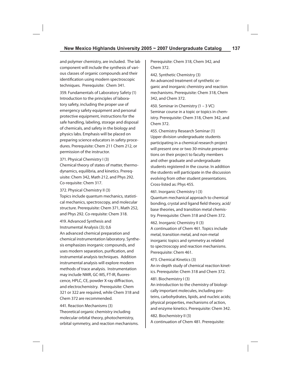and polymer chemistry, are included. The lab component will include the synthesis of various classes of organic compounds and their identification using modern spectroscopic techniques. Prerequisite: Chem 341.

359. Fundamentals of Laboratory Safety (1) Introduction to the principles of laboratory safety, including the proper use of emergency safety equipment and personal protective equipment, instructions for the safe handling, labeling, storage and disposal of chemicals, and safety in the biology and physics labs. Emphasis will be placed on preparing science educators in safety procedures. Prerequisite: Chem 211 Chem 212, or permission of the instructor.

371. Physical Chemistry I (3)

Chemical theory of states of matter, thermodynamics, equilibria, and kinetics. Prerequisite: Chem 342, Math 212, and Phys 292. Co-requisite: Chem 317.

372. Physical Chemistry II (3)

Topics include quantum mechanics, statistical mechanics, spectroscopy, and molecular structure. Prerequisite: Chem 371, Math 252, and Phys 292. Co-requisite: Chem 318.

419. Advanced Synthesis and Instrumental Analysis (3); 0,6

An advanced chemical preparation and chemical instrumentation laboratory. Synthesis emphasizes inorganic compounds, and uses modern separation, purification, and instrumental analysis techniques. Addition instrumental analysis will explore modern methods of trace analysis. Instrumentation may include NMR, GC-MS, FT-IR, fluorescence, HPLC, CE, powder X-ray diffraction, and electrochemistry. Prerequisite: Chem 321 or 322 are required, while Chem 318 and Chem 372 are recommended.

441. Reaction Mechanisms (3) Theoretical organic chemistry including molecular orbital theory, photochemistry, orbital symmetry, and reaction mechanisms. Prerequisite: Chem 318, Chem 342, and Chem 372.

442. Synthetic Chemistry (3) An advanced treatment of synthetic organic and inorganic chemistry and reaction mechanisms. Prerequisite: Chem 318, Chem 342, and Chem 372.

450. Seminar in Chemistry (1 – 3 VC) Seminar course in a topic or topics in chemistry. Prerequisite: Chem 318, Chem 342, and Chem 372.

455. Chemistry Research Seminar (1) Upper division undergraduate students participating in a chemical research project will present one or two 30-minute presentations on their project to faculty members and other graduate and undergraduate students registered in the course. In addition the students will participate in the discussion evolving from other student presentations. Cross-listed as: Phys 455.

461. Inorganic Chemistry I (3) Quantum mechanical approach to chemical bonding, crystal and ligand field theory, acid/ base theories, and transition metal chemistry. Prerequisite: Chem 318 and Chem 372.

462. Inorganic Chemistry II (3)

A continuation of Chem 461. Topics include metal, transition metal, and non-metal inorganic topics and symmetry as related to spectroscopy and reaction mechanisms. Prerequisite: Chem 461.

473. Chemical Kinetics (3) An in-depth study of chemical reaction kinetics. Prerequisite: Chem 318 and Chem 372.

481. Biochemistry I (3)

An introduction to the chemistry of biologically important molecules, including proteins, carbohydrates, lipids, and nucleic acids; physical properties, mechanisms of action, and enzyme kinetics. Prerequisite: Chem 342.

482. Biochemistry II (3)

A continuation of Chem 481. Prerequisite: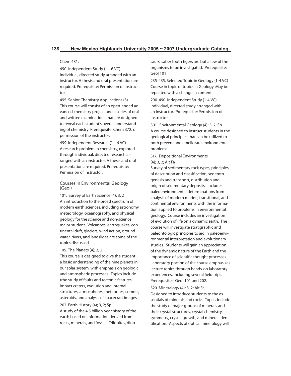#### Chem 481.

490. Independent Study (1 – 6 VC) Individual, directed study arranged with an instructor. A thesis and oral presentation are required. Prerequisite: Permission of instructor.

495. Senior Chemistry Applications (3) This course will consist of an open-ended advanced chemistry project and a series of oral and written examinations that are designed to reveal each student's overall understanding of chemistry. Prerequisite: Chem 372, or permission of the instructor.

499. Independent Research (1 – 6 VC) A research problem in chemistry, explored through individual, directed research arranged with an instructor. A thesis and oral presentation are required. Prerequisite: Permission of instructor.

Courses in Environmental Geology (Geol)

101. Survey of Earth Science (4); 3, 2 An introduction to the broad spectrum of modern earth sciences, including astronomy, meteorology, oceanography, and physical geology for the science and non-science major student. Volcanoes, earthquakes, continental drift, glaciers, wind action, groundwater, rivers, and landslides are some of the topics discussed.

#### 105. The Planets (4); 3, 2

This course is designed to give the student a basic understanding of the nine planets in our solar system, with emphasis on geologic and atmospheric processes. Topics include trhe study of faults and tectonic features, impact craters, evolution and internal structures, atmospheres, meteorites, comets, asteroids, and analysis of spacecraft images

202. Earth History (4); 3, 2; Sp

A study of the 4.5 billion-year history of the earth based on information derived from rocks, minerals, and fossils. Trilobites, dinosaurs, saber tooth tigers are but a few of the organisms to be investigated. Prerequisite: Geol 101

235-435. Selected Topic in Geology (1-4 VC) Course in topic or topics in Geology. May be repeated with a change in content.

290-490. Independent Study (1-4 VC) Individual, directed study arranged with an instructor. Prerequisite: Permission of instructor.

301. Environmental Geology (4); 3, 2; Sp A course designed to instruct students in the geological principles that can be utilized to both prevent and ameliorate environmental problems.

## 317. Depositional Environments (4); 3, 2; Alt Fa

Survey of sedimentary rock types, principles of description and classification, sedemtn genesis and transport, distribution and origin of sedimentary deposits. Includes paleoenvironmental determinations from analysis of modern marine, transitional, and continental environments with the information applied to problems in environmental geology. Course includes an investigation of evolution of life on a dynamic earth. The course will investigate stratigraphic and paleontologic principles to aid in paleoenvironmental interpretation and evolutionary studies. Students will gain an appreciation of the dynamic nature of the Earth and the importance of scientific thought processes. Laboratory portion of the course emphasizes lecture topics through hands-on laboratory experiences, including several field trips. Prerequisites: Geol 101 and 202.

320. Mineralogy (4); 3, 2; Alt Fa Designed to introduce students to the essentials of minerals and rocks. Topics include the study of major groups of minerals and their crystal structures, crystal chemistry, symmetry, crystal growth, and mineral identification. Aspects of optical mineralogy will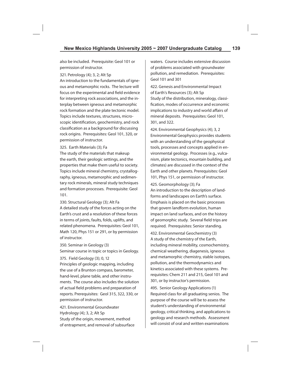also be included. Prerequisite: Geol 101 or permission of instructor.

#### 321. Petrology (4); 3, 2; Alt Sp

An introduction to the fundamentals of igneous and metamorphic rocks. The lecture will focus on the experimental and field evidence for interpreting rock associations, and the interplay between igneous and metamorphic rock formation and the plate tectonic model. Topics include textures, structures, microscopic identification, geochemistry, and rock classification as a background for discussing rock origins. Prerequisites: Geol 101, 320, or permission of instructor.

325. Earth Materials (3); Fa

The study of the materials that makeup the earth, their geologic settings, and the properties that make them useful to society. Topics include mineral chemistry, crystallography, igneous, metamorphic and sedimentary rock minerals, mineral study techniques and formation processes. Prerequisite: Geol 101.

330. Structural Geology (3); Alt Fa A detailed study of the forces acting on the Earth's crust and a resolution of these forces in terms of joints, faults, folds, uplifts, and related phenomena. Prerequisites: Geol 101, Math 120, Phys 151 or 291, or by permission of instructor.

350. Seminar in Geology (3)

Seminar course in topic or topics in Geology.

375. Field Geology (3); 0, 12

Principles of geologic mapping, including the use of a Brunton compass, barometer, hand-level, plane table, and other instruments. The course also includes the solution of actual field problems and preparation of reports. Prerequisites: Geol 315, 322, 330, or permission of instructor.

421. Environmental Groundwater Hydrology (4); 3, 2; Alt Sp Study of the origin, movement, method of entrapment, and removal of subsurface waters. Course includes extensive discussion of problems associated with groundwater pollution, and remediation. Prerequisites: Geol 101 and 301

422. Genesis and Environmental Impact of Earth's Resources (3); Alt Sp Study of the distribution, mineralogy, classification, modes of occurrence and economic implications to industry and world affairs of mineral deposits. Prerequisites: Geol 101, 301, and 322.

424. Environmental Geophysics (4); 3, 2 Environmental Geophysics provides students with an understanding of the geophysical tools, processes and concepts applied in environmental geology. Processes (e.g., vulcanism, plate tectonics, mountain building, and climates) are discussed in the context of the Earth and other planets. Prerequisites: Geol 101, Phys 151, or permission of instructor.

425. Geomorphology (3); Fa

An introduction to the description of landforms and landscapes on Earth's surface. Emphasis is placed on the basic processes that govern landform evolution, human impact on land surfaces, and on the history of geomorphic study. Several field trips are required. Prerequisites: Senior standing.

432. Environmental Geochemistry (3) A study of the chemistry of the Earth, including mineral mobility, cosmochemistry, chemical weathering, diagenesis, igneous and metamorphic chemistry, stable isotopes, pollution, and the thermodynamics and kinetics associated with these systems. Prerequisites: Chem 211 and 215, Geol 101 and 301, or by instructor's permission.

495. Senior Geology Applications (1) Required class for all graduating senios. The purpose of the course will be to assess the student's understanding of environmental geology, critical thinking, and applications to geology and research methods. Assessment will consist of oral and written examinations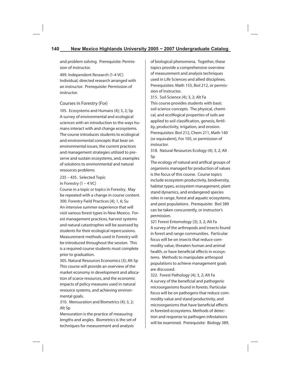and problem solving. Prerequisite: Permission of instructor.

499. Independent Research (1-4 VC) Individual, directed research arranged with an instructor. Prerequisite: Permission of instructor.

## Courses in Forestry (For)

105. Ecosystems and Humans (4); 3, 2; Sp A survey of environmental and ecological sciences with an introduction to the ways humans interact with and change ecosystems. The course introduces students to ecological and environmental concepts that bear on environmental issues, the current practices and management strategies utilized to preserve and sustain ecosystems, and, examples of solutions to environmental and natural resources problems

235 – 435. Selected Topic in Forestry  $(1 - 4$  VC)

Course in a topic or topics in Forestry. May be repeated with a change in course content. 300. Forestry Field Practices (4); 1, 6; Su An intensive summer experience that will visit various forest types in New Mexico. Forest management practices, harvest systems and natural catastrophes will be assessed by students for their ecological repercussions. Measurement methods used in Forestry will be introduced throughout the session. This is a required course students must complete prior to graduation.

305. Natural Resources Economics (3); Alt Sp This course will provide an overview of the market economy in development and allocation of scarce resources, and the economic impacts of policy measures used in natural resource systems, and achieving environmental goals.

310. Mensuration and Biometrics (4); 3, 2; Alt Sp

Mensuration is the practice of measuring lengths and angles. Biometrics is the set of techniques for measurement and analysis

of biological phenomena. Together, these topics provide a comprehensive overview of measurement and analysis techniques used in Life Sciences and allied disciplines. Prerequisites: Math 155, Biol 212, or permission of instructor.

315. Soil Science (4); 3, 2; Alt Fa This course provides students with basic soil science concepts. The physical, chemical, and eco9logical properties of soils are applied to soil classification, genesis, fertility, productivity, irrigation, and erosion. Prerequisites: Biol 212, Chem 211, Math 140 (or equivalent), For 105, or permission of instructor.

318. Natural Resources Ecology (4); 3, 2; Alt Sp

The ecology of natural and artifical groups of organisms managed for production of values is the focus of this course. Course topics include ecosystem productivity, biodiversity, habitat types, ecosystem management, plant stand dynamics, and endangered species roles in range, forest and aquatic ecosystems, and pest populations. Prerequisite: Biol 389 can be taken concurrently, or instructor's permission.

321 Forest Entomology (3); 3, 2; Alt Fa A survey of the arthropods and insects found in forest and range communities. Particular focus will be on insects that reduce commodity value, threaten human and animal health, or have beneficial effects in ecosystems. Methods to manipulate arthropod populations to achieve management goals are discussed.

322. Forest Pathology (4); 3, 2; Alt Fa A survey of the beneficial and pathogenic microorganisms found in forests. Particular focus will be on pathogens that reduce commodity value and stand productivity, and microorganisms that have beneficial effects in forested ecosystems. Methods of detection and response to pathogen infestations will be examined. Prerequisite: Biology 389,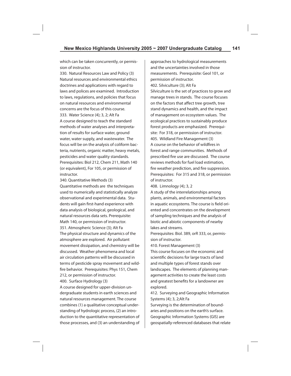which can be taken concurrently, or permission of instructor.

330. Natural Resources Law and Policy (3) Natural resources and environmental ethics doctrines and applications with regard to laws and polices are examined. Introduction to laws, regulations, and policies that focus on natural resources and environmental concerns are the focus of this course. 333. Water Science (4); 3, 2; Alt Fa A course designed to teach the standard methods of water analyses and interpretation of results for surface water, ground water, water supply, and wastewater. The focus will be on the analysis of coliform bacteria, nutrients, organic matter, heavy metals, pesticides and water quality standards. Prerequisites: Biol 212, Chem 211, Math 140 (or equivalent), For 105, or permission of instructor.

340. Quantitative Methods (3) Quantitative methods are the techniques used to numerically and statistically analyze observational and experimental data. Students will gain first-hand experience with data analysis of biological, geological, and natural resources data sets. Prerequisite: Math 140, or permission of instructor. 351. Atmospheric Science (3); Alt Fa The physical structure and dynamics of the atmosphere are explored. Air pollutant movement dissipation, and chemistry will be discussed. Weather phenomena and local air circulation patterns will be discussed in terms of pesticide spray movement and wildfire behavior. Prerequisites: Phys 151, Chem 212, or permission of instructor.

400. Surface Hydrology (3)

A course designed for upper-division undergraduate students in earth sciences and natural resources management. The course combines (1) a qualitative conceptual understanding of hydrologic process, (2) an introduction to the quantitative representation of those processes, and (3) an understanding of approaches to hydrological measurements and the uncertainties involved in those measurements. Prerequisite: Geol 101, or permission of instructor. 402. Silviculture (3); Alt Fa Silviculture is the set of practices to grow and manage trees in stands. The course focuses on the factors that affect tree growth, tree stand dynamics and health, and the impact of management on ecosystem values. The ecological practices to sustainably produce forest products are emphasized. Prerequisite: For 318, or permission of instructor. 405. Wildland Fire Management (3) A course on the behavior of wildfires in forest and range communities. Methods of prescribed fire use are discussed. The course reviews methods for fuel load estimation, fire weather prediction, and fire suppression. Prerequisites: For 315 and 318, or permission of instructor.

408. Limnology (4); 3, 2

A study of the interrelationships among plants, animals, and environmental factors in aquatic ecosystems. The course is field oriented and concentrates on the development of sampling techniques and the analysis of biotic and abiotic components of nearby lakes and streams.

Prerequisites: Biol. 389, orR 333, or, permission of instructor.

410. Forest Management (3) This course focuses on the economic and scientific decisions for large tracts of land and multiple types of forest stands over landscapes. The elements of planning management activities to create the least costs and greatest benefits for a landowner are explored.

412. Surveying and Geographic Information Systems (4); 3, 2;Alt Fa

Surveying is the determination of boundaries and positions on the earth's surface. Geographic Information Systems (GIS) are geospatially-referenced databases that relate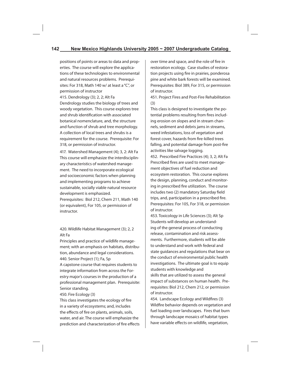positions of points or areas to data and properties. The course will explore the applications of these technologies to environmental and natural resources problems. Prerequisites: For 318, Math 140 w/ at least a "C", or permission of instructor

415. Dendrology (3); 2, 2; Alt Fa

Dendrology studies the biology of trees and woody vegetation. This course explores tree and shrub identification with associated botanical nomenclature, and, the structure and function of shrub and tree morphology. A collection of local trees and shrubs is a requirement for the course. Prerequisite: For 318, or permission of instructor.

417. Watershed Management (4); 3, 2: Alt Fa This course will emphasize the interdisciplinary characteristics of watershed management. The need to incorporate ecological and socioeconomic factors when planning and implementing programs to achieve sustainable, socially viable natural resource development is emphasized. Prerequisites: Biol 212, Chem 211, Math 140

(or equivalent), For 105, or permission of instructor.

# 420. Wildlife Habitat Management (3); 2, 2 Alt Fa

Principles and practice of wildlife management; with an emphasis on habitats, distribution, abundance and legal considerations. 440. Senior Project (1); Fa, Sp

A capstone course that requires students to integrate information from across the Forestry major's courses in the production of a professional management plan. Prerequisite: Senior standing.

450. Fire Ecology (3)

This class investigates the ecology of fire in a variety of ecosystems; and, includes the effects of fire on plants, animals, soils, water, and air. The course will emphasize the prediction and characterization of fire effects over time and space, and the role of fire in restoration ecology. Case studies of restoration projects using fire in prairies, ponderosa pine and white bark forests will be examined. Prerequisites: Biol 389, For 315, or permission of instructor.

451. Project Fires and Post-Fire Rehabilitation (3)

This class is designed to investigate the potential problems resulting from fires including erosion on slopes and in stream channels, sediment and debris jams in streams, weed infestations, loss of vegetation and forest cover, hazards from fire-killed trees falling, and potential damage from post-fire activities like salvage logging.

452. Prescribed Fire Practices (4); 3, 2; Alt Fa Prescribed fires are used to meet management objectives of fuel reduction and ecosystem restoration. This course explores the design, planning, conduct and monitoring in prescribed fire utilization. The course includes two (2) mandatory Saturday field trips, and, participation in a prescribed fire. Prerequisites: For 105, For 318, or permission of instructor.

453. Toxicology in Life Sciences (3); Alt Sp Students will develop an understanding of the general process of conducting release, contamination and risk assessments. Furthermore, students will be able to understand and work with federal and state guidances and regulations that bear on the conduct of environmental public health investigations. The ultimate goal is to equip students with knowledge and skills that are utilized to assess the general impact of substances on human health. Prerequisites: Biol 212, Chem 212, or permission of instructor.

454. Landscape Ecology and Wildfires (3) Wildfire behavior depends on vegetation and fuel loading over landscapes. Fires that burn through landscape mosaics of habitat types have variable effects on wildlife, vegetation,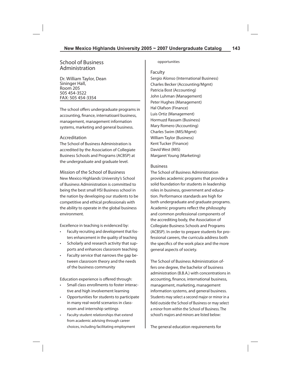# School of Business Administration

Dr. William Taylor, Dean Sininger Hall, Room 205 505 454-3522 FAX: 505 454-3354

The school offers undergraduate programs in accounting, finance, internatioanl business, management, management information systems, marketing and general business.

#### Accreditation

The School of Business Administration is accredited by the Association of Collegiate Business Schools and Programs (ACBSP) at the undergraduate and graduate level.

Mission of the School of Business New Mexico Highlands University's School of Business Administration is committed to being the best small HSI Business school in the nation by developing our students to be competitive and ethical professionals with the ability to operate in the global business environment.

Excellence in teaching is evidenced by:

- Faculty recruiting and development that fosters enhancement in the quality of teaching
- Scholarly and research activity that supports and enhances classroom teaching
- Faculty service that narrows the gap between classroom theory and the needs of the business community

Education experience is offered through:

- Small class enrollments to foster interactive and high involvement learning
- Opportunities for students to participate in many real-world scenarios in classroom and internship settings
- Faculty-student relationships that extend from academic advising through career choices, including facilitating employment

#### opportunities

Faculty

Sergio Alonso (International Business) Charles Becker (Accounting/Mgmt) Patricia Bost (Accounting) John Luhman (Management) Peter Hughes (Management) Hal Olafson (Finance) Luis Ortiz (Management) Hormuzd Rassam (Business) Mary Romero (Accounting) Charles Swim (MIS/Mgmt) William Taylor (Business) Kent Tucker (Finance) David West (MIS) Margaret Young (Marketing)

#### Business

The School of Business Administration provides academic programs that provide a solid foundation for students in leadership roles in business, government and education. Performance standards are high for both undergraduate and graduate programs. Academic programs reflect the philosophy and common professional components of the accrediting body, the Association of Collegiate Business Schools and Programs (ACBSP). In order to prepare students for professional careers, the curricula address both the specifics of the work place and the more general aspects of society.

The School of Business Administration offers one degree, the bachelor of business administration (B.B.A.) with concentrations in accounting, finance, international business, management, marketing, management information systems, and general business. Students may select a second major or minor in a field outside the School of Business or may select a minor from within the School of Business. The school's majors and minors are listed below:

The general education requirements for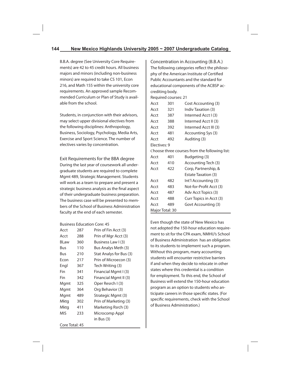B.B.A. degree (See University Core Requirements) are 42 to 45 credit hours. All business majors and minors (including non-business minors) are required to take CS 101, Econ 216, and Math 155 within the university core requirements. An approved sample Recommended Curriculum or Plan of Study is available from the school.

Students, in conjunction with their advisors, may select upper divisional electives from the following disciplines: Anthropology, Business, Sociology, Psychology, Media Arts, Exercise and Sport Science. The number of electives varies by concentration.

Exit Requirements for the BBA degree During the last year of coursework all undergraduate students are required to complete Mgmt 489, Strategic Management. Students will work as a team to prepare and present a strategic business analysis as the final aspect of their undergraduate business preparation. The business case will be presented to members of the School of Business Administration faculty at the end of each semester.

#### Business Education Core: 45

| Acct           | 287 | Prin of Fin Acct (3)    |
|----------------|-----|-------------------------|
| Acct           | 288 | Prin of Mgr Acct (3)    |
| <b>BLaw</b>    | 360 | Business Law I (3)      |
| Bus            | 110 | Bus Analys Meth (3)     |
| Bus            | 210 | Stat Analys for Bus (3) |
| Econ           | 217 | Prin of Microecon (3)   |
| Engl           | 367 | Tech Writing (3)        |
| Fin            | 341 | Financial Mgmt I (3)    |
| Fin            | 342 | Financial Mgmt II (3)   |
| Mgmt           | 325 | Oper Resrch I (3)       |
| Mgmt           | 364 | Org Behavior (3)        |
| Mgmt           | 489 | Strategic Mgmt (3)      |
| Mktg           | 302 | Prin of Marketing (3)   |
| Mktg           | 411 | Marketing Rsrch (3)     |
| <b>MIS</b>     | 233 | Microcomp Appl          |
|                |     | in Bus (3)              |
| Core Total: 45 |     |                         |

Concentration in Accounting (B.B.A.) The following categories reflect the philosophy of the American Institute of Certified Public Accountants and the standard for educational components of the ACBSP accrediting body.

Required courses: 21

| Acct            | 301 | Cost Accounting (3)                           |
|-----------------|-----|-----------------------------------------------|
| Acct            | 321 | Indiy Taxation (3)                            |
| Acct            | 387 | Intermed Acct I (3)                           |
| Acct            | 388 | Intermed Acct II (3)                          |
| Acct            | 392 | Intermed Acct III (3)                         |
| Acct            | 481 | Accounting Sys (3)                            |
| Acct            | 492 | Auditing (3)                                  |
| Flectives: 9    |     |                                               |
|                 |     | Choose three courses from the following list: |
| Acct            | 401 | Budgeting (3)                                 |
| Acct            | 410 | Accounting Tech (3)                           |
| Acct            | 422 | Corp, Partnership, &                          |
|                 |     | Estate Taxation (3)                           |
| Acct            | 482 | Int'l Accounting (3)                          |
| Acct            | 483 | Not-for-Profit Acct (3)                       |
| Acct            | 487 | Adv Acct Topics (3)                           |
| Acct            | 488 | Curr Topics in Acct (3)                       |
| Acct            | 489 | Govt Accounting (3)                           |
| Major Total: 30 |     |                                               |

Even though the state of New Mexico has not adopted the 150-hour education requirement to sit for the CPA exam, NMHU's School of Business Administration has an obligation to its students to implement such a program. Without this program, many accounting students will encounter restrictive barriers if and when they decide to relocate in other states where this credential is a condition for employment. To this end, the School of Business will extend the 150-hour education program as an option to students who anticipate careers in those specific states. (For specific requirements, check with the School of Business Administration.)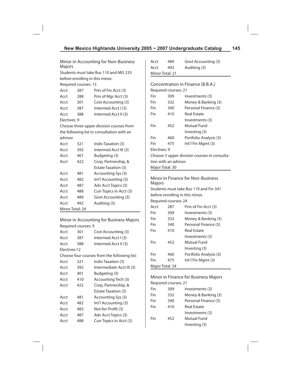Minor in Accounting for Non-Business Majors

Students must take Bus 110 and MIS 233 before enrolling in this minor.

Required courses: 15

| Acct         | 287 | Prin of Fin Acct (3) |
|--------------|-----|----------------------|
| Acct         | 288 | Prin of Mgr Acct (3) |
| Acct         | 301 | Cost Accounting (3)  |
| Acct         | 387 | Intermed Acct I (3)  |
| Acct         | 388 | Intermed Acct II (3) |
| Electives: 9 |     |                      |

Choose three upper division courses from the following list in consultation with an advisor.

| Acct            | 321 | Indiy Taxation (3)         |
|-----------------|-----|----------------------------|
| Acct            | 392 | Intermed Acct III (3)      |
| Acct            | 401 | Budgeting (3)              |
| Acct            | 422 | Corp, Partnership, &       |
|                 |     | <b>Estate Taxation (3)</b> |
| Acct            | 481 | Accounting Sys (3)         |
| Acct            | 482 | Int'l Accounting (3)       |
| Acct            | 487 | Adv Acct Topics (3)        |
| Acct            | 488 | Curr Topics in Acct (3)    |
| Acct            | 489 | Govt Accounting (3)        |
| Acct            | 492 | Auditing (3)               |
| Minor Total: 24 |     |                            |

Minor in Accounting for Business Majors Required courses: 9

| Acct         | 301 | Cost Accounting (3)                          |
|--------------|-----|----------------------------------------------|
| Acct         | 387 | Intermed Acct I (3)                          |
| Acct         | 388 | Intermed Acct II (3)                         |
| Flectives:12 |     |                                              |
|              |     | Choose four courses from the following list: |
| Acct         | 321 | Indiy Taxation (3)                           |
| Acct         | 392 | Intermediate Acct III (3)                    |
| Acct         | 401 | Budgeting (3)                                |
| Acct         | 410 | Accounting Tech (3)                          |
| Acct         | 422 | Corp, Partnership, &                         |
|              |     | <b>Estate Taxation (3)</b>                   |
| Acct         | 481 | Accounting Sys (3)                           |
| Acct         | 482 | Int'l Accounting (3)                         |
| Acct         | 483 | Not-for-Profit (3)                           |
| Acct         | 487 | Adv Acct Topics (3)                          |
| Acct         | 488 | Curr Topics in Acct (3)                      |

| Acct            | 489 | Govt Accounting (3) |
|-----------------|-----|---------------------|
| Acct            | 492 | Auditing (3)        |
| Minor Total: 21 |     |                     |
|                 |     |                     |

# Concentration in Finance (B.B.A.) Required courses: 21 Fin 309 Investments (3) Fin 332 Money & Banking (3) Fin 340 Personal Finance (3) Fin 410 Real Estate Investments (3) Fin 452 Mutual Fund Investing (3) Fin 460 Portfolio Analysis (3) Fin 475 Int'l Fin Mgmt (3) Electives: 9 Choose 3 upper division courses in consultation with an advisor. Major Total: 30

Minor in Finance for Non-Business Majors

Students must take Bus 110 and Fin 341 before enrolling in this minor.

Required courses: 24

| Acct            | 287 | Prin of Fin Acct (3)   |  |  |
|-----------------|-----|------------------------|--|--|
| Fin             | 309 | Investments (3)        |  |  |
| Fin             | 332 | Money & Banking (3)    |  |  |
| Fin             | 340 | Personal Finance (3)   |  |  |
| Fin             | 410 | Real Estate            |  |  |
|                 |     | Investments (3)        |  |  |
| Fin             | 452 | Mutual Fund            |  |  |
|                 |     | Investing (3)          |  |  |
| Fin             | 460 | Portfolio Analysis (3) |  |  |
| Fin             | 475 | Int'l Fin Mgmt (3)     |  |  |
| Major Total: 24 |     |                        |  |  |

## Minor in Finance for Business Majors Required courses: 21

| Fin | 309 | Investments (3)      |
|-----|-----|----------------------|
| Fin | 332 | Money & Banking (3)  |
| Fin | 340 | Personal Finance (3) |
| Fin | 410 | <b>Real Estate</b>   |
|     |     | Investments (3)      |
| Fin | 452 | Mutual Fund          |
|     |     | Investing (3)        |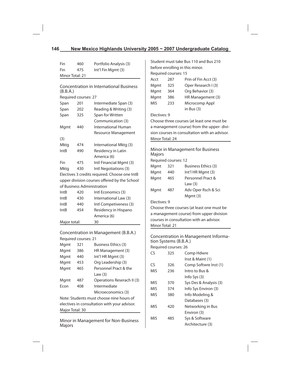# **146 New Mexico Highlands University 2005 ~ 2007 Undergraduate Catalog**

| Fin                                      | 460                                          | Portfolio Analysis (3)                         |                                 |                                               | Student must take Bus 110 and Bus 210         |
|------------------------------------------|----------------------------------------------|------------------------------------------------|---------------------------------|-----------------------------------------------|-----------------------------------------------|
| Fin                                      | 475                                          | Int'l Fin Mgmt (3)                             | before enrolling in this minor. |                                               |                                               |
| Minor Total: 21                          |                                              |                                                |                                 | Required courses: 15                          |                                               |
|                                          |                                              |                                                | Acct                            | 287                                           | Prin of Fin Acct (3)                          |
|                                          |                                              | <b>Concentration in International Business</b> | Mgmt                            | 325                                           | Oper Research I (3)                           |
| (B.B.A.)                                 |                                              |                                                | Mgmt                            | 364                                           | Org Behavior (3)                              |
|                                          | Required courses: 27                         |                                                | Mgmt                            | 386                                           | HR Management (3)                             |
| Span                                     | 201                                          | Intermediate Span (3)                          | MIS                             | 233                                           | Microcomp Appl                                |
| Span                                     | 202                                          | Reading & Writing (3)                          |                                 |                                               | in Bus $(3)$                                  |
| Span                                     | 325                                          | Span for Written                               | Electives: 9                    |                                               |                                               |
|                                          |                                              | Communication (3)                              |                                 |                                               | Choose three courses (at least one must be    |
| Mgmt                                     | 440                                          | International Human                            |                                 |                                               | a management course) from the upper-divi-     |
|                                          |                                              | Resource Management                            |                                 |                                               | sion courses in consultation with an advisor. |
| (3)                                      |                                              |                                                | Minor Total: 24                 |                                               |                                               |
| Mktg                                     | 474                                          | International Mktg (3)                         |                                 |                                               |                                               |
| <b>IntB</b>                              | 490                                          | Residency in Latin<br>America (6)              | Majors                          |                                               | Minor in Management for Business              |
| Fin                                      | 475                                          | Intl Financial Mgmt (3)                        |                                 | Required courses: 12                          |                                               |
| Mktg                                     | 430                                          | Intl Negotiations (3)                          | Mgmt                            | 321                                           | Business Ethics (3)                           |
|                                          |                                              | Electives 3 credits required. Choose one IntB  | Mgmt                            | 440                                           | Int'l HR Mgmt (3)                             |
|                                          |                                              | upper division courses offered by the School   | Mgmt                            | 465                                           | Personnel Pract &                             |
|                                          |                                              | of Business Administration                     |                                 |                                               | Law $(3)$                                     |
| IntB                                     | 420                                          | Intl Economics (3)                             | Mgmt                            | 487                                           | Adv Oper Rsch & Sci                           |
| IntB                                     | 430                                          | International Law (3)                          |                                 |                                               | Mgmt (3)                                      |
| IntB                                     | 440                                          | Intl Competiveness (3)                         | Electives: 9                    |                                               |                                               |
| <b>IntB</b>                              | 454                                          | Residency in Hispano                           |                                 |                                               | Choose three courses (at least one must be    |
|                                          |                                              | America (6)                                    |                                 |                                               | a management course) from upper division      |
| Major total:                             |                                              | 30                                             |                                 |                                               | courses in consultation with an advisor.      |
|                                          |                                              |                                                | Minor Total: 21                 |                                               |                                               |
|                                          |                                              | Concentration in Management (B.B.A.)           |                                 |                                               |                                               |
|                                          | Required courses: 21                         |                                                |                                 |                                               | Concentration in Management Informa-          |
| Mgmt                                     | 321                                          | Business Ethics (3)                            |                                 | tion Systems (B.B.A.)<br>Required courses: 26 |                                               |
| Mgmt                                     | 386                                          | HR Management (3)                              | CS                              | 325                                           |                                               |
| Mgmt                                     | 440                                          | Int'l HR Mgmt (3)                              |                                 |                                               | Comp Hdwre<br>Inst & Maint (1)                |
| Mgmt                                     | 453                                          | Org Leadership (3)                             | CS                              | 326                                           | Comp Softwre Inst (1)                         |
| Mgmt                                     | 465                                          | Personnel Pract & the                          | <b>MIS</b>                      |                                               | Intro to Bus &                                |
|                                          |                                              | Law $(3)$                                      |                                 | 236                                           |                                               |
| Mgmt                                     | 487                                          | Operations Reserach II (3)                     |                                 |                                               | Info Sys (3)<br>Sys Des & Analysis (3)        |
| Econ                                     | 408                                          | Intermediate                                   | MIS                             | 370                                           |                                               |
|                                          |                                              | Microeconomics (3)                             | <b>MIS</b><br><b>MIS</b>        | 374<br>380                                    | Info Sys Environ (3)<br>Info Modeling &       |
| Note: Students must choose nine hours of |                                              |                                                |                                 |                                               |                                               |
|                                          | electives in consultation with your advisor. |                                                |                                 |                                               | Databases (3)                                 |
| Major Total: 30                          |                                              |                                                | <b>MIS</b>                      | 420                                           | Networking in Bus<br>Environ (3)              |
|                                          |                                              |                                                | <b>MIS</b>                      |                                               |                                               |
|                                          |                                              | Minor in Management for Non-Business           |                                 | 485                                           | Sys & Software                                |
| Majors                                   |                                              |                                                |                                 |                                               | Architecture (3)                              |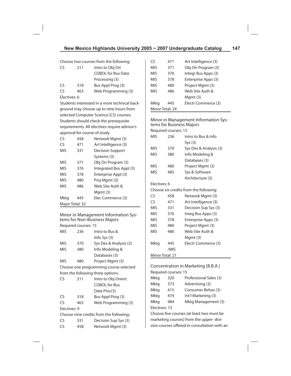Choose two courses from the following:

| CS           | 211 | Intro to Obj Ori          |
|--------------|-----|---------------------------|
|              |     | <b>COBOL for Bus Data</b> |
|              |     | Processing (3)            |
| CS           | 318 | Bus Appl Prog (3)         |
| CS           | 463 | Web Programming (3)       |
| Electives: 6 |     |                           |

Students interested in a more technical background may choose up to nine hours from selected Computer Science (CS) courses. Students should check the prerequisite requirements. All electives require advisor's approval for course of study.

| CS              | 458 | Network Mgmt (3)        |
|-----------------|-----|-------------------------|
| CS              | 471 | Art Intelligence (3)    |
| MIS             | 331 | <b>Decision Support</b> |
|                 |     | Systems (3)             |
| MIS             | 371 | Obj Ori Program (3)     |
| MIS             | 376 | Integrated Bus Appl (3) |
| <b>MIS</b>      | 378 | Enterprise Appl (3)     |
| <b>MIS</b>      | 480 | Proj Mgmt (3)           |
| <b>MIS</b>      | 486 | Web Site Auth &         |
|                 |     | Mgmt (3)                |
| Mktg            | 445 | Elec Commerce (3)       |
| Major Total: 32 |     |                         |

Minor in Management Information Systems for Non-Business Majors Required courses: 15

| MIS           | 236 | Intro to Bus &                          |
|---------------|-----|-----------------------------------------|
|               |     | Info Sys (3)                            |
| MIS           | 370 | Sys Des & Analysis (3)                  |
| MIS           | 380 | Info Modeling &                         |
|               |     | Databases (3)                           |
| <b>MIS</b>    | 480 | Project Mgmt (3)                        |
|               |     | Choose one programming course selected  |
|               |     | from the following three options:       |
| CS            | 211 | Intro to Obj Orient                     |
|               |     | <b>COBOL</b> for Bus                    |
|               |     | Data Proc(3)                            |
| $\mathsf{CS}$ | 318 | Bus Appl Prog (3)                       |
| CS            | 463 | Web Programming (3)                     |
| Electives: 9  |     |                                         |
|               |     | Choose nine credits from the following: |
| CS            | 331 | Decision Sup Sys (3)                    |
| CS            | 458 | Network Mgmt (3)                        |

| Obj Ori Program (3)<br><b>MIS</b><br>371<br><b>MIS</b><br>Integr Bus Apps (3)<br>376<br>Enterprise Apps (3)<br><b>MIS</b><br>378<br><b>MIS</b><br>Project Mgmt (3)<br>480<br><b>MIS</b><br>Web Site Auth &<br>486<br>Mgmt (3)<br>Electr Commerce (3)<br>Mktg<br>445<br>Minor Total: 24 | ٢٢ | 471 | Art Intelligence (3) |
|----------------------------------------------------------------------------------------------------------------------------------------------------------------------------------------------------------------------------------------------------------------------------------------|----|-----|----------------------|
|                                                                                                                                                                                                                                                                                        |    |     |                      |
|                                                                                                                                                                                                                                                                                        |    |     |                      |
|                                                                                                                                                                                                                                                                                        |    |     |                      |
|                                                                                                                                                                                                                                                                                        |    |     |                      |
|                                                                                                                                                                                                                                                                                        |    |     |                      |
|                                                                                                                                                                                                                                                                                        |    |     |                      |
|                                                                                                                                                                                                                                                                                        |    |     |                      |
|                                                                                                                                                                                                                                                                                        |    |     |                      |

Minor in Management Information Systems for Business Majors

| Required courses: 15 |      |                                        |  |
|----------------------|------|----------------------------------------|--|
| <b>MIS</b>           | 236  | Intro to Bus & Info                    |  |
|                      |      | Sys(3)                                 |  |
| <b>MIS</b>           | 370  | Sys Des & Analysis (3)                 |  |
| <b>MIS</b>           | 380  | Info Modeling &                        |  |
|                      |      | Databases (3)                          |  |
| <b>MIS</b>           | 480  | Project Mgmt (3)                       |  |
| MIS                  | 485  | Sys & Software                         |  |
|                      |      | Architecture (3)                       |  |
| Electives: 6         |      |                                        |  |
|                      |      | Choose six credits from the following: |  |
| CS                   | 458  | Network Mgmt (3)                       |  |
| CS                   | 471  | Art Intelligence (3)                   |  |
| <b>MIS</b>           | 331  | Decision Sup Sys (3)                   |  |
| <b>MIS</b>           | 376  | Integ Bus Apps (3)                     |  |
| <b>MIS</b>           | 378  | Enterprise Apps (3)                    |  |
| <b>MIS</b>           | 480  | Project Mgmt (3)                       |  |
| MIS                  | 486  | Web Site Auth &                        |  |
|                      |      | Mgmt (3)                               |  |
| Mktg                 | 445  | Electr Commerce (3)                    |  |
|                      | /MIS |                                        |  |
| Minor Total: 21      |      |                                        |  |

Concentration in Marketing (B.B.A.) Required courses: 15 Mktg 320 Professional Sales (3) Mktg 373 Advertising (3) Mktg 415 Consumer Behav (3) Mktg 474 Int'l Marketing (3) Mktg 484 Mktg Management (3) Electives: 15 Choose five courses (at least two must be

marketing courses) from the upper- division courses offered in consultation with an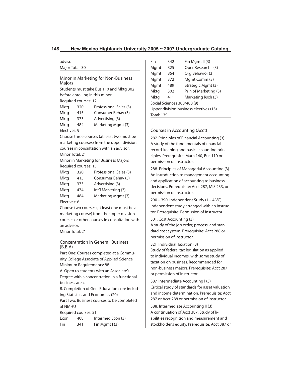advisor. Major Total: 30

Minor in Marketing for Non-Business Majors

Students must take Bus 110 and Mktg 302 before enrolling in this minor.

Required courses: 12

| Mktg         | 320 | Professional Sales (3) |
|--------------|-----|------------------------|
| Mktg         | 415 | Consumer Behay (3)     |
| Mktg         | 373 | Advertising (3)        |
| Mktg         | 484 | Marketing Mgmt (3)     |
| Electives: 9 |     |                        |

Choose three courses (at least two must be marketing courses) from the upper division courses in consultation with an advisor. Minor Total: 21

Minor in Marketing for Business Majors Required courses: 15

| Mktg         | 320 | Professional Sales (3) |  |
|--------------|-----|------------------------|--|
| Mktg         | 415 | Consumer Behav (3)     |  |
| Mktg         | 373 | Advertising (3)        |  |
| Mktg         | 474 | Int'l Marketing (3)    |  |
| Mktg         | 484 | Marketing Mgmt (3)     |  |
| Electives: 6 |     |                        |  |

Choose two courses (at least one must be a marketing course) from the upper division courses or other courses in consultation with an advisor.

Minor Total: 21

Concentration in General Business (B.B.A)

Part One: Courses completed at a Community College Associate of Applied Science Minimum Requirements: 88

A. Open to students with an Associate's Degree with a concentration in a functional business area.

B. Completion of Gen. Education core including Statistics and Economics (20)

Part Two: Business courses to be completed at NMHU

Required courses: 51

Econ 408 Intermed Econ (3) Fin  $341$  Fin Mgmt I (3)

| Fin                                    | 342 | Fin Mgmt II (3)       |  |  |
|----------------------------------------|-----|-----------------------|--|--|
| Mgmt                                   | 325 | Oper Research I (3)   |  |  |
| Mgmt                                   | 364 | Org Behavior (3)      |  |  |
| Mgmt                                   | 372 | Mgmt Comm (3)         |  |  |
| Mgmt                                   | 489 | Strategic Mgmt (3)    |  |  |
| Mktg                                   | 302 | Prin of Marketing (3) |  |  |
| Mktg                                   | 411 | Marketing Rsch (3)    |  |  |
| Social Sciences 300/400 (9)            |     |                       |  |  |
| Upper division business electives (15) |     |                       |  |  |
| <b>Total: 139</b>                      |     |                       |  |  |

Courses in Accounting (Acct)

287. Principles of Financial Accounting (3) A study of the fundamentals of financial record-keeping and basic accounting principles. Prerequisite: Math 140, Bus 110 or permission of instructor.

288. Principles of Managerial Accounting (3) An introduction to management accounting and application of accounting to business decisions. Prerequisite: Acct 287, MIS 233, or permission of instructor.

290 – 390. Independent Study (1 – 4 VC) Independent study arranged with an instructor. Prerequisite: Permission of instructor.

301. Cost Accounting (3)

A study of the job order, process, and standard cost system. Prerequisite: Acct 288 or permission of instructor.

321. Individual Taxation (3)

Study of federal tax legislation as applied to individual incomes, with some study of taxation on business. Recommended for non-business majors. Prerequisite: Acct 287 or permission of instructor.

387. Intermediate Accounting I (3) Critical study of standards for asset valuation and income determination. Prerequisite: Acct 287 or Acct 288 or permission of instructor.

388. Intermediate Accounting II (3) A continuation of Acct 387. Study of liabilities recognition and measurement and stockholder's equity. Prerequisite: Acct 387 or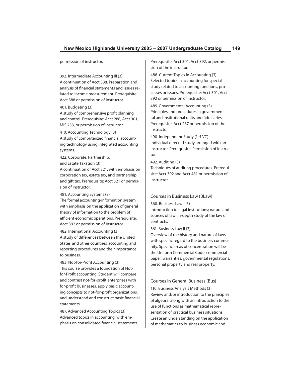permission of instructor.

392. Intermediate Accounting III (3) A continuation of Acct 388. Preparation and analysis of financial statements and issues related to income measurement. Prerequisite: Acct 388 or permission of instructor.

#### 401. Budgeting (3)

A study of comprehensive profit planning and control. Prerequisite: Acct 288, Acct 301, MIS 233, or permission of instructor.

410. Accounting Technology (3)

A study of computerized financial accounting technology using integrated accounting systems.

422. Corporate, Partnership,

and Estate Taxation (3)

A continuation of Acct 321, with emphasis on corporation tax, estate tax, and partnership and gift tax. Prerequisite: Acct 321 or permission of instructor.

#### 481. Accounting Systems (3)

The formal accounting-information system with emphasis on the application of general theory of information to the problem of efficient economic operations. Prerequisite: Acct 392 or permission of instructor.

482. International Accounting (3) A study of differences between the United States' and other countries' accounting and reporting procedures and their importance to business.

483. Not-for-Profit Accounting (3) This course provides a foundation of Notfor-Profit accounting. Student will compare and contrast not-for-profit enterprises with for-profit businesses, apply basic accounting concepts to not-for-profit organizations, and understand and construct basic financial statements.

487. Advanced Accounting Topics (3) Advanced topics in accounting, with emphasis on consolidated financial statements. Prerequisite: Acct 301, Acct 392, or permission of the instructor.

488. Current Topics in Accounting (3) Selected topics in accounting for special study related to accounting functions, processes or issues. Prerequisite: Acct 301, Acct 392 or permission of instructor.

489. Governmental Accounting (3) Principles and procedures in governmental and institutional units and fiduciaries. Prerequisite: Acct 287 or permission of the instructor.

490. Independent Study (1-4 VC) Individual directed study arranged with an instructor. Prerequisite: Permission of instructor.

#### 492. Auditing (3)

Techniques of auditing procedures. Prerequisite: Acct 392 and Acct 481 or permission of instructor.

### Courses in Business Law (BLaw)

#### 360. Business Law I (3)

Introduction to legal institutions; nature and sources of law; in-depth study of the law of contracts.

#### 361. Business Law II (3)

Overview of the history and nature of laws with specific regard to the business community. Specific areas of concentration will be the Uniform Commercial Code, commercial paper, warranties, governmental regulations, personal property and real property.

### Courses in General Business (Bus)

110. Business Analysis Methods (3) Review and/or introduction to the principles of algebra, along with an introduction to the use of functions as mathematical representation of practical business situations. Create an understanding on the application of mathematics to business economic and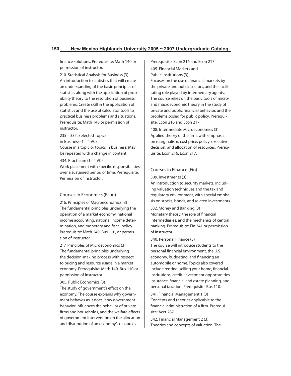finance solutions. Prerequisite: Math 140 or permission of instructor.

210. Statistical Analysis for Business (3) An introduction to statistics that will create an understanding of the basic principles of statistics along with the application of probability theory to the resolution of business problems. Create skill in the application of statistics and the use of calculator tools to practical business problems and situations. Prerequisite: Math 140 or permission of instructor.

235 – 335. Selected Topics in Business (1 – 4 VC) Course in a topic or topics in business. May be repeated with a change in content.

#### 434. Practicum (1 - 4 VC)

Work placement with specific responsibilities over a sustained period of time. Prerequisite: Permission of instructor.

### Courses in Economics (Econ)

216. Principles of Macroeconomics (3) The fundamental principles underlying the operation of a market economy, national income accounting, national income determination, and monetary and fiscal policy. Prerequisite: Math 140, Bus 110, or permission of instructor.

217. Principles of Microeconomics (3) The fundamental principles underlying the decision-making process with respect to pricing and resource usage in a market economy. Prerequisite: Math 140, Bus 110 or permission of instructor.

### 305. Public Economics (3)

The study of government's effect on the economy. The course explains why government behaves as it does, how government behavior influences the behavior of private firms and households, and the welfare effects of government intervention on the allocation and distribution of an economy's resources.

Prerequisite: Econ 216 and Econ 217.

405. Financial Markets and Public Institutions (3) Focuses on the use of financial markets by the private and public sectors, and the facilitating role played by intermediary agents. The course relies on the basic tools of microand macroeconomic theory in the study of private and public financial behavior, and the problems posed for public policy. Prerequisite: Econ 216 and Econ 217.

408. Intermediate Microeconomics (3) Applied theory of the firm, with emphasis on marginalism, cost price, policy, executive decision, and allocation of resources. Prerequisite: Econ 216, Econ 217.

### Courses in Finance (Fin)

#### 309. Investments (3)

An introduction to security markets, including valuation techniques and the tax and regulatory environment, with special emphasis on stocks, bonds, and related investments.

# 332. Money and Banking (3)

Monetary theory, the role of financial intermediaries, and the mechanics of central banking. Prerequisite: Fin 341 or permission of instructor.

#### 340. Personal Finance (3)

The course will introduce students to the personal financial environment, the U.S. economy, budgeting, and financing an automobile or home. Topics also covered include renting, selling your home, financial institutions, credit, investment opportunities, insurance, financial and estate planning, and personal taxation. Prerequisite: Bus 110.

341. Financial Management 1 (3) Concepts and theories applicable to the financial administration of a firm. Prerequisite: Acct 287.

342. Financial Management 2 (3) Theories and concepts of valuation. The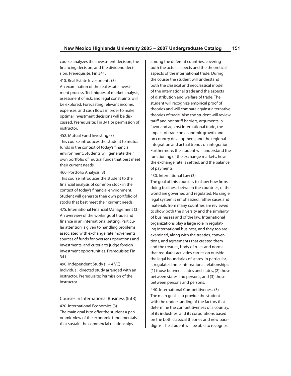course analyzes the investment decision, the financing decision, and the dividend decision. Prerequisite: Fin 341.

410. Real Estate Investments (3) An examination of the real estate investment process. Techniques of market analysis, assessment of risk, and legal constraints will be explored. Forecasting relevant income, expenses, and cash flows in order to make optimal investment decisions will be discussed. Prerequisite: Fin 341 or permission of instructor.

452. Mutual Fund Investing (3)

This course introduces the student to mutual funds in the context of today's financial environment. Students will generate their own portfolio of mutual funds that best meet their current needs.

460. Portfolio Analysis (3)

This course introduces the student to the financial analysis of common stock in the context of today's financial environment. Student will generate their own portfolio of stocks that best meet their current needs.

475. International Financial Management (3) An overview of the workings of trade and finance in an international setting. Particular attention is given to handling problems associated with exchange rate movements, sources of funds for overseas operations and investments, and criteria to judge foreign investment opportunities. Prerequisite: Fin 341.

490. Independent Study (1 – 4 VC) Individual, directed study arranged with an instructor. Prerequisite: Permission of the instructor.

Courses in International Business (IntB) 420. International Economics (3) The main goal is to offer the student a panoramic view of the economic fundamentals that sustain the commercial relationships

among the different countries, covering both the actual aspects and the theoretical aspects of the international trade. During the course the student will understand both the classical and neoclassical model of the international trade and the aspects of distribution and welfare of trade. The student will recognize empirical proof of theories and will compare against alternative theories of trade. Also the student will review tariff and nontariff barriers, arguments in favor and against international trade, the impact of trade on economic growth and on country development, and the regional integration and actual trends on integration. Furthermore, the student will understand the functioning of the exchange markets, how the exchange rate is settled, and the balance of payments.

430. International Law (3)

The goal of this course is to show how firms doing business between the countries, of the world are governed and regulated. No single legal system is emphasized; rather cases and materials from many countries are reviewed to show both the diversity and the similarity of businesses and of the law. International organizations play a large role in regulating international business, and they too are examined, along with the treaties, conventions, and agreements that created them and the treaties, body of rules and norms that regulates activities carries on outside the legal boundaries of states. In particular, it regulates three international relationships: (1) those between states and states, (2) those between states and persons, and (3) those between persons and persons.

440. International Competitiveness (3) The main goal is to provide the student with the understanding of the factors that determine the competitiveness of a country, of its industries, and its corporations based on the both classical theories and new paradigms. The student will be able to recognize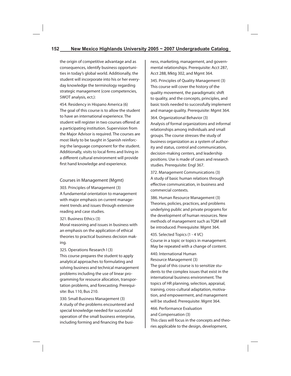the origin of competitive advantage and as consequences, identify business opportunities in today's global world. Additionally, the student will incorporate into his or her everyday knowledge the terminology regarding strategic management (core competencies, SWOT analysis, ect.):

454. Residency in Hispano America (6) The goal of this course is to allow the student to have an international experience. The student will register in two courses offered at a participating institution. Supervision from the Major Advisor is required. The courses are most likely to be taught in Spanish reinforcing the language component for the student. Additionally, visits to local firms and living in a different cultural environment will provide first hand knowledge and experience.

### Courses in Management (Mgmt)

303. Principles of Management (3) A fundamental orientation to management with major emphasis on current management trends and issues through extensive reading and case studies.

321. Business Ethics (3)

Moral reasoning and issues in business with an emphasis on the application of ethical theories to practical business decision making.

325. Operations Research I (3) This course prepares the student to apply analytical approaches to formulating and solving business and technical management problems including the use of linear programming for resource allocation, transportation problems, and forecasting. Prerequisite: Bus 110, Bus 210.

330. Small Business Management (3) A study of the problems encountered and special knowledge needed for successful operation of the small business enterprise, including forming and financing the business, marketing, management, and governmental relationships. Prerequisite: Acct 287, Acct 288, Mktg 302, and Mgmt 364.

345. Principles of Quality Management (3) This course will cover the history of the quality movement, the paradigmatic shift to quality, and the concepts, principles, and basic tools needed to successfully implement and manage quality. Prerequisite: Mgmt 364.

364. Organizational Behavior (3) Analysis of formal organizations and informal relationships among individuals and small groups. The course stresses the study of business organization as a system of authority and status, control and communication, decision-making centers, and leadership positions. Use is made of cases and research studies. Prerequisite: Engl 367.

372. Management Communications (3) A study of basic human relations through effective communication, in business and commercial contexts.

386. Human Resource Management (3) Theories, policies, practices, and problems underlying public and private programs for the development of human resources. New methods of management such as TQM will be introduced. Prerequisite: Mgmt 364.

435. Selected Topics (1 - 4 VC) Course in a topic or topics in management. May be repeated with a change of content.

440. International Human Resource Management (3)

The goal of this course is to sensitize students to the complex issues that exist in the international business environment. The topics of HR planning, selection, appraisal, training, cross-cultural adaptation, motivation, and empowerment, and management will be studied. Prerequisite: Mgmt 364.

466. Performance Evaluation and Compensation (3)

This class will focus in the concepts and theories applicable to the design, development,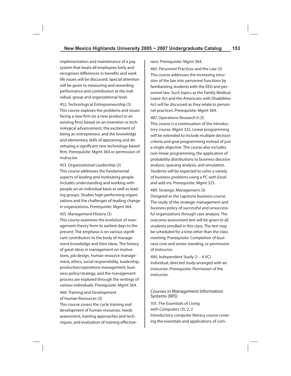implementation and maintenance of a pay system that treats all employees fairly and recognizes differences in benefits and work life issues will be discussed. Special attention will be given to measuring and rewarding performance and contribution at the individual, group and organizational level. 452. Technological Entrepreneurship (3) This course explores the problems and issues facing a new firm (or a new product in an existing firm) based on an invention or technological advancement, the excitement of being an entrepreneur, and the knowledge and elementary skills of appraising and developing a significant new technology-based firm. Prerequisite: Mgmt 364 or permission of instructor.

453. Organizational Leadership (3) This course addresses the fundamental aspects of leading and motivating people. Includes understanding and working with people on an individual basis as well as leading groups. Studies high-performing organizations and the challenges of leading change in organizations. Prerequisite: Mgmt 364.

### 455. Management History (3)

This course examines the evolution of management theory from its earliest days to the present. The emphasis is on various significant contributors to the body of management knowledge and their ideas. The history of great ideas in management on motivations, job design, human resource management, ethics, social responsibility, leadership, production/operations management, business policy/strategy, and the management process are explored through the writings of various individuals. Prerequisite: Mgmt 364.

### 460. Training and Development of Human Resources (3)

This course covers the cycle training and development of human resources: needs assessment, training approaches and techniques, and evaluation of training effectiveness. Prerequisite: Mgmt 364.

465. Personnel Practices and the Law (3) This course addresses the increasing intrusion of the law into personnel functions by familiarizing students with the EEO and personnel law. Such topics as the Family Medical Leave Act and the Americans with Disabilities Act will be discussed as they relate to personnel practices. Prerequisite: Mgmt 364.

487. Operations Research II (3)

This course is a continuation of the introductory course, Mgmt 325. Linear programming will be extended to include multiple decision criteria and goal programming instead of just a single objective. The course also includes non-linear programming, the application of probability distributions to business decision analysis, queuing analysis, and simulation. Students will be expected to solve a variety of business problems using a PC with Excel and add-ins. Prerequisite: Mgmt 325.

489. Strategic Management (3) Designed as the capstone business course. The study of the strategic management and business policy of successful and unsuccessful organizations through case analysis. The outcome assessment test will be given to all students enrolled in this class. The test may be scheduled for a time other than the class meeting. Prerequisite: Completion of business core and senior standing, or permission of instructor.

490. Independent Study (1 – 4 VC) Individual, directed study arranged with an instructor. Prerequisite: Permission of the instructor.

### Courses in Management Information Systems (MIS)

101. The Essentials of Living with Computers (3); 2, 2 Introductory computer literacy course covering the essentials and applications of com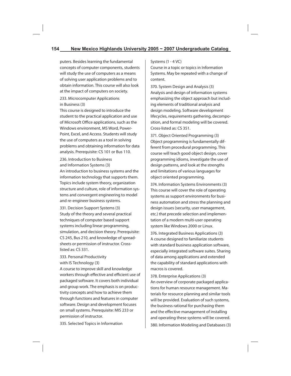puters. Besides learning the fundamental concepts of computer components, students will study the use of computers as a means of solving user application problems and to obtain information. This course will also look at the impact of computers on society.

233. Microcomputer Applications in Business (3)

This course is designed to introduce the student to the practical application and use of Microsoft Office applications, such as the Windows environment, MS Word, Power-Point, Excel, and Access. Students will study the use of computers as a tool in solving problems and obtaining information for data analysis. Prerequisite: CS 101 or Bus 110.

236. Introduction to Business and Information Systems (3)

An introduction to business systems and the information technology that supports them. Topics include system theory, organization structure and culture, role of information systems and convergent engineering to model and re-engineer business systems.

331. Decision Support Systems (3) Study of the theory and several practical techniques of computer based support systems including linear programming, simulation, and decision theory. Prerequisite: CS 245, Bus 210, and knowledge of spreadsheets or permission of instructor. Crosslisted as: CS 331.

### 333. Personal Productivity with IS Technology (3)

A course to improve skill and knowledge workers through effective and efficient use of packaged software. It covers both individual and group work. The emphasis is on productivity concepts and how to achieve them through functions and features in computer software. Design and development focuses on small systems. Prerequisite: MIS 233 or permission of instructor.

Systems (1 - 4 VC)

Course in a topic or topics in Information Systems. May be repeated with a change of content.

370. System Design and Analysis (3) Analysis and design of information systems emphasizing the object approach but including elements of traditional analysis and design modeling. Software development lifecycles, requirements gathering, decomposition, and formal modeling will be covered. Cross-listed as: CS 351.

371. Object Oriented Programming (3) Object programming is fundamentally different from procedural programming. This course will teach good object design, cover programming idioms, investigate the use of design patterns, and look at the strengths and limitations of various languages for object oriented programming.

374. Information Systems Environments (3) This course will cover the role of operating systems as support environments for business automation and stress the planning and design issues (security, user management, etc.) that precede selection and implementation of a modern multi-user operating system like Windows 2000 or Linux.

376. Integrated Business Applications (3) A course designed to familiarize students with standard business application software, especially integrated software suites. Sharing of data among applications and extended the capability of standard applications with macros is covered.

378. Enterprise Applications (3) An overview of corporate packaged applications for human resource management. Materials for resource planning and similar tools will be provided. Evaluation of such systems, the business rational for purchasing them and the effective management of installing and operating these systems will be covered.

335. Selected Topics in Information

380. Information Modeling and Databases (3)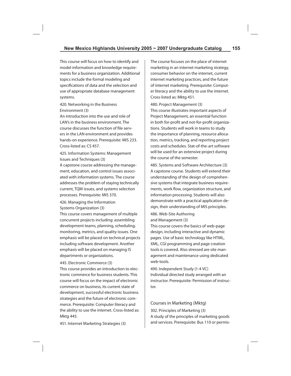This course will focus on how to identify and model information and knowledge requirements for a business organization. Additional topics include the formal modeling and specifications of data and the selection and use of appropriate database management systems.

420. Networking in the Business Environment (3)

An introduction into the use and role of LAN's in the business environment. The course discusses the function of file servers in the LAN environment and provides hands-on experience. Prerequisite: MIS 233. Cross-listed as: CS 457.

425. Information Systems: Management Issues and Techniques (3)

A capstone course addressing the management, education, and control issues associated with information systems. The course addresses the problem of staying technically current, TQM issues, and systems selection processes. Prerequisite: MIS 370.

426. Managing the Information Systems Organization (3)

This course covers management of multiple concurrent projects including: assembling development teams, planning, scheduling, monitoring, metrics, and quality issues. One emphasis will be placed on technical projects including software development. Another emphasis will be placed on managing IS departments or organizations.

445. Electronic Commerce (3)

This course provides an introduction to electronic commerce for business students. This course will focus on the impact of electronic commerce on business, its current state of development, successful electronic business strategies and the future of electronic commerce. Prerequisite: Computer literacy and the ability to use the internet. Cross-listed as: Mktg 445.

The course focuses on the place of internet marketing in an internet marketing strategy, consumer behavior on the internet, current internet marketing practices, and the future of internet marketing. Prerequisite: Computer literacy and the ability to use the internet. Cross-listed as: Mktg 451.

480. Project Management (3) This course illustrates important aspects of Project Management, an essential function in both for-profit and not-for-profit organizations. Students will work in teams to study the importance of planning, resource allocation, metrics, tracking, and reporting project costs and schedules. Stat-of-the-art software will be used for an extensive project during the course of the semester.

485. Systems and Software Architecture (3) A capstone course. Students will extend their understanding of the design of comprehensive systems that integrate business requirements, work flow, organization structure, and information processing. Students will also demonstrate with a practical application design, their understanding of MIS principles.

486. Web-Site Authoring and Management (3)

This course covers the basics of web-page design, including interactive and dynamic pages. Use of basic technology like HTML, XML, CGI programming and page creation tools is covered. Also stressed are site management and maintenance using dedicated web-tools.

490. Independent Study (1-4 VC) Individual directed study arranged with an instructor. Prerequisite: Permission of instructor.

Courses in Marketing (Mktg) 302. Principles of Marketing (3) A study of the principles of marketing goods and services. Prerequisite: Bus 110 or permis-

451. Internet Marketing Strategies (3)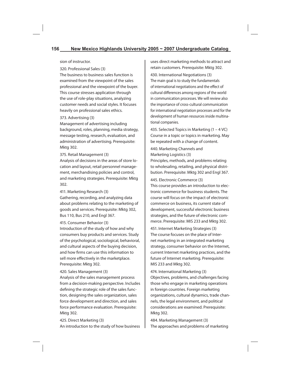sion of instructor.

320. Professional Sales (3)

The business to business sales function is examined from the viewpoint of the sales professional and the viewpoint of the buyer. This course stresses application through the use of role-play situations, analyzing customer needs and social styles. It focuses heavily on professional sales ethics.

#### 373. Advertising (3)

Management of advertising including background, roles, planning, media strategy, message testing, research, evaluation, and administration of advertising. Prerequisite: Mktg 302.

### 375. Retail Management (3)

Analysis of decisions in the areas of store location and layout, retail personnel management, merchandising policies and control, and marketing strategies. Prerequisite: Mktg 302.

411. Marketing Research (3)

Gathering, recording, and analyzing data about problems relating to the marketing of goods and services. Prerequisite: Mktg 302, Bus 110, Bus 210, and Engl 367.

### 415. Consumer Behavior (3)

Introduction of the study of how and why consumers buy products and services. Study of the psychological, sociological, behavioral, and cultural aspects of the buying decision, and how firms can use this information to sell more effectively in the marketplace. Prerequisite: Mktg 302.

### 420. Sales Management (3)

Analysis of the sales management process from a decision-making perspective. Includes defining the strategic role of the sales function, designing the sales organization, sales force development and direction, and sales force performance evaluation. Prerequisite: Mktg 302.

425. Direct Marketing (3) An introduction to the study of how business uses direct marketing methods to attract and retain customers. Prerequisite: Mktg 302.

430. International Negotiations (3) The main goal is to study the fundamentals of international negotiations and the effect of cultural differences among regions of the world in communication processes. We will review also the importance of cross-cultural communication for international negotiation processes and for the development of human resources inside multinational companies.

435. Selected Topics in Marketing (1 – 4 VC) Course in a topic or topics in marketing. May be repeated with a change of content.

440. Marketing Channels and Marketing Logistics (3) Principles, methods, and problems relating to wholesaling, retailing, and physical distribution. Prerequisite: Mktg 302 and Engl 367.

445. Electronic Commerce (3)

This course provides an introduction to electronic commerce for business students. The course will focus on the impact of electronic commerce on business, its current state of development, successful electronic business strategies, and the future of electronic commerce. Prerequisite: MIS 233 and Mktg 302.

451. Internet Marketing Strategies (3) The course focuses on the place of Internet marketing in an integrated marketing strategy, consumer behavior on the Internet, current Internet marketing practices, and the future of Internet marketing. Prerequisite: MIS 233 and Mktg 302.

474. International Marketing (3) Objectives, problems, and challenges facing those who engage in marketing operations in foreign countries. Foreign marketing organizations, cultural dynamics, trade channels, the legal environment, and political considerations are examined. Prerequisite: Mktg 302.

484. Marketing Management (3) The approaches and problems of marketing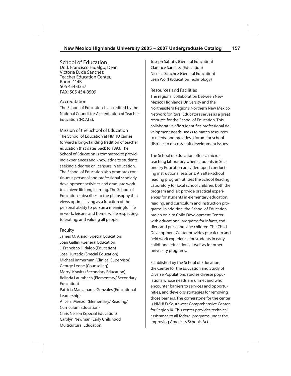School of Education Dr. J. Francisco Hidalgo, Dean Victoria D. de Sanchez Teacher Education Center, Room 114B 505 454-3357 FAX: 505 454-3509

### Accreditation

The School of Education is accredited by the National Council for Accreditation of Teacher Education (NCATE).

Mission of the School of Education The School of Education at NMHU carries forward a long-standing tradition of teacher education that dates back to 1893. The School of Education is committed to providing experiences and knowledge to students seeking a degree or licensure in education. The School of Education also promotes continuous personal and professional scholarly development activities and graduate work to achieve lifelong learning. The School of Education subscribes to the philosophy that views optimal living as a function of the personal ability to pursue a meaningful life in work, leisure, and home, while respecting, tolerating, and valuing all people.

### Faculty

James M. Alarid (Special Education) Joan Gallini (General Education) J. Francisco Hidalgo (Education) Jose Hurtado (Special Education) Michael Immerman (Clinical Supervisor) George Leone (Counseling) Merryl Kravitz (Secondary Education) Belinda Laumbach (Elementary/ Secondary Education) Patricia Manzanares-Gonzales (Educational Leadership) Alice E. Menzor (Elementary/ Reading/ Curriculum Education) Chris Nelson (Special Education) Carolyn Newman (Early Childhood Multicultural Education)

Joseph Sabutis (General Education) Clarence Sanchez (Education) Nicolas Sanchez (General Education) Leah Wolff (Education Technology)

Resources and Facilities The regional collaboration between New Mexico Highlands University and the Northeastern Region's Northern New Mexico Network for Rural Educators serves as a great resource for the School of Education. This collaborative effort identifies professional development needs, seeks to match resources to needs, and provides a forum for school districts to discuss staff development issues.

The School of Education offers a microteaching laboratory where students in Secondary Education are videotaped conducting instructional sessions. An after-school reading program utilizes the School Reading Laboratory for local school children; both the program and lab provide practical experiences for students in elementary education, reading, and curriculum and instruction programs. In addition, the School of Education has an on-site Child Development Center with educational programs for infants, toddlers and preschool age children. The Child Development Center provides practicum and field work experience for students in early childhood education, as well as for other university programs.

Established by the School of Education, the Center for the Education and Study of Diverse Populations studies diverse populations whose needs are unmet and who encounter barriers to services and opportunities, and develops strategies for removing those barriers. The cornerstone for the center is NMHU's Southwest Comprehensive Center for Region IX. This center provides technical assistance to all federal programs under the Improving America's Schools Act.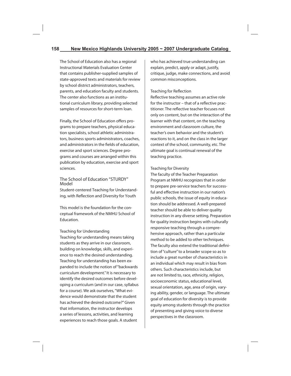The School of Education also has a regional Instructional Materials Evaluation Center that contains publisher-supplied samples of state-approved texts and materials for review by school district administrators, teachers, parents, and education faculty and students. The center also functions as an institutional curriculum library, providing selected samples of resources for short-term loan.

Finally, the School of Education offers programs to prepare teachers, physical education specialists, school athletic administrators, business sports administrators, coaches, and administrators in the fields of education, exercise and sport sciences. Degree programs and courses are arranged within this publication by education, exercise and sport sciences.

# The School of Education "STURDY" Model

Student-centered Teaching for Understanding, with Reflection and Diversity for Youth

This model is the foundation for the conceptual framework of the NMHU School of Education.

### Teaching for Understanding

Teaching for understanding means taking students as they arrive in our classroom, building on knowledge, skills, and experience to reach the desired understanding. Teaching for understanding has been expanded to include the notion of "backwards curriculum development." It is necessary to identify the desired outcomes before developing a curriculum (and in our case, syllabus for a course). We ask ourselves, "What evidence would demonstrate that the student has achieved the desired outcome?" Given that information, the instructor develops a series of lessons, activities, and learning experiences to reach those goals. A student

who has achieved true understanding can explain, predict, apply or adapt, justify, critique, judge, make connections, and avoid common misconceptions.

### Teaching for Reflection

Reflective teaching assumes an active role for the instructor – that of a reflective practitioner. The reflective teacher focuses not only on content, but on the interaction of the learner with that content, on the teaching environment and classroom culture, the teacher's own behavior and the student's reactions to it, and on the class in the larger context of the school, community, etc. The ultimate goal is continual renewal of the teaching practice.

### Teaching for Diversity

The faculty of the Teacher Preparation Program at NMHU recognizes that in order to prepare pre-service teachers for successful and effective instruction in our nation's public schools, the issue of equity in education should be addressed. A well-prepared teacher should be able to deliver quality instruction in any diverse setting. Preparation for quality instruction begins with culturally responsive teaching through a comprehensive approach, rather than a particular method to be added to other techniques. The faculty also extend the traditional definition of "culture" to a broader scope so as to include a great number of characteristics in an individual which may result in bias from others. Such characteristics include, but are not limited to, race, ethnicity, religion, socioeconomic status, educational level, sexual orientation, age, area of origin, varying ability, gender, or language. The ultimate goal of education for diversity is to provide equity among students through the practice of presenting and giving voice to diverse perspectives in the classroom.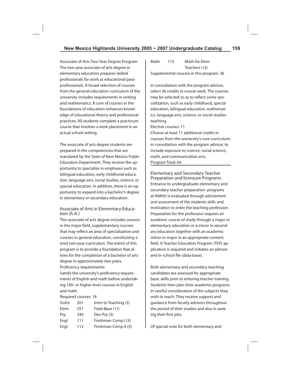Associate of Arts Two-Year Degree Program The two-year associate of arts degree in elementary education prepares skilled professionals for work as educational paraprofessionals. A broad selection of courses from the general education curriculum of the university includes requirements in writing and mathematics. A core of courses in the foundations of education enhances knowledge of educational theory and professional practices. All students complete a practicum course that involves a work placement in an actual school setting.

The associate of arts degree students are prepared in the competencies that are mandated by the State of New Mexico Public Education Department. They receive the opportunity to specialize in emphases such as bilingual education, early childhood education, language arts, social studies, science, or special education. In addition, there is an opportunity to expand into a bachelor's degree in elementary or secondary education.

### Associate of Arts in Elementary Education (A.A.)

This associate of arts degree includes courses in the major field, supplementary courses that may reflect an area of specialization and courses in general education, constituting a total two-year curriculum. The intent of this program is to provide a foundation that allows for the completion of a bachelor of arts degree in approximately two years. Proficiency requirements:

Satisfy the university's proficiency requirements of English and math before undertaking 100- or higher level courses in English and math.

Required courses: 18

| GnEd | 201 | Intro to Teaching (3) |
|------|-----|-----------------------|
| Elem | 251 | Field-Base I (1)      |
| Psy  | 340 | Dev Psy (3)           |
| Engl | 111 | Freshman Comp I (3)   |
| Engl | 112 | Freshman Comp II (3)  |

Math 115 Math for Elem Teachers I (3) Supplemental courses in this program: 36

In consultation with the program advisor, select 36 credits in course work. The courses may be selected so as to reflect some specialization, such as early childhood, special education, bilingual education, mathematics, language arts, science, or social studies teaching.

Elective courses: 11

Choose at least 11 additional credits in courses from the university's core curriculum, in consultation with the program advisor, to include exposure to science, social science, math, and communication arts. Program Total: 64

Elementary and Secondary Teacher Preparation and licensure Programs Entrance to undergraduate elementary and secondary teacher preparation programs at NMHU is evaluated through advisement and assessment of the students skills and motivation to enter the teaching profession. Preparation for the profession requires an academic course of study through a major in elementary education or a minor in secondary education together with an academic minor or major in an appropriate content field. A Teacher Education Program (TEP) application is required and initiates an advisor and in-school file (data-base).

Both elementary and secondary teaching candidates are assessed for appropriate basic skills prior to entering teacher training. Students then plan their academic programs in careful consideration of the subjects they wish to teach. They receive support and guidance from faculty advisors throughout the period of their studies and also in seeking their first jobs.

Of special note for both elementary and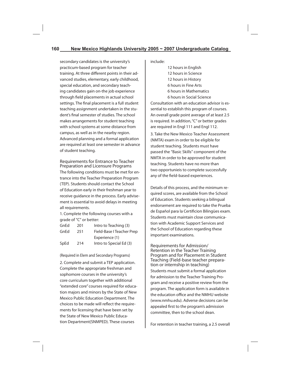secondary candidates is the university's practicum-based program for teacher training. At three different points in their advanced studies, elementary, early childhood, special education, and secondary teaching candidates gain on-the job experience through field placements in actual school settings. The final placement is a full student teaching assignment undertaken in the student's final semester of studies. The school makes arrangements for student teaching with school systems at some distance from campus, as well as in the nearby region. Advanced planning and a formal application are required at least one semester in advance of student teaching.

Requirements for Entrance to Teacher Preparation and Licensure Programs The following conditions must be met for entrance into the Teacher Preparation Program (TEP). Students should contact the School of Education early in their freshman year to receive guidance in the process. Early advisement is essential to avoid delays in meeting all requirements.

1. Complete the following courses with a grade of "C" or better:

| GnEd | 201 | Intro to Teaching (3)     |
|------|-----|---------------------------|
| GnEd | 251 | Field-Base I Teacher Prep |
|      |     | Experience (1)            |
| SpEd | 214 | Intro to Special Ed (3)   |

(Required in Elem and Secondary Programs)

2. Complete and submit a TEP application. Complete the appropriate freshman and sophomore courses in the university's core curriculum together with additional "extended core" courses required for education majors and minors by the State of New Mexico Public Education Department. The choices to be made will reflect the requirements for licensing that have been set by the State of New Mexico Public Education Department(SNMPED). These courses

include:

 12 hours in English 12 hours in Science 12 hours in History 6 hours in Fine Arts 6 hours in Mathematics 6 hours in Social Science

Consultation with an education advisor is essential to establish this program of courses. An overall grade point average of at least 2.5 is required. In addition, "C" or better grades are required in Engl 111 and Engl 112.

3. Take the New Mexico Teacher Assessment (NMTA) exam in order to be eligible for student teaching. Students must have passed the "Basic Skills" component of the NMTA in order to be approved for student teaching. Students have no more than two opportunieis to complete successfully any of the field-based experiences.

Details of this process, and the minimum required scores, are available from the School of Education. Students seeking a bilingual endorsement are required to take the Prueba de Español para la Certificion Bilingües exam. Students must maintain close communication with Academic Support Services and the School of Education regarding these important examinations.

Requirements for Admission/ Retention in the Teacher Training Program and for Placement in Student Teaching (Field-base teacher preparation or internship in teaching) Students must submit a formal application for admission to the Teacher Training Program and receive a positive review from the program. The application form is available in the education office and the NMHU website (www.nmhu.edu). Adverse decisions can be appealed first to the program's admission committee, then to the school dean.

For retention in teacher training, a 2.5 overall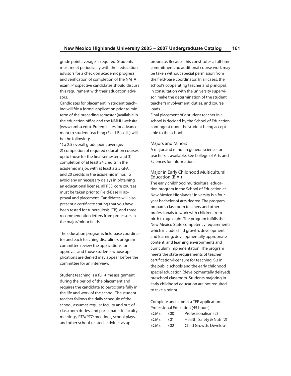grade point average is required. Students must meet periodically with their education advisors for a check on academic progress and verification of completion of the NMTA exam. Prospective candidates should discuss this requirement with their education advisors.

Candidates for placement in student teaching will file a formal application prior to midterm of the preceding semester (available in the education office and the NMHU website (www.nmhu.edu). Prerequisites for advancement to student teaching (Field-Base III) will be the following:

1) a 2.5 overall grade point average; 2) completion of required education courses up to those for the final semester; and 3) completion of at least 24 credits in the academic major, with at least a 2.5 GPA, and 20 credits in the academic minor. To avoid any unnecessary delays in obtaining an educational license, all PED core courses must be taken prior to Field-Base III approval and placement. Candidates will also present a certificate stating that you have been tested for tuberculosis (TB), and three recommendation letters from professors in the major/minor fields.

The education program's field base coordinator and each teaching discipline's program committee review the applications for approval, and those students whose applications are denied may appear before the committee for an interview.

Student teaching is a full-time assignment during the period of the placement and requires the candidate to participate fully in the life and work of the school. The student teacher follows the daily schedule of the school, assumes regular faculty and out-ofclassroom duties, and participates in faculty meetings, PTA/PTO meetings, school plays, and other school-related activities as appropriate. Because this constitutes a full-time commitment, no additional course work may be taken without special permission from the field-base coordinator. In all cases, the school's cooperating teacher and principal, in consultation with the university supervisor, make the determination of the student teacher's involvement, duties, and course loads.

Final placement of a student teacher in a school is decided by the School of Education, contingent upon the student being acceptable to the school.

#### Majors and Minors

A major and minor in general science for teachers is available. See College of Arts and Sciences for information.

### Major in Early Childhood Multicultural Education (B.A.)

The early childhood multicultural education program in the School of Education at New Mexico Highlands University is a fouryear bachelor of arts degree. The program prepares classroom teachers and other professionals to work with children from birth to age eight. The program fulfills the New Mexico State competency requirements which include child growth, development and learning; developmentally appropriate content; and learning environments and curriculum implementation. The program meets the state requirements of teacher certification/licensure for teaching K-3 in the public schools and the early childhood special education (developmentally delayed) preschool classroom. Students majoring in early childhood education are not required to take a minor.

Complete and submit a TEP application. Professional Education (45 hours) ECME 300 Professionalism (2) ECME 301 Health, Safety & Nutr (2) ECME 302 Child Growth, Develop-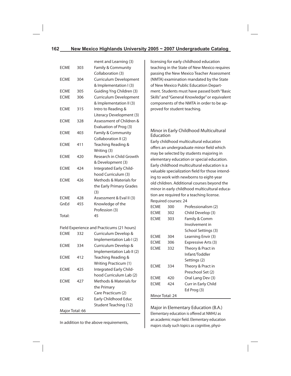|             |     | ment and Learning (3)    |
|-------------|-----|--------------------------|
| <b>ECME</b> | 303 | Family & Community       |
|             |     | Collaboration (3)        |
| <b>ECME</b> | 304 | Curriculum Development   |
|             |     | & Implementation I (3)   |
| <b>ECME</b> | 305 | Guiding Yng Children (3) |
| <b>ECME</b> | 306 | Curriculum Development   |
|             |     | & Implementation II (3)  |
| <b>FCMF</b> | 315 | Intro to Reading &       |
|             |     | Literacy Development (3) |
| <b>ECME</b> | 328 | Assessment of Children & |
|             |     | Evaluation of Prog (3)   |
| <b>FCMF</b> | 403 | Family & Community       |
|             |     | Collaboration II (2)     |
| <b>FCMF</b> | 411 | Teaching Reading &       |
|             |     | Writing (3)              |
| <b>ECME</b> | 420 | Research in Child Growth |
|             |     | & Development (3)        |
| <b>FCMF</b> | 424 | Integrated Early Child-  |
|             |     | hood Curriculum (3)      |
| <b>FCMF</b> | 426 | Methods & Materials for  |
|             |     | the Early Primary Grades |
|             |     | (3)                      |
| <b>ECME</b> | 428 | Assessment & Eval II (3) |
| GnFd        | 455 | Knowledge of the         |
|             |     | Profession (3)           |
| Total:      |     | 45                       |

Field Experience and Practicums (21 hours)

| <b>FCMF</b>     | 332 | Curriculum Develop &      |
|-----------------|-----|---------------------------|
|                 |     | Implementation Lab I (2)  |
| <b>FCMF</b>     | 334 | Curriculum Develop &      |
|                 |     | Implementation Lab II (2) |
| <b>FCMF</b>     | 412 | Teaching Reading &        |
|                 |     | Writing Practicum (1)     |
| <b>FCME</b>     | 425 | Integrated Early Child-   |
|                 |     | hood Curriculum Lab (2)   |
| <b>FCMF</b>     | 427 | Methods & Materials for   |
|                 |     | the Primary               |
|                 |     | Care Practicum (2)        |
| <b>FCMF</b>     | 452 | Early Childhood Educ      |
|                 |     | Student Teaching (12)     |
| Major Total: 66 |     |                           |

In addition to the above requirements,

licensing for early childhood education teaching in the State of New Mexico requires passing the New Mexico Teacher Assessment (NMTA) examination mandated by the State of New Mexico Public Education Department. Students must have passed both "Basic Skills" and "General Knowledge" or equivalent components of the NMTA in order to be approved for student teaching.

# Minor in Early Childhood Multicultural **Education**

Early childhood multicultural education offers an undergraduate minor field which may be selected by students majoring in elementary education or special education. Early childhood multicultural education is a valuable specialization field for those intending to work with newborns to eight-year old children. Additional courses beyond the minor in early childhood multicultural education are required for a teaching license. Required courses: 24

| FCMF            | 300 | Professionalism (2) |
|-----------------|-----|---------------------|
| <b>ECME</b>     | 302 | Child Develop (3)   |
| <b>ECME</b>     | 303 | Family & Comm       |
|                 |     | Involvement in      |
|                 |     | School Settings (3) |
| FCMF            | 304 | Learning Envir (3)  |
| <b>FCMF</b>     | 306 | Expressive Arts (3) |
| <b>FCMF</b>     | 332 | Theory & Pract in   |
|                 |     | Infant/Toddler      |
|                 |     | Settings (2)        |
| <b>FCMF</b>     | 334 | Theory & Pract in   |
|                 |     | Preschool Set (2)   |
| <b>ECME</b>     | 420 | Oral Lang Dev (3)   |
| <b>FCMF</b>     | 424 | Curr in Early Child |
|                 |     | Ed Prog (3)         |
| Minor Total: 24 |     |                     |

Major in Elementary Education (B.A.) Elementary education is offered at NMHU as an academic major field. Elementary education majors study such topics as cognitive, physi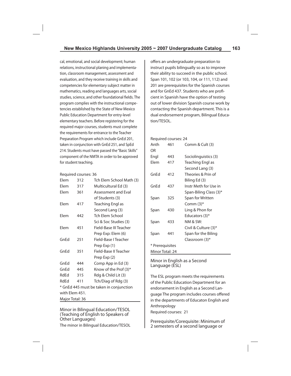cal, emotional, and social development; human relations, instructional planing and implementation, classroom management, assessment and evaluation, and they receive training in skills and competencies for elementary subject matter in mathematics, reading and languages arts, social studies, science, and other foundational fields. The program complies with the instructional competencies established by the State of New Mexico Public Education Department for entry-level elementary teachers. Before registering for the required major courses, students must complete the requirements for entrance to the Teacher Preparation Program which include GnEd 201, taken in conjunction with GnEd 251, and SpEd 214. Students must have passed the "Basic Skills" component of the NMTA in order to be approved for student teaching.

#### Required courses: 36

| Elem                                    | 312 | Tch Elem School Math (3) |  |
|-----------------------------------------|-----|--------------------------|--|
| Elem                                    | 317 | Multicultural Ed (3)     |  |
| Elem                                    | 361 | Assessment and Eval      |  |
|                                         |     | of Students (3)          |  |
| Flem                                    | 417 | Teaching Engl as         |  |
|                                         |     | Second Lang (3)          |  |
| Elem                                    | 442 | Tch Elem School          |  |
|                                         |     | Sci & Soc Studies (3)    |  |
| Flem                                    | 451 | Field-Base III Teacher   |  |
|                                         |     | Prep Exp: Elem (6)       |  |
| GnFd                                    | 251 | Field-Base I Teacher     |  |
|                                         |     | Prep Exp (1)             |  |
| GnEd                                    | 351 | Field-Base II Teacher    |  |
|                                         |     | Prep Exp (2)             |  |
| GnEd                                    | 444 | Comp App in Ed (3)       |  |
| GnEd                                    | 445 | Know of the Prof (3)*    |  |
| RdEd                                    | 315 | Rdg & Child Lit (3)      |  |
| RdEd                                    | 411 | Tch/Diag of Rdg (3)      |  |
| * GnEd 445 must be taken in conjunction |     |                          |  |
| with Elem 451.                          |     |                          |  |
| Major Total: 36                         |     |                          |  |

Minor in Bilingual Education/TESOL (Teaching of English to Speakers of Other Languages)

The minor in Bilingual Education/TESOL

offers an undergraduate preparation to instruct pupils bilingually so as to improve their ability to succeed in the public school. Span 101, 102 (or 103, 104, or 111, 112) and 201 are prerequisites for the Spanish courses and for GnEd 437. Students who are proficient in Spanish have the option of testing out of lower division Spanish course work by contacting the Spanish department. This is a dual endorsement program, Bilingual Education/TESOL.

#### Required courses: 24

| Anth<br>OR      | 461 | Comm & Cult (3)        |
|-----------------|-----|------------------------|
| Engl            | 443 | Sociolinguistics (3)   |
| Elem            | 417 | Teaching Engl as       |
|                 |     | Second Lang (3)        |
| GnEd            | 412 | Theories & Prin of     |
|                 |     | Biling Ed (3)          |
| GnEd            | 437 | Instr Meth for Use in  |
|                 |     | Span-Biling Class (3)* |
| Span            | 325 | Span for Written       |
|                 |     | Comm $(3)^*$           |
| Span            | 430 | Ling & Phon for        |
|                 |     | Educators (3)*         |
| Span            | 433 | NM & SW:               |
|                 |     | Civil & Culture (3)*   |
| Span            | 441 | Span for the Biling    |
|                 |     | Classroom (3)*         |
| * Prerequisites |     |                        |
| Minor Total: 24 |     |                        |

#### Minor in English as a Second Language (ESL)

The ESL program meets the requirements of the Public Education Department for an endorsement in English as a Second Language The program includes courses offered in the departments of Educaton English and Anthropology Required courses: 21

Prerequisite/Corequisite: Minimum of 2 semesters of a second language or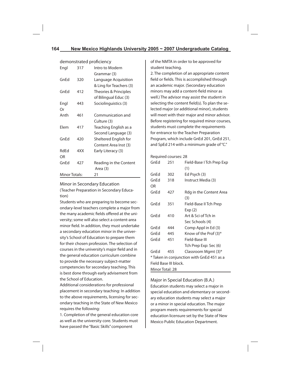| <u>uelliulistiated proficiency</u> |     |                         |
|------------------------------------|-----|-------------------------|
| Engl                               | 317 | Intro to Modern         |
|                                    |     | Grammar (3)             |
| GnEd                               | 320 | Language Acquisition    |
|                                    |     | & Ling for Teachers (3) |
| GnEd                               | 412 | Theories & Principles   |
|                                    |     | of Bilingual Educ (3)   |
| Engl                               | 443 | Sociolinguistics (3)    |
| Or                                 |     |                         |
| Anth                               | 461 | Communication and       |
|                                    |     | Culture (3)             |
| Elem                               | 417 | Teaching English as a   |
|                                    |     | Second Language (3)     |
| GnEd                               | 420 | Sheltered English for   |
|                                    |     | Content Area Inst (3)   |
| RdEd                               | 4XX | Early Literacy (3)      |
| OR                                 |     |                         |
| GnEd                               | 427 | Reading in the Content  |
|                                    |     | Area (3)                |
| <b>Minor Totals:</b>               |     | 21                      |

demonstrated profi ciency

### Minor in Secondary Education (Teacher Preparation in Secondary Education)

Students who are preparing to become secondary-level teachers complete a major from the many academic fields offered at the university; some will also select a content-area minor field. In addition, they must undertake a secondary education minor in the university's School of Education to prepare them for their chosen profession. The selection of courses in the university's major field and in the general education curriculum combine to provide the necessary subject-matter competencies for secondary teaching. This is best done through early advisement from the School of Education.

Additional considerations for professional placement in secondary teaching: In addition to the above requirements, licensing for secondary teaching in the State of New Mexico requires the following:

1. Completion of the general education core as well as the university core. Students must have passed the "Basic Skills" component

of the NMTA in order to be approved for student teaching.

2. The completion of an appropriate content field or fields. This is accomplished through an academic major. (Secondary education minors may add a content-field minor as well.) The advisor may assist the student in selecting the content field(s). To plan the selected major (or additional minor), students will meet with their major and minor advisor. Before registering for required minor courses, students must complete the requirements for entrance to the Teacher Preparation Program, which include GnEd 201, GnEd 251, and SpEd 214 with a minimum grade of "C."

| Required courses: 28                      |     |                           |  |
|-------------------------------------------|-----|---------------------------|--|
| GnEd                                      | 251 | Field-Base I Tch Prep Exp |  |
|                                           |     | (1)                       |  |
| GnEd                                      | 302 | Ed Psych (3)              |  |
| GnEd                                      | 318 | Instruct Media (3)        |  |
| OR                                        |     |                           |  |
| GnFd                                      | 427 | Rdg in the Content Area   |  |
|                                           |     | (3)                       |  |
| GnFd                                      | 351 | Field-Base II Tch Prep    |  |
|                                           |     | Exp (2)                   |  |
| GnFd                                      | 410 | Art & Sci of Tch in       |  |
|                                           |     | Sec Schools (4)           |  |
| GnEd                                      | 444 | Comp Appl in Ed (3)       |  |
| GnEd                                      | 445 | Know of the Prof (3)*     |  |
| GnEd                                      | 451 | Field-Base III            |  |
|                                           |     | Tch Prep Exp: Sec (6)     |  |
| GnEd                                      | 455 | Classroom Mgmt (3)*       |  |
| * Taken in conjunction with GnEd 451 as a |     |                           |  |
| Field Base III block.                     |     |                           |  |
| Minor Total: 28                           |     |                           |  |

Major in Special Education (B.A.) Education students may select a major in special education and elementary or secondary education students may select a major or a minor in special education. The major program meets requirements for special education licensure set by the State of New Mexico Public Education Department.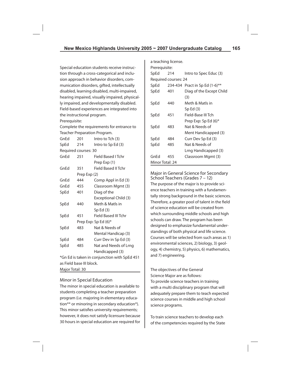Special education students receive instruction through a cross-categorical and inclusion approach in behavior disorders, communication disorders, gifted, intellectually disabled, learning disabled, multi-impaired, hearing impaired, visually impaired, physically impaired, and developmentally disabled. Field-based experiences are integrated into the instructional program. Prerequisite:

Complete the requirements for entrance to Teacher Preparation Program.

| GnEd                                         | 201                  | Intro to Tch (3)      |
|----------------------------------------------|----------------------|-----------------------|
| SpEd                                         | 214                  | Intro to Sp Ed (3)    |
|                                              | Required courses: 30 |                       |
| GnEd                                         | 251                  | Field Based I Tchr    |
|                                              |                      | Prep Exp (1)          |
| GnEd                                         | 351                  | Field Based II Tchr   |
|                                              | Prep Exp (2)         |                       |
| GnEd                                         | 444                  | Comp Appl in Ed (3)   |
| GnEd                                         | 455                  | Classroom Mgmt (3)    |
| SpEd                                         | 401                  | Diag of the           |
|                                              |                      | Exceptional Child (3) |
| SpEd                                         | 440                  | Meth & Matls in       |
|                                              |                      | Sp Ed(3)              |
| SpEd                                         | 451                  | Field Based III Tchr  |
|                                              |                      | Prep Exp: Sp Ed (6)*  |
| SpEd                                         | 483                  | Nat & Needs of        |
|                                              |                      | Mental Handicap (3)   |
| SpEd                                         | 484                  | Curr Dev in Sp Ed (3) |
| SpEd                                         | 485                  | Nat and Needs of Lrng |
|                                              |                      | Handicapped (3)       |
| *Gn Ed is taken in conjunction with SpEd 451 |                      |                       |
| as Field base III block.                     |                      |                       |
| Major Total: 30                              |                      |                       |

### Minor in Special Education

The minor in special education is available to students completing a teacher preparation program (i.e. majoring in elementary education\*\* or minoring in secondary education\*). This minor satisfies university requirements; however, it does not satisfy licensure because 30 hours in special education are required for

|                 | a teaching license.  |                          |  |
|-----------------|----------------------|--------------------------|--|
| Prerequisite:   |                      |                          |  |
| SpEd            | 214                  | Intro to Spec Educ (3)   |  |
|                 | Required courses: 24 |                          |  |
| SpEd            | 234-434              | Pract in Sp Ed (1-6)**   |  |
| SpEd            | 401                  | Diag of the Except Child |  |
|                 |                      | (3)                      |  |
| SpEd            | 440                  | Meth & Matls in          |  |
|                 |                      | Sp Ed(3)                 |  |
| SpEd            | 451                  | Field-Base III Tch       |  |
|                 |                      | Prep Exp: Sp Ed (6)*     |  |
| SpEd            | 483                  | Nat & Needs of           |  |
|                 |                      | Ment Handicapped (3)     |  |
| SpEd            | 484                  | Curr Dev Sp Ed (3)       |  |
| SpEd            | 485                  | Nat & Needs of           |  |
|                 |                      | Lrng Handicapped (3)     |  |
| GnEd            | 455                  | Classroom Mgmt (3)       |  |
| Minor Total: 24 |                      |                          |  |

Major in General Science for Secondary School Teachers (Grades 7 – 12) The purpose of the major is to provide science teachers in training with a fundamentally strong background in the basic sciences. Therefore, a greater pool of talent in the field of science education will be created from which surrounding middle schools and high schools can draw. The program has been designed to emphasize fundamental understandings of both physical and life science. Courses will be selected from such areas as 1) environmental sciences, 2) biology, 3) geology, 4) chemistry, 5) physics, 6) mathematics, and 7) engineering.

The objectives of the General Science Major are as follows: To provide science teachers in training with a multi disciplinary program that will adequately prepare them to teach expected science courses in middle and high school science programs.

To train science teachers to develop each of the competencies required by the State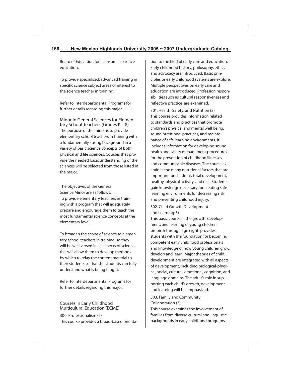Board of Education for licensure in science education.

To provide specialized/advanced training in specific science subject areas of interest to the science teacher in training.

Refer to Interdepartmental Programs for further details regarding this major.

Minor in General Sciences for Elementary School Teachers (Grades K – 8) The purpose of the minor is to provide elementary school teachers in training with a fundamentally strong background in a variety of basic science concepts of both physical and life sciences. Courses that provide the needed basic understanding of the sciences will be selected from those listed in the major.

The objectives of the General Science Minor are as follows: To provide elementary teachers in training with a program that will adequately prepare and encourage them to teach the most fundamental science concepts at the elementary level.

To broaden the scope of science to elementary school teachers in training, so they will be well versed in all aspects of science; this will allow them to develop methods by which to relay the content material to their students so that the students can fully understand what is being taught.

Refer to Interdepartmental Programs for further details regarding this major.

### Courses in Early Childhood Multiculural Education (ECME)

300. Professionalism (2) This course provides a broad-based orientation to the filed of early care and education. Early childhood history, philosophy, ethics and advocacy are introduced. Basic principles or early childhood systems are explore. Multiple perspectives on early care and education are introduced. Profession responsibilities such as cultural responsiveness and reflective practice are examined.

301. Health, Safety, and Nutrition (2) This course provides information related to standards and practices that promote children's physical and mental well being, sound nutritional practices, and maintenance of safe learning environments. It includes information for developing sound health and safety management procedures for the prevention of childhood illnesses and communicable diseases. The course examines the many nutritional factors that are important for children's total development, healthy, physical activity, and rest. Students gain knowledge necessary for creating safe learning environments for decreasing risk and preventing childhood injury.

302. Child Growth Development and Learning(3)

This basic course in the growth, development, and learning of young children, prebirth through age eight, provides students with the foundation for becoming competent early childhood professionals and knowledge of how young children grow, develop and learn. Major theories of child development are integrated with all aspects of development, including biological-physical, social, cultural, emotional, cognition, and language domains. The adult's role in supporting each child's growth, development and learning will be emphasized.

303. Family and Community Collaboration (3)

This course examines the involvement of families from diverse cultural and linguistic backgrounds in early childhood programs.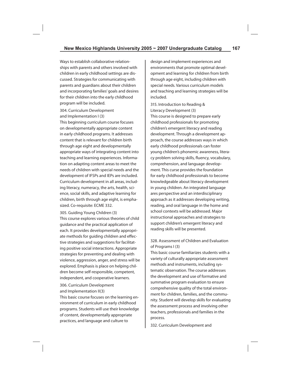Ways to establish collaborative relationships with parents and others involved with children in early childhood settings are discussed. Strategies for communicating with parents and guardians about their children and incorporating families' goals and desires for their children into the early childhood program will be included.

304. Curriculum Development and Implementation I (3)

This beginning curriculum course focuses on developmentally appropriate content in early childhood programs. It addresses content that is relevant for children birth through age eight and developmentally appropriate ways of integrating content into teaching and learning experiences. Information on adapting content areas to meet the needs of children with special needs and the development of IFSPs and IEPs are included. Curriculum development in all areas, including literacy, numeracy, the arts, health, science, social skills, and adaptive learning for children, birth through age eight, is emphasized. Co-requisite: ECME 332.

- 305. Guiding Young Children (3) This course explores various theories of child guidance and the practical application of each. It provides developmentally appropriate methods for quiding children and effective strategies and suggestions for facilitating positive social interactions. Appropriate strategies for preventing and dealing with violence, aggression, anger, and stress will be explored. Emphasis is place on helping children become self-responsible, competent, independent, and cooperative learners.
- 306. Curriculum Development and Implementation II(3)

This basic course focuses on the learning environment of curriculum in early childhood programs. Students will use their knowledge of content, developmentally appropriate practices, and language and culture to

design and implement experiences and environments that promote optimal development and learning for children from birth through age eight, including children with special needs. Various curriculum models and teaching and learning strategies will be included.

315. Introduction to Reading &

Literacy Development (3) This course is designed to prepare early childhood professionals for promoting children's emergent literacy and reading development. Through a development approach, the course addresses ways in which early childhood professionals can foster young children's phonemic awareness, literacy problem solving skills, fluency, vocabulary, comprehension, and language development. This curse provides the foundation for early childhood professionals to become knowledgeable about literacy development in young children. An integrated language ares perspective and an interdisciplinary approach as it addresses developing writing, reading, and oral language in the home and school contexts will be addressed. Major instructional approaches and strategies to support children's emergent literacy and reading skills will be presented.

# 328. Assessment of Children and Evaluation of Programs I (3)

This basic course familiarizes students with a variety of culturally appropriate assessment methods and instruments, including systematic observation. The course addresses the development and use of formative and summative program evaluation to ensure comprehensive quality of the total environment for children, families, and the community. Student will develop skills for evaluating the assessment process and involving other teachers, professionals and families in the process.

332. Curriculum Development and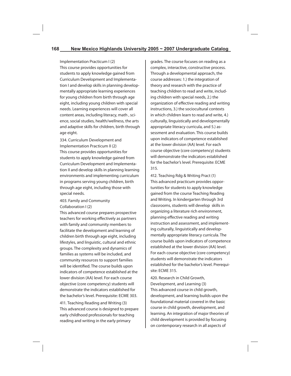Implementation Practicum I (2) This course provides opportunities for students to apply knowledge gained from Curriculum Development and Implementation I and develop skills in planning developmentally appropriate learning experiences for young children from birth through age eight, including young children with special needs. Learning experiences will cover all content areas, including literacy, math , science, social studies, health/wellness, the arts and adaptive skills for children, birth through age eight.

334. Curriculum Development and Implementation Practicum II (2) This course provides opportunities for students to apply knowledge gained from Curriculum Development and Implementation II and develop skills in planning learning environments and implementing curriculum in programs serving young children, birth through age eight, including those with special needs.

### 403. Family and Community Collaboration I (2)

This advanced course prepares prospective teachers for working effectively as partners with family and community members to facilitate the development and learning of children birth through age eight, including lifestyles, and linguistic, cultural and ethnic groups. The complexity and dynamics of families as systems will be included, and community resources to support families will be identified. The course builds upon indicators of competence established at the lower division (AA) level. For each course objective (core competency) students will demonstrate the indicators established for the bachelor's level. Prerequisite: ECME 303. 411. Teaching Reading and Writing (3) This advanced course is designed to prepare early childhood professionals for teaching reading and writing in the early primary

grades. The course focuses on reading as a complex, interactive, constructive process. Through a developmental approach, the course addresses: 1.) the integration of theory and research with the practice of teaching children to read and write, including children with special needs, 2.) the organization of effective reading and writing instructions, 3.) the sociocultural contexts in which children learn to read and write, 4.) culturally, linguistically and developmentally appropriate literacy curricula, and 5.) assessment and evaluation. This course builds upon indicators of competence established at the lower division (AA) level. For each course objective (core competency) students will demonstrate the indicators established for the bachelor's level. Prerequisite: ECME 315.

412. Teaching Rdg & Writing Pract (1) This advanced practicum provides opportunities for students to apply knowledge gained from the course Teaching Reading and Writing. In kindergarten through 3rd classrooms, students will develop skills in organizing a literature rich environment, planning effective reading and writing instruction and assessment, and implementing culturally, linguistically and developmentally appropriate literacy curricula. The course builds upon indicators of competence established at the lower division (AA) level. For each course objective (core competency) students will demonstrate the indicators established for the bachelor's level. Prerequisite: ECME 315.

420. Research in Child Growth, Development, and Learning (3) This advanced course in child growth, development, and learning builds upon the foundational material covered in the basic course in child growth, development, and learning. An integration of major theories of child development is provided by focusing on contemporary research in all aspects of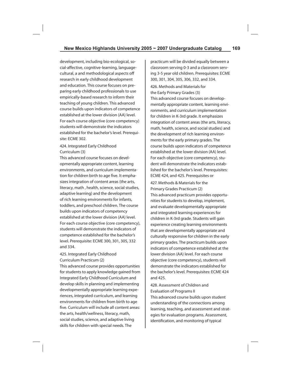development, including bio-ecological, social-affective, cognitive-learning, languagecultural, a and methodological aspects off research in early childhood development and education. This course focuses on preparing early childhood professionals to use empirically-based research to inform their teaching of young children. This advanced course builds upon indicators of competence established at the lower division (AA) level. For each course objective (core competency) students will demonstrate the indicators established for the bachelor's level. Prerequisite: ECME 302.

### 424. Integrated Early Childhood Curriculum (3)

This advanced course focuses on developmentally appropriate content, learning environments, and curriculum implementation for children birth to age five. It emphasizes integration of content areas (the arts, literacy, math , health, science, social studies, adaptive learning) and the development of rich learning environments for infants, toddlers, and preschool children. The course builds upon indicators of competency established at the lower division (AA) level. For each course objective (core competency), students will demonstrate the indicators of competence established for the bachelor's level. Prerequisite: ECME 300, 301, 305, 332 and 334.

### 425. Integrated Early Childhood Curriculum Practicum (2)

This advanced course provides opportunities for students to apply knowledge gained from Integrated Early Childhood Curriculum and develop skills in planning and implementing developmentally appropriate learning experiences, integrated curriculum, and learning environments for children from birth to age five. Curriculum will include all content areas: the arts, health/wellness, literacy, math, social studies, science, and adaptive living skills for children with special needs. The

practicum will be divided equally between a classroom serving 0-3 and a classroom serving 3-5 year old children. Prerequisites: ECME 300, 301, 304, 305, 306, 332, and 334. 426. Methods and Materials for the Early Primary Grades (3) This advanced course focuses on developmentally appropriate content, learning environments, and curriculum implementation for children in K-3rd grade. It emphasizes integration of content areas (the arts, literacy, math, health, science, and social studies) and the development of rich learning environments for the early primary grades. The course builds upon indicators of competence established at the lower division (AA) level. For each objective (core competency), student will demonstrate the indicators established for the bachelor's level. Prerequisites: ECME 424, and 425. Prerequisites or

427. Methods & Materials for the Primary Grades Practicum (2) This advanced practicum provides opportunities for students to develop, implement, and evaluate developmentally appropriate and integrated learning experiences for children in K-3rd grade. Students will gain experience creating learning environments that are developmentally appropriate and culturally responsive for children in the early primary grades. The practicum builds upon indicators of competence established at the lower division (AA) level. For each course objective (core competency), students will demonstrate the indicators established for the bachelor's level. Prerequisites: ECME 424 and 425.

428. Assessment of Children and Evaluation of Programs II This advanced course builds upon student understanding of the connections among learning, teaching, and assessment and strategies for evaluation programs. Assessment, identification, and monitoring of typical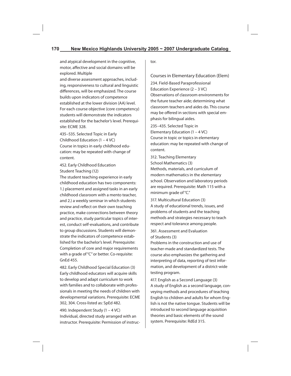and atypical development in the cognitive, motor, affective and social domains will be explored. Multiple

and diverse assessment approaches, including, responsiveness to cultural and linguistic differences, will be emphasized. The course builds upon indicators of competence established at the lower division (AA) level. For each course objective (core competency) students will demonstrate the indicators established for the bachelor's level. Prerequisite: ECME 328.

435–535. Selected Topic in Early Childhood Education (1 – 4 VC) Course in topics in early childhood education: may be repeated with change of content.

# 452. Early Childhood Education Student Teaching (12)

The student teaching experience in early childhood education has two components: 1.) placement and assigned tasks in an early childhood classroom with a mento teacher, and 2.) a weekly seminar in which students review and reflect on their own teaching practice, make connections between theory and practice, study particular topics of interest, conduct self-evaluations, and contribute to group discussions. Students will demonstrate the indicators of competence established for the bachelor's level. Prerequisite: Completion of core and major requirements with a grade of "C" or better. Co-requisite: GnEd 455.

482. Early Childhood Special Education (3) Early childhood educators will acquire skills to develop and adapt curriculum to work with families and to collaborate with professionals in meeting the needs of children with developmental variations. Prerequisite: ECME 302, 304. Cross-listed as: SpEd 482.

490. Independent Study (1 – 4 VC) Individual, directed study arranged with an instructor. Prerequisite: Permission of instructor.

Courses in Elementary Education (Elem) 234. Field-Based Paraprofessional Education Experience (2 – 3 VC) Observations of classroom environments for the future teacher aide; determining what classroom teachers and aides do. This course may be offered in sections with special emphasis for bilingual aides.

235–435. Selected Topic in Elementary Education (1 – 4 VC) Course in topic or topics in elementary education: may be repeated with change of content.

312. Teaching Elementary School Mathematics (3) Methods, materials, and curriculum of modern mathematics in the elementary school. Observation and laboratory periods are required. Prerequisite: Math 115 with a minimum grade of "C."

317. Multicultural Education (3) A study of educational trends, issues, and problems of students and the teaching methods and strategies necessary to teach respect and tolerance among people.

361. Assessment and Evaluation of Students (3)

Problems in the construction and use of teacher-made and standardized tests. The course also emphasizes the gathering and interpreting of data, reporting of test information, and development of a district-wide testing program.

417. English as a Second Language (3) A study of English as a second language, conveying methods and procedures of teaching English to children and adults for whom English is not the native tongue. Students will be introduced to second language acquisition theories and basic elements of the sound system. Prerequisite: RdEd 315.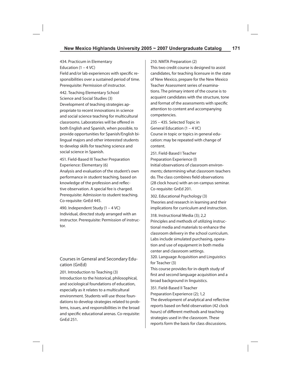434. Practicum in Elementary Education  $(1 - 4$  VC) Field and/or lab experiences with specific responsibilities over a sustained period of time. Prerequisite: Permission of instructor.

442. Teaching Elementary School Science and Social Studies (3) Development of teaching strategies appropriate to recent innovations in science and social science teaching for multicultural classrooms. Laboratories will be offered in both English and Spanish, when possible, to provide opportunities for Spanish/English bilingual majors and other interested students to develop skills for teaching science and social science in Spanish.

451. Field-Based III Teacher Preparation Experience: Elementary (6)

Analysis and evaluation of the student's own performance in student teaching, based on knowledge of the profession and reflective observation. A special fee is charged. Prerequisite: Admission to student teaching. Co-requisite: GnEd 445.

490. Independent Study (1 – 4 VC) Individual, directed study arranged with an instructor. Prerequisite: Permission of instructor.

# Courses in General and Secondary Education (GnEd)

201. Introduction to Teaching (3) Introduction to the historical, philosophical, and sociological foundations of education, especially as it relates to a multicultural environment. Students will use those foundations to develop strategies related to problems, issues, and responsibilities in the broad and specific educational arenas. Co-requisite: GnEd 251.

### 210. NMTA Preparation (2)

This two credit course is designed to assist candidates, for teaching licensure in the state of New Mexico, prepare for the New Mexico Teacher Assessment series of examinations. The primary intent of the course is to acquaint candidates with the structure, tone and format of the assessments with specific attention to content and accompanying competencies.

235 – 435. Selected Topic in General Education (1 – 4 VC) Course in topic or topics in general education: may be repeated with change of content.

251. Field-Based I Teacher Preparation Experience (l) Initial observations of classroom environments; determining what classroom teachers do. The class combines field observations (28 clock hours) with an on-campus seminar. Co-requisite: GnEd 201.

302. Educational Psychology (3) Theories and research in learning and their implications for curriculum and instruction.

318. Instructional Media (3); 2,2 Principles and methods of utilizing instructional media and materials to enhance the classroom delivery in the school curriculum. Labs include simulated purchasing, operation and use of equipment in both media center and classroom settings.

320. Language Acquisition and Linguistics for Teacher (3)

This course provides for in-depth study of first and second language acquisition and a broad background in linguistics.

351. Field-Based II Teacher Preparation Experience (2); 1,2 The development of analytical and reflective reports based on field observation (42 clock hours) of different methods and teaching strategies used in the classroom. These reports form the basis for class discussions.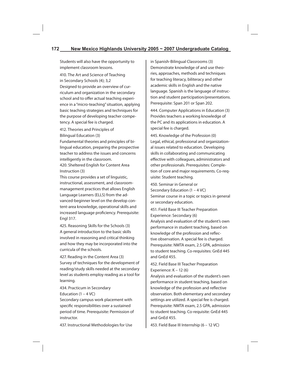Students will also have the opportunity to implement classroom lessons.

410. The Art and Science of Teaching in Secondary Schools (4); 3,2 Designed to provide an overview of curriculum and organization in the secondary school and to offer actual teaching experience in a "micro-teaching" situation, applying basic teaching strategies and techniques for the purpose of developing teacher competency. A special fee is charged.

412. Theories and Principles of Bilingual Education (3)

Fundamental theories and principles of bilingual education, preparing the prospective teacher to address the issues and concerns intelligently in the classroom.

420. Sheltered English for Content Area Instruction (3)

This course provides a set of linguistic, instructional, assessment, and classroommanagement practices that allows English Language Learners (ELLS) from the advanced-beginner level on the develop content-area knowledge, operational skills and increased language proficiency. Prerequisite: Engl 317.

425. Reasoning Skills for the Schools (3) A general introduction to the basic skills involved in reasoning and critical thinking and how they may be incorporated into the curricula of the schools.

427. Reading in the Content Area (3) Survey of techniques for the development of reading/study skills needed at the secondary level as students employ reading as a tool for learning.

434. Practicum in Secondary Education  $(1 - 4 *VC*)$ 

Secondary campus work placement with specific responsibilities over a sustained period of time. Prerequisite: Permission of instructor.

437. Instructional Methodologies for Use

in Spanish-Bilingual Classrooms (3) Demonstrate knowledge of and use theories, approaches, methods and techniques for teaching literacy, biliteracy and other academic skills in English and the native language. Spanish is the language of instruction and student participation/presentations. Prerequisite: Span 201 or Span 202.

444. Computer Applications in Education (3) Provides teachers a working knowledge of the PC and its applications in education. A special fee is charged.

445. Knowledge of the Profession (0) Legal, ethical, professional and organizational issues related to education. Developing skills in collaborating and communicating effective with colleagues, administrators and other professionals. Prerequisites: Completion of core and major requirements. Co-requisite: Student teaching.

450. Seminar in General or Secondary Education (1 – 4 VC) Seminar course in a topic or topics in general or secondary education.

451. Field Base III Teacher Preparation Experience: Secondary (6) Analysis and evaluation of the student's own performance in student teaching, based on knowledge of the profession and reflective observation. A special fee is charged. Prerequisite: NMTA exam, 2.5 GPA, admission to student teaching. Co-requisites: GnEd 445 and GnEd 455.

452. Field Base III Teacher Preparation Experience: K – 12 (6)

Analysis and evaluation of the student's own performance in student teaching, based on knowledge of the profession and reflective observation. Both elementary and secondary settings are utilized. A special fee is charged. Prerequisite: NMTA exam, 2.5 GPA, admission to student teaching. Co-requisite: GnEd 445 and GnEd 455.

453. Field Base III Internship (6 – 12 VC)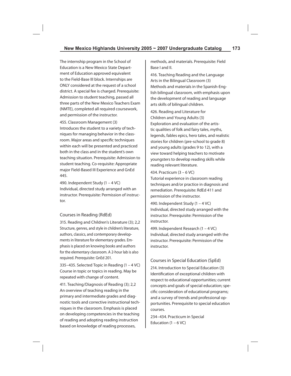The internship program in the School of Education is a New Mexico State Department of Education approved equivalent to the Field-Base III block. Internships are ONLY considered at the request of a school district. A special fee is charged. Prerequisite: Admission to student teaching, passed all three parts of the New Mexico Teachers Exam (NMTE), completed all required coursework, and permission of the instructor.

455. Classroom Management (3) Introduces the student to a variety of techniques for managing behavior in the classroom. Major areas and specific techniques within each will be presented and practiced both in the class and in the student's own teaching situation. Prerequisite: Admission to student teaching. Co-requisite: Appropriate major Field-Based III Experience and GnEd 445.

490. Independent Study (1 – 4 VC) Individual, directed study arranged with an instructor. Prerequisite: Permission of instructor.

### Courses in Reading (RdEd)

315. Reading and Children's Literature (3); 2,2 Structure, genres, and style in children's literature, authors, classics, and contemporary developments in literature for elementary grades. Emphasis is placed on knowing books and authors for the elementary classroom. A 2-hour lab is also required. Prerequisite: GnEd 201.

335–435. Selected Topic in Reading (1 – 4 VC) Course in topic or topics in reading. May be repeated with change of content.

411. Teaching/Diagnosis of Reading (3); 2,2 An overview of teaching reading in the primary and intermediate grades and diagnostic tools and corrective instructional techniques in the classroom. Emphasis is placed on developing competencies in the teaching of reading and adopting reading instruction based on knowledge of reading processes,

methods, and materials. Prerequisite: Field Base I and II.

416. Teaching Reading and the Language Arts in the Bilingual Classroom (3) Methods and materials in the Spanish-English bilingual classroom, with emphasis upon the development of reading and language arts skills of bilingual children.

426. Reading and Literature for Children and Young Adults (3) Exploration and evaluation of the artistic qualities of folk and fairy tales, myths, legends, fables epics, hero tales, and realistic stories for children (pre-school to grade 8) and young adults (grades 9 to 12), with a view toward helping teachers to motivate youngsters to develop reading skills while reading relevant literature.

#### 434. Practicum (3 – 6 VC)

Tutorial experience in classroom reading techniques and/or practice in diagnosis and remediation. Prerequisite: RdEd 411 and permission of the instructor.

490. Independent Study (1 – 4 VC) Individual, directed study arranged with the instructor. Prerequisite: Permission of the instructor.

499. Independent Research (1 – 4 VC) Individual, directed study arranged with the instructor. Prerequisite: Permission of the instructor.

### Courses in Special Education (SpEd)

214. Introduction to Special Education (3) Identification of exceptional children with respect to educational opportunities; current concepts and goals of special education; specific consideration of educational programs; and a survey of trends and professional opportunities. Prerequisite to special education courses.

234–434. Practicum in Special Education  $(1 - 6$  VC)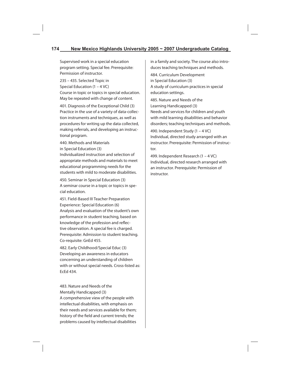Supervised work in a special education program setting. Special fee. Prerequisite: Permission of instructor.

235 – 435. Selected Topic in Special Education (1 – 4 VC) Course in topic or topics in special education. May be repeated with change of content.

401. Diagnosis of the Exceptional Child (3) Practice in the use of a variety of data-collection instruments and techniques, as well as procedures for writing up the data collected, making referrals, and developing an instructional program.

440. Methods and Materials in Special Education (3)

Individualized instruction and selection of appropriate methods and materials to meet educational programming needs for the students with mild to moderate disabilities.

450. Seminar in Special Education (3) A seminar course in a topic or topics in special education.

451. Field-Based III Teacher Preparation Experience: Special Education (6) Analysis and evaluation of the student's own performance in student teaching, based on knowledge of the profession and reflective observation. A special fee is charged. Prerequisite: Admission to student teaching. Co-requisite: GnEd 455.

482. Early Childhood/Special Educ (3) Developing an awareness in educators concerning an understanding of children with or without special needs. Cross-listed as: EcEd 434.

483. Nature and Needs of the Mentally Handicapped (3) A comprehensive view of the people with intellectual disabilities, with emphasis on their needs and services available for them; history of the field and current trends; the problems caused by intellectual disabilities

in a family and society. The course also introduces teaching techniques and methods.

484. Curriculum Development in Special Education (3) A study of curriculum practices in special education settings.

485. Nature and Needs of the Learning Handicapped (3) Needs and services for children and youth with mild learning disabilities and behavior disorders; teaching techniques and methods.

490. Independent Study (1 – 4 VC) Individual, directed study arranged with an instructor. Prerequisite: Permission of instructor.

499. Independent Research (1 – 4 VC) Individual, directed research arranged with an instructor. Prerequisite: Permission of instructor.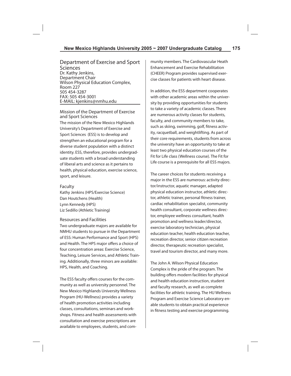Department of Exercise and Sport Sciences Dr. Kathy Jenkins, Department Chair Wilson Physical Education Complex, Room 227 505 454-3287 FAX: 505 454-3001 E-MAIL: kjenkins@nmhu.edu

Mission of the Department of Exercise and Sport Sciences The mission of the New Mexico Highlands University's Department of Exercise and Sport Sciences (ESS) is to develop and strengthen an educational program for a diverse student population with a distinct identity. ESS, therefore, provides undergraduate students with a broad understanding of liberal arts and science as it pertains to health, physical education, exercise science, sport, and leisure.

#### Faculty

Kathy Jenkins (HPS/Exercise Science) Dan Houtchens (Health) Lynn Kennedy (HPS) Liz Sedillo (Athletic Training)

### Resources and Facilities

Two undergraduate majors are available for NMHU students to pursue in the Department of ESS: Human Performance and Sport (HPS) and Health. The HPS major offers a choice of four concentration areas: Exercise Science, Teaching, Leisure Services, and Athletic Training. Additionally, three minors are available: HPS, Health, and Coaching.

The ESS faculty offers courses for the community as well as university personnel. The New Mexico Highlands University Wellness Program (HU-Wellness) provides a variety of health promotion activities including classes, consultations, seminars and workshops. Fitness and health assessments with consultation and exercise prescriptions are available to employees, students, and community members. The Cardiovascular Heath Enhancement and Exercise Rehabilitation (CHEER) Program provides supervised exercise classes for patients with heart disease.

In addition, the ESS department cooperates with other academic areas within the university by providing opportunities for students to take a variety of academic classes. There are numerous activity classes for students, faculty, and community members to take, such as skiing, swimming, golf, fitness activity, racquetball, and weightlifting. As part of their core requirements, students from across the university have an opportunity to take at least two physical education courses of the Fit for Life class (Wellness course). The Fit for Life course is a prerequisite for all ESS majors.

The career choices for students receiving a major in the ESS are numerous: activity director/instructor, aquatic manager, adapted physical education instructor, athletic director, athletic trainer, personal fitness trainer, cardiac rehabilitation specialist, community health consultant, corporate wellness director, employee wellness consultant, health promotion and wellness leader/director, exercise laboratory technician, physical education teacher, health education teacher, recreation director, senior citizen recreation director, therapeutic recreation specialist, travel and tourism director, and many more.

The John A. Wilson Physical Education Complex is the pride of the program. The building offers modern facilities for physical and health education instruction, student and faculty research, as well as complete facilities for athletic training. The HU Wellness Program and Exercise Science Laboratory enable students to obtain practical experience in fitness testing and exercise programming.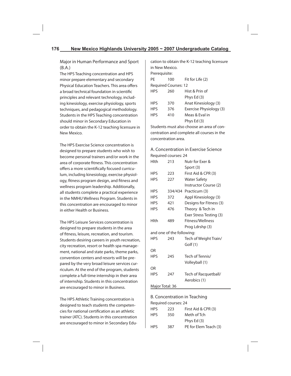Major in Human Performance and Sport (B.A.)

The HPS Teaching concentration and HPS minor prepare elementary and secondary Physical Education Teachers. This area offers a broad technical foundation in scientific principles and relevant technology, including kinesiology, exercise physiology, sports techniques, and pedagogical methodology. Students in the HPS Teaching concentration should minor in Secondary Education in order to obtain the K-12 teaching licensure in New Mexico.

The HPS Exercise Science concentration is designed to prepare students who wish to become personal trainers and/or work in the area of corporate fitness. This concentration offers a more scientifically focused curriculum, including kinesiology, exercise physiology, fitness program design, and fitness and wellness program leadership. Additionally, all students complete a practical experience in the NMHU Wellness Program. Students in this concentration are encouraged to minor in either Health or Business.

The HPS Leisure Services concentration is designed to prepare students in the area of fitness, leisure, recreation, and tourism. Students desiring careers in youth recreation, city recreation, resort or health spa management, national and state parks, theme parks, convention centers and resorts will be prepared by the very broad leisure services curriculum. At the end of the program, students complete a full-time internship in their area of internship. Students in this concentration are encouraged to minor in Business.

The HPS Athletic Training concentration is designed to teach students the competencies for national certification as an athletic trainer (ATC). Students in this concentration are encouraged to minor in Secondary Education to obtain the K-12 teaching licensure in New Mexico.

| Prerequisite: |  |
|---------------|--|
|               |  |

| PF         | 100                         | Fit for Life (2)        |
|------------|-----------------------------|-------------------------|
|            | <b>Required Courses: 12</b> |                         |
| <b>HPS</b> | 260                         | Hist & Prin of          |
|            |                             | Phys Ed (3)             |
| <b>HPS</b> | 370                         | Anat Kinesiology (3)    |
| <b>HPS</b> | 376                         | Exercise Physiology (3) |
| <b>HPS</b> | 410                         | Meas & Eval in          |
|            |                             | Phys Ed (3)             |

Students must also choose an area of concentration and complete all courses in the concentration area.

A. Concentration in Exercise Science Required courses: 24

| Hlth            | 213                       | Nutr for Exer &         |
|-----------------|---------------------------|-------------------------|
|                 |                           | Sport (3)               |
| <b>HPS</b>      | 223                       | First Aid & CPR (3)     |
| HPS             | 227                       | Water Safety            |
|                 |                           | Instructor Course (2)   |
| <b>HPS</b>      |                           | 334/434 Practicum (3)   |
| <b>HPS</b>      | 372                       | Appl Kinesiology (3)    |
| <b>HPS</b>      | 421                       | Designs for Fitness (3) |
| <b>HPS</b>      | 476                       | Theory & Tech in        |
|                 |                           | Exer Stress Testing (3) |
| Hlth            | 489                       | <b>Fitness/Wellness</b> |
|                 |                           | Prog Ldrshp (3)         |
|                 | and one of the following: |                         |
| <b>HPS</b>      | 243                       | Tech of Weight Train/   |
|                 |                           | Golf (1)                |
| OR              |                           |                         |
| <b>HPS</b>      | 245                       | Tech of Tennis/         |
|                 |                           | Volleyball (1)          |
| OR              |                           |                         |
| <b>HPS</b>      | 247                       | Tech of Racquetball/    |
|                 |                           | Aerobics (1)            |
| Major Total: 36 |                           |                         |

# B. Concentration in Teaching Required courses: 24 HPS 223 First Aid & CPR (3) HPS 350 Meth of Tch Phys Ed (3) HPS 387 PE for Elem Teach (3)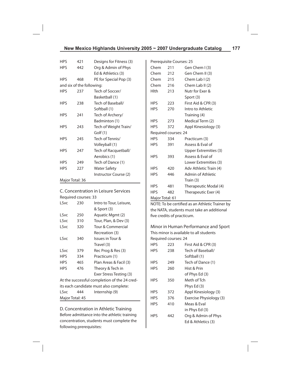| <b>HPS</b>      | 421                       | Designs for Fitness (3) |
|-----------------|---------------------------|-------------------------|
| <b>HPS</b>      | 442                       | Org & Admin of Phys     |
|                 |                           | Ed & Athletics (3)      |
| <b>HPS</b>      | 468                       | PE for Special Pop (3)  |
|                 | and six of the following: |                         |
| HPS             | 237                       | Tech of Soccer/         |
|                 |                           | Basketball (1)          |
| <b>HPS</b>      | 238                       | Tech of Baseball/       |
|                 |                           | Softball (1)            |
| <b>HPS</b>      | 241                       | Tech of Archery/        |
|                 |                           | Badminton (1)           |
| <b>HPS</b>      | 243                       | Tech of Weight Train/   |
|                 |                           | Golf (1)                |
| <b>HPS</b>      | 245                       | Tech of Tennis/         |
|                 |                           | Volleyball (1)          |
| <b>HPS</b>      | 247                       | Tech of Racquetball/    |
|                 |                           | Aerobics (1)            |
| <b>HPS</b>      | 249                       | Tech of Dance (1)       |
| <b>HPS</b>      | 227                       | Water Safety            |
|                 |                           | Instructor Course (2)   |
| Major Total: 36 |                           |                         |

C. Concentration in Leisure Services Required courses: 33

| 230                                          | Intro to Tour, Leisure, |  |  |
|----------------------------------------------|-------------------------|--|--|
|                                              | & Sport (3)             |  |  |
| 250                                          | Aquatic Mgmt (2)        |  |  |
| 310                                          | Tour, Plan, & Dev (3)   |  |  |
| 320                                          | Tour & Commercial       |  |  |
|                                              | Recreation (3)          |  |  |
| 340                                          | Issues in Tour &        |  |  |
|                                              | Travel (3)              |  |  |
| 379                                          | Rec Prog & Res (3)      |  |  |
| 334                                          | Practicum (1)           |  |  |
| 465                                          | Plan Areas & Facil (3)  |  |  |
| 476                                          | Theory & Tech in        |  |  |
|                                              | Exer Stress Testing (3) |  |  |
| At the successful completion of the 24 cred- |                         |  |  |
| its each candidate must also complete:       |                         |  |  |
| 444                                          | Internship (9)          |  |  |
| Major Total: 45                              |                         |  |  |
|                                              |                         |  |  |

D. Concentration in Athletic Training Before admittance into the athletic training concentration, students must complete the following prerequisites:

|                      | Prerequisite Courses: 25 |                              |
|----------------------|--------------------------|------------------------------|
| Chem                 | 211                      | Gen Chem I (3)               |
| Chem                 | 212                      | Gen Chem II (3)              |
| Chem                 | 215                      | Chem Lab $(2)$               |
| Chem                 | 216                      | Chem Lab II (2)              |
| Hlth                 | 213                      | Nutr for Exer &              |
|                      |                          | Sport (3)                    |
| <b>HPS</b>           | 223                      | First Aid & CPR (3)          |
| <b>HPS</b>           | 270                      | Intro to Athletic            |
|                      |                          | Training (4)                 |
| <b>HPS</b>           | 273                      | Medical Term (2)             |
| <b>HPS</b>           | 372                      | Appl Kinesiology (3)         |
| Required courses: 24 |                          |                              |
| <b>HPS</b>           | 334                      | Practicum (3)                |
| <b>HPS</b>           | 391                      | Assess & Eval of             |
|                      |                          | <b>Upper Extremities (3)</b> |
| <b>HPS</b>           | 393                      | Assess & Eval of             |
|                      |                          | Lower Extremities (3)        |
| <b>HPS</b>           | 420                      | Adv Athletic Train (4)       |
| <b>HPS</b>           | 446                      | Admin of Athletic            |
|                      |                          | Train (3)                    |
| <b>HPS</b>           | 481                      | Therapeutic Modal (4)        |
| <b>HPS</b>           | 482                      | Therapeutic Exer (4)         |
| Major Total: 61      |                          |                              |

NOTE: To be certified as an Athletic Trainer by the NATA, students must take an additional five credits of practicum.

Minor in Human Performance and Sport This minor is available to all students Required courses: 24

| <b>HPS</b> | 223 | First Aid & CPR (3)     |
|------------|-----|-------------------------|
| <b>HPS</b> | 238 | Tech of Baseball/       |
|            |     | Softball (1)            |
| <b>HPS</b> | 249 | Tech of Dance (1)       |
| <b>HPS</b> | 260 | Hist & Prin             |
|            |     | of Phys Ed (3)          |
| <b>HPS</b> | 350 | Meth of Tch             |
|            |     | Phys Ed (3)             |
| <b>HPS</b> | 372 | Appl Kinesiology (3)    |
| <b>HPS</b> | 376 | Exercise Physiology (3) |
| <b>HPS</b> | 410 | Meas & Eval             |
|            |     | in Phys Ed (3)          |
| <b>HPS</b> | 442 | Org & Admin of Phys     |
|            |     | Ed & Athletics (3)      |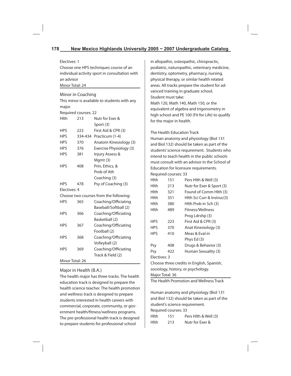Electives: 1

Choose one HPS techniques course of an individual activity sport in consultation with an advisor Minor Total: 24

### Minor in Coaching

This minor is available to students with any major.

Required courses: 22

| Hlth            | 213     | Nutr for Exer &                        |
|-----------------|---------|----------------------------------------|
|                 |         | Sport (3)                              |
| <b>HPS</b>      | 223     | First Aid & CPR (3)                    |
| <b>HPS</b>      | 334-434 | Practicum (1-4)                        |
| <b>HPS</b>      | 370     | Anatom Kinesiology (3)                 |
| <b>HPS</b>      | 376     | Exercise Physiology (3)                |
| <b>HPS</b>      | 381     | Injury Assess &                        |
|                 |         | Mgmt (3)                               |
| <b>HPS</b>      | 408     | Prin, Ethics, &                        |
|                 |         | Prob of Ath                            |
|                 |         | Coaching (3)                           |
| <b>HPS</b>      | 478     | Psy of Coaching (3)                    |
| Electives: 4    |         |                                        |
|                 |         | Choose two courses from the following: |
| <b>HPS</b>      | 365     | Coaching/Officiating                   |
|                 |         | Baseball/Softball (2)                  |
| <b>HPS</b>      | 366     | Coaching/Officiating                   |
|                 |         | Basketball (2)                         |
| <b>HPS</b>      | 367     | Coaching/Officiating                   |
|                 |         | Football (2)                           |
| <b>HPS</b>      | 368     | Coaching/Officiating                   |
|                 |         | Volleyball (2)                         |
| <b>HPS</b>      | 369     | Coaching/Officiating                   |
|                 |         | Track & Field (2)                      |
| Minor Total: 26 |         |                                        |

### Major in Health (B.A.)

The health major has three tracks. The health education track is designed to prepare the health science teacher. The health promotion and wellness track is designed to prepare students interested in health careers with commercial, corporate, community, or government health/fitness/wellness programs. The pre-professional health track is designed to prepare students for professional school

in allopathic, osteopathic, chiropractic, podiatric, naturopathic, veterinary medicine, dentistry, optometry, pharmacy, nursing, physical therapy, or similar health related areas. All tracks prepare the student for advanced training in graduate school. Student must take: Math 120, Math 140, Math 150, or the equivalent of algebra and trigonometry in high school and PE 100 (Fit for Life) to qualify for the major in health.

The Health Education Track

Human anatomy and physiology (Biol 131 and Biol 132) should be taken as part of the students' science requirement. Students who intend to teach health in the public schools must consult with an advisor in the School of Education for licensure requirements. Required courses: 33

| Hlth                                      | 151 | Pers Hith & Well (3)       |
|-------------------------------------------|-----|----------------------------|
| Hlth                                      | 213 | Nutr for Exer & Sport (3)  |
| Hlth                                      | 321 | Found of Comm Hith (3)     |
| Hlth                                      | 351 | Hith Sci Curr & Instruc(3) |
| Hlth                                      | 380 | Hlth Prob in Sch (3)       |
| Hlth                                      | 489 | Fitness/Wellness           |
|                                           |     | Prog Ldrshp (3)            |
| <b>HPS</b>                                | 223 | First Aid & CPR (3)        |
| <b>HPS</b>                                | 370 | Anat Kinesiology (3)       |
| <b>HPS</b>                                | 410 | Meas & Eval in             |
|                                           |     | Phys Ed (3)                |
| Psy                                       | 408 | Drugs & Behavior (3)       |
| Psy                                       | 422 | Human Sexuality (3)        |
| Electives: 3                              |     |                            |
| Choose three credits in English, Spanish, |     |                            |
| ويسملم والمستمعر سمروس والمتحدم والمتمحم  |     |                            |

sociology, history, or psychology. Major Total: 36

The Health Promotion and Wellness Track

Human anatomy and physiology (Biol 131 and Biol 132) should be taken as part of the student's science requirement.

Required courses: 33

| Hlth | 151 | Pers Hith & Well (3) |
|------|-----|----------------------|
| Hlth | 213 | Nutr for Exer &      |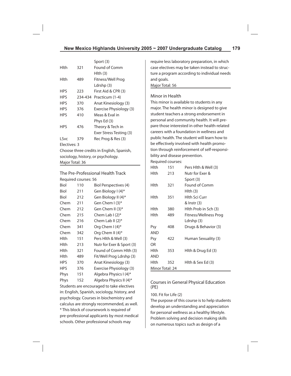|              |         | Sport (3)               |
|--------------|---------|-------------------------|
| Hlth         | 321     | Found of Comm           |
|              |         | Hlth (3)                |
| Hlth         | 489     | Fitness/Well Prog       |
|              |         | Ldrshp (3)              |
| <b>HPS</b>   | 223     | First Aid & CPR (3)     |
| <b>HPS</b>   | 234-434 | Practicum (1-4)         |
| <b>HPS</b>   | 370     | Anat Kinesiology (3)    |
| <b>HPS</b>   | 376     | Exercise Physiology (3) |
| <b>HPS</b>   | 410     | Meas & Fval in          |
|              |         | Phys Ed (3)             |
| <b>HPS</b>   | 476     | Theory & Tech in        |
|              |         | Exer Stress Testing (3) |
| LSvc         | 379     | Rec Prog & Res (3)      |
| Electives: 3 |         |                         |

Choose three credits in English, Spanish, sociology, history, or psychology. Major Total: 36

The Pre-Professional Health Track Required courses: 56

| Biol        | 110 | Biol Perspectives (4)     |
|-------------|-----|---------------------------|
| Biol        | 211 | Gen Biology I (4)*        |
| Biol        | 212 | Gen Biology II (4)*       |
| Chem        | 211 | Gen Chem $(3)^*$          |
| Chem        | 212 | Gen Chem II (3)*          |
| Chem        | 215 | Chem Lab $(2)^*$          |
| Chem        | 216 | Chem Lab II $(2)^*$       |
| Chem        | 341 | Org Chem I (4)*           |
| Chem        | 342 | Org Chem II (4)*          |
| Hlth.       | 151 | Pers Hith & Well (3)      |
| Hlth.       | 213 | Nutr for Exer & Sport (3) |
| <b>Hlth</b> | 321 | Found of Comm Hlth (3)    |
| Hlth.       | 489 | Fit/Well Prog Ldrshp (3)  |
| <b>HPS</b>  | 370 | Anat Kinesiology (3)      |
| <b>HPS</b>  | 376 | Exercise Physiology (3)   |
| Phys        | 151 | Algebra Physics I (4)*    |
| Phys        | 152 | Algebra Physics II (4)*   |

Students are encouraged to take electives in: English, Spanish, sociology, history, and psychology. Courses in biochemistry and calculus are strongly recommended, as well. \* This block of coursework is required of pre-professional applicants by most medical schools. Other professional schools may

require less laboratory preparation, in which case electives may be taken instead to structure a program according to individual needs and goals. Major Total: 56

### Minor in Health

This minor is available to students in any major. The health minor is designed to give student teachers a strong endorsement in personal and community health. It will prepare those interested in other health-related careers with a foundation in wellness and public health. The student will learn how to be effectively involved with health promotion through reinforcement of self-responsibility and disease prevention.

Required courses:

| <b>Hlth</b>     | 151 | Pers Hith & Well (3)  |  |
|-----------------|-----|-----------------------|--|
| Hlth            | 213 | Nutr for Fxer &       |  |
|                 |     | Sport (3)             |  |
| Hlth            | 321 | Found of Comm         |  |
|                 |     | Hlth (3)              |  |
| Hlth            | 351 | Hlth Sci Curr         |  |
|                 |     | & Instr (3)           |  |
| Hlth            | 380 | Hlth Prob in Sch (3)  |  |
| Hlth            | 489 | Fitness/Wellness Prog |  |
|                 |     | Ldrshp (3)            |  |
| Psy             | 408 | Drugs & Behavior (3)  |  |
| AND             |     |                       |  |
| Psy             | 422 | Human Sexuality (3)   |  |
| OR              |     |                       |  |
| Hlth            | 353 | Hlth & Drug Ed (3)    |  |
| AND             |     |                       |  |
| Hlth            | 352 | Hlth & Sex Ed (3)     |  |
| Minor Total: 24 |     |                       |  |

# Courses in General Physical Education (PE)

### 100. Fit for Life (2)

The purpose of this course is to help students develop an understanding and appreciation for personal wellness as a healthy lifestyle. Problem solving and decision making skills on numerous topics such as design of a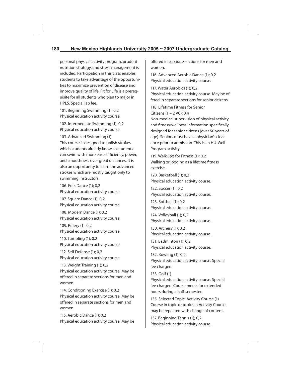# **180 New Mexico Highlands University 2005 ~ 2007 Undergraduate Catalog**

personal physical activity program, prudent nutrition strategy, and stress management is included. Participation in this class enables students to take advantage of the opportunities to maximize prevention of disease and improve quality of life. Fit for Life is a prerequisite for all students who plan to major in HPLS. Special lab fee.

101. Beginning Swimming (1); 0,2 Physical education activity course.

102. Intermediate Swimming (1); 0,2 Physical education activity course.

103. Advanced Swimming (1) This course is designed to polish strokes which students already know so students can swim with more ease, efficiency, power, and smoothness over great distances. It is also an opportunity to learn the advanced strokes which are mostly taught only to swimming instructors.

106. Folk Dance (1); 0,2 Physical education activity course.

107. Square Dance (1); 0,2 Physical education activity course.

108. Modern Dance (1); 0,2 Physical education activity course.

109. Riflery (1); 0,2 Physical education activity course.

110. Tumbling (1); 0,2 Physical education activity course.

112. Self Defense (1); 0,2 Physical education activity course.

113. Weight Training (1); 0,2 Physical education activity course. May be offered in separate sections for men and women.

114. Conditioning Exercise (1); 0,2 Physical education activity course. May be offered in separate sections for men and women.

115. Aerobic Dance (1); 0,2 Physical education activity course. May be offered in separate sections for men and women.

116. Advanced Aerobic Dance (1); 0,2 Physical education activity course.

117. Water Aerobics (1); 0,2 Physical education activity course. May be offered in separate sections for senior citizens.

118. Lifetime Fitness for Senior Citizens (1 – 2 VC); 0,4 Non-medical supervision of physical activity and fitness/wellness information specifically designed for senior citizens (over 50 years of age). Seniors must have a physician's clearance prior to admission. This is an HU-Well Program activity.

119. Walk-Jog for Fitness (1); 0,2 Walking or jogging as a lifetime fitness exercise.

120. Basketball (1); 0,2 Physical education activity course.

122. Soccer (1); 0,2 Physical education activity course.

123. Softball (1); 0,2 Physical education activity course.

124. Volleyball (1); 0,2 Physical education activity course.

130. Archery (1); 0,2 Physical education activity course.

131. Badminton (1); 0,2 Physical education activity course.

132. Bowling (1); 0,2 Physical education activity course. Special fee charged.

133. Golf (1) Physical education activity course. Special fee charged. Course meets for extended hours during a half-semester.

135. Selected Topic: Activity Course (1) Course in topic or topics in Activity Course: may be repeated with change of content.

137. Beginning Tennis (1); 0,2 Physical education activity course.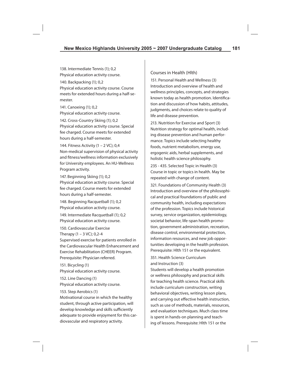138. Intermediate Tennis (1); 0,2 Physical education activity course.

140. Backpacking (1); 0,2 Physical education activity course. Course meets for extended hours during a half-semester.

141. Canoeing (1); 0,2 Physical education activity course.

142. Cross-Country Skiing (1); 0,2 Physical education activity course. Special fee charged. Course meets for extended hours during a half-semester.

144. Fitness Activity (1 – 2 VC); 0,4 Non-medical supervision of physical activity and fitness/wellness information exclusively for University employees. An HU-Wellness Program activity.

147. Beginning Skiing (1); 0,2 Physical education activity course. Special fee charged. Course meets for extended hours during a half-semester.

148. Beginning Racquetball (1); 0,2 Physical education activity course.

149. Intermediate Racquetball (1); 0,2 Physical education activity course.

150. Cardiovascular Exercise Therapy  $(1 - 3 \text{ VC})$ ; 0,2-4 Supervised exercise for patients enrolled in the Cardiovascular Health Enhancement and Exercise Rehabilitation (CHEER) Program. Prerequisite: Physician referred.

151. Bicycling (1) Physical education activity course.

152. Line Dancing (1) Physical education activity course.

### 153. Step Aerobics (1)

Motivational course in which the healthy student, through active participation, will develop knowledge and skills sufficiently adequate to provide enjoyment for this cardiovascular and respiratory activity.

# Courses in Health (Hlth)

151. Personal Health and Wellness (3) Introduction and overview of health and wellness principles, concepts, and strategies known today as health promotion. Identification and discussion of how habits, attitudes, judgments, and choices relate to quality of life and disease prevention.

213. Nutrition for Exercise and Sport (3) Nutrition strategy for optimal health, including disease prevention and human performance. Topics include selecting healthy foods, nutrient metabolism, energy use, ergogenic aids, herbal supplements, and holistic health science philosophy.

235 - 435. Selected Topic in Health (3) Course in topic or topics in health. May be repeated with change of content.

321. Foundations of Community Health (3) Introduction and overview of the philosophical and practical foundations of public and community health, including expectations of the profession. Topics include historical survey, service organization, epidemiology, societal behavior, life-span health promotion, government administration, recreation, disease control, environmental protection, information resources, and new job opportunities developing in the health profession. Prerequisite: Hlth 151 or the equivalent.

# 351. Health Science Curriculum and Instruction (3)

Students will develop a health promotion or wellness philosophy and practical skills for teaching health science. Practical skills include curriculum construction, writing behavioral objectives, writing lesson plans, and carrying out effective health instruction, such as use of methods, materials, resources, and evaluation techniques. Much class time is spent in hands-on planning and teaching of lessons. Prerequisite: Hlth 151 or the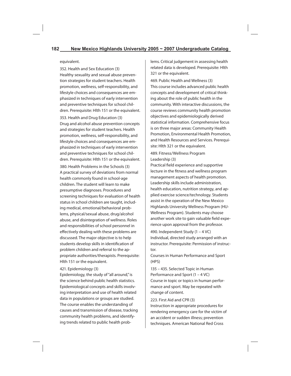#### equivalent.

352. Health and Sex Education (3) Healthy sexuality and sexual abuse prevention strategies for student teachers. Health promotion, wellness, self-responsibility, and lifestyle choices and consequences are emphasized in techniques of early intervention and preventive techniques for school children. Prerequisite: Hlth 151 or the equivalent. 353. Health and Drug Education (3) Drug and alcohol abuse prevention concepts and strategies for student teachers. Health promotion, wellness, self-responsibility, and lifestyle choices and consequences are emphasized in techniques of early intervention and preventive techniques for school children. Prerequisite: Hlth 151 or the equivalent.

380. Health Problems in the Schools (3) A practical survey of deviations from normal health commonly found in school-age children. The student will learn to make presumptive diagnoses. Procedures and screening techniques for evaluation of health status in school children are taught, including medical, emotional/behavioral problems, physical/sexual abuse, drug/alcohol abuse, and disintegration of wellness. Roles and responsibilities of school personnel in effectively dealing with these problems are discussed. The major objective is to help students develop skills in identification of problem children and referral to the appropriate authorities/therapists. Prerequisite: Hlth 151 or the equivalent.

#### 421. Epidemiology (3)

Epidemiology, the study of "all around," is the science behind public health statistics. Epidemiological concepts and skills involving interpretation and use of health related data in populations or groups are studied. The course enables the understanding of causes and transmission of disease, tracking community health problems, and identifying trends related to public health problems. Critical judgement in assessing health related data is developed. Prerequisite: Hlth 321 or the equivalent.

469. Public Health and Wellness (3) This course includes advanced public health concepts and development of critical thinking about the role of public health in the community. With interactive discussions, the course reviews community health promotion objectives and epidemiologically derived statistical information. Comprehensive focus is on three major areas: Community Health Promotion, Environmental Health Promotion, and Health Resources and Services. Prerequisite: Hlth 321 or the equivalent.

## 489. Fitness/Wellness Program Leadership (3)

Practical field experience and supportive lecture in the fitness and wellness program management aspects of health promotion. Leadership skills include administration, health education, nutrition strategy, and applied exercise science/technology. Students assist in the operation of the New Mexico Highlands University Wellness Program (HU-Wellness Program). Students may choose another work site to gain valuable field experience upon approval from the professor.

490. Independent Study (1 – 4 VC) Individual, directed study arranged with an instructor. Prerequisite: Permission of instructor.

Courses in Human Performance and Sport (HPS)

135 – 435. Selected Topic in Human Performance and Sport (1 – 4 VC) Course in topic or topics in human performance and sport. May be repeated with change of content.

# 223. First Aid and CPR (3) Instruction in appropriate procedures for rendering emergency care for the victim of an accident or sudden illness; prevention techniques. American National Red Cross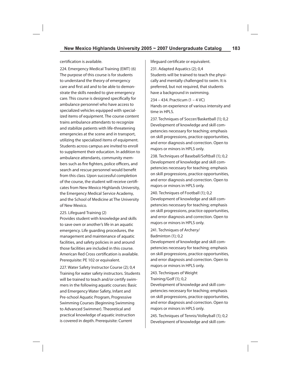certification is available.

224. Emergency Medical Training (EMT) (6) The purpose of this course is for students to understand the theory of emergency care and first aid and to be able to demonstrate the skills needed to give emergency care. This course is designed specifically for ambulance personnel who have access to specialized vehicles equipped with specialized items of equipment. The course content trains ambulance attendants to recognize and stabilize patients with life-threatening emergencies at the scene and in transport, utilizing the specialized items of equipment. Students across campus are invited to enroll to supplement their education. In addition to ambulance attendants, community members such as fire fighters, police officers, and search and rescue personnel would benefit from this class. Upon successful completion of the course, the student will receive certificates from New Mexico Highlands University, the Emergency Medical Service Academy, and the School of Medicine at The University of New Mexico.

225. Lifeguard Training (2)

Provides student with knowledge and skills to save own or another's life in an aquatic emergency. Life guarding procedures, the management and maintenance of aquatic facilities, and safety policies in and around those facilities are included in this course. American Red Cross certification is available. Prerequisite: PE 102 or equivalent.

227. Water Safety Instructor Course (2); 0,4 Training for water safety instructors. Students will be trained to teach and/or certify swimmers in the following aquatic courses: Basic and Emergency Water Safety, Infant and Pre-school Aquatic Program, Progressive Swimming Courses (Beginning Swimming to Advanced Swimmer). Theoretical and practical knowledge of aquatic instruction is covered in depth. Prerequisite: Current

lifeguard certificate or equivalent.

231. Adapted Aquatics (2); 0,4 Students will be trained to teach the physically and mentally challenged to swim. It is preferred, but not required, that students have a background in swimming.

234 – 434. Practicum (1 – 4 VC) Hands on experience of various intensity and time in HPLS.

237. Techniques of Soccer/Basketball (1); 0,2 Development of knowledge and skill competencies necessary for teaching; emphasis on skill progressions, practice opportunities, and error diagnosis and correction. Open to majors or minors in HPLS only.

238. Techniques of Baseball/Softball (1); 0,2 Development of knowledge and skill competencies necessary for teaching; emphasis on skill progressions, practice opportunities, and error diagnosis and correction. Open to majors or minors in HPLS only.

240. Techniques of Football (1); 0,2 Development of knowledge and skill competencies necessary for teaching; emphasis on skill progressions, practice opportunities, and error diagnosis and correction. Open to majors or minors in HPLS only.

241. Techniques of Archery/ Badminton (1); 0,2

Development of knowledge and skill competencies necessary for teaching; emphasis on skill progressions, practice opportunities, and error diagnosis and correction. Open to majors or minors in HPLS only.

243. Techniques of Weight Training/Golf (1); 0,2

Development of knowledge and skill competencies necessary for teaching; emphasis on skill progressions, practice opportunities, and error diagnosis and correction. Open to majors or minors in HPLS only.

245. Techniques of Tennis/Volleyball (1); 0,2 Development of knowledge and skill com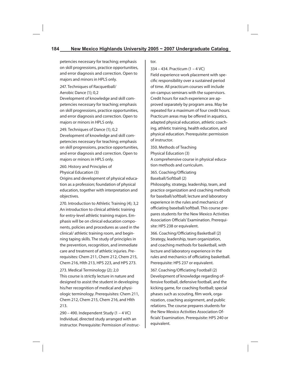petencies necessary for teaching; emphasis on skill progressions, practice opportunities, and error diagnosis and correction. Open to majors and minors in HPLS only.

247. Techniques of Racquetball/ Aerobic Dance (1); 0,2

Development of knowledge and skill competencies necessary for teaching; emphasis on skill progressions, practice opportunities, and error diagnosis and correction. Open to majors or minors in HPLS only.

249. Techniques of Dance (1); 0,2 Development of knowledge and skill competencies necessary for teaching; emphasis on skill progressions, practice opportunities, and error diagnosis and correction. Open to majors or minors in HPLS only.

260. History and Principles of Physical Education (3)

Origins and development of physical education as a profession; foundation of physical education, together with interpretation and objectives.

270. Introduction to Athletic Training (4); 3,2 An introduction to clinical athletic training for entry-level athletic training majors. Emphasis will be on clinical education components, policies and procedures as used in the clinical/ athletic training room, and beginning taping skills. The study of principles in the prevention, recognition, and immediate care and treatment of athletic injuries. Prerequisites: Chem 211, Chem 212, Chem 215, Chem 216, Hlth 213, HPS 223, and HPS 273.

273. Medical Terminology (2); 2,0 This course is strictly lecture in nature and designed to assist the student in developing his/her recognition of medical and physiologic terminology. Prerequisites: Chem 211, Chem 212, Chem 215, Chem 216, and Hlth 213.

290 – 490. Independent Study (1 – 4 VC) Individual, directed study arranged with an instructor. Prerequisite: Permission of instructor.

334 – 434. Practicum (1 – 4 VC)

Field experience work placement with specific responsibility over a sustained period of time. All practicum courses will include on-campus seminars with the supervisors. Credit hours for each experience are approved separately by program area. May be repeated for a maximum of four credit hours. Practicum areas may be offered in aquatics, adapted physical education, athletic coaching, athletic training, health education, and physical education. Prerequisite: permission of instructor.

350. Methods of Teaching Physical Education (3) A comprehensive course in physical education methods and curriculum.

365. Coaching/Officiating Baseball/Softball (2)

Philosophy, strategy, leadership, team, and practice organization and coaching methods for baseball/softball; lecture and laboratory experience in the rules and mechanics of officiating baseball/softball. This course prepares students for the New Mexico Activities Association Officials' Examination. Prerequisite: HPS 238 or equivalent.

366. Coaching/Officiating Basketball (2) Strategy, leadership, team organization, and coaching methods for basketball, with lecture and laboratory experience in the rules and mechanics of officiating basketball. Prerequisite: HPS 237 or equivalent.

367. Coaching/Officiating Football (2) Development of knowledge regarding offensive football, defensive football, and the kicking game, for coaching football; special phases such as scouting, film work, organization, coaching assignment, and public relations. The course prepares students for the New Mexico Activities Association Officials' Examination. Prerequisite: HPS 240 or equivalent.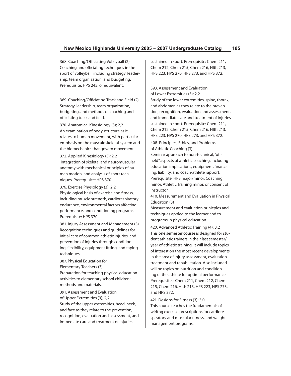368. Coaching/Officiating Volleyball (2) Coaching and officiating techniques in the sport of volleyball, including strategy, leadership, team organization, and budgeting. Prerequisite: HPS 245, or equivalent.

369. Coaching/Officiating Track and Field (2) Strategy, leadership, team organization, budgeting, and methods of coaching and officiating track and field.

370. Anatomical Kinesiology (3); 2,2 An examination of body structure as it relates to human movement, with particular emphasis on the musculoskeletal system and the biomechanics that govern movement.

372. Applied Kinesiology (3); 2,2 Integration of skeletal and neuromuscular anatomy with mechanical principles of human motion, and analysis of sport techniques. Prerequisite: HPS 370.

376. Exercise Physiology (3); 2,2 Physiological basis of exercise and fitness, including muscle strength, cardiorespiratory endurance, environmental factors affecting performance, and conditioning programs. Prerequisite: HPS 370.

381. Injury Assessment and Management (3) Recognition techniques and guidelines for initial care of common athletic injuries, and prevention of injuries through conditioning, flexibility, equipment fitting, and taping techniques.

387. Physical Education for

Elementary Teachers (3)

Preparation for teaching physical education activities to elementary school children; methods and materials.

391. Assessment and Evaluation of Upper Extremities (3); 2,2 Study of the upper extremities, head, neck, and face as they relate to the prevention, recognition, evaluation and assessment, and immediate care and treatment of injuries

sustained in sport. Prerequisite: Chem 211, Chem 212, Chem 215, Chem 216, Hlth 213, HPS 223, HPS 270, HPS 273, and HPS 372.

393. Assessment and Evaluation of Lower Extremities (3); 2,2 Study of the lower extremities, spine, thorax, and abdomen as they relate to the prevention, recognition, evaluation and assessment, and immediate care and treatment of injuries sustained in sport. Prerequisite: Chem 211, Chem 212, Chem 215, Chem 216, Hlth 213, HPS 223, HPS 270, HPS 273, and HPS 372.

408. Principles, Ethics, and Problems of Athletic Coaching (3)

Seminar approach to non-technical, "offfield" aspects of athletic coaching, including education implications, equipment, financing, liability, and coach-athlete rapport. Prerequisite: HPS major/minor, Coaching minor, Athletic Training minor, or consent of instructor.

410. Measurement and Evaluation in Physical Education (3)

Measurement and evaluation prinicples and techniques appled to the learner and to programs in physical education.

420. Advanced Athletic Training (4); 3,2 This one semester course is designed for student athletic trainers in their last semester/ year of athletic training. It will include topics of interest on the most recent developments in the area of injury assessment, evaluation treatment and rehabilitation. Also included will be topics on nutrition and conditioning of the athlete for optimal performance. Prerequisites: Chem 211, Chem 212, Chem 215, Chem 216, Hlth 213, HPS 223, HPS 273, and HPS 372.

421. Designs for Fitness (3); 3,0 This course teaches the fundamentals of wiritng exercise prescriptions for cardiorespiratory and muscular fitness, and weight management programs.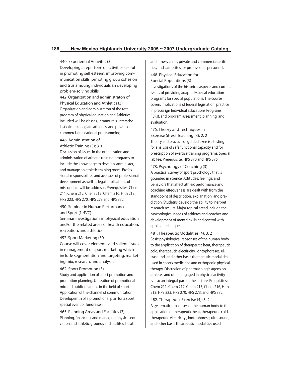440. Experiential Activites (3) Developing a repertoire of activities useful in promoting self esteem, improving communication skills, prmoting group cohesion and trus amoung individuals an developing problem-solving skills.

442. Organization and administraton of Physical Education and Athletics (3) Organization and administraton of the total program of physical education and Athletics. Included will be classes, intramurals, interscholastic/intercollegiate athletics, and private or commercial receational programming.

446. Administration of

Athletic Training (3); 3,0

Discussion of issues in the organization and administration of athletic training programs to include the knowledge to develop, administer, and manage an athletic training room. Professional responsibilites and avenues of professional development as well as legal implications of misconduct will be addresse. Prerequisites: Chem 211, Chem 212, Chem 215, Chem 216, Hlth 213, HPS 223, HPS 270, HPS 273 and HPS 372.

450. Seminar in Human Performance and Sport (1-4VC)

Seminar investigations in physical education and/or the related areas of health education, recreation, and athletics.

#### 452. Sport Marketing (30

Course will cover elements and salient issues in management of sport marketing which include segmentation and targeting, marketing mix, research, and analysis.

#### 462. Sport Promotion (3)

Study and application of sport promotion and promotion planning. Utilization of promotional mix and public relations in the field of sport. Application of the channel of communication. Developemtn of a promotional plan for a sport special event or fundraiser.

465. Planning Areas and Facilities (3) Planning, financing, and managing physical education and athletic grounds and facilites, helath

and fitness cents, private and commercial facilities, and campsites for professional personnel.

468. Physical Education for Special Populations (3)

Investigations of the historical aspects and current issues of providing adapted/special education programs for special populations. The course covers implications of federal legislation, practice in preparign Individual Educations Programs (IEPs), and program assessment, planning, and evaluation.

476. Theory and Techniques in Exercise Stress Teaching (3); 2, 2 Theory and practice of graded exercise testing for analysis of safe functional capacity and for prescription of exercise training programs. Special lab fee. Prerequisite: HPS 370 and HPS 376.

478. Psychology of Coaching (3) A practical survey of sport psychology that is gounded in science. Attitudes, feelings, and behaviors that affect athleic performance and coaching effeciveness are dealt with from the standpoint of description, explanation, and prediction. Studetns develop the ability to inerpret research results. Major topical aread include the psychological needs of athletes and coaches and development of mental skills and control with applied techniques.

481. Theapeutic Modalities (4); 3, 2 Basic physiological repsonses of the human body to the application of therapeutic heat, therapeutic cold, therapeutic electiricity, iontophoreses, ultrasound, and other basic therapeutic modalities used in sports medicince and orthopedic physical therapy. Discussion of pharmacologic agens on athletes and other engaged in physical activity is also an integral part of the lecture. Prequisites: Chem 211, Chem 212, Chem 215, Chem 216, Hlth 213, HPS 223, HPS 270, HPS 273, and HPS 372.

482. Therapeutic Exercise (4); 3, 2 A systematic repsonses of the human body to the application of therapeutic heat, therapeutic cold, therapeutic electricity , iontophorese, ultrasound, and other basic thearpeutic modalities used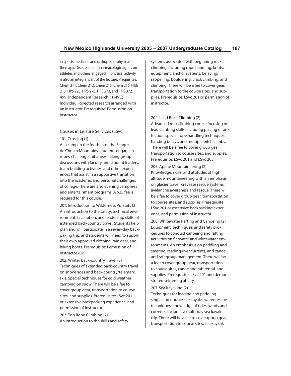in sports medicine and orthopedic physical thereapy. Discussion of pharmacologic agens on athletes and others engaged in physical activity is also an integral part of the lecture. Prequisites: Chem 211, Chem 212, Chem 215, Chem 216, Hlth 213, HPS 223, HPS 270, HPS 273, and HPS 372. 499. Independent Research ( 1-4VC) Individaul, directed research arranged with an instructor. Prerequisite: Permission on instructor.

# Couses in Leisure Services (LSvc)

#### 101. Crossing (1)

At a camp in the foothills of the Sangre de Christo Mountains, students engage in ropes-challenge initiatives, hiking group discussions with faculty and student leaders, team building activities, and other experiences that assist in a supportive transition into the academic and personal challenges of college. There are also evening campfires and entertainment programs. A \$25 fee is required for this course.

201. Introduction to Wilderness Pursuits (3) An introduction to the safety, technical environment, facilitation, and leadership skills of extended back-country travel. Students help plan and will participate in a seven-day backpaking trip, and students will need to supply their own approved clothing, rain gear, and hiking boots. Prerequisite: Permission of instructor202.

202. Winter back-country Travel (2) Techniques of extended back-country travel on snowshoes and back-country/telemark skis. Special techniques for cold weather camping on snow. There will be a fee to cover group gear, transportation to course sites, and supplies. Prerequisite: LSvc 201 or extensive backpacking experience, and permission of instructor.

203. Top Rope Climbing (2) An introduction to the skills and safety systems associated with beginning rock climbing, including rope handling, knots, equipment, anchor systems, belaying, rappelling, bouldering, crack climbing, and climbing. There will be a fee to cover gear, transportation to the course sites, and supplies. Prerequisite: LSvc 201 or permission of instructor.

#### 204. Lead Rock Climbing (2)

Advanced rock climbing course focusing on lead climbing skills, including placing of protection, special rope handling techniques, handing belays, and multiple pitch climbs. There will be a fee to cover group gear, transportation to course sites, and supples. Prerequisite: LSvc 201 and LSvc 203.

205. Apline Mountaineering (2) Knowledge, skills, and attitudes of high altitude mountaineering with an emphasis on glacier travel, crevasse rescue systems, avalanche awareness and rescue. There will be a fee to cover group gear, transportation to course sites, and supplies. Prerequisite: LSvc 201 or extensive backpacking experience, and permission of instructor.

206. Whitewater Rafting and Canoeing (2) Equipment, techniques, and safety procedures to conduct canoeing and rafting activities on flatwater and whitewater environments. An emphasis is on paddling and steering, reading river currents, and canoe and raft group management. There will be a fee to cover group gear, transportation to course sites, canoe and raft rental, and supplies. Prerequisite: LSvc 201 and demonstrated seimming ability.

### 207. Sea Kayaking (2)

Techniques for loading and paddling single and double see kayaks; water rescue techniques; knowledge of tides, winds and currents. Includes a multi-day sea kayak trip. There will be a fee to cover group gear, transportation to course sites, sea kaykak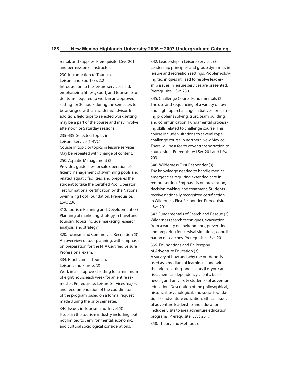rental, and supplies. Prerequisite: LSvc 201 and permission of instructor.

230. Introduction to Tourism, Leisure and Sport (3); 2,2 Introduction to the leisure services field, emphasizing fitness, sport, and tourism. Students are required to work in an approved setting for 30 hours during the semester, to be arranged with an academic advisor. In addition, field trips to selected work setting may be a part of the course and may involve afternoon or Saturday sessions.

235-435. Selected Topics in

Leisure Service (1-4VC)

Course in topic or topics in leisure services. May be repeated with change of content.

250. Aquatic Management (2)

Provides guidelines for safe operation efficient management of swimming pools and related aquatic facilities, and prepares the student to take the Certified Pool Operator Test for national certification by the National Swimming Pool Foundation. Prerequisite: LSvc 230.

310. Tourism Planning and Development (3) Planning of marketing strategy in travel and tourism. Topics include marketing research, analysis, and strategy.

320. Tourism and Commercial Recreation (3) An overview of tour planning, with emphasis on preparation for the NTA Certified Leisure Professional exam.

334. Practicum in Tourism,

Leisure, and Fitness (2)

Work in a n approved setting for a minimum of eight hours each week for an entire semester. Prerequisite: Leisure Services major, and recommendation of the coordinator of the program based on a formal request made during the prior semester.

340. Issues in Tourism and Travel (3) Issues in the tourism industry including, but not limited to , environmental, economic, and cultural sociological considerations.

342. Leadership in Leisure Services (3) Leadership principles and group dynamics in leisure and recreation settings. Problem-sloving techniques utilized to resolve leadership issues in leisure services are presented. Prerequisite: LSvc 230.

345. Challenge Course Fundamentals (2) The use and sequencing of a variety of low and high rope-challenge initiatives for learning problems solving, trust, team building, and communication. Fundamental processing skills related to challenge course. This course include visitations to several rope challenge course in northern New Mexico. There will be a fee to cover transportation to course sites. Prerequisite: LSvc 201 and LSvc 203.

346. Wilderness First Responder (3) The knowledge needed to handle medical emergencies requiring extended care in remote setting. Emphasis is on prevention, decision making, and treatment. Students receive nationally recognized certification in Wilderness First Responder. Prerequisite: LSvc 201.

347. Fundamentals of Search and Rescue (2) Wilderness search techniques, evacuation from a variety of environments, preventing and preparing for survival situations, coordination of searches. Prerequisite: LSvc 201.

356. Foundations and Philosophy of Adventure Education (3)

A survey of how and why the outdoors is used as a medium of learning, along with the origin, setting, and clients (i.e. your at risk, chemical dependency clients, businesses, and university students) of adventure education. Description of the philosophical, historical, psychological, and social foundations of adventure education. Ethical issues of adventure leadership and education. Includes visits to area adventure education programs. Prerequisite: LSvc 201.

358. Theory and Methods of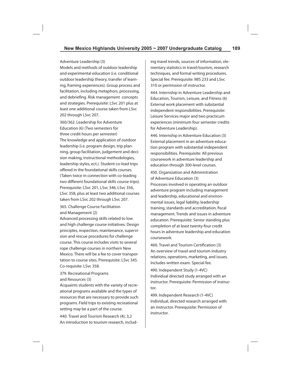#### Adventure Leadership (3)

Models and methods of outdoor leadership and experimental education (i.e. conditional outdoor leadership theory, transfer of learning, framing experiences). Group process and facilitation, including metaphors, processing, and debriefing. Risk management concepts and strategies. Prerequisite: LSvc 201 plus at least one additional course taken from LSvc 202 through LSvc 207.

360/362. Leadership for Adventure Education (6) (Two semesters for three credit hours per semester) The knowledge and application of outdoor leadership (i.e. program design, trip planning, group facilitation, judgement and decision making, instructional methodologies, leadership styles, ect.). Student co-lead trips offered in the foundational skills courses. (Taken twice in connection with co-leading two different foundational skills course trips). Prerequisite: LSvc 201, LSvc 346, LSvc 356, LSvc 358, plus at least two additional courses taken from LSvc 202 through LSvc 207.

365. Challenge Course Facilitation and Management (2)

Advanced processing skills related to low and high challenge course initiatives. Design principles, inspection, maintenance, supervision and rescue procedures for challenge course. This course includes visits to several rope challenge courses in northern New Mexico. There will be a fee to cover transportation to course sites. Prerequisite: LSvc 345. Co-requisite: LSvc 358.

379. Recreational Programs and Resources (3)

Acquaints students with the variety of recreational programs available and the types of resources that are necessary to provide such programs. Field trips to existing recreational setting may be a part of the course.

440. Travel and Tourism Research (4); 3,2 An introduction to tourism research, including travel trends, sources of information, elementary statistics in travel/tourism, research techniques, and formal writing procedures. Special fee. Prerequisite: MIS 233 and LSvc 310 or permission of instructor.

444. Internship in Adventure Leadership and Education, Tourism, Leisure, and Fitness (6) External work placement with substantial independent responsibilities. Prerequisite: Leisure Services major and two practicum experiences (minimum four semester credits for Adventure Leadership).

446. Internship in Adventure Education (3) External placement in an adventure education program with substantial independent responsibilities. Prerequisite: All previous coursework in adventure leadership and education through 300-level courses.

450. Organization and Administration of Adventure Education (3)

Processes involved in operating an outdoor adventure program including management and leadership, educational and environmental issues, legal liability, leadership training, standards and accreditation, fiscal management. Trends and issues in adventure education. Prerequisite: Senior standing plus completion of at least twenty-four credit hours in adventure leadership and education coursework.

460. Travel and Tourism Certification (3) An overview of travel and tourism industry relations, operations, marketing, and issues. Includes written exam. Special fee.

490. Independent Study (1-4VC) Individual directed study arranged with an instructor. Prerequisite: Permission of instructor.

499. Independent Research (1-4VC) Individual, directed research arranged with an instructor. Prerequisite: Permission of instructor.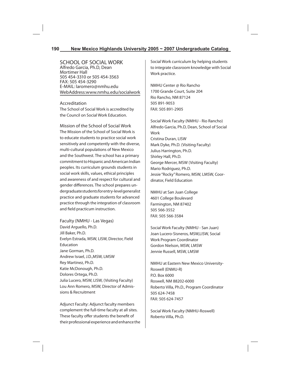SCHOOL OF SOCIAL WORK Alfredo Garcia, Ph.D, Dean Mortimer Hall 505 454-3310 or 505 454-3563 FAX: 505 454-3290 E-MAIL: laromero@nmhu.edu Web Address: www.nmhu.edu/socialwork

## Accreditation

The School of Social Work is accredited by the Council on Social Work Education.

Mission of the School of Social Work The Mission of the School of Social Work is to educate students to practice social work sensitively and competently with the diverse, multi-cultural populations of New Mexico and the Southwest. The school has a primary commitment to Hispanic and American Indian peoples. Its curriculum grounds students in social work skills, values, ethical principles and awareness of and respect for cultural and gender differences. The school prepares undergraduate students for entry-level generalist practice and graduate students for advanced practice through the integration of classroom and field practicum instruction.

Faculty (NMHU - Las Vegas) David Arguello, Ph.D. Jill Baker, Ph.D. Evelyn Estrada, MSW, LISW, Director, Field Education Jane Gorman, Ph.D. Andrew Israel, J.D.,MSW, LMSW Rey Martinez, Ph.D. Katie McDonough, Ph.D. Dolores Ortega, Ph.D. Julia Lucero, MSW, LISW, (Visiting Faculty) Lou Ann Romero, MSW, Director of Admissions & Recruitment

Adjunct Faculty: Adjunct faculty members complement the full-time faculty at all sites. These faculty offer students the benefit of their professional experience and enhance the Social Work curriculum by helping students to integrate classroom knowledge with Social Work practice.

NMHU Center @ Rio Rancho 1700 Grande Court, Suite 204 Rio Rancho, NM 87124 505 891-9053 FAX: 505 891-2905

Social Work Faculty (NMHU - Rio Rancho) Alfredo Garcia, Ph.D, Dean, School of Social Work Cristina Duran, LISW Mark Dyke, Ph.D. (Visiting Faculty) Julius Harrington, Ph.D. Shirley Hall, Ph.D. George Mercer, MSW (Visiting Faculty) Mario Rodriguez, Ph.D. Jessie "Rocky" Romero, MSW, LMSW, Coordinator, Field Education

NMHU at San Juan College 4601 College Boulevard Farmington, NM 87402 505 566-3552 FAX: 505 566-3584

Social Work Faculty (NMHU - San Juan) Joan Lucero-Sisneros, MSW,LISW, Social Work Program Coordinator Gordon Nielson, MSW, LMSW Jennie Russell, MSW, LMSW

NMHU at Eastern New Mexico University-Roswell (ENMU-R) P.O. Box 6000 Roswell, NM 88202-6000 Roberto Villa, Ph.D., Program Coordinator 505 624-7458 FAX: 505 624-7457

Social Work Faculty (NMHU-Roswell) Roberto Villa, Ph.D.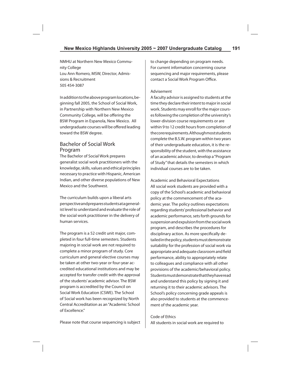NMHU at Northern New Mexico Community College Lou Ann Romero, MSW, Director, Admissions & Recruitment 505 454-3087

In addition to the above program locations, beginning fall 2005, the School of Social Work, in Partnership with Northern New Mexico Community College, will be offering the BSW Program in Espanola, New Mexico. All undergraduate courses will be offered leading toward the BSW degree.

# Bachelor of Social Work Program

The Bachelor of Social Work prepares generalist social work practitioners with the knowledge, skills, values and ethical principles necessary to practice with Hispanic, American Indian, and other diverse populations of New Mexico and the Southwest.

The curriculum builds upon a liberal arts perspective and prepares students at a generalist level to understand and evaluate the role of the social work practitioner in the delivery of human services.

The program is a 52 credit unit major, completed in four full-time semesters. Students majoring in social work are not required to complete a minor program of study. Core curriculum and general elective courses may be taken at other two-year or four-year accredited educational institutions and may be accepted for transfer credit with the approval of the students' academic advisor. The BSW program is accredited by the Council on Social Work Education (CSWE). The School of Social work has been recognized by North Central Accreditation as an "Academic School of Excellence."

to change depending on program needs. For current information concerning course sequencing and major requirements, please contact a Social Work Program Office.

### Advisement

A faculty advisor is assigned to students at the time they declare their intent to major in social work. Students may enroll for the major courses following the completion of the university's lower-division course requirements or are within 9 to 12 credit hours from completion of the core requirements. Although most students complete the B.S.W. program within two years of their undergraduate education, it is the responsibility of the student, with the assistance of an academic advisor, to develop a "Program of Study" that details the semesters in which individual courses are to be taken.

Academic and Behavioral Expectations All social work students are provided with a copy of the School's academic and behavioral policy at the commencement of the academic year. The policy outlines expectations regarding students' professional behavior and academic performance, sets forth grounds for suspension and expulsion from the social work program, and describes the procedures for disciplinary action. As more specifically detailed in the policy, students must demonstrate suitability for the profession of social work via appropriate and adequate classroom and field performance, ability to appropriately relate to colleagues and compliance with all other provisions of the academic/behavioral policy. Students must demonstrate that they have read and understand this policy by signing it and returning it to their academic advisors. The School's policy concerning grade appeals is also provided to students at the commencement of the academic year.

Code of Ethics All students in social work are required to

Please note that course sequencing is subject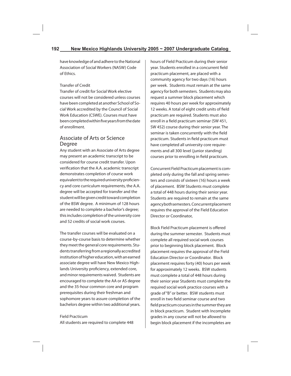have knowledge of and adhere to the National Association of Social Workers (NASW) Code of Ethics.

## Transfer of Credit

Transfer of credit for Social Work elective courses will not be considered unless courses have been completed at another School of Social Work accredited by the Council of Social Work Education (CSWE). Courses must have been completed within five years from the date of enrollment.

# Associate of Arts or Science Degree

Any student with an Associate of Arts degree may present an academic transcript to be considered for course credit transfer. Upon verification that the A.A. academic transcript demonstrates completion of course work equivalent to the required university proficiency and core curriculum requirements, the A.A. degree will be accepted for transfer and the student will be given credit toward completion of the BSW degree. A minimum of 128 hours are needed to complete a bachelor's degree; this includes completion of the university core and 52 credits of social work courses.

The transfer courses will be evaluated on a course-by-course basis to determine whether they meet the general core requirements. Students transferring from a regionally accredited institution of higher education, with an earned associate degree will have New Mexico Highlands University proficiency, extended core, and minor requirements waived. Students are encouraged to complete the AA or AS degree and the 35-hour common core and program prerequisites during their freshman and sophomore years to assure completion of the bachelors degree within two additional years.

Field Practicum All students are required to complete 448 hours of Field Practicum during their senior year. Students enrolled in a concurrent field practicum placement, are placed with a community agency for two days (16) hours per week. Students must remain at the same agency for both semesters. Students may also request a summer block placement which requires 40 hours per week for approximately 12 weeks. A total of eight credit units of field practicum are required. Students must also enroll in a field practicum seminar (SW 451, SW 452) course during their senior year. The seminar is taken concurrently with the field practicum. Students in field practicum must have completed all university core requirements and all 300 level (junior standing) courses prior to enrolling in field practicum.

Concurrent Field Practicum placement is completed only during the fall and spring semesters and consists of sixteen (16) hours a week of placement. BSW Students must complete a total of 448 hours during their senior year. Students are required to remain at the same agency both semesters. Concurrent placement requires the approval of the Field Education Director or Coordinator,

Block Field Practicum placement is offered during the summer semester. Students must complete all required social work courses prior to beginning block placement. Block placement requires the approval of the Field Education Director or Coordinator. Block placement requires forty (40) hours per week for approximately 12 weeks. BSW students must complete a total of 448 hours during their senior year Students must complete the required social work practice courses with a grade of "B" or better. BSW students must enroll in two field seminar course and two field practicum courses in the summer they are in block practicum. Student with Incomplete grades in any course will not be allowed to begin block placement if the incompletes are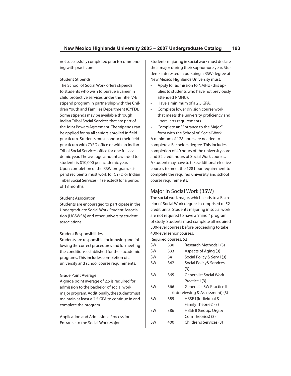not successfully completed prior to commencing with practicum.

### Student Stipends

The School of Social Work offers stipends to students who wish to pursue a career in child protective services under the Title IV-E stipend program in partnership with the Children Youth and Families Department (CYFD). Some stipends may be available through Indian Tribal Social Services that are part of the Joint Powers Agreement. The stipends can be applied for by all seniors enrolled in field practicum. Students must conduct their field practicum with CYFD office or with an Indian Tribal Social Services office for one full academic year. The average amount awarded to students is \$10,000 per academic year. Upon completion of the BSW program, stipend recipients must work for CYFD or Indian Tribal Social Services (if selected) for a period of 18 months.

#### Student Association

Students are encouraged to participate in the Undergraduate Social Work Student Association (UGSWSA) and other university student associations.

#### Student Responsibilities

Students are responsible for knowing and following the correct procedures and for meeting the conditions established for their academic programs. This includes completion of all university and school course requirements.

### Grade Point Average

A grade point average of 2.5 is required for admission to the bachelor of social work major program. Additionally, the student must maintain at least a 2.5 GPA to continue in and complete the program.

Application and Admissions Process for Entrance to the Social Work Major

Students majoring in social work must declare their major during their sophomore year. Students interested in pursuing a BSW degree at New Mexico Highlands University must:

- Apply for admission to NMHU (this applies to students who have not previously attended NMHU).
- Have a minimum of a 2.5 GPA.
- Complete lower division course work that meets the university proficiency and liberal arts requirements.
- Complete an "Entrance to the Major" form with the School of Social Work.

A minimum of 128 hours are needed to complete a Bachelors degree. This includes completion of 40 hours of the university core and 52 credit hours of Social Work courses. A student may have to take additional elective courses to meet the 128 hour requirement to complete the required university and school course requirements.

# Major in Social Work (BSW)

The social work major, which leads to a Bachelor of Social Work degree is comprised of 52 credit units. Students majoring in social work are not required to have a "minor" program of study. Students must complete all required 300-level courses before proceeding to take 400-level senior courses.

Required courses: 52

| <b>SW</b> | 330 | Research Methods I (3)           |  |
|-----------|-----|----------------------------------|--|
| <b>SW</b> | 333 | Aspects of Aging (3)             |  |
| <b>SW</b> | 341 | Social Policy & Serv I (3)       |  |
| SW        | 342 | Social Policy& Services II       |  |
|           |     | (3)                              |  |
| <b>SW</b> | 365 | <b>Generalist Social Work</b>    |  |
|           |     | Practice I (3)                   |  |
| <b>SW</b> | 366 | <b>Generalist SW Practice II</b> |  |
|           |     | (Interviewing & Assessment) (3)  |  |
| SW        | 385 | HBSE I (Individual &             |  |
|           |     | Family Theories) (3)             |  |
| <b>SW</b> | 386 | HBSE II (Group, Org, &           |  |
|           |     | Com Theories) (3)                |  |
| SW        | 400 | Children's Services (3)          |  |
|           |     |                                  |  |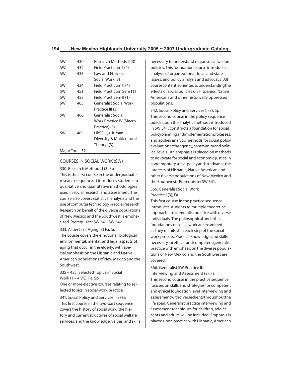| SW              | 430 | Research Methods II (3)   |  |
|-----------------|-----|---------------------------|--|
| SW              | 432 | Field Practicum I (4)     |  |
| SW              | 433 | Law and Ethics in         |  |
|                 |     | Social Work (3)           |  |
| SW              | 434 | Field Practicum II (4)    |  |
| SW              | 451 | Field Practicum Sem I (1) |  |
| <b>SW</b>       | 452 | Field Pract Sem II (1)    |  |
| SW              | 465 | Generalist Social Work    |  |
|                 |     | Practice III (3)          |  |
| SW              | 466 | <b>Generalist Social</b>  |  |
|                 |     | Work Practice IV (Macro   |  |
|                 |     | Practice) (3)             |  |
| SW              | 485 | HBSE III, (Human          |  |
|                 |     | Diversity & Multicultural |  |
|                 |     | Theory) (3)               |  |
| Major Total: 52 |     |                           |  |

## COURSES IN SOCIAL WORK (SW)

330. Research Methods I (3) Sp This is the first course in the undergraduate research sequence. It introduces students to qualitative and quantitative methodologies used in social research and assessment. The course also covers statistical analysis and the use of computer technology in social research. Research on behalf of the diverse populations of New Mexico and the Southwest is emphasized. Prerequisite: SW 341, SW 342.

333. Aspects of Aging (3) Fa, Su.

The course covers the emotional, biological, environmental, mental, and legal aspects of aging that occur in the elderly, with special emphasis on the Hispanic and Native American populations of New Mexico and the Southwest.

335 – 435. Selected Topics in Social Work (1 – 4 VC); Fa, Sp

One or more elective courses relating to selected topics in social work practice.

341. Social Policy and Services I (3) Fa This first course in the two-part sequence covers the history of social work, the history and current structures of social welfare services, and the knowledge, values, and skills necessary to understand major social welfare policies. This foundation course introduces analysis of organizational, local and state issues, and policy analysis and advocacy. All course content is oriented to understanding the effects of social policies on Hispanics, Native Americans and other historically oppressed populations.

342. Social Policy and Services II (3); Sp This second course in the policy sequence builds upon the analytic methods introduced in SW 341, constructs a foundation for social policy planning and implementation processes, and applies analytic methods for social policy evaluation at the agency, community and political levels. An emphasis is placed on methods to advocate for social and economic justice in contemporary social policy and to advance the interests of Hispanic, Native American and other diverse populations of New Mexico and the Southwest. Prerequisite: SW 341.

365. Generalist Social Work Practice I (3); Fa.

This first course in the practice sequence introduces students to multiple theoretical approaches to generalist practice with diverse individuals. The philosophical and ethical foundations of social work are examined as they manifest in each step of the social work process. Practice knowledge and skills necessary for ethical and competent generalist practice with emphasis on the diverse populations of New Mexico and the Southwest are covered.

366. Generalist SW Practice II:

Interviewing and Assessment (3); Fa This second course in the practice sequence focuses on skills and strategies for competent and ethical foundation level interviewing and assessment with diverse clients throughout the life span. Generalist practice interviewing and assessment techniques for children, adolescents and adults will be included. Emphasis is placed upon practice with Hispanic, American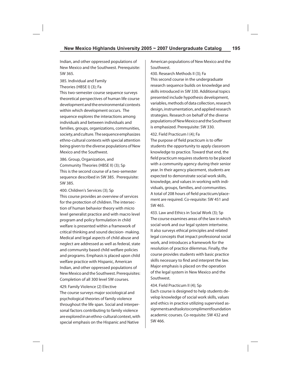Indian, and other oppressed populations of New Mexico and the Southwest. Prerequisite: SW 365.

385. Individual and Family Theories (HBSE I) (3); Fa This two-semester course sequence surveys theoretical perspectives of human life course

development and the environmental contexts within which development occurs. The sequence explores the interactions among individuals and between individuals and families, groups, organizations, communities, society, and culture. The sequence emphasizes ethno-cultural contexts with special attention being given to the diverse populations of New Mexico and the Southwest.

386. Group, Organization, and Community Theories (HBSE II) (3); Sp This is the second course of a two-semester sequence described in SW 385. Prerequisite: SW 385.

400. Children's Services (3); Sp This course provides an overview of services for the protection of children. The intersection of human behavior theory with micro level generalist practice and with macro level program and policy formulation in child welfare is presented within a framework of critical thinking and sound decision- making. Medical and legal aspects of child abuse and neglect are addressed as well as federal, state and community based child welfare policies and programs. Emphasis is placed upon child welfare practice with Hispanic, American Indian, and other oppressed populations of New Mexico and the Southwest. Prerequisites: Completion of all 300 level SW courses.

#### 429. Family Violence (2) Elective

The course surveys major sociological and psychological theories of family violence throughout the life span. Social and interpersonal factors contributing to family violence are explored in an ethno-cultural context, with special emphasis on the Hispanic and Native

American populations of New Mexico and the Southwest.

430. Research Methods II (3); Fa

This second course in the undergraduate research sequence builds on knowledge and skills introduced in SW 330. Additional topics presented include hypothesis development, variables, methods of data collection, research design, instrumentation, and applied research strategies. Research on behalf of the diverse populations of New Mexico and the Southwest is emphasized. Prerequisite: SW 330.

432. Field Practicum I (4); Fa

The purpose of field practicum is to offer students the opportunity to apply classroom knowledge to practice. Toward that end, the field practicum requires students to be placed with a community agency during their senior year. In their agency placement, students are expected to demonstrate social work skills, knowledge, and values in working with individuals, groups, families, and communities. A total of 208 hours of field practicum/placement are required. Co-requisite: SW 451 and SW 465.

433. Law and Ethics in Social Work (3); Sp The course examines areas of the law in which social work and our legal system intertwine. It also surveys ethical principles and related legal concepts that impact professional social work, and introduces a framework for the resolution of practice dilemmas. Finally, the course provides students with basic practice skills necessary to find and interpret the law. Major emphasis is placed on the operation of the legal system in New Mexico and the Southwest.

434. Field Practicum II (4); Sp

Each course is designed to help students develop knowledge of social work skills, values and ethics in practice utilizing supervised assignments and tasks to compliment foundation academic courses. Co-requisite: SW 432 and SW 466.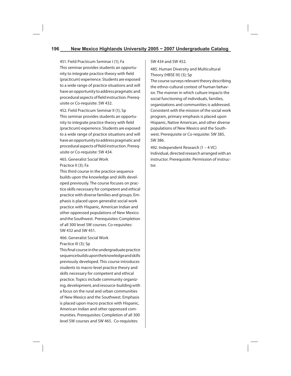451. Field Practicum Seminar I (1); Fa This seminar provides students an opportunity to integrate practice theory with field (practicum) experience. Students are exposed to a wide range of practice situations and will have an opportunity to address pragmatic and procedural aspects of field instruction. Prerequisite or Co-requisite: SW 432.

452. Field Practicum Seminar II (1); Sp This seminar provides students an opportunity to integrate practice theory with field (practicum) experience. Students are exposed to a wide range of practice situations and will have an opportunity to address pragmatic and procedural aspects of field instruction. Prerequisite or Co-requisite: SW 434.

465. Generalist Social Work Practice II (3); Fa

This third course in the practice sequence builds upon the knowledge and skills developed previously. The course focuses on practice skills necessary for competent and ethical practice with diverse families and groups. Emphasis is placed upon generalist social work practice with Hispanic, American Indian and other oppressed populations of New Mexico and the Southwest. Prerequisites: Completion of all 300 level SW courses. Co-requisites: SW 432 and SW 451.

466. Generalist Social Work

Practice III (3); Sp

This final course in the undergraduate practice sequence builds upon the knowledge and skills previously developed. This course introduces students to macro-level practice theory and skills necessary for competent and ethical practice. Topics include community organizing, development, and resource-building with a focus on the rural and urban communities of New Mexico and the Southwest. Emphasis is placed upon macro practice with Hispanic, American Indian and other oppressed communities. Prerequisites: Completion of all 300 level SW courses and SW 465. Co-requisites:

#### SW 434 and SW 452.

485. Human Diversity and Multicultural Theory (HBSE III) (3); Sp

The course surveys relevant theory describing the ethno-cultural context of human behavior. The manner in which culture impacts the social functioning of individuals, families, organizations and communities is addressed. Consistent with the mission of the social work program, primary emphasis is placed upon Hispanic, Native American, and other diverse populations of New Mexico and the Southwest. Prerequisite or Co-requisite: SW 385, SW 386.

492. Independent Research (1 – 4 VC) Individual, directed research arranged with an instructor. Prerequisite: Permission of instructor.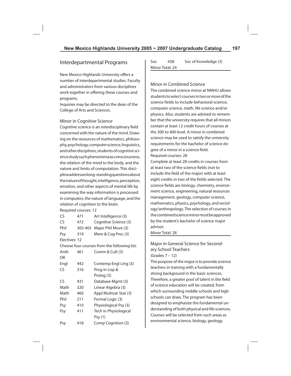# Interdepartmental Programs

New Mexico Highlands University offers a number of interdepartmental studies. Faculty and administrators from various disciplines work together in offering these courses and programs.

Inquiries may be directed to the dean of the College of Arts and Sciences.

### Minor in Cognitive Science

Cognitive science is an interdisciplinary field concerned with the nature of the mind. Drawing on the resources of mathematics, philosophy, psychology, computer science, linguistics, and other disciplines, students of cognitive science study such phenomena as consciousness, the relation of the mind to the body, and the nature and limits of computation. This discipline addresses long-standing questions about the nature of thought, intelligence, perception, emotion, and other aspects of mental life by examining the way information is processed in computers, the nature of language, and the relation of cognition to the brain.

Required courses: 12

| CS            | 471     | Art Intelligence (3)                         |  |
|---------------|---------|----------------------------------------------|--|
| CS            | 472     | Cognitive Science (3)                        |  |
| Phil          | 305-405 | Major Phil Move (3)                          |  |
| Psy           | 319     | Mem & Cog Proc (3)                           |  |
| Electives: 12 |         |                                              |  |
|               |         | Choose four courses from the following list: |  |
| Anth          | 461     | Comm & Cult (3)                              |  |
| OR            |         |                                              |  |
| Engl          | 442     | Contemp Engl Ling (3)                        |  |
| CS            | 316     | Prog in Lisp &                               |  |
|               |         | Prolog (3)                                   |  |
| CS            | 431     | Database Mgmt (3)                            |  |
| Math          | 320     | Linear Algebra (3)                           |  |
| Math          | 460     | Appl Multivar Stat (3)                       |  |
| Phil          | 211     | Formal Logic (3)                             |  |
| Psy           | 410     | Physiological Psy (3)                        |  |
| Psy           | 411     | Tech in Physiological                        |  |
|               |         | Psy (1)                                      |  |
| Psy           | 418     | Comp Cognition (3)                           |  |

Soc 438 Soc of Knowledge (3) Minor Total: 24

#### Minor in Combined Science

The combined science minor at NMHU allows students to select courses in two or more of the science fields to include behavioral science, computer science, math, life science and/or physics. Also, students are advised to remember that the university requires that all minors contain at least 12 credit hours of courses at the 300 to 400 level. A minor in combined science may be used to satisfy the university requirements for the bachelor of science degree of a minor in a science field. Required courses: 28

Complete at least 28 credits in courses from at least two of the science fields (not to include the field of the major) with at least eight credits in two of the fields selected. The science fields are biology, chemistry, environment science, engineering, natural resources management, geology, computer science, mathematics, physics, psychology, and sociology/anthropology. The selection of courses in the combined science minor must be approved by the student's bachelor of science major advisor.

Minor Total: 28

# Major in General Science for Secondary School Teachers (Grades 7 – 12)

The purpose of the major is to provide science teachers in training with a fundamentally strong background in the basic sciences. Therefore, a greater pool of talent in the field of science education will be created, from which surrounding middle schools and high schools can draw. The program has been designed to emphasize the fundamental understanding of both physical and life sciences. Courses will be selected from such areas as environmental science, biology, geology,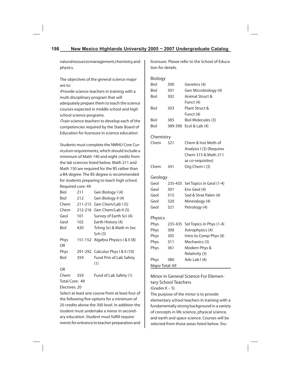natural resources management, chemistry, and physics.

The objectives of the general science major are to:

•Provide science teachers in training with a multi disciplinary program that will adequately prepare them to teach the science courses expected in middle school and high school science programs.

•Train science teachers to develop each of the competencies required by the State Board of Education for licensure in science education

Students must complete the NMHU Core Curriculum requirements, which should include a minimum of Math 140 and eight credits from the lab sciences listed below. Math 211 and Math 150 are required for the BS rather than a BA degree. The BS degree is recommended for students preparing to teach high school. Required core: 49

| Biol | 211     | Gen Biology I (4)                  |
|------|---------|------------------------------------|
| Biol | 212     | Gen Biology II (4)                 |
| Chem | 211-215 | Gen Chem/Lab I (5)                 |
| Chem | 212-216 | Gen Chem/Lab II (5)                |
| Geol | 101     | Survey of Earth Sci (4)            |
| Geol | 102     | Earth History (4)                  |
| Biol | 420     | Tchng Sci & Math in Sec            |
|      |         | Sch (3)                            |
| Phys |         | 151-152 Algebra Physics   & II (8) |
| ΩR   |         |                                    |
| Phys |         | 291-292 Calculus Phys   & II (10)  |
| Biol | 359     | <b>Fund Prin of Lab Safety</b>     |
|      |         | (1)                                |
| OR   |         |                                    |

Chem 359 Fund of Lab Safety (1) Total Core: 49

Electives: 20

Select at least one course from at least four of the following five options for a minimum of 20 credits above the 300 level. In addition the student must undertake a minor in secondary education. Student must fulfill requirements for entrance to teacher preparation and

licensure. Please refer to the School of Education for details.

| Biology   |                |                                         |
|-----------|----------------|-----------------------------------------|
| Biol      | 300            | Genetics (4)                            |
| Biol      | 301            | Gen Microbiology (4)                    |
| Biol      | 302            | Animal Struct &                         |
|           |                | Funct (4)                               |
| Biol      | 303            | Plant Struct &                          |
|           |                | Funct (4)                               |
| Biol      | 385            | <b>Biol Molecules (3)</b>               |
| Biol      | 389-390        | Ecol & Lab (4)                          |
| Chemistry |                |                                         |
| Chem      | 321            | Chem & Inst Meth of                     |
|           |                | Analysis I (3) (Requires                |
|           |                | Chem 315 & Math 211                     |
|           |                | as co-requisites)                       |
| Chem      | 341            | Org Chem I (3)                          |
| Geology   |                |                                         |
| Geol      |                | 235-435 Sel Topics in Geol (1-4)        |
|           | 301            | Env Geol (4)                            |
| Geol      |                |                                         |
| Geol      | 315            | Sed & Strat Palen (4)                   |
| Geol      | 320            | Mineralogy (4)                          |
| Geol      | 321            | Petrology (4)                           |
|           |                |                                         |
| Physics   |                |                                         |
| Phys      | 235-435<br>300 | Sel Topics in Phys (1-4)                |
| Phys      | 305            | Astrophysics (4)                        |
| Phys      | 311            | Intro to Comp Phys (4)<br>Mechanics (3) |
| Phys      | 361            | Modern Phys &                           |
| Phys      |                | Relativity (3)                          |
| Phys      | 380            | Adv Lab I (4)                           |

Minor in General Science For Elementary School Teachers (Grades K – 5)

The purpose of the minor is to provide elementary school teachers in training with a fundamentally strong background in a variety of concepts in life science, physical science, and earth and space science. Courses will be selected from those areas listed below. Stu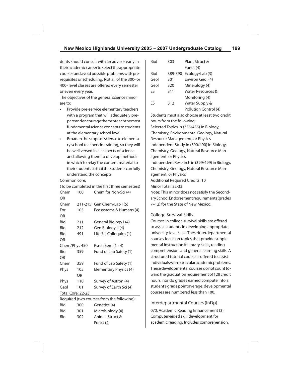dents should consult with an advisor early in their academic career to select the appropriate courses and avoid possible problems with prerequisites or scheduling. Not all of the 300- or 400- level classes are offered every semester or even every year.

The objectives of the general science minor are to:

- Provide pre-service elementary teachers with a program that will adequately prepare and encourage them to teach the most fundamental science concepts to students at the elementary school level.
- Broaden the scope of science to elementary school teachers in training, so they will be well versed in all aspects of science and allowing them to develop methods in which to relay the content material to their students so that the students can fully understand the concepts.

Common core:

| (To be completed in the first three semesters) |     |                            |  |
|------------------------------------------------|-----|----------------------------|--|
| Chem                                           | 100 | Chem for Non-Sci (4)       |  |
| OR                                             |     |                            |  |
| Chem                                           |     | 211-215 Gen Chem/Lab I (5) |  |
| For                                            | 105 | Ecosystems & Humans (4)    |  |
| OR                                             |     |                            |  |
| Biol                                           | 211 | General Biology I (4)      |  |
| Biol                                           | 212 | Gen Biology II (4)         |  |
| Biol                                           | 491 | Life Sci Colloquim (1)     |  |
| OR                                             |     |                            |  |
| Chem/Phys 450                                  |     | Rsrch Sem (1 - 4)          |  |
| Biol                                           | 359 | Fund of Lab Safety (1)     |  |
| OR                                             |     |                            |  |
| Chem                                           | 359 | Fund of Lab Safety (1)     |  |
| <b>Phys</b>                                    | 105 | Elementary Physics (4)     |  |
|                                                | OR  |                            |  |
| Phys                                           | 110 | Survey of Astron (4)       |  |
| Geol                                           | 101 | Survey of Earth Sci (4)    |  |
| Total Core: 22-23                              |     |                            |  |
| Required (two courses from the following):     |     |                            |  |
| Biol                                           | 300 | Genetics (4)               |  |
|                                                |     |                            |  |

|             |     | Required (two courses from the following): |
|-------------|-----|--------------------------------------------|
| Biol        | 300 | Genetics (4)                               |
| Biol        | 301 | Microbiology (4)                           |
| <b>Biol</b> | 302 | Animal Struct &                            |
|             |     | Funct (4)                                  |
|             |     |                                            |

| Biol | 303     | Plant Struct &        |
|------|---------|-----------------------|
|      |         | Funct (4)             |
| Biol | 389-390 | Ecology/Lab (3)       |
| Geol | 301     | Environ Geol (4)      |
| Geol | 320     | Mineralogy (4)        |
| FS   | 311     | Water Resources &     |
|      |         | Monitoring (4)        |
| FS   | 312     | Water Supply &        |
|      |         | Pollution Control (4) |

Students must also choose at least two credit hours from the following: Selected Topics in (335/435) in Biology, Chemistry, Environmental Geology, Natural Resource Management, or Physics Independent Study in (390/490) in Biology, Chemistry, Geology, Natural Resource Management, or Physics Independent Research in (399/499) in Biology, Chemistry, Geology, Natural Resource Management, or Physics Additional Required Credits: 10 Minor Total: 32-33

Note: This minor does not satisfy the Secondary School Endorsement requirements (grades 7–12) for the State of New Mexico.

# College Survival Skills

Courses in college survival skills are offered to assist students in developing appropriate university-level skills. These interdepartmental courses focus on topics that provide supplemental instruction in library skills, reading comprehension, and general learning skills. A structured tutorial course is offered to assist individuals with particular academic problems. These developmental courses do not count toward the graduation requirement of 128 credit hours, nor do grades earned compute into a student's grade point average: developmental courses are numbered less than 100.

# Interdepartmental Courses (InDp)

070. Academic Reading Enhancement (3) Computer-aided skill development for academic reading. Includes comprehension,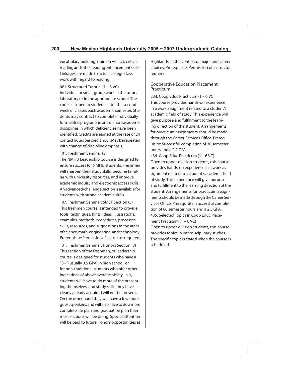vocabulary building, opinion vs. fact, critical reading and other reading enhancement skills. Linkages are made to actual college class work with regard to reading.

081. Structured Tutorial (1 – 3 VC)

Individual or small-group work in the tutorial laboratory or in the appropriate school. The course is open to students after the second week of classes each academic semester. Students may contract to complete individually formulated programs in one or more academic disciplines in which deficiencies have been identified. Credits are earned at the rate of 24 contact hours per credit hour. May be repeated with change of discipline emphasis.

101. Freshmen Seminar (3)

The NMHU Leadership Course is designed to ensure success for NMHU students. Freshmen will sharpen their study skills, become familiar with university resources, and improve academic inquiry and electronic access skills. An advanced/challenge section is available for students with strong academic skills.

107. Freshmen Seminar: SMET Section (3) This freshmen course is intended to provide tools, techniques, hints, ideas, illustrations, examples, methods, procedures, processes, skills, resources, and suggestions in the areas of science, math, engineering, and technology. Prerequisite: Permission of instructor required.

131. Freshmen Seminar: Honors Section (3) This section of the freshmen, or leadership course is designed for students who have a "B+" (usually 3.5 GPA) in high school, or for non-traditional students who offer other indications of above average ability. In it, students will have to do more of the presenting themselves, and study skills they have clearly already acquired will not be present. On the other hand they will have a few more guest speakers, and will also have to do a more complete life plan and graduation plan than most sections will be doing. Special attention will be paid to future Honors opportunities at

Highlands, in the context of major and career choices. Prerequisite: Permission of instructor required.

### Cooperative Education Placement Practicum

234. Coop Educ Practicum (1 – 6 VC) This course provides hands-on experience in a work assignment related to a student's academic field of study. This experience will give purpose and fulfillment to the learning direction of the student. Arrangements for practicum assignments should be made through the Career Services Office. Prerequisite: Successful completion of 30 semester hours and a 2.2 GPA.

434. Coop Educ Practicum (1 – 6 VC) Open to upper-division students, this course provides hands-on experience in a work assignment related to a student's academic field of study. This experience will give purpose and fulfillment to the learning direction of the student. Arrangements for practicum assignments should be made through the Career Services Office. Prerequisite: Successful completion of 60 semester hours and a 2.5 GPA. 435. Selected Topics in Coop Educ Placement Practicum (1 – 6 VC) Open to upper-division students, this course provides topics in interdisciplinary studies. The specific topic is stated when the course is scheduled.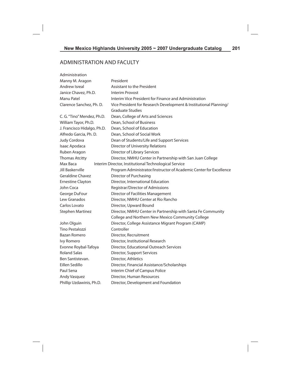# ADMINISTRATION AND FACULTY

| Administration              |                                                                    |  |  |
|-----------------------------|--------------------------------------------------------------------|--|--|
| Manny M. Aragon             | President                                                          |  |  |
| Andrew Isreal               | <b>Assistant to the President</b>                                  |  |  |
| Janice Chavez, Ph.D.        | <b>Interim Provost</b>                                             |  |  |
| Manu Patel                  | Interim Vice President for Finance and Administration              |  |  |
| Clarence Sanchez, Ph. D.    | Vice President for Research Development & Institutional Planning/  |  |  |
|                             | <b>Graduate Studies</b>                                            |  |  |
| C. G. "Tino" Mendez, Ph.D.  | Dean, College of Arts and Sciences                                 |  |  |
| William Tayor, Ph.D.        | Dean, School of Business                                           |  |  |
| J. Francisco Hidalgo, Ph.D. | Dean, School of Education                                          |  |  |
| Alfredo Garcia, Ph. D.      | Dean, School of Social Work                                        |  |  |
| Judy Cordova                | Dean of Students/Life and Support Services                         |  |  |
| Isaac Apodaca               | Director of University Relations                                   |  |  |
| Ruben Aragon                | Director of Library Services                                       |  |  |
| <b>Thomas Atcitty</b>       | Director, NMHU Center in Partnership with San Juan College         |  |  |
| Max Baca                    | Interim Director, Institutional Technological Service              |  |  |
| Jill Baskerville            | Program Administrator/Instructor of Academic Center for Excellence |  |  |
| <b>Geraldine Chavez</b>     | Director of Purchasing                                             |  |  |
| <b>Ernestine Clayton</b>    | Director, International Education                                  |  |  |
| John Coca                   | Registrar/Director of Admissions                                   |  |  |
| George DuFour               | Director of Facilities Management                                  |  |  |
| Lew Granados                | Director, NMHU Center at Rio Rancho                                |  |  |
| Carlos Lovato               | Director, Upward Bound                                             |  |  |
| <b>Stephen Martinez</b>     | Director, NMHU Center in Partnership with Santa Fe Community       |  |  |
|                             | College and Northern New Mexico Community College                  |  |  |
| John Olguin                 | Director, College Assistance Migrant Program (CAMP)                |  |  |
| Tino Pestalozzi             | Controller                                                         |  |  |
| Bazan Romero                | Director, Recruitment                                              |  |  |
| Ivy Romero                  | Director, Institutional Research                                   |  |  |
| Evonne Roybal-Tafoya        | Director, Educational Outreach Services                            |  |  |
| <b>Roland Salas</b>         | Director, Support Services                                         |  |  |
| Ben Santistevan.            | Director, Athletics                                                |  |  |
| Eillen Sedillo              | Director, Financial Assistance/Scholarships                        |  |  |
| Paul Sena                   | Interim Chief of Campus Police                                     |  |  |
| Andy Vasquez                | Director, Human Resources                                          |  |  |
| Phillip Uzdawinis, Ph.D.    | Director, Development and Foundation                               |  |  |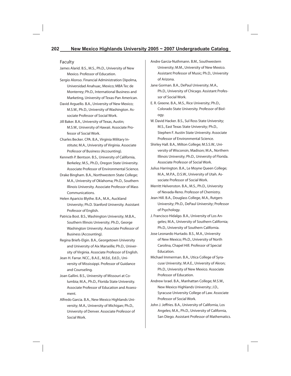#### Faculty

- James Alarid. B.S., M.S., Ph.D., University of New Mexico. Professor of Education.
- Sergio Alonso. Financial Administration Dipolma, Universidad Anahuac, Mexico; MBA Tec de Monterrey; Ph.D., International Business and Marketing, University of Texas-Pan American.
- David Arguello. B.A., University of New Mexico; M.S.W., Ph.D., University of Washington. Associate Professor of Social Work.
- Jill Baker. B.A., University of Texas, Austin; M.S.W., University of Hawaii. Associate Professor of Social Work.
- Charles Becker. CPA. B.A., Virginia Military Institute; M.A., University of Virginia. Associate Professor of Business (Accounting).
- Kenneth P. Bentson. B.S., University of California, Berkeley; M.S., Ph.D., Oregon State University. Associate Professor of Environmental Science.
- Drake Bingham. B.A., Northwestern State College; M.A., University of Oklahoma; Ph.D., Southern Illinois University. Associate Professor of Mass Communications.
- Helen Aparicio Blythe. B.A., M.A., Auckland University; Ph.D. Stanford University. Assistant Professor of English.
- Patricia Bost. B.S., Washington University; M.B.A., Southern Illinois University; Ph.D., George Washington University. Associate Professor of Business (Accounting).
- Regina Briefs-Elgin. B.A., Georgetown University and University of Aix Marseille; Ph.D., University of Virginia. Associate Professor of English.
- Jean H. Farrar. NCC., B.A.E., M.Ed., Ed.D., University of Mississippi. Professor of Guidance and Counseling.
- Joan Gallini. B.S., University of Missouri at Columbia; M.A., Ph.D., Florida State University. Associate Professor of Education and Assessment.
- Alfredo Garcia. B.A., New Mexico Highlands University; M.A., University of Michigan; Ph.D., University of Denver. Associate Professor of Social Work.
- Andre Garcia-Nuthmann. B.M., Southwestern University; M.M., University of New Mexico. Assistant Professor of Music; Ph.D., University of Arizona.
- Jane Gorman. B.A., DePaul University; M.A., Ph.D., University of Chicago. Assistant Professor of Social Work.
- E. R. Greene. B.A., M.S., Rice University; Ph.D., Colorado State University. Professor of Biology.
- W. David Hacker. B.S., Sul Ross State University; M.S., East Texas State University; Ph.D., Stephen F. Austin State University. Associate Professor of Environmental Science.
- Shirley Hall. B.A., Milton College; M.S.S.W., University of Wisconsin, Madison; M.A., Northern Illinois University; Ph.D., University of Florida. Associate Professor of Social Work.
- Julius Harrington. B.A., Le Moyne Queen College; M.A., M.P.A., D.S.W., University of Utah. Associate Professor of Social Work.
- Merritt Helvenston. B.A., M.S., Ph.D., University of Nevada-Reno. Professor of Chemistry.
- Jean Hill. B.A., Douglass College, M.A., Rutgers University; Ph.D., DePaul University; Professor of Psychology.
- J. Francisco Hidalgo. B.A., University of Los Angeles; M.A., University of Southern California; Ph.D., University of Southern California.
- Jose Leonardo Hurtado. B.S., M.A., University of New Mexico; Ph.D., University of North Carolina, Chapel Hill. Professor of Special Education.
- Michael Immerman. B.A., Utica College of Syracuse University; M.A.E., University of Akron; Ph.D., University of New Mexico. Associate Professor of Education.
- Andrew Israel. B.A., Manhattan College; M.S.W., New Mexico Highlands University; J.D., Syracuse University College of Law. Associate Professor of Social Work.
- John J. Jeffries. B.A., University of California, Los Angeles; M.A., Ph.D., University of California, San Diego. Assistant Professor of Mathematics.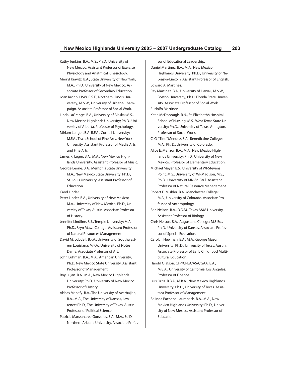- Kathy Jenkins. B.A., M.S., Ph.D., University of New Mexico. Assistant Professor of Exercise Physiology and Anatmical Kinesiology.
- Merryl Kravitz. B.A., State University of New York; M.A., Ph.D., University of New Mexico. Associate Professor of Secondary Education.
- Joan Krohn. LISW. B.S.E., Northern Illinois University; M.S.W., University of Urbana-Champaign. Associate Professor of Social Work.
- Linda LaGrange. B.A., University of Alaska; M.S., New Mexico Highlands University; Ph.D., University of Alberta. Professor of Psychology.
- Miriam Langer. B.A, B.F.A., Cornell University; M.F.A., Tisch School of Fine Arts, New York University. Assistant Professor of Media Arts and Fine Arts.
- James K. Leger. B.A., M.A., New Mexico Highlands University. Assistant Professor of Music.
- George Leone. B.A., Memphis State University; M.A., New Mexico State University; Ph.D., St. Louis University. Assistant Professor of Education.
- Carol Linder.
- Peter Linder. B.A., University of New Mexico; M.A., University of New Mexico; Ph.D., University of Texas, Austin. Associate Professor of History.
- Jennifer Lindline. B.S., Temple University; M.A., Ph.D., Bryn Mawr College. Assistant Professor of Natural Resources Management.
- David M. Lobdell. B.F.A., University of Southwestern Louisiana; M.F.A., University of Notre Dame. Associate Professor of Art.
- John Luhman. B.A., M.A., American University; Ph.D. New Mexico State University. Assistant Professor of Management.
- Roy Lujan. B.A., M.A., New Mexico Highlands University; Ph.D., University of New Mexico. Professor of History.
- Abbas Manafy. B.A., The University of Azerbaijan; B.A., M.A., The University of Kansas, Lawrence; Ph.D., The University of Texas, Austin. Professor of Political Science.
- Patricia Manzanares-Gonzales. B.A., M.A., Ed.D., Northern Arizona University. Associate Profes-

sor of Educational Leadership.

Daniel Martinez. B.A., M.A., New Mexico Highlands University; Ph.D., University of Nebraska-Lincoln. Assistant Professor of English. Edward A. Martinez.

- Rey Martinez. B.A., University of Hawaii; M.S.W., Boston University; Ph.D. Florida State University. Associate Professor of Social Work. Rudolfo Martinez.
- Katie McDonough. R.N., St. Elizabeth's Hospital School of Nursing; M.S., West Texas State University; Ph.D., University of Texas, Arlington. Professor of Social Work.
- C. G. "Tino" Mendez. B.A., Benedictine College; M.A., Ph. D., University of Colorado.
- Alice E. Menzor. B.A., M.A., New Mexico Highlands University; Ph.D., University of New Mexico. Professor of Elementary Education.
- Michael Meyer. B.S., University of WI-Stevens Point; M.S., University of WI-Madison; M.S., Ph.D., University of MN-St. Paul. Assistant Professor of Natural Resource Management.
- Robert E. Mishler. B.A., Manchester College; M.A., University of Colorado. Associate Professor of Anthropology.
- Ben Nelson. B.A., D.D.M., Texas A&M University. Assistant Professor of Biology.
- Chris Nelson. B.A., Augustana College; M.S.Ed., Ph.D., University of Kansas. Associate Professor of Special Education.
- Carolyn Newman. B.A., M.A., George Mason University; Ph.D., University of Texas, Austin. Associate Professor of Early Childhood Multicultural Education.
- Harold Olafson. CFP/CREA/ASA/GAA. B.A., M.B.A., University of California, Los Angeles. Professor of Finance.
- Luis Ortiz. B.B.A., M.B.A., New Mexico Highlands University; Ph.D., University of Texas. Assistant Professor of Management.
- Belinda Pacheco-Laumbach. B.A., M.A., New Mexico Highlands University; Ph.D., University of New Mexico. Assistant Professor of Education.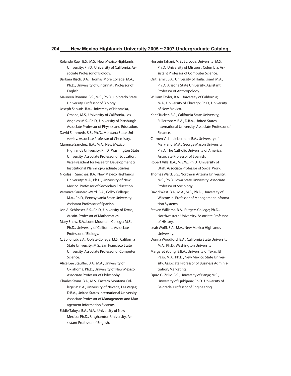- Rolando Rael. B.S., M.S., New Mexico Highlands University; Ph.D., University of California. Associate Professor of Biology.
- Barbara Risch. B.A., Thomas More College; M.A., Ph.D., University of Cincinnati. Professor of English.
- Maureen Romine. B.S., M.S., Ph.D., Colorado State University. Professor of Biology.
- Joseph Sabutis. B.A., University of Nebraska, Omaha; M.S., University of California, Los Angeles; M.S., Ph.D., University of Pittsburgh. Associate Professor of Physics and Education.
- David Sammeth. B.S., Ph.D., Montana State University. Associate Professor of Chemistry.
- Clarence Sanchez. B.A., M.A., New Mexico Highlands University; Ph.D., Washington State University. Associate Professor of Education. Vice President for Research Development & Institutional Planning/Graduate Studies.
- Nicolas T. Sanchez. B.A., New Mexico Highlands University; M.A., Ph.D., University of New Mexico. Professor of Secondary Education.
- Veronica Saunero-Ward. B.A., Colby College; M.A., Ph.D., Pennsylvania State University. Assistant Professor of Spanish.
- Jon A. Schlosser. B.S., Ph.D., University of Texas, Austin. Professor of Mathematics.
- Mary Shaw. B.A., Lone Mountain College; M.S., Ph.D., University of California. Associate Professor of Biology.
- C. Sollohub. B.A., Oblate College; M.S., California State University; M.S., San Francisco State University. Associate Professor of Computer Science.
- Alice Lee Stauffer. B.A., M.A., University of Oklahoma; Ph.D., University of New Mexico. Associate Professor of Philosophy.
- Charles Swim. B.A., M.S., Eastern Montana College; M.B.A., University of Nevada, Las Vegas; D.B.A., United States International University. Associate Professor of Management and Management Information Systems.
- Eddie Tafoya. B.A., M.A., University of New Mexico; Ph.D., Binghamton University. Assistant Professor of English.
- Hossein Tahani. M.S., St. Louis University; M.S., Ph.D., University of Missouri, Columbia. Assistant Professor of Computer Science.
- Orit Tamir. B.A., University of Haifa, Israel; M.A., Ph.D., Arizona State University. Assistant Professor of Anthropology.
- William Taylor, B.A., University of California; M.A., University of Chicago; Ph.D., University of New Mexico.
- Kent Tucker. B.A., California State University, Fullerton; M.B.A., D.B.A., United States International University. Associate Professor of Finance.
- Carmen Vidal-Lieberman. B.A., University of Maryland; M.A., George Mason University; Ph.D., The Catholic University of America. Associate Professor of Spanish.
- Robert Villa. B.A., M.S.W., Ph.D., University of Utah. Associate Professor of Social Work.
- Thomas Ward. B.S., Northern Arizona University; M.S., Ph.D., Iowa State University. Associate Professor of Sociology.
- David West. B.A., M.A., M.S., Ph.D., University of Wisconsin. Professor of Management Information Systems.
- Steven Williams. B.A., Rutgers College; Ph.D., Northwestern University. Associate Professor of History.
- Leah Wolff. B.A., M.A., New Mexico Highlands University.
- Donna Woodford. B.A., California State University; M.A., Ph.D., Washington University
- Margaret Young. B.B.A., University of Texas, El Paso; M.A., Ph.D., New Mexico State University. Associate Professor of Business Administration/Marketing.
- Djuro G. Zrilic. B.S., University of Banja; M.S., University of Ljubljana; Ph.D., University of Belgrade. Professor of Engineering.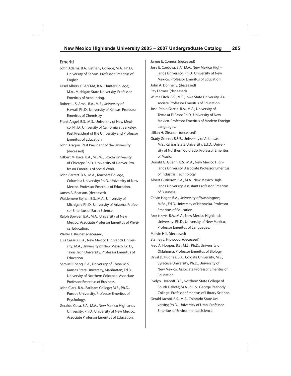#### Emeriti

- John Adams. B.A., Bethany College; M.A., Ph.D., University of Kansas. Professor Emeritus of English.
- Ursel Albers. CPA/CMA, B.A., Hunter College; M.A., Michigan State University, Professor Emeritus of Accounting.
- Robert L. S. Amai. B.A., M.S., University of Hawaii; Ph.D., University of Kansas. Professor Emeritus of Chemistry.
- Frank Angel. B.S., M.S., University of New Mexico; Ph.D., University of California at Berkeley. Past President of the University and Professor Emeritus of Education.
- John Aragon. Past President of the University. (deceased)
- Gilbert M. Baca. B.A., M.S.W., Loyola University of Chicago; Ph.D., University of Denver. Professor Emeritus of Social Work.
- John Barrett. B.A., M.A., Teachers College, Columbia University; Ph.D., University of New Mexico. Professor Emeritus of Education.
- James A. Beatson. (deceased)
- Waldemere Bejnar. B.S., M.A., University of Michigan; Ph.D., University of Arizona. Professor Emeritus of Earth Science.
- Ralph Bowyer. B.A., M.A., University of New Mexico; Associate Professor Emeritus of Physical Education.
- Walter F. Brunet. (deceased)
- Luis Casaus. B.A., New Mexico Highlands University; M.A., University of New Mexico; Ed.D., Texas Tech University. Professor Emeritus of Education.
- Samuel Cheng. B.A., University of China; M.S., Kansas State University, Manhattan; Ed.D., University of Northern Colorado. Associate Professor Emeritus of Business.
- John Clark. B.A., Earlham College; M.S., Ph.D., Purdue University. Professor Emeritus of Psychology.
- Geraldo Coca. B.A., M.A., New Mexico Highlands University; Ph.D., University of New Mexico. Associate Professor Emeritus of Education.

James E. Connor. (deceased) Jose E. Cordova. B.A., M.A., New Mexico Highlands University; Ph.D., University of New Mexico. Professor Emeritus of Education. John A. Donnelly. (deceased) Ray Farmer. (deceased) Wilma Fitch. B.S., M.S., Iowa State University. Associate Professor Emeritus of Education. Jose-Pablo Garcia. B.A., M.A., University of Texas at El Paso; Ph.D., University of New Mexico. Professor Emeritus of Modern Foreign Languages. Lillian H. Gleason. (deceased) Grady Greene. B.S.E., University of Arkansas; M.S., Kansas State University; Ed.D., University of Northern Colorado. Professor Emeritus of Music. Donald G. Guerin. B.S., M.A., New Mexico Highlands University. Associate Professor Emeritus of Industrial Technology. Albert Gutierrez. B.A., M.A., New Mexico Highlands University. Assistant Professor Emeritus of Business. Calvin Hager. B.A., University of Washington; M.Ed., Ed.D.,University of Nebraska. Professor Emeritus of Education. Sara Harris. B.A., M.A., New Mexico Highlands University; Ph.D., University of New Mexico. Professor Emeritus of Languages. Melvin Hill. (deceased) Stanley J. Hipwood. (deceased) Fred A. Hopper. B.S., M.S., Ph.D., University of Oklahoma. Professor Emeritus of Biology. Orval D. Hughes. B.A., Colgate University; M.S., Syracuse University; Ph.D., University of New Mexico. Associate Professor Emeritus of Education. Evelyn I. Ivanoff. B.S., Northern State College of South Dakota; M.A. in L.S., George Peabody College. Professor Emeritus of Library Science. Gerald Jacobi. B.S., M.S., Colorado State Uni-

versity; Ph.D., University of Utah. Professor Emeritus of Environmental Science.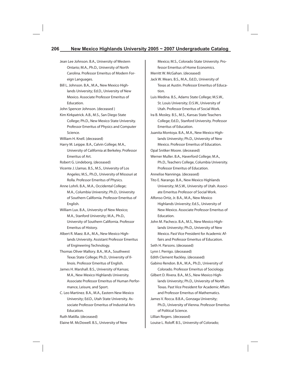- Jean Lee Johnson. B.A., University of Western Ontario; M.A., Ph.D., University of North Carolina. Professor Emeritus of Modern Foreign Languages.
- Bill L. Johnson. B.A., M.A., New Mexico Highlands University; Ed.D., University of New Mexico. Associate Professor Emeritus of Education.

John Spencer Johnson. (deceased )

Kim Kirkpatrick. A.B., M.S., San Diego State College; Ph.D., New Mexico State University. Professor Emeritus of Physics and Computer Science.

William H. Knell. (deceased)

Harry M. Leippe. B.A., Calvin College; M.A., University of California at Berkeley. Professor Emeritus of Art.

Robert G. Lindeborg. (deceased)

- Vicente J. Llamas. B.S., M.S., University of Los Angeles; M.S., Ph.D., University of Missouri at Rolla. Professor Emeritus of Physics.
- Anne Lohrli. B.A., M.A., Occidental College; M.A., Columbia University; Ph.D., University of Southern California. Professor Emeritus of English.
- William Lux. B.A., University of New Mexico; M.A., Stanford University; M.A., Ph.D., University of Southern California. Professor Emeritus of History.
- Albert R. Maez. B.A., M.A., New Mexico Highlands University. Assistant Professor Emeritus of Engineering Technology.
- Thomas Oliver Mallory. B.A., M.A., Southwest Texas State College; Ph.D., University of Illinois. Professor Emeritus of English.
- James H. Marshall. B.S., University of Kansas; M.A., New Mexico Highlands University. Associate Professor Emeritus of Human Performance, Leisure, and Sport.
- C. Leo Martinez. B.A., M.A., Eastern New Mexico University; Ed.D., Utah State University. Associate Professor Emeritus of Industrial Arts Education.

Ruth Matilla. (deceased)

Elaine M. McDowell. B.S., University of New

Mexico; M.S., Colorado State University. Professor Emeritus of Home Economics. Merritt W. McGahan. (deceased)

Jack W. Mears. B.S., M.A., Ed.D., University of Texas at Austin. Professor Emeritus of Education.

Luis Medina. B.S., Adams State College; M.S.W., St. Louis University; D.S.W., University of Utah. Professor Emeritus of Social Work.

Ira B. Mosley. B.S., M.S., Kansas State Teachers College; Ed.D., Stanford University. Professor Emeritus of Education.

Juanita Montoya. B.A., M.A., New Mexico Highlands University; Ph.D., University of New Mexico. Professor Emeritus of Education.

Opal Snitker Moore. (deceased)

Werner Muller. B.A., Haverford College; M.A., Ph.D., Teachers College, Columbia University. Professor Emeritus of Education.

Annelise Nanninga. (deceased)

- Tito E. Narango. B.A., New Mexico Highlands University; M.S.W., University of Utah. Associate Emeritus Professor of Social Work.
- Alfonso Ortiz, Jr. B.A., M.A., New Mexico Highlands University; Ed.S., University of New Mexico. Associate Professor Emeritus of Education.
- John M. Pacheco. B.A., M.S., New Mexico Highlands University; Ph.D., University of New Mexico. Past Vice President for Academic Affairs and Professor Emeritus of Education.

Seth H. Parsons. (deceased)

Lynn I. Perrigo. (deceased)

Edith Clement Rackley. (deceased)

- Gabino Rendon. B.A., M.A., Ph.D., University of Colorado. Professor Emeritus of Sociology.
- Gilbert D. Rivera. B.A., M.S., New Mexico Highlands University; Ph.D., University of North Texas. Past Vice President for Academic Affairs and Professor Emeritus of Mathematics.
- James V. Rocca. B.B.A., Gonzaga University; Ph.D., University of Vienna. Professor Emeritus of Political Science.

Lillian Rogers. (deceased)

Louise L. Roloff. B.S., University of Colorado;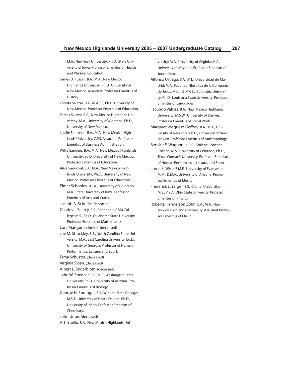M.A., New York University; Ph.D., State University of Iowa. Professor Emeritus of Health and Physical Education.

- James D. Russell. B.A., M.A., New Mexico Highlands University; Ph.D., University of New Mexico. Associate Professor Emeritus of History.
- Loretta Salazar. B.A., M.A.T.S, Ph.D. University of New Mexico. Professor Emeritus of Education.
- Tomas Salazar. B.A., New Mexico Highlands University; M.A., University of Montana; Ph.D., University of New Mexico.
- Lucille Sampson. B.A., M.A., New Mexico Highlands University; C.P.S. Associate Professor Emeritus of Business Administration.
- Willie Sanchez. B.A., M.A., New Mexico Highlands University; Ed.D.,University of New Mexico. Professor Emeritus of Education.
- Alice Sandoval. B.A., M.A., New Mexico Highlands University; Ph.D., University of New Mexico. Professor Emeritus of Education.
- Elmer Schooley. B.F.A., University of Colorado; M.A., State University of Iowa. Professor Emeritus of Arts and Crafts.
- Joseph A. Schufle. (deceased)
- Charles J. Searcy. B.S., Panhandle A&M College; M.S., Ed.D., Oklahoma State University. Professor Emeritus of Mathematics.

Lora Mangum Shields. (deceased)

- Joe M. Shockley. B.S., North Carolina State University; M.A., East Carolina University; Ed.D., University of Georgia. Professor of Human Performance, Leisure, and Sport.
- Erma Schuster. (deceased)
- Virginia Sloan. (deceased)
- Albert L. Soderblom. (deceased)
- John W. Spencer. B.S., M.S., Washington State University; Ph.D., University of Arizona. Professor Emeritus of Biology.
- George H. Sprenger. B.S., Winona State College; M.S.T., University of North Dakota; Ph.D., University of Idaho. Professor Emeritus of Chemistry.

John Uribe. (deceased)

```
Art Trujillo. B.A., New Mexico Highlands Uni-
```
versity; M.A., University of Virginia; M.A., University of Missouri. Professor Emeritus of Journalism.

Alfonso Urtiaga. B.A., M.L., Universidad de Madrid; M.A., Facultad Filosofica de la Compania de Jesus, Madrid; M.C.L., Columbia University; Ph.D., Louisiana State University. Professor Emeritus of Languages.

Facundo Valdez. B.A., New Mexico Highlands University; M.S.W., University of Denver. Professor Emeritus of Social Work.

Margaret Vasquesz-Geffroy. B.A., M.A., University of New York; Ph.D., University of New Mexico. Professor Emeritus of Anthropology.

- Bernice E. Waggoner. B.S., Abilene Christian College; M.S., University of Colorado; Ph.D., Texas Woman's University. Professor Emeritus of Human Performance, Leisure, and Sport.
- Loren E. Wise. B.M.E., University of Evansville; M.M., D.M.A., University of Arizona. Professor Emeritus of Music.
- Frederick L. Yarger. B.S., Capital University; M.S., Ph.D., Ohio State University. Professor Emeritus of Physics.
- Roberta Henderson Zohn. B.A., M.A., New Mexico Highlands University. Assistant Professor Emeritus of Music.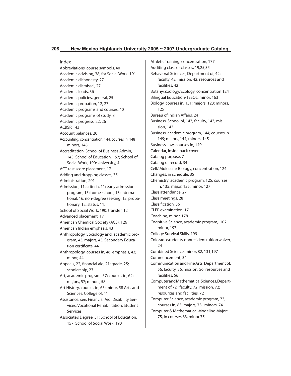#### Index

Abbreviations, course symbols, 40 Academic advising, 38; for Social Work, 191 Academic dishonesty, 27 Academic dismissal, 27 Academic loads, 36 Academic policies, general, 25 Academic probation, 12, 27 Academic programs and courses, 40 Academic programs of study, 8 Academic progress, 22, 26 ACBSP, 143 Account balances, 20 Accounting, concentration, 144; courses in, 148 minors, 145 Accreditation, School of Business Admin, 143; School of Education, 157; School of Social Work, 190; University, 4 ACT test score placement, 17 Adding and dropping classes, 35 Administration, 201 Admission, 11, criteria, 11; early admission program, 15; home school, 13; international, 16; non-degree seeking, 12; probationary, 12; status, 11; School of Social Work, 190; transfer, 12 Advanced placement, 17 American Chemical Society (ACS), 126 American Indian emphasis, 43 Anthropology, Sociology and, academic program, 43; majors, 43; Secondary Education certificate, 44 Anthropology, courses in, 46; emphasis, 43; minor, 44 Appeals, 22, financial aid, 21; grade, 25; scholarship, 23 Art, academic program, 57; courses in, 62; majors, 57; minors, 58 Art History, courses in, 65; minor, 58 Arts and Sciences, College of, 41 Assistance, see: Financial Aid, Disability Services, Vocational Rehabilitation, Student Services Associate's Degree, 31; School of Education, 157; School of Social Work, 190

Athletic Training, concentration, 177 Auditing class or classes, 19,25,35 Behavioral Sciences, Department of, 42; faculty, 42; mission, 42; resources and facilities, 42 Botany/Zoology/Ecology, concentration 124 Bilingual Education/TESOL, minor, 163 Biology, courses in, 131; majors, 123; minors, 125 Bureau of Indian Affairs, 24 Business, School of, 143; faculty, 143; mission, 143 Business, academic program, 144; courses in 149; majors, 144; minors, 145 Business Law, courses in, 149 Calendar, inside back cover Catalog purpose, 7 Catalog of record, 34 Cell/ Molecular Biology, concentration, 124 Changes, in schedule, 35 Chemistry, academic program, 125; courses in, 135; major, 125; minor, 127 Class attendance, 27 Class meetings, 28 Classification, 36 CLEP examination, 17 Coaching, minor, 178 Cognitive Science, academic program, 102; minor, 197 College Survival Skills, 199 Colorado students, nonresident tuition waiver, 24 Combined Science, minor, 82, 131,197 Commencement, 34 Communication and Fine Arts, Department of, 56; faculty, 56; mission, 56; resources and facilities, 56 Computer and Mathematical Sciences, Department of,72 ; faculty, 72; mission, 72; resources and facilities, 72 Computer Science, academic program, 73; courses in, 83; majors, 73, minors, 74 Computer & Mathematical Modeling Major; 75, in courses 83, minor 75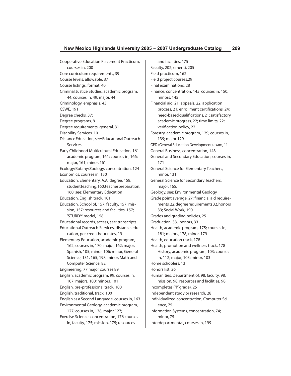Cooperative Education Placement Practicum, courses in, 200 Core curriculum requirements, 39 Course levels, allowable, 37 Course listings, format, 40 Criminal Justice Studies, academic program, 44; courses in, 49, major, 44 Criminology, emphasis, 43 CSWE, 191 Degree checks, 37; Degree programs, 8 Degree requirements, general, 31 Disability Services, 10 Distance Education, see: Educational Outreach Services Early Childhood Multicultural Education, 161 academic program, 161; courses in, 166; major, 161; minor, 161 Ecology/Botany/Zoology, concentration, 124 Economics, courses in, 150 Education, Elementary, A.A. degree, 158; student teaching, 160; teacher preparation, 160; see: Elementary Education Education, English track, 101 Education, School of, 157; faculty, 157; mission, 157; resources and facilities, 157; 'STURDY' model, 158 Educational records, access, see: transcripts Educational Outreach Services, distance education, per credit hour rates, 19 Elementary Education, academic program, 162; courses in, 170; major, 162; major, Spanish, 105; minor, 106; minor, General Science, 131, 165, 198; minor, Math and Computer Science, 82 Engineering, 77 major courses 89 English, academic program, 99; courses in, 107; majors, 100; minors, 101

English, pre-professional track, 100 English, traditional, track, 100 English as a Second Language, courses in, 163 Environmental Geology, academic program, 127; courses in, 138; major 127;

Exercise Science. concentration, 176 courses in, faculty, 175; mission, 175; resources

and facilities, 175 Faculty, 202; emeriti, 205 Field practicum, 162 Field project courses,29 Final examinations, 28 Finance, concentration, 145; courses in, 150; minors, 145 Financial aid, 21, appeals, 22; application process, 21; enrollment certifications, 24; need-based qualifications, 21; satisfactory academic progress, 22; time limits, 22; verification policy, 22 Forestry, academic program, 129; courses in, 139; major 129 GED (General Education Development) exam, 11 General Business, concentration, 148 General and Secondary Education, courses in, 171 General Science for Elementary Teachers, minor, 131 General Science for Secondary Teachers, major, 165; Geology, see: Environmental Geology Grade point average, 27; financial aid requirements, 22; degree requirements 32, honors 33; Social Work, 190 Grades and grading policies, 25 Graduation, 33, honors, 33 Health, academic program, 175; courses in, 181; majors, 178; minor, 179 Health, education track, 178 Health, promotion and wellness track, 178 History, academic program, 103; courses in, 112; major, 103; minor, 103 Home schoolers, 13 Honors list, 26 Humanities, Department of, 98; faculty, 98; mission, 98; resources and facilities, 98 Incompletes ("I" grade), 25 Independent study or research, 28 Individualized concentration, Computer Science, 75 Information Systems, concentration, 74; minor, 75 Interdepartmental, courses in, 199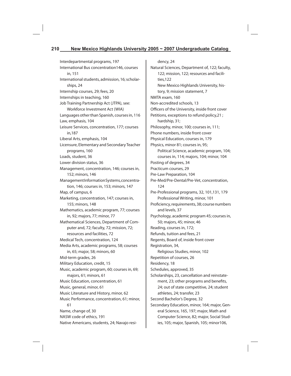Interdepartmental programs, 197 International Bus concentration146, courses in, 151 International students, admission, 16; scholarships, 24 Internship courses, 29; fees, 20 Internships in teaching, 160 Job Training Partnership Act (JTPA), see: Workforce Investment Act (WIA) Languages other than Spanish, courses in, 116 Law, emphasis, 104 Leisure Services, concentration, 177; courses in,187 Liberal Arts, emphasis, 104 Licensure, Elementary and Secondary Teacher programs, 160 Loads, student, 36 Lower division status, 36 Management, concentration, 146; courses in, 152; minors, 146 Management Information Systems, concentration, 146; courses in, 153; minors, 147 Map, of campus, 6 Marketing, concentration, 147; courses in, 155; minors, 148 Mathematics, academic program, 77; courses in, 92; majors, 77; minor, 77 Mathematical Sciences, Department of Computer and, 72; faculty, 72; mission, 72; resources and facilities, 72 Medical Tech, concentration, 124 Media Arts, academic programs, 58; courses in, 65; major, 58; minors, 60 Mid-term grades, 26 Military Education, credit, 15 Music, academic program, 60; courses in, 69; majors, 61; minors, 61 Music Education, concentration, 61 Music, general, minor, 61 Music Literature and History, minor, 62 Music Performance, concentration, 61; minor, 61 Name, change of, 30 NASW code of ethics, 191 Native Americans, students, 24; Navajo resi-

dency, 24 Natural Sciences, Department of, 122; faculty, 122; mission, 122; resources and facilities,122 New Mexico Highlands University, history, 9; mission statement, 7 NMTA exam, 160 Non-accredited schools, 13 Officers of the University, inside front cover Petitions, exceptions to refund policy,21 ; hardship, 31; Philosophy, minor, 100; courses in, 111; Phone numbers, inside front cover Physical Education, courses in, 179 Physics, minor 81; courses in, 95; Political Science, academic program, 104; courses in, 114; majors, 104; minor, 104 Posting of degrees, 34 Practicum courses, 29 Pre-Law Preparation, 104 Pre-Med/Pre-Dental/Pre-Vet, concentration, 124 Pre-Professional programs, 32, 101,131, 179 Professional Writing, minor, 101 Proficiency, requirements, 38; course numbers and levels, 37 Psychology, academic program 45; courses in, 50; majors, 45; minor, 46 Reading, courses in, 172; Refunds, tuition and fees, 21 Regents, Board of, inside front cover Registration, 34, Religious Studies, minor, 102 Repetition of courses, 26 Residency, 18 Schedules, approved, 35 Scholarships, 23, cancellation and reinstatement, 23; other programs and benefits, 24; out of state competitive, 24; student athletes, 24; transfer, 23 Second Bachelor's Degree, 32 Secondary Education, minor, 164; major, General Science, 165, 197; major, Math and Computer Science, 82; major, Social Studies, 105; major, Spanish, 105; minor106,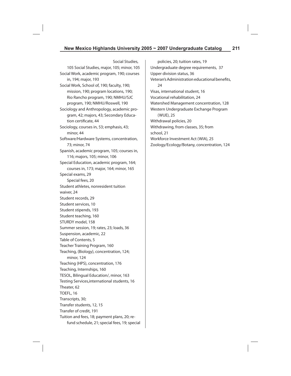Social Studies, 105 Social Studies, major, 105; minor, 105 Social Work, academic program, 190; courses in, 194; major, 193 Social Work, School of, 190; faculty, 190; mission, 190; program locations, 190; Rio Rancho program, 190; NMHU/SJC program, 190; NMHU/Roswell, 190 Sociology and Anthropology, academic program, 42; majors, 43; Secondary Education certificate, 44 Sociology, courses in, 53; emphasis, 43; minor, 44 Software/Hardware Systems, concentration, 73; minor, 74 Spanish, academic program, 105; courses in, 116; majors, 105; minor, 106 Special Education, academic program, 164; courses in, 173; major, 164; minor, 165 Special exams, 29 Special fees, 20 Student athletes, nonresident tuition waiver, 24 Student records, 29 Student services, 10 Student stipends, 193 Student teaching, 160 STURDY model, 158 Summer session, 19; rates, 23; loads, 36 Suspension, academic, 22 Table of Contents, 5 Teacher Training Program, 160 Teaching, (Biology), concentration, 124; minor, 124 Teaching (HPS), concentration, 176 Teaching, Internships, 160 TESOL, Bilingual Education/, minor, 163 Testing Services,international students, 16 Theater, 62 TOEFL, 16 Transcripts, 30; Transfer students, 12, 15 Transfer of credit, 191 Tuition and fees, 18; payment plans, 20; refund schedule, 21; special fees, 19; special

policies, 20; tuition rates, 19 Undergraduate degree requirements, 37 Upper division status, 36 Veteran's Administration educational benefits, 24 Visas, international student, 16 Vocational rehabilitation, 24 Watershed Management concentration, 128 Western Undergraduate Exchange Program (WUE), 25 Withdrawal policies, 20 Withdrawing, from classes, 35; from school, 21 Workforce Investment Act (WIA), 25 Zoology/Ecology/Botany, concentration, 124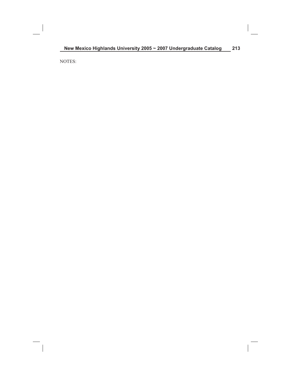NOTES: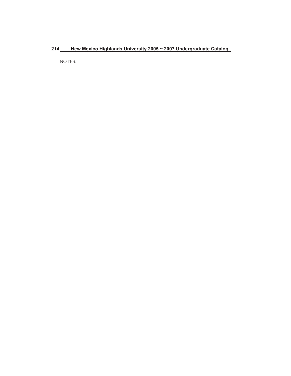# **214 New Mexico Highlands University 2005 ~ 2007 Undergraduate Catalog**

NOTES: